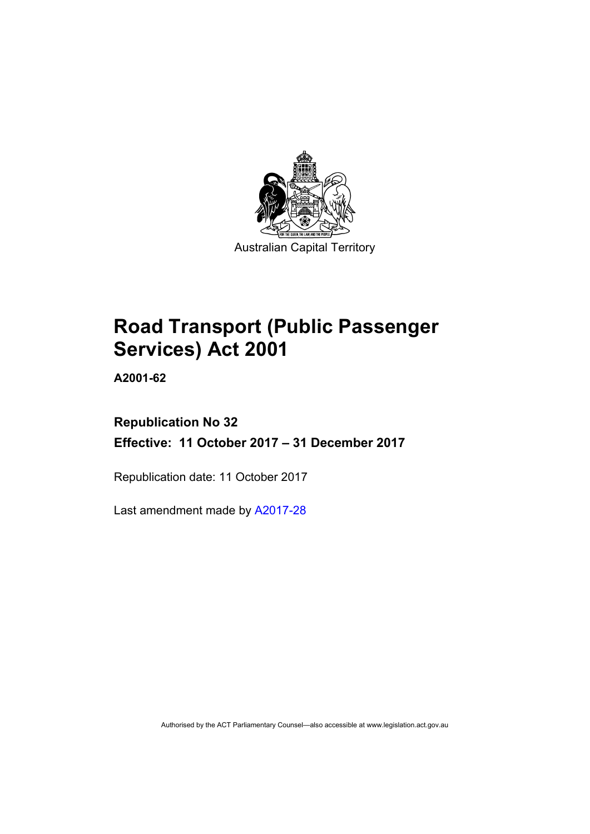

# **Road Transport (Public Passenger Services) Act 2001**

**A2001-62** 

# **Republication No 32 Effective: 11 October 2017 – 31 December 2017**

Republication date: 11 October 2017

Last amendment made by [A2017-28](http://www.legislation.act.gov.au/a/2017-28/default.asp)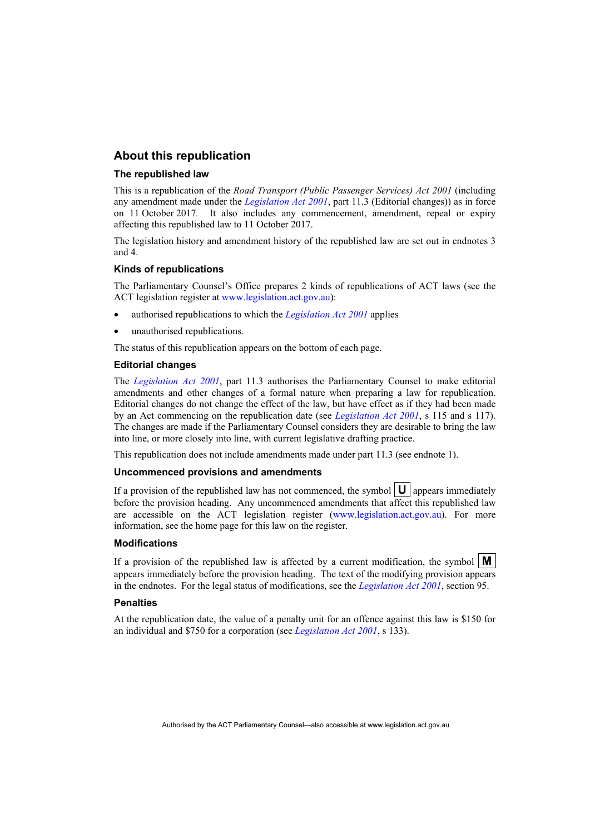#### **About this republication**

#### **The republished law**

This is a republication of the *Road Transport (Public Passenger Services) Act 2001* (including any amendment made under the *[Legislation Act 2001](http://www.legislation.act.gov.au/a/2001-14)*, part 11.3 (Editorial changes)) as in force on 11 October 2017*.* It also includes any commencement, amendment, repeal or expiry affecting this republished law to 11 October 2017.

The legislation history and amendment history of the republished law are set out in endnotes 3 and 4.

#### **Kinds of republications**

The Parliamentary Counsel's Office prepares 2 kinds of republications of ACT laws (see the ACT legislation register at [www.legislation.act.gov.au](http://www.legislation.act.gov.au/)):

- authorised republications to which the *[Legislation Act 2001](http://www.legislation.act.gov.au/a/2001-14)* applies
- unauthorised republications.

The status of this republication appears on the bottom of each page.

#### **Editorial changes**

The *[Legislation Act 2001](http://www.legislation.act.gov.au/a/2001-14)*, part 11.3 authorises the Parliamentary Counsel to make editorial amendments and other changes of a formal nature when preparing a law for republication. Editorial changes do not change the effect of the law, but have effect as if they had been made by an Act commencing on the republication date (see *[Legislation Act 2001](http://www.legislation.act.gov.au/a/2001-14)*, s 115 and s 117). The changes are made if the Parliamentary Counsel considers they are desirable to bring the law into line, or more closely into line, with current legislative drafting practice.

This republication does not include amendments made under part 11.3 (see endnote 1).

#### **Uncommenced provisions and amendments**

If a provision of the republished law has not commenced, the symbol  $\mathbf{U}$  appears immediately before the provision heading. Any uncommenced amendments that affect this republished law are accessible on the ACT legislation register [\(www.legislation.act.gov.au\)](http://www.legislation.act.gov.au/). For more information, see the home page for this law on the register.

#### **Modifications**

If a provision of the republished law is affected by a current modification, the symbol  $\mathbf{M}$ appears immediately before the provision heading. The text of the modifying provision appears in the endnotes. For the legal status of modifications, see the *[Legislation Act 2001](http://www.legislation.act.gov.au/a/2001-14)*, section 95.

#### **Penalties**

At the republication date, the value of a penalty unit for an offence against this law is \$150 for an individual and \$750 for a corporation (see *[Legislation Act 2001](http://www.legislation.act.gov.au/a/2001-14)*, s 133).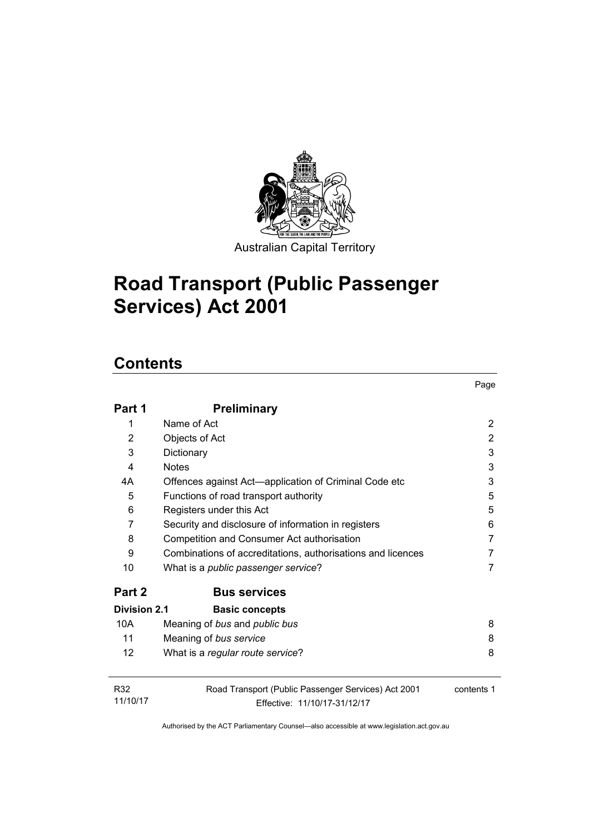

Australian Capital Territory

Page

# **Road Transport (Public Passenger Services) Act 2001**

# **Contents**

| Part 1              | <b>Preliminary</b>                                                                  |                |
|---------------------|-------------------------------------------------------------------------------------|----------------|
| 1                   | Name of Act                                                                         | $\overline{2}$ |
| 2                   | Objects of Act                                                                      | 2              |
| 3                   | Dictionary                                                                          | 3              |
| 4                   | <b>Notes</b>                                                                        | 3              |
| 4А                  | Offences against Act—application of Criminal Code etc                               | 3              |
| 5                   | Functions of road transport authority                                               | 5              |
| 6                   | Registers under this Act                                                            | 5              |
| 7                   | Security and disclosure of information in registers                                 | 6              |
| 8                   | Competition and Consumer Act authorisation                                          | 7              |
| 9                   | Combinations of accreditations, authorisations and licences                         | 7              |
| 10                  | What is a <i>public passenger service</i> ?                                         | 7              |
| Part 2              | <b>Bus services</b>                                                                 |                |
| <b>Division 2.1</b> | <b>Basic concepts</b>                                                               |                |
| 10A                 | Meaning of bus and public bus                                                       | 8              |
| 11                  | Meaning of bus service                                                              | 8              |
| 12                  | What is a regular route service?                                                    | 8              |
| R32<br>11/10/17     | Road Transport (Public Passenger Services) Act 2001<br>Effective: 11/10/17-31/12/17 | contents 1     |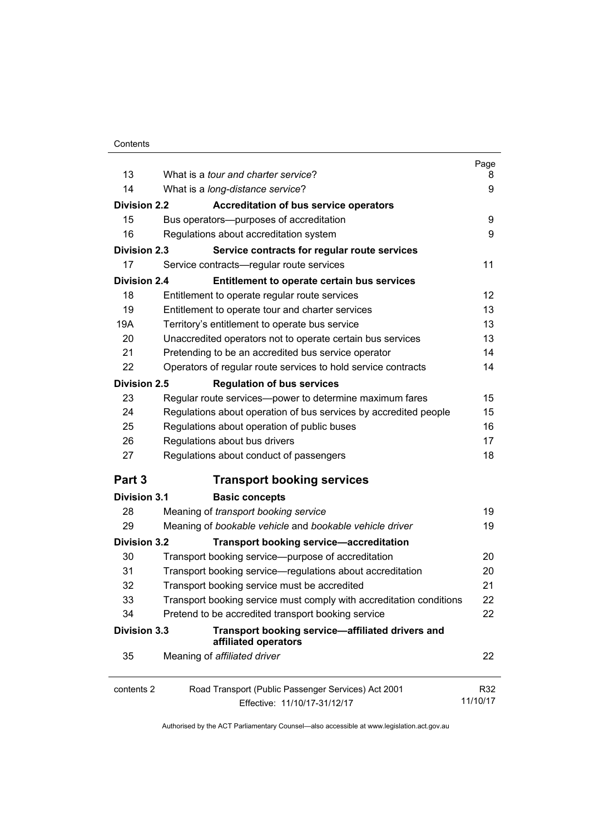| 13                  | What is a <i>tour and charter service</i> ?                         | Page<br>8 |  |
|---------------------|---------------------------------------------------------------------|-----------|--|
| 14                  | What is a long-distance service?                                    |           |  |
|                     |                                                                     | 9         |  |
| <b>Division 2.2</b> | <b>Accreditation of bus service operators</b>                       |           |  |
| 15                  | Bus operators--- purposes of accreditation                          | 9         |  |
| 16                  | Regulations about accreditation system                              | 9         |  |
| <b>Division 2.3</b> | Service contracts for regular route services                        |           |  |
| 17                  | Service contracts—regular route services                            | 11        |  |
| <b>Division 2.4</b> | Entitlement to operate certain bus services                         |           |  |
| 18                  | Entitlement to operate regular route services                       | 12        |  |
| 19                  | Entitlement to operate tour and charter services                    | 13        |  |
| 19A                 | Territory's entitlement to operate bus service                      | 13        |  |
| 20                  | Unaccredited operators not to operate certain bus services          | 13        |  |
| 21                  | Pretending to be an accredited bus service operator                 | 14        |  |
| 22                  | Operators of regular route services to hold service contracts       | 14        |  |
| Division 2.5        | <b>Regulation of bus services</b>                                   |           |  |
| 23                  | Regular route services-power to determine maximum fares             | 15        |  |
| 24                  | Regulations about operation of bus services by accredited people    | 15        |  |
| 25                  | Regulations about operation of public buses                         | 16        |  |
| 26                  | Regulations about bus drivers                                       | 17        |  |
| 27                  | Regulations about conduct of passengers                             | 18        |  |
| Part 3              | <b>Transport booking services</b>                                   |           |  |
| <b>Division 3.1</b> | <b>Basic concepts</b>                                               |           |  |
| 28                  | Meaning of transport booking service                                | 19        |  |
| 29                  | Meaning of bookable vehicle and bookable vehicle driver             | 19        |  |
| <b>Division 3.2</b> | <b>Transport booking service-accreditation</b>                      |           |  |
| 30                  | Transport booking service-purpose of accreditation                  | 20        |  |
| 31                  | Transport booking service—regulations about accreditation           | 20        |  |
| 32                  | Transport booking service must be accredited                        | 21        |  |
| 33                  | Transport booking service must comply with accreditation conditions | 22        |  |
| 34                  | Pretend to be accredited transport booking service                  | 22        |  |
| <b>Division 3.3</b> | Transport booking service-affiliated drivers and                    |           |  |
|                     | affiliated operators                                                |           |  |
| 35                  | Meaning of affiliated driver                                        | 22        |  |
| contents 2          | Road Transport (Public Passenger Services) Act 2001                 | R32       |  |
|                     | 11/10/17<br>Effective: 11/10/17-31/12/17                            |           |  |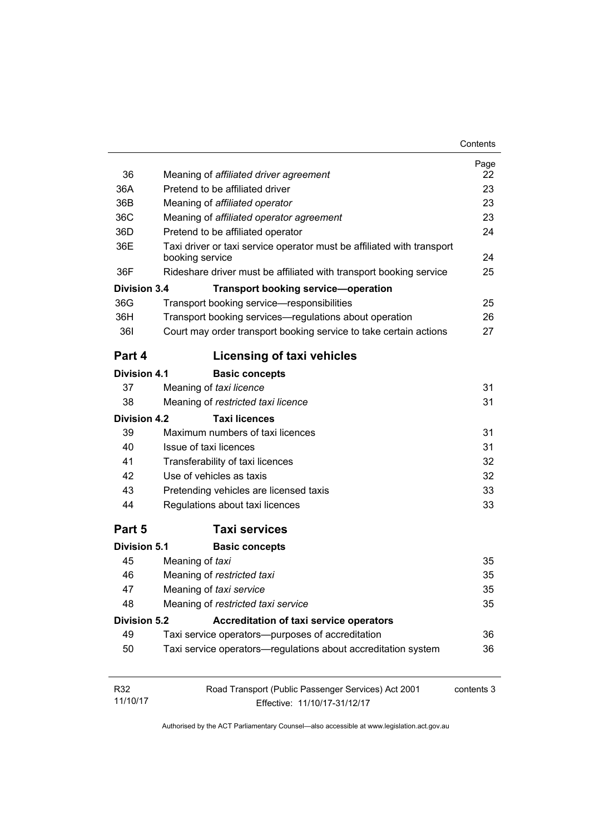| Contents |
|----------|
|----------|

|                     |                                                                                           | Page       |
|---------------------|-------------------------------------------------------------------------------------------|------------|
| 36                  | Meaning of affiliated driver agreement                                                    | 22         |
| 36A                 | Pretend to be affiliated driver                                                           | 23         |
| 36B                 | Meaning of affiliated operator                                                            | 23         |
| 36C                 | Meaning of affiliated operator agreement                                                  | 23         |
| 36D                 | Pretend to be affiliated operator                                                         | 24         |
| 36E                 | Taxi driver or taxi service operator must be affiliated with transport<br>booking service | 24         |
| 36F                 | Rideshare driver must be affiliated with transport booking service                        | 25         |
| <b>Division 3.4</b> | <b>Transport booking service-operation</b>                                                |            |
| 36G                 | Transport booking service-responsibilities                                                | 25         |
| 36H                 | Transport booking services—regulations about operation                                    | 26         |
| <b>361</b>          | Court may order transport booking service to take certain actions                         | 27         |
| Part 4              | <b>Licensing of taxi vehicles</b>                                                         |            |
| <b>Division 4.1</b> | <b>Basic concepts</b>                                                                     |            |
| 37                  | Meaning of taxi licence                                                                   | 31         |
| 38                  | Meaning of restricted taxi licence                                                        | 31         |
| Division 4.2        | <b>Taxi licences</b>                                                                      |            |
| 39                  | Maximum numbers of taxi licences                                                          | 31         |
| 40                  | Issue of taxi licences                                                                    | 31         |
| 41                  | Transferability of taxi licences                                                          | 32         |
| 42                  | Use of vehicles as taxis                                                                  | 32         |
| 43                  | Pretending vehicles are licensed taxis                                                    | 33         |
| 44                  | Regulations about taxi licences                                                           | 33         |
| Part 5              | <b>Taxi services</b>                                                                      |            |
| <b>Division 5.1</b> | <b>Basic concepts</b>                                                                     |            |
| 45                  | Meaning of taxi                                                                           | 35         |
| 46                  | Meaning of restricted taxi                                                                | 35         |
| 47                  | Meaning of taxi service                                                                   | 35         |
| 48                  | Meaning of restricted taxi service                                                        | 35         |
| <b>Division 5.2</b> | Accreditation of taxi service operators                                                   |            |
| 49                  | Taxi service operators—purposes of accreditation                                          | 36         |
| 50                  | Taxi service operators—regulations about accreditation system                             | 36         |
| R32                 | Road Transport (Public Passenger Services) Act 2001                                       | contents 3 |
| 11/10/17            | Effective: 11/10/17-31/12/17                                                              |            |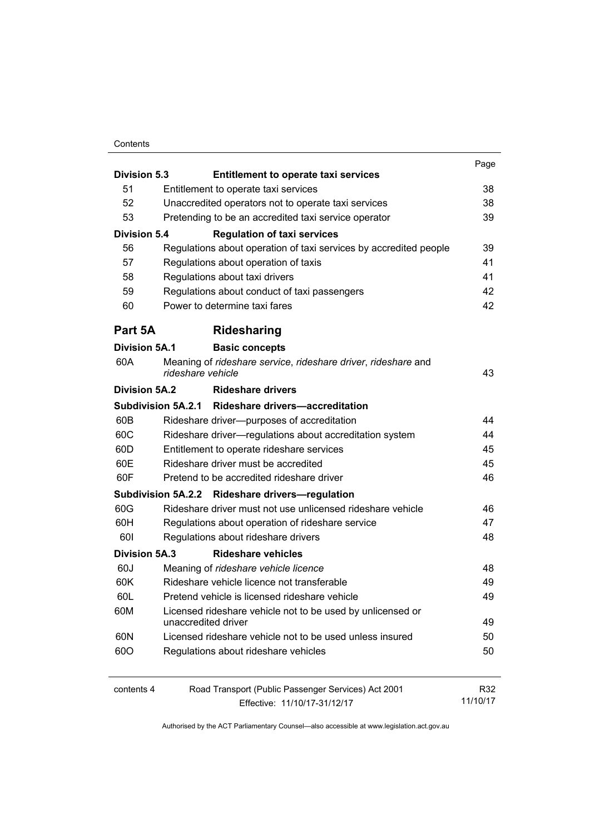#### **Contents**

| <b>Division 5.3</b>                                                         | <b>Entitlement to operate taxi services</b>                                        | Page     |
|-----------------------------------------------------------------------------|------------------------------------------------------------------------------------|----------|
| 51                                                                          | Entitlement to operate taxi services                                               | 38       |
| 52                                                                          | Unaccredited operators not to operate taxi services                                | 38       |
| 53                                                                          |                                                                                    | 39       |
| Pretending to be an accredited taxi service operator<br><b>Division 5.4</b> |                                                                                    |          |
|                                                                             | <b>Regulation of taxi services</b>                                                 |          |
| 56                                                                          | Regulations about operation of taxi services by accredited people                  | 39       |
| 57                                                                          | Regulations about operation of taxis                                               | 41       |
| 58                                                                          | Regulations about taxi drivers                                                     | 41       |
| 59                                                                          | Regulations about conduct of taxi passengers                                       | 42       |
| 60                                                                          | Power to determine taxi fares                                                      | 42       |
| Part 5A                                                                     | Ridesharing                                                                        |          |
| Division 5A.1                                                               | <b>Basic concepts</b>                                                              |          |
| 60A                                                                         | Meaning of rideshare service, rideshare driver, rideshare and<br>rideshare vehicle | 43       |
| Division 5A.2                                                               | <b>Rideshare drivers</b>                                                           |          |
|                                                                             | Subdivision 5A.2.1 Rideshare drivers-accreditation                                 |          |
| 60B                                                                         | Rideshare driver--- purposes of accreditation                                      | 44       |
| 60C                                                                         | Rideshare driver-regulations about accreditation system                            | 44       |
| 60D                                                                         | Entitlement to operate rideshare services                                          | 45       |
| 60E                                                                         | Rideshare driver must be accredited                                                | 45       |
| 60F                                                                         | Pretend to be accredited rideshare driver                                          | 46       |
|                                                                             | Subdivision 5A.2.2 Rideshare drivers-regulation                                    |          |
| 60G                                                                         | Rideshare driver must not use unlicensed rideshare vehicle                         | 46       |
| 60H                                                                         | Regulations about operation of rideshare service                                   | 47       |
| 601                                                                         | Regulations about rideshare drivers                                                | 48       |
| <b>Division 5A.3</b>                                                        | <b>Rideshare vehicles</b>                                                          |          |
| 60J                                                                         | Meaning of rideshare vehicle licence                                               | 48       |
| 60K                                                                         | Rideshare vehicle licence not transferable                                         | 49       |
| 60L                                                                         | Pretend vehicle is licensed rideshare vehicle                                      | 49       |
| 60M                                                                         | Licensed rideshare vehicle not to be used by unlicensed or                         |          |
|                                                                             | unaccredited driver                                                                | 49       |
| 60N                                                                         | Licensed rideshare vehicle not to be used unless insured                           | 50       |
| 60O                                                                         | Regulations about rideshare vehicles                                               | 50       |
| contents 4                                                                  | Road Transport (Public Passenger Services) Act 2001                                | R32      |
|                                                                             | Effective: 11/10/17-31/12/17                                                       | 11/10/17 |
|                                                                             |                                                                                    |          |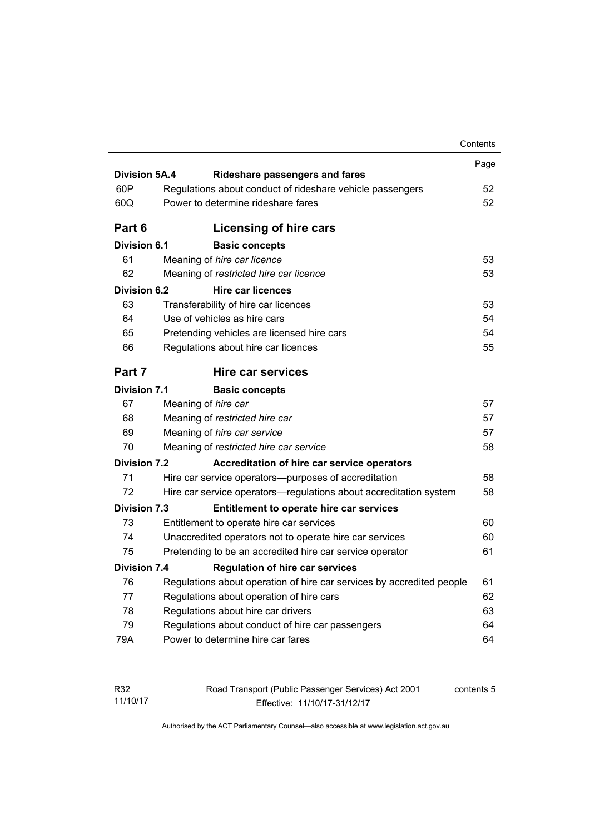|                      |                                        |                                                                       | Contents |
|----------------------|----------------------------------------|-----------------------------------------------------------------------|----------|
|                      |                                        |                                                                       | Page     |
| <b>Division 5A.4</b> |                                        | <b>Rideshare passengers and fares</b>                                 |          |
| 60P                  |                                        | Regulations about conduct of rideshare vehicle passengers             | 52       |
| 60Q                  |                                        | Power to determine rideshare fares                                    | 52       |
| Part 6               |                                        | Licensing of hire cars                                                |          |
| <b>Division 6.1</b>  |                                        | <b>Basic concepts</b>                                                 |          |
| 61                   |                                        | Meaning of hire car licence                                           | 53       |
| 62                   |                                        | Meaning of restricted hire car licence                                | 53       |
| Division 6.2         |                                        | <b>Hire car licences</b>                                              |          |
| 63                   |                                        | Transferability of hire car licences                                  | 53       |
| 64                   |                                        | Use of vehicles as hire cars                                          | 54       |
| 65                   |                                        | Pretending vehicles are licensed hire cars                            | 54       |
| 66                   |                                        | Regulations about hire car licences                                   | 55       |
| Part 7               |                                        | Hire car services                                                     |          |
| <b>Division 7.1</b>  |                                        | <b>Basic concepts</b>                                                 |          |
| 67                   |                                        | Meaning of hire car                                                   | 57       |
| 68                   |                                        | Meaning of restricted hire car                                        | 57       |
| 69                   |                                        | Meaning of hire car service                                           | 57       |
| 70                   | Meaning of restricted hire car service |                                                                       | 58       |
| <b>Division 7.2</b>  |                                        | Accreditation of hire car service operators                           |          |
| 71                   |                                        | Hire car service operators—purposes of accreditation                  | 58       |
| 72                   |                                        | Hire car service operators-regulations about accreditation system     | 58       |
| <b>Division 7.3</b>  |                                        | Entitlement to operate hire car services                              |          |
| 73                   |                                        | Entitlement to operate hire car services                              | 60       |
| 74                   |                                        | Unaccredited operators not to operate hire car services               | 60       |
| 75                   |                                        | Pretending to be an accredited hire car service operator              | 61       |
| <b>Division 7.4</b>  |                                        | <b>Regulation of hire car services</b>                                |          |
| 76                   |                                        | Regulations about operation of hire car services by accredited people | 61       |
| 77                   |                                        | Regulations about operation of hire cars                              | 62       |
| 78                   |                                        | Regulations about hire car drivers                                    | 63       |
| 79                   |                                        | Regulations about conduct of hire car passengers                      | 64       |
|                      |                                        |                                                                       | 64       |

| R32      | Road Transport (Public Passenger Services) Act 2001 | contents 5 |
|----------|-----------------------------------------------------|------------|
| 11/10/17 | Effective: 11/10/17-31/12/17                        |            |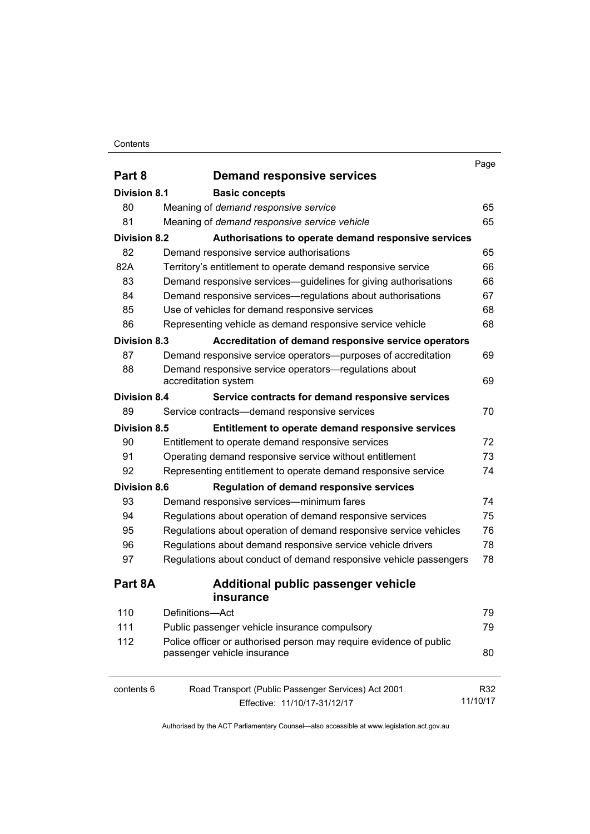#### **Contents**

|                     |                                                                                                   | Page     |
|---------------------|---------------------------------------------------------------------------------------------------|----------|
| Part 8              | <b>Demand responsive services</b>                                                                 |          |
| <b>Division 8.1</b> | <b>Basic concepts</b>                                                                             |          |
| 80                  | Meaning of demand responsive service                                                              | 65       |
| 81                  | Meaning of demand responsive service vehicle                                                      | 65       |
| <b>Division 8.2</b> | Authorisations to operate demand responsive services                                              |          |
| 82                  | Demand responsive service authorisations                                                          | 65       |
| 82A                 | Territory's entitlement to operate demand responsive service                                      | 66       |
| 83                  | Demand responsive services—guidelines for giving authorisations                                   | 66       |
| 84                  | Demand responsive services—regulations about authorisations                                       | 67       |
| 85                  | Use of vehicles for demand responsive services                                                    | 68       |
| 86                  | Representing vehicle as demand responsive service vehicle                                         | 68       |
| <b>Division 8.3</b> | Accreditation of demand responsive service operators                                              |          |
| 87                  | Demand responsive service operators--purposes of accreditation                                    | 69       |
| 88                  | Demand responsive service operators-regulations about                                             |          |
|                     | accreditation system                                                                              | 69       |
| <b>Division 8.4</b> | Service contracts for demand responsive services                                                  |          |
| 89                  | Service contracts-demand responsive services                                                      | 70       |
| <b>Division 8.5</b> | Entitlement to operate demand responsive services                                                 |          |
| 90                  | Entitlement to operate demand responsive services                                                 | 72       |
| 91                  | Operating demand responsive service without entitlement                                           | 73       |
| 92                  | Representing entitlement to operate demand responsive service                                     | 74       |
| <b>Division 8.6</b> | <b>Regulation of demand responsive services</b>                                                   |          |
| 93                  | Demand responsive services—minimum fares                                                          | 74       |
| 94                  | Regulations about operation of demand responsive services                                         | 75       |
| 95                  | Regulations about operation of demand responsive service vehicles                                 | 76       |
| 96                  | Regulations about demand responsive service vehicle drivers                                       | 78       |
| 97                  | Regulations about conduct of demand responsive vehicle passengers                                 | 78       |
| Part 8A             | Additional public passenger vehicle                                                               |          |
|                     | <i>insurance</i>                                                                                  |          |
| 110                 | Definitions-Act                                                                                   | 79       |
| 111                 | Public passenger vehicle insurance compulsory                                                     | 79       |
| 112                 | Police officer or authorised person may require evidence of public<br>passenger vehicle insurance | 80       |
|                     |                                                                                                   |          |
| contents 6          | Road Transport (Public Passenger Services) Act 2001                                               | R32      |
|                     | Effective: 11/10/17-31/12/17                                                                      | 11/10/17 |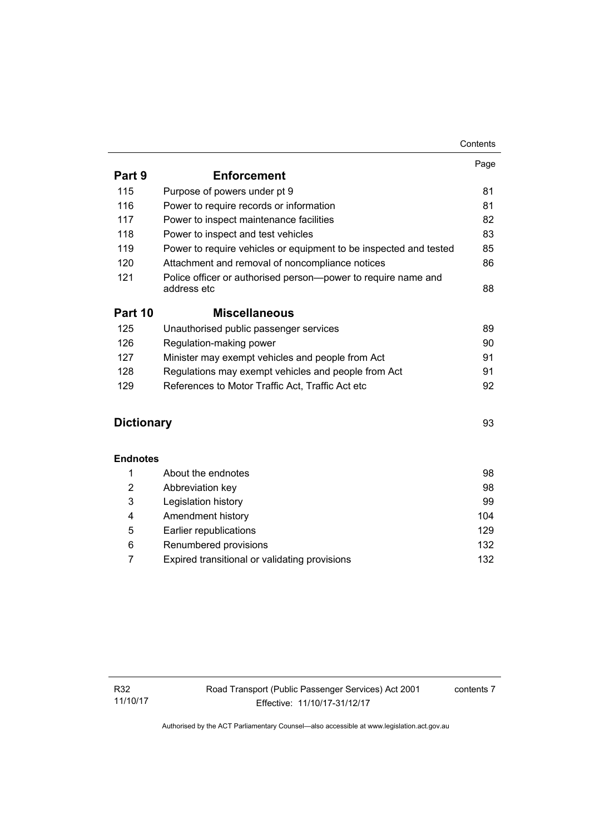|                   |                                                                   | Page |
|-------------------|-------------------------------------------------------------------|------|
| Part 9            | <b>Enforcement</b>                                                |      |
| 115               | Purpose of powers under pt 9                                      | 81   |
| 116               | Power to require records or information                           | 81   |
| 117               | Power to inspect maintenance facilities                           | 82   |
| 118               | Power to inspect and test vehicles                                | 83   |
| 119               | Power to require vehicles or equipment to be inspected and tested | 85   |
| 120               | Attachment and removal of noncompliance notices                   | 86   |
| 121               | Police officer or authorised person-power to require name and     |      |
|                   | address etc                                                       | 88   |
| Part 10           | <b>Miscellaneous</b>                                              |      |
| 125               | Unauthorised public passenger services                            | 89   |
| 126               | Regulation-making power                                           | 90   |
| 127               | Minister may exempt vehicles and people from Act                  | 91   |
| 128               | Regulations may exempt vehicles and people from Act               | 91   |
| 129               | References to Motor Traffic Act, Traffic Act etc                  | 92   |
|                   |                                                                   |      |
| <b>Dictionary</b> |                                                                   | 93   |
| <b>Endnotes</b>   |                                                                   |      |
| 1                 | About the endnotes                                                | 98   |
| $\overline{2}$    | Abbreviation key                                                  | 98   |
| 3                 | Legislation history                                               | 99   |
| 4                 | Amendment history                                                 | 104  |
| 5                 | Earlier republications                                            | 129  |
| 6                 | Renumbered provisions                                             | 132  |
|                   |                                                                   |      |

7 [Expired transitional or validating provisions 132](#page-141-1)

contents 7

Contents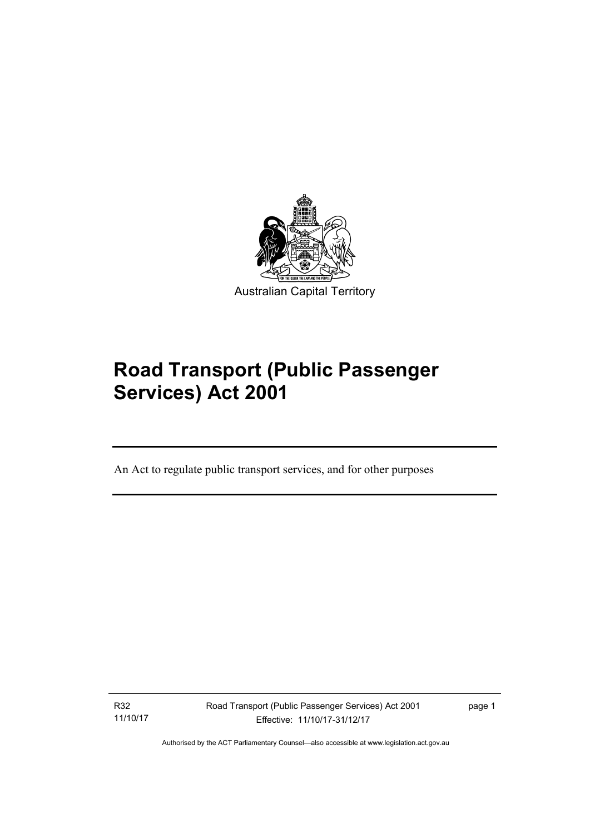

# **Road Transport (Public Passenger Services) Act 2001**

An Act to regulate public transport services, and for other purposes

R32 11/10/17

l

Road Transport (Public Passenger Services) Act 2001 Effective: 11/10/17-31/12/17

page 1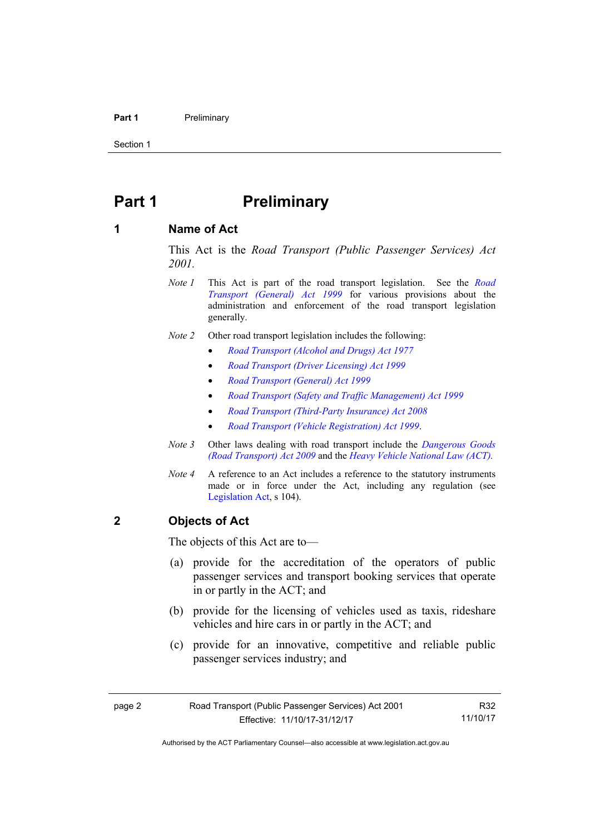#### **Part 1** Preliminary

Section 1

## <span id="page-11-0"></span>**Part 1** Preliminary

#### <span id="page-11-1"></span>**1 Name of Act**

This Act is the *Road Transport (Public Passenger Services) Act 2001.* 

- *Note 1* This Act is part of the road transport legislation. See the *[Road](http://www.legislation.act.gov.au/a/1999-77)  [Transport \(General\) Act 1999](http://www.legislation.act.gov.au/a/1999-77)* for various provisions about the administration and enforcement of the road transport legislation generally.
- *Note 2* Other road transport legislation includes the following:
	- *[Road Transport \(Alcohol and Drugs\) Act 1977](http://www.legislation.act.gov.au/a/1977-17)*
	- *[Road Transport \(Driver Licensing\) Act 1999](http://www.legislation.act.gov.au/a/1999-78)*
	- *[Road Transport \(General\) Act 1999](http://www.legislation.act.gov.au/a/1999-77)*
	- *[Road Transport \(Safety and Traffic Management\) Act 1999](http://www.legislation.act.gov.au/a/1999-80)*
	- *[Road Transport \(Third-Party Insurance\) Act 2008](http://www.legislation.act.gov.au/a/2008-1)*
	- *[Road Transport \(Vehicle Registration\) Act 1999](http://www.legislation.act.gov.au/a/1999-81)*.
- *Note 3* Other laws dealing with road transport include the *[Dangerous Goods](http://www.legislation.act.gov.au/a/2009-34)  [\(Road Transport\) Act 2009](http://www.legislation.act.gov.au/a/2009-34)* and the *[Heavy Vehicle National Law \(ACT\).](http://www.legislation.act.gov.au/a/db_49155/default.asp)*
- *Note 4* A reference to an Act includes a reference to the statutory instruments made or in force under the Act, including any regulation (see [Legislation Act,](http://www.legislation.act.gov.au/a/2001-14) s 104).

#### <span id="page-11-2"></span>**2 Objects of Act**

The objects of this Act are to—

- (a) provide for the accreditation of the operators of public passenger services and transport booking services that operate in or partly in the ACT; and
- (b) provide for the licensing of vehicles used as taxis, rideshare vehicles and hire cars in or partly in the ACT; and
- (c) provide for an innovative, competitive and reliable public passenger services industry; and

R32 11/10/17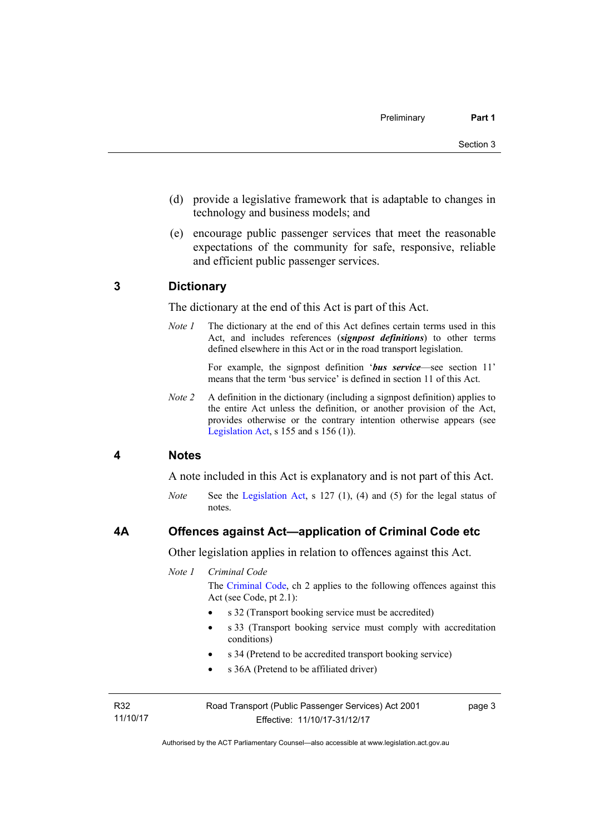- (d) provide a legislative framework that is adaptable to changes in technology and business models; and
- (e) encourage public passenger services that meet the reasonable expectations of the community for safe, responsive, reliable and efficient public passenger services.

#### <span id="page-12-0"></span>**3 Dictionary**

The dictionary at the end of this Act is part of this Act.

*Note 1* The dictionary at the end of this Act defines certain terms used in this Act, and includes references (*signpost definitions*) to other terms defined elsewhere in this Act or in the road transport legislation.

> For example, the signpost definition '*bus service*—see section 11' means that the term 'bus service' is defined in section 11 of this Act.

*Note 2* A definition in the dictionary (including a signpost definition) applies to the entire Act unless the definition, or another provision of the Act, provides otherwise or the contrary intention otherwise appears (see [Legislation Act,](http://www.legislation.act.gov.au/a/2001-14) s  $155$  and s  $156$  (1)).

#### <span id="page-12-1"></span>**4 Notes**

A note included in this Act is explanatory and is not part of this Act.

*Note* See the [Legislation Act](http://www.legislation.act.gov.au/a/2001-14), s 127 (1), (4) and (5) for the legal status of notes.

#### <span id="page-12-2"></span>**4A Offences against Act—application of Criminal Code etc**

Other legislation applies in relation to offences against this Act.

*Note 1 Criminal Code*

The [Criminal Code](http://www.legislation.act.gov.au/a/2002-51), ch 2 applies to the following offences against this Act (see Code, pt 2.1):

- s 32 (Transport booking service must be accredited)
- s 33 (Transport booking service must comply with accreditation conditions)
- s 34 (Pretend to be accredited transport booking service)
- s 36A (Pretend to be affiliated driver)

R32 11/10/17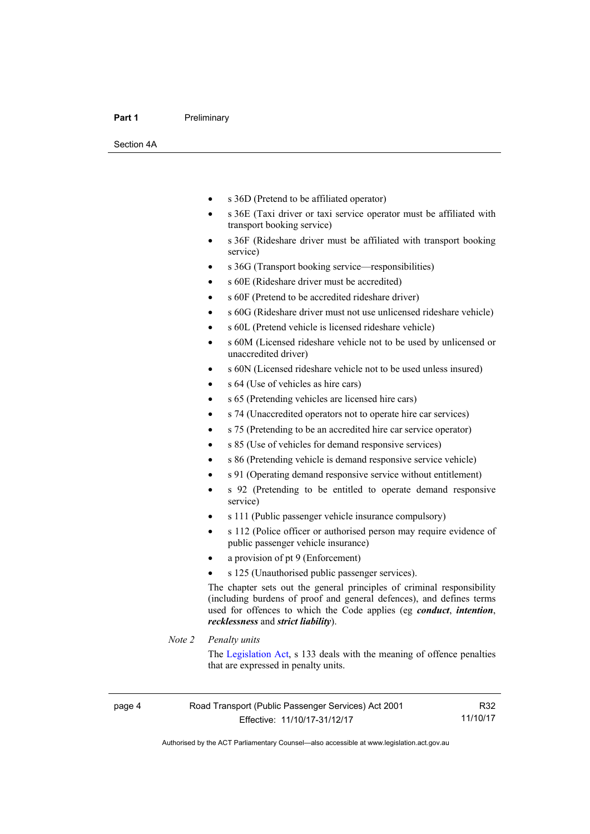#### **Part 1** Preliminary

Section 4A

- s 36D (Pretend to be affiliated operator)
- s 36E (Taxi driver or taxi service operator must be affiliated with transport booking service)
- s 36F (Rideshare driver must be affiliated with transport booking service)
- s 36G (Transport booking service—responsibilities)
- s 60E (Rideshare driver must be accredited)
- s 60F (Pretend to be accredited rideshare driver)
- s 60G (Rideshare driver must not use unlicensed rideshare vehicle)
- s 60L (Pretend vehicle is licensed rideshare vehicle)
- s 60M (Licensed rideshare vehicle not to be used by unlicensed or unaccredited driver)
- s 60N (Licensed rideshare vehicle not to be used unless insured)
- s 64 (Use of vehicles as hire cars)
- s 65 (Pretending vehicles are licensed hire cars)
- s 74 (Unaccredited operators not to operate hire car services)
- s 75 (Pretending to be an accredited hire car service operator)
- s 85 (Use of vehicles for demand responsive services)
- s 86 (Pretending vehicle is demand responsive service vehicle)
- s 91 (Operating demand responsive service without entitlement)
- s 92 (Pretending to be entitled to operate demand responsive service)
- s 111 (Public passenger vehicle insurance compulsory)
- s 112 (Police officer or authorised person may require evidence of public passenger vehicle insurance)
- a provision of pt 9 (Enforcement)
- s 125 (Unauthorised public passenger services).

The chapter sets out the general principles of criminal responsibility (including burdens of proof and general defences), and defines terms used for offences to which the Code applies (eg *conduct*, *intention*, *recklessness* and *strict liability*).

#### *Note 2 Penalty units*

The [Legislation Act](http://www.legislation.act.gov.au/a/2001-14), s 133 deals with the meaning of offence penalties that are expressed in penalty units.

R32 11/10/17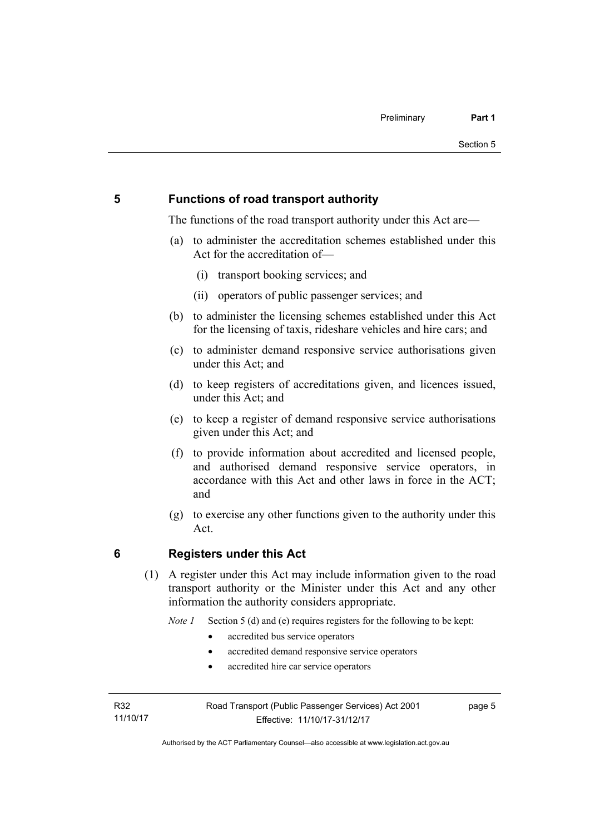#### <span id="page-14-0"></span>**5 Functions of road transport authority**

The functions of the road transport authority under this Act are—

- (a) to administer the accreditation schemes established under this Act for the accreditation of—
	- (i) transport booking services; and
	- (ii) operators of public passenger services; and
- (b) to administer the licensing schemes established under this Act for the licensing of taxis, rideshare vehicles and hire cars; and
- (c) to administer demand responsive service authorisations given under this Act; and
- (d) to keep registers of accreditations given, and licences issued, under this Act: and
- (e) to keep a register of demand responsive service authorisations given under this Act; and
- (f) to provide information about accredited and licensed people, and authorised demand responsive service operators, in accordance with this Act and other laws in force in the ACT; and
- (g) to exercise any other functions given to the authority under this Act.

#### <span id="page-14-1"></span>**6 Registers under this Act**

(1) A register under this Act may include information given to the road transport authority or the Minister under this Act and any other information the authority considers appropriate.

*Note 1* Section 5 (d) and (e) requires registers for the following to be kept:

- accredited bus service operators
- accredited demand responsive service operators
- accredited hire car service operators

R32 11/10/17 page 5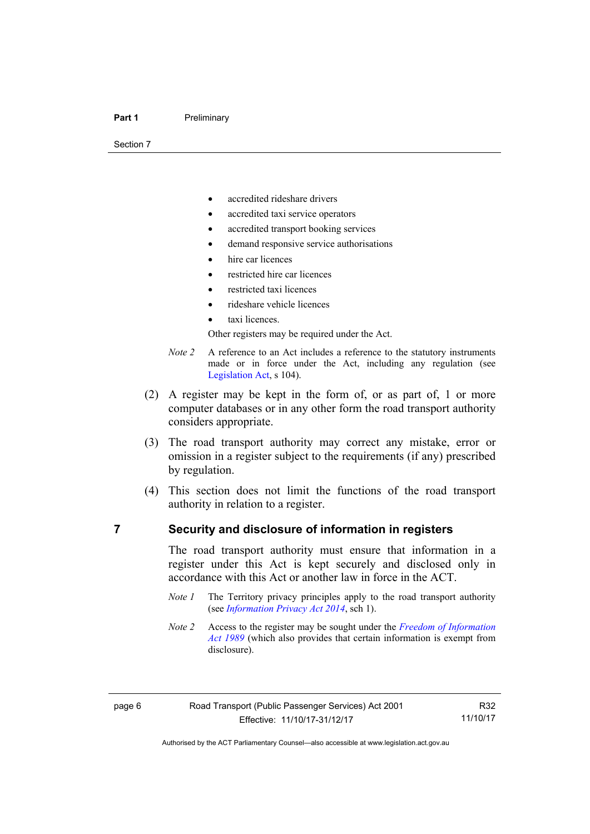Section 7

- accredited rideshare drivers
- accredited taxi service operators
- accredited transport booking services
- demand responsive service authorisations
- hire car licences
- restricted hire car licences
- restricted taxi licences
- rideshare vehicle licences
- taxi licences.

Other registers may be required under the Act.

- *Note 2* A reference to an Act includes a reference to the statutory instruments made or in force under the Act, including any regulation (see [Legislation Act,](http://www.legislation.act.gov.au/a/2001-14) s 104).
- (2) A register may be kept in the form of, or as part of, 1 or more computer databases or in any other form the road transport authority considers appropriate.
- (3) The road transport authority may correct any mistake, error or omission in a register subject to the requirements (if any) prescribed by regulation.
- (4) This section does not limit the functions of the road transport authority in relation to a register.

#### <span id="page-15-0"></span>**7 Security and disclosure of information in registers**

The road transport authority must ensure that information in a register under this Act is kept securely and disclosed only in accordance with this Act or another law in force in the ACT.

- *Note 1* The Territory privacy principles apply to the road transport authority (see *[Information Privacy Act 2014](http://www.legislation.act.gov.au/a/2014-24/default.asp)*, sch 1).
- *Note 2* Access to the register may be sought under the *[Freedom of Information](http://www.legislation.act.gov.au/a/alt_a1989-46co)  [Act 1989](http://www.legislation.act.gov.au/a/alt_a1989-46co)* (which also provides that certain information is exempt from disclosure).

R32 11/10/17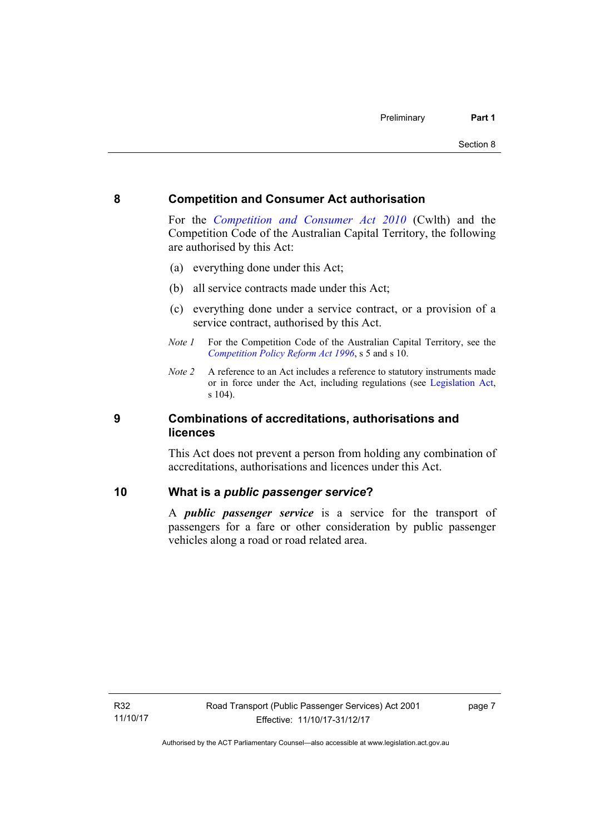#### <span id="page-16-0"></span>**8 Competition and Consumer Act authorisation**

For the *[Competition and Consumer Act 2010](http://www.comlaw.gov.au/Details/C2013C00004)* (Cwlth) and the Competition Code of the Australian Capital Territory, the following are authorised by this Act:

- (a) everything done under this Act;
- (b) all service contracts made under this Act;
- (c) everything done under a service contract, or a provision of a service contract, authorised by this Act.
- *Note 1* For the Competition Code of the Australian Capital Territory, see the *[Competition Policy Reform Act 1996](http://www.legislation.act.gov.au/a/1996-21)*, s 5 and s 10.
- *Note 2* A reference to an Act includes a reference to statutory instruments made or in force under the Act, including regulations (see [Legislation Act,](http://www.legislation.act.gov.au/a/2001-14) s 104).

#### <span id="page-16-1"></span>**9 Combinations of accreditations, authorisations and licences**

This Act does not prevent a person from holding any combination of accreditations, authorisations and licences under this Act.

#### <span id="page-16-2"></span>**10 What is a** *public passenger service***?**

A *public passenger service* is a service for the transport of passengers for a fare or other consideration by public passenger vehicles along a road or road related area.

page 7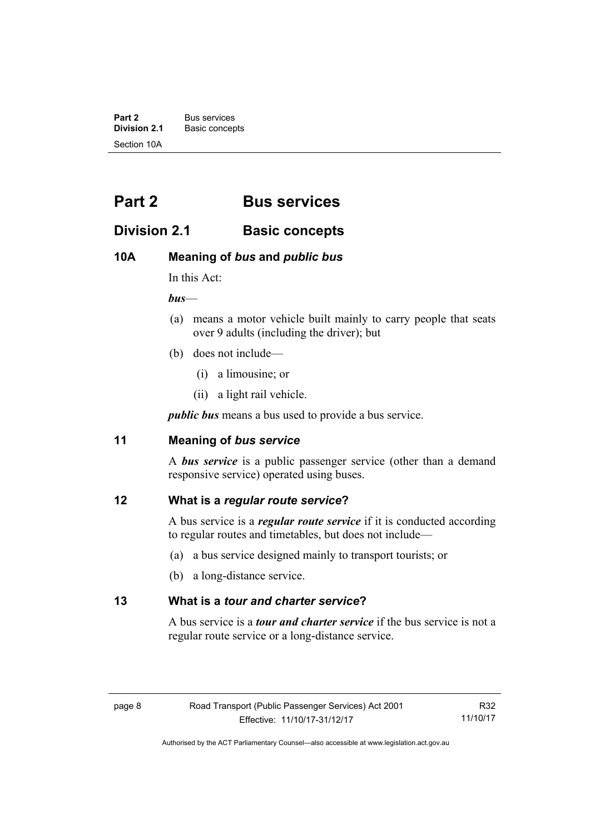**Part 2** Bus services<br>**Division 2.1** Basic concer **Division 2.1** Basic concepts Section 10A

## <span id="page-17-0"></span>**Part 2 Bus services**

## <span id="page-17-1"></span>**Division 2.1 Basic concepts**

### <span id="page-17-2"></span>**10A Meaning of** *bus* **and** *public bus*

In this Act:

*bus*—

- (a) means a motor vehicle built mainly to carry people that seats over 9 adults (including the driver); but
- (b) does not include—
	- (i) a limousine; or
	- (ii) a light rail vehicle.

*public bus* means a bus used to provide a bus service.

#### <span id="page-17-3"></span>**11 Meaning of** *bus service*

A *bus service* is a public passenger service (other than a demand responsive service) operated using buses.

#### <span id="page-17-4"></span>**12 What is a** *regular route service***?**

A bus service is a *regular route service* if it is conducted according to regular routes and timetables, but does not include—

- (a) a bus service designed mainly to transport tourists; or
- (b) a long-distance service.

#### <span id="page-17-5"></span>**13 What is a** *tour and charter service***?**

A bus service is a *tour and charter service* if the bus service is not a regular route service or a long-distance service.

R32 11/10/17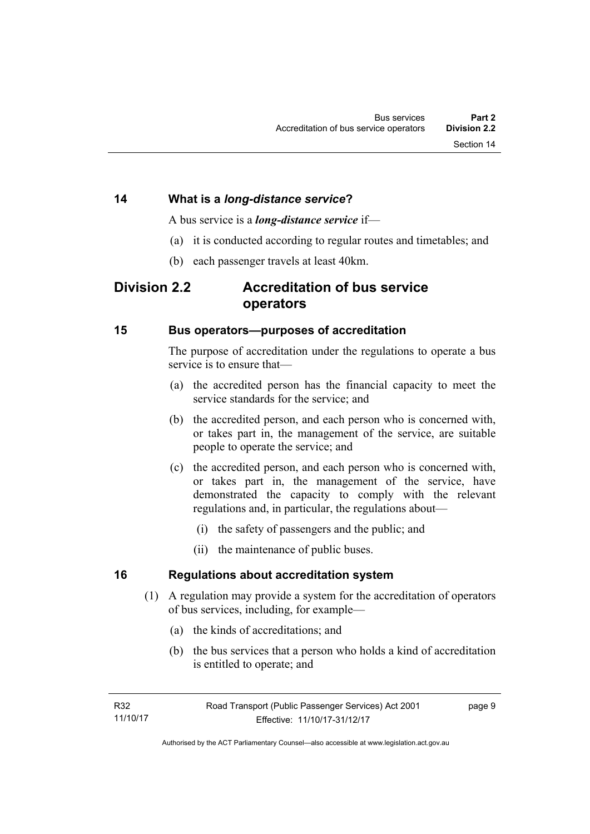A bus service is a *long-distance service* if—

- (a) it is conducted according to regular routes and timetables; and
- (b) each passenger travels at least 40km.

## <span id="page-18-1"></span><span id="page-18-0"></span>**Division 2.2 Accreditation of bus service operators**

#### <span id="page-18-2"></span>**15 Bus operators—purposes of accreditation**

The purpose of accreditation under the regulations to operate a bus service is to ensure that—

- (a) the accredited person has the financial capacity to meet the service standards for the service; and
- (b) the accredited person, and each person who is concerned with, or takes part in, the management of the service, are suitable people to operate the service; and
- (c) the accredited person, and each person who is concerned with, or takes part in, the management of the service, have demonstrated the capacity to comply with the relevant regulations and, in particular, the regulations about—
	- (i) the safety of passengers and the public; and
	- (ii) the maintenance of public buses.

#### <span id="page-18-3"></span>**16 Regulations about accreditation system**

- (1) A regulation may provide a system for the accreditation of operators of bus services, including, for example—
	- (a) the kinds of accreditations; and
	- (b) the bus services that a person who holds a kind of accreditation is entitled to operate; and

page 9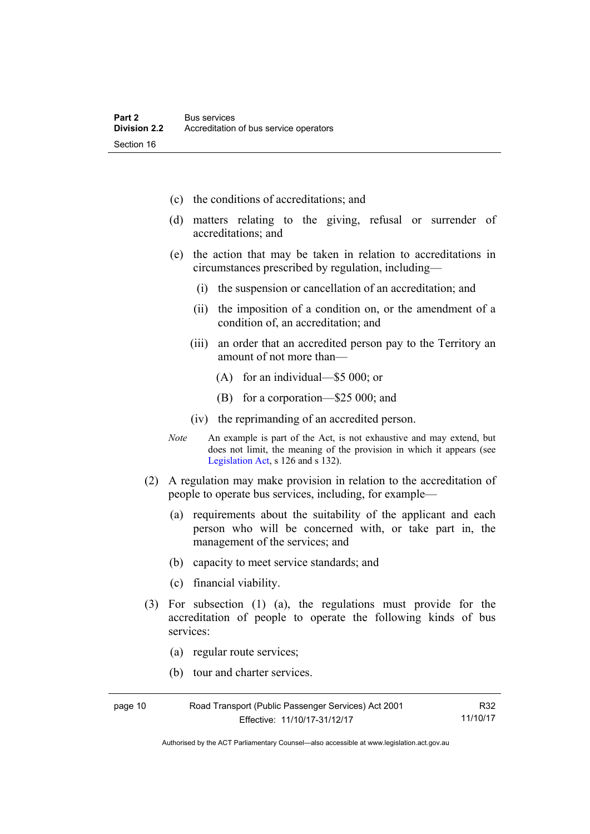- (c) the conditions of accreditations; and
- (d) matters relating to the giving, refusal or surrender of accreditations; and
- (e) the action that may be taken in relation to accreditations in circumstances prescribed by regulation, including—
	- (i) the suspension or cancellation of an accreditation; and
	- (ii) the imposition of a condition on, or the amendment of a condition of, an accreditation; and
	- (iii) an order that an accredited person pay to the Territory an amount of not more than—
		- (A) for an individual—\$5 000; or
		- (B) for a corporation—\$25 000; and
	- (iv) the reprimanding of an accredited person.
- *Note* An example is part of the Act, is not exhaustive and may extend, but does not limit, the meaning of the provision in which it appears (see [Legislation Act,](http://www.legislation.act.gov.au/a/2001-14) s 126 and s 132).
- (2) A regulation may make provision in relation to the accreditation of people to operate bus services, including, for example—
	- (a) requirements about the suitability of the applicant and each person who will be concerned with, or take part in, the management of the services; and
	- (b) capacity to meet service standards; and
	- (c) financial viability.
- (3) For subsection (1) (a), the regulations must provide for the accreditation of people to operate the following kinds of bus services:
	- (a) regular route services;
	- (b) tour and charter services.

| page 10 | Road Transport (Public Passenger Services) Act 2001 | R32      |
|---------|-----------------------------------------------------|----------|
|         | Effective: 11/10/17-31/12/17                        | 11/10/17 |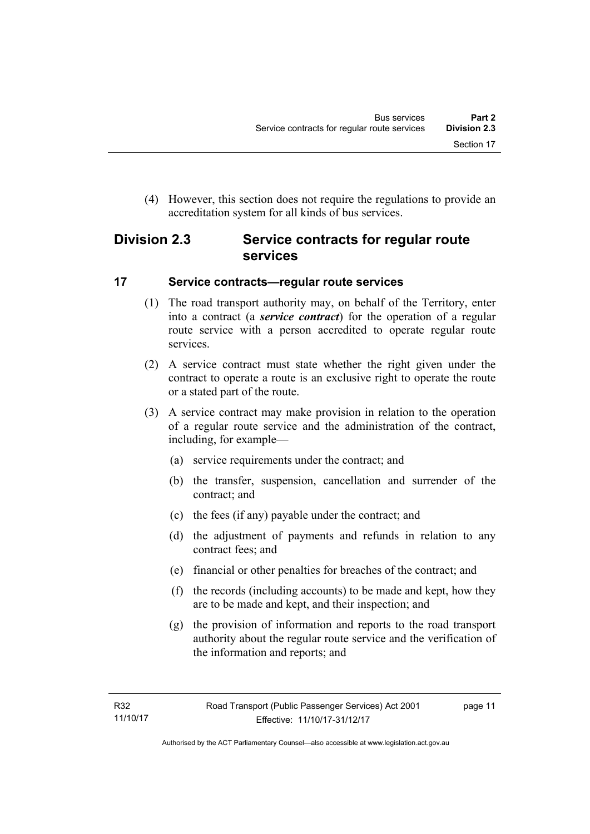(4) However, this section does not require the regulations to provide an accreditation system for all kinds of bus services.

## <span id="page-20-0"></span>**Division 2.3 Service contracts for regular route services**

#### <span id="page-20-1"></span>**17 Service contracts—regular route services**

- (1) The road transport authority may, on behalf of the Territory, enter into a contract (a *service contract*) for the operation of a regular route service with a person accredited to operate regular route services.
- (2) A service contract must state whether the right given under the contract to operate a route is an exclusive right to operate the route or a stated part of the route.
- (3) A service contract may make provision in relation to the operation of a regular route service and the administration of the contract, including, for example—
	- (a) service requirements under the contract; and
	- (b) the transfer, suspension, cancellation and surrender of the contract; and
	- (c) the fees (if any) payable under the contract; and
	- (d) the adjustment of payments and refunds in relation to any contract fees; and
	- (e) financial or other penalties for breaches of the contract; and
	- (f) the records (including accounts) to be made and kept, how they are to be made and kept, and their inspection; and
	- (g) the provision of information and reports to the road transport authority about the regular route service and the verification of the information and reports; and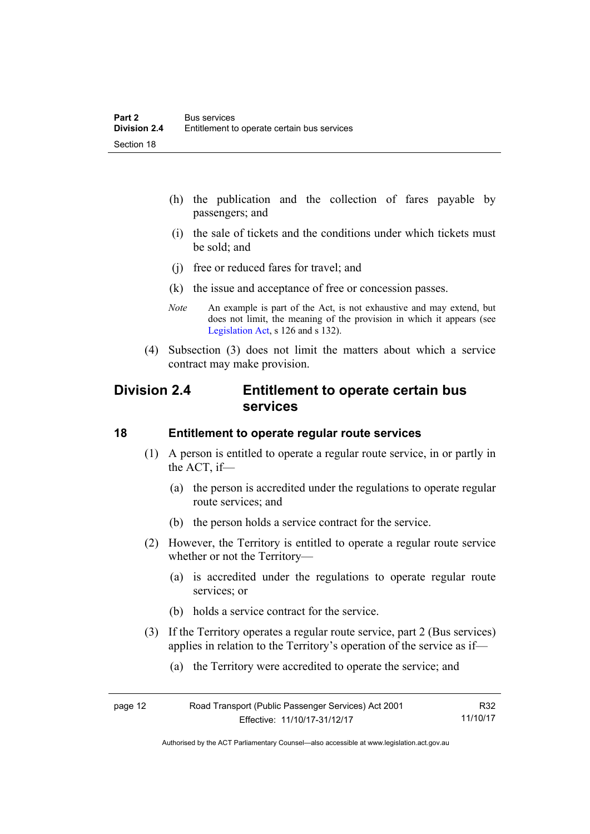- (h) the publication and the collection of fares payable by passengers; and
- (i) the sale of tickets and the conditions under which tickets must be sold; and
- (j) free or reduced fares for travel; and
- (k) the issue and acceptance of free or concession passes.
- *Note* An example is part of the Act, is not exhaustive and may extend, but does not limit, the meaning of the provision in which it appears (see [Legislation Act,](http://www.legislation.act.gov.au/a/2001-14) s 126 and s 132).
- (4) Subsection (3) does not limit the matters about which a service contract may make provision.

## <span id="page-21-0"></span>**Division 2.4 Entitlement to operate certain bus services**

#### <span id="page-21-1"></span>**18 Entitlement to operate regular route services**

- (1) A person is entitled to operate a regular route service, in or partly in the ACT, if—
	- (a) the person is accredited under the regulations to operate regular route services; and
	- (b) the person holds a service contract for the service.
- (2) However, the Territory is entitled to operate a regular route service whether or not the Territory—
	- (a) is accredited under the regulations to operate regular route services; or
	- (b) holds a service contract for the service.
- (3) If the Territory operates a regular route service, part 2 (Bus services) applies in relation to the Territory's operation of the service as if—
	- (a) the Territory were accredited to operate the service; and

| page 12 | Road Transport (Public Passenger Services) Act 2001 | R32      |
|---------|-----------------------------------------------------|----------|
|         | Effective: 11/10/17-31/12/17                        | 11/10/17 |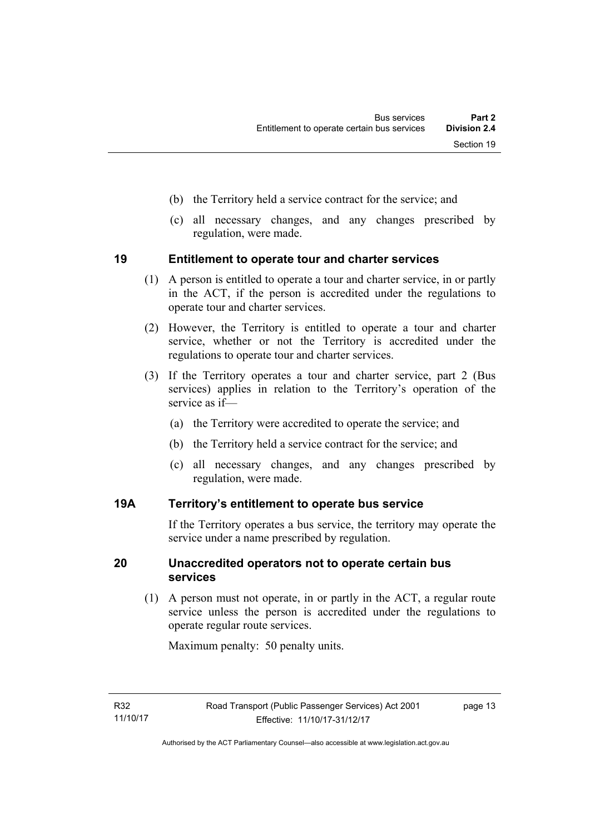- (b) the Territory held a service contract for the service; and
- (c) all necessary changes, and any changes prescribed by regulation, were made.

#### <span id="page-22-0"></span>**19 Entitlement to operate tour and charter services**

- (1) A person is entitled to operate a tour and charter service, in or partly in the ACT, if the person is accredited under the regulations to operate tour and charter services.
- (2) However, the Territory is entitled to operate a tour and charter service, whether or not the Territory is accredited under the regulations to operate tour and charter services.
- (3) If the Territory operates a tour and charter service, part 2 (Bus services) applies in relation to the Territory's operation of the service as if—
	- (a) the Territory were accredited to operate the service; and
	- (b) the Territory held a service contract for the service; and
	- (c) all necessary changes, and any changes prescribed by regulation, were made.

#### <span id="page-22-1"></span>**19A Territory's entitlement to operate bus service**

If the Territory operates a bus service, the territory may operate the service under a name prescribed by regulation.

#### <span id="page-22-2"></span>**20 Unaccredited operators not to operate certain bus services**

(1) A person must not operate, in or partly in the ACT, a regular route service unless the person is accredited under the regulations to operate regular route services.

Maximum penalty: 50 penalty units.

page 13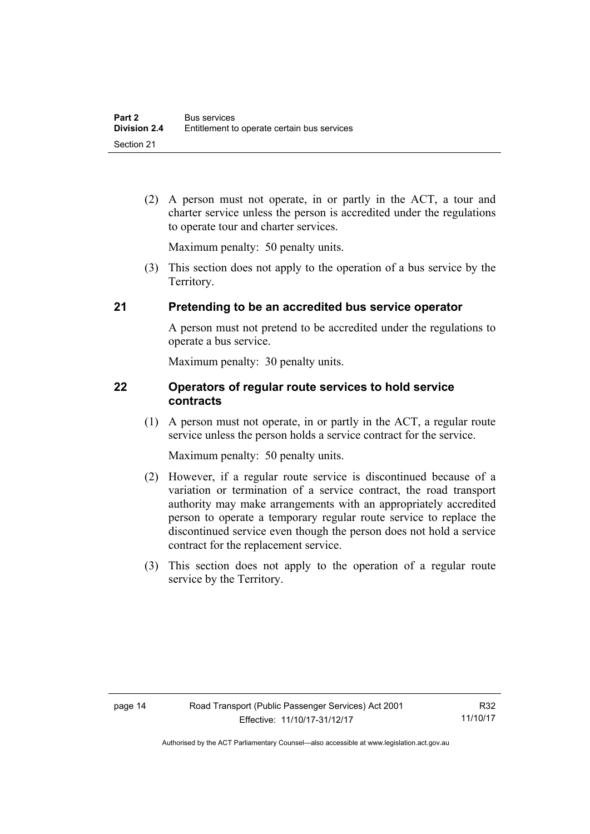(2) A person must not operate, in or partly in the ACT, a tour and charter service unless the person is accredited under the regulations to operate tour and charter services.

Maximum penalty: 50 penalty units.

 (3) This section does not apply to the operation of a bus service by the Territory.

#### <span id="page-23-0"></span>**21 Pretending to be an accredited bus service operator**

A person must not pretend to be accredited under the regulations to operate a bus service.

Maximum penalty: 30 penalty units.

#### <span id="page-23-1"></span>**22 Operators of regular route services to hold service contracts**

(1) A person must not operate, in or partly in the ACT, a regular route service unless the person holds a service contract for the service.

Maximum penalty: 50 penalty units.

- (2) However, if a regular route service is discontinued because of a variation or termination of a service contract, the road transport authority may make arrangements with an appropriately accredited person to operate a temporary regular route service to replace the discontinued service even though the person does not hold a service contract for the replacement service.
- (3) This section does not apply to the operation of a regular route service by the Territory.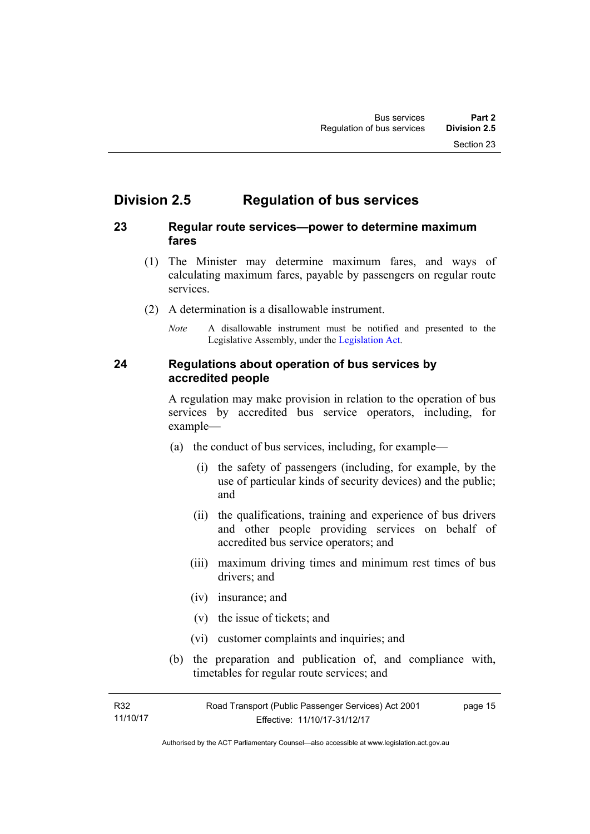## <span id="page-24-0"></span>**Division 2.5 Regulation of bus services**

#### <span id="page-24-1"></span>**23 Regular route services—power to determine maximum fares**

- (1) The Minister may determine maximum fares, and ways of calculating maximum fares, payable by passengers on regular route services.
- (2) A determination is a disallowable instrument.
	- *Note* A disallowable instrument must be notified and presented to the Legislative Assembly, under the [Legislation Act.](http://www.legislation.act.gov.au/a/2001-14)

#### <span id="page-24-2"></span>**24 Regulations about operation of bus services by accredited people**

A regulation may make provision in relation to the operation of bus services by accredited bus service operators, including, for example—

- (a) the conduct of bus services, including, for example—
	- (i) the safety of passengers (including, for example, by the use of particular kinds of security devices) and the public; and
	- (ii) the qualifications, training and experience of bus drivers and other people providing services on behalf of accredited bus service operators; and
	- (iii) maximum driving times and minimum rest times of bus drivers; and
	- (iv) insurance; and
	- (v) the issue of tickets; and
	- (vi) customer complaints and inquiries; and
- (b) the preparation and publication of, and compliance with, timetables for regular route services; and

page 15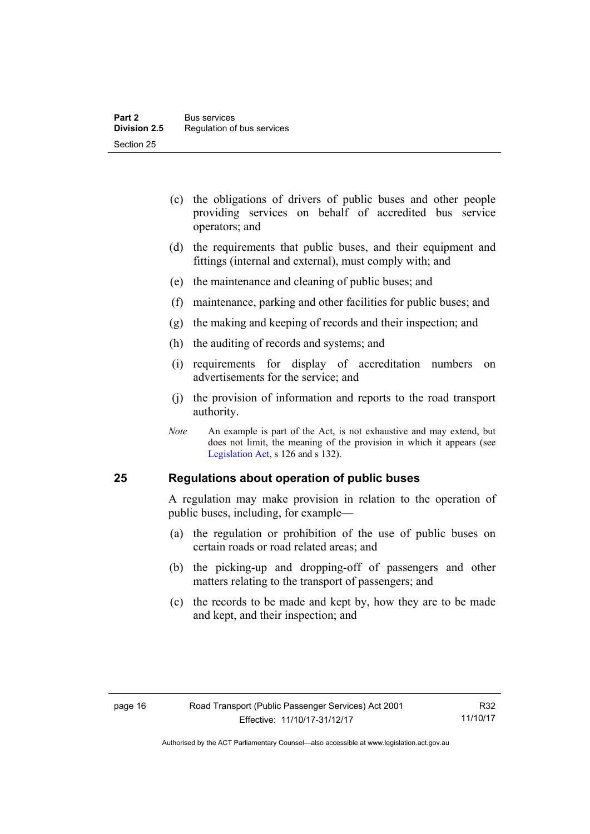- (c) the obligations of drivers of public buses and other people providing services on behalf of accredited bus service operators; and
- (d) the requirements that public buses, and their equipment and fittings (internal and external), must comply with; and
- (e) the maintenance and cleaning of public buses; and
- (f) maintenance, parking and other facilities for public buses; and
- (g) the making and keeping of records and their inspection; and
- (h) the auditing of records and systems; and
- (i) requirements for display of accreditation numbers on advertisements for the service; and
- (j) the provision of information and reports to the road transport authority.
- *Note* An example is part of the Act, is not exhaustive and may extend, but does not limit, the meaning of the provision in which it appears (see [Legislation Act,](http://www.legislation.act.gov.au/a/2001-14) s 126 and s 132).

#### <span id="page-25-0"></span>**25 Regulations about operation of public buses**

A regulation may make provision in relation to the operation of public buses, including, for example—

- (a) the regulation or prohibition of the use of public buses on certain roads or road related areas; and
- (b) the picking-up and dropping-off of passengers and other matters relating to the transport of passengers; and
- (c) the records to be made and kept by, how they are to be made and kept, and their inspection; and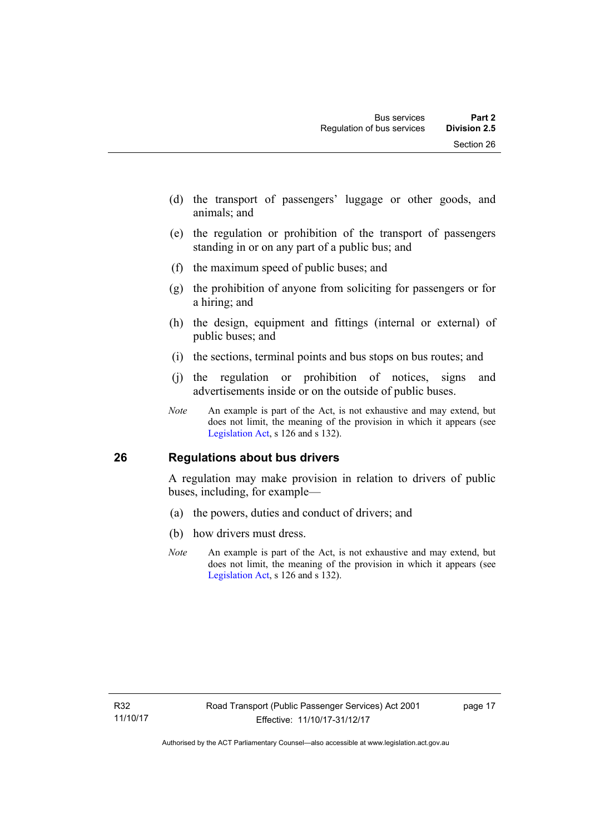- (d) the transport of passengers' luggage or other goods, and animals; and
- (e) the regulation or prohibition of the transport of passengers standing in or on any part of a public bus; and
- (f) the maximum speed of public buses; and
- (g) the prohibition of anyone from soliciting for passengers or for a hiring; and
- (h) the design, equipment and fittings (internal or external) of public buses; and
- (i) the sections, terminal points and bus stops on bus routes; and
- (j) the regulation or prohibition of notices, signs and advertisements inside or on the outside of public buses.
- *Note* An example is part of the Act, is not exhaustive and may extend, but does not limit, the meaning of the provision in which it appears (see [Legislation Act,](http://www.legislation.act.gov.au/a/2001-14) s 126 and s 132).

#### <span id="page-26-0"></span>**26 Regulations about bus drivers**

A regulation may make provision in relation to drivers of public buses, including, for example—

- (a) the powers, duties and conduct of drivers; and
- (b) how drivers must dress.
- *Note* An example is part of the Act, is not exhaustive and may extend, but does not limit, the meaning of the provision in which it appears (see [Legislation Act,](http://www.legislation.act.gov.au/a/2001-14) s 126 and s 132).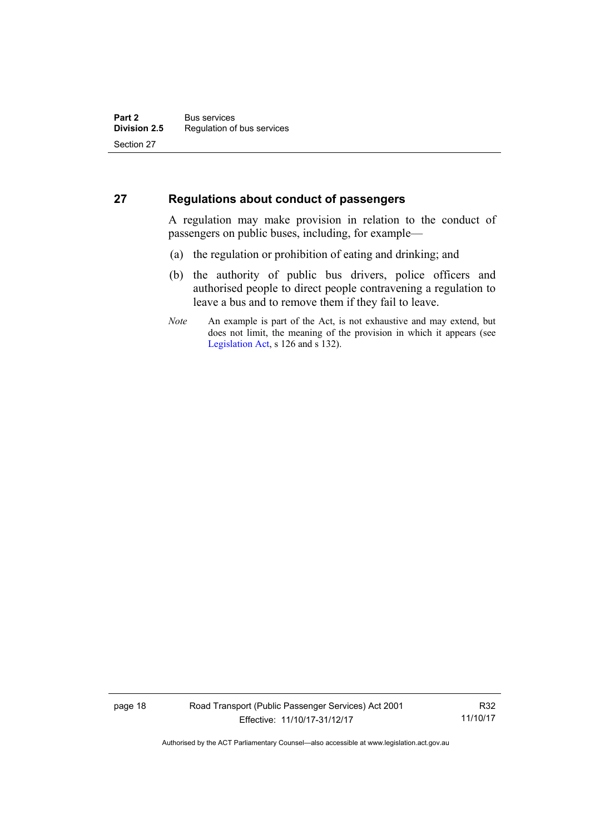#### <span id="page-27-0"></span>**27 Regulations about conduct of passengers**

A regulation may make provision in relation to the conduct of passengers on public buses, including, for example—

- (a) the regulation or prohibition of eating and drinking; and
- (b) the authority of public bus drivers, police officers and authorised people to direct people contravening a regulation to leave a bus and to remove them if they fail to leave.
- *Note* An example is part of the Act, is not exhaustive and may extend, but does not limit, the meaning of the provision in which it appears (see [Legislation Act,](http://www.legislation.act.gov.au/a/2001-14) s 126 and s 132).

page 18 Road Transport (Public Passenger Services) Act 2001 Effective: 11/10/17-31/12/17

R32 11/10/17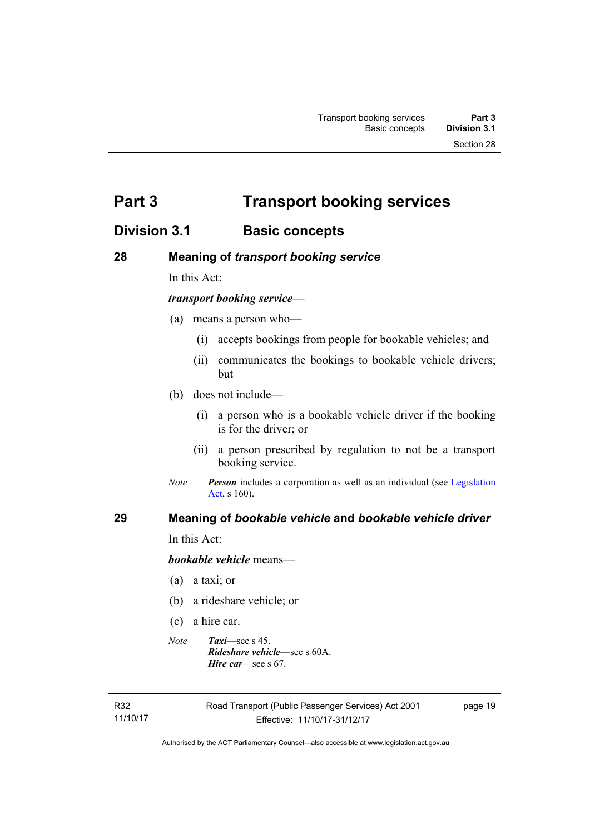<span id="page-28-0"></span>**Part 3 Transport booking services** 

## <span id="page-28-1"></span>**Division 3.1 Basic concepts**

#### <span id="page-28-2"></span>**28 Meaning of** *transport booking service*

In this Act:

#### *transport booking service*—

- (a) means a person who—
	- (i) accepts bookings from people for bookable vehicles; and
	- (ii) communicates the bookings to bookable vehicle drivers; but
- (b) does not include—
	- (i) a person who is a bookable vehicle driver if the booking is for the driver; or
	- (ii) a person prescribed by regulation to not be a transport booking service.
- *Note Person* includes a corporation as well as an individual (see Legislation [Act](http://www.legislation.act.gov.au/a/2001-14), s 160).

#### <span id="page-28-3"></span>**29 Meaning of** *bookable vehicle* **and** *bookable vehicle driver*

In this Act:

*bookable vehicle* means—

- (a) a taxi; or
- (b) a rideshare vehicle; or
- (c) a hire car.
- *Note Taxi*—see s 45. *Rideshare vehicle*—see s 60A. *Hire car*—see s 67.

R32 11/10/17 page 19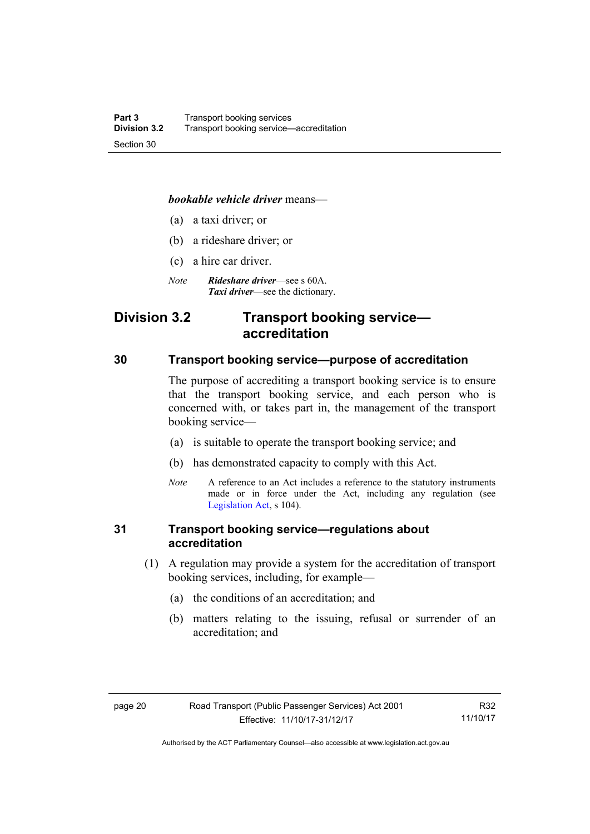#### *bookable vehicle driver* means—

- (a) a taxi driver; or
- (b) a rideshare driver; or
- (c) a hire car driver.
- *Note Rideshare driver*—see s 60A. *Taxi driver*—see the dictionary.

## <span id="page-29-0"></span>**Division 3.2 Transport booking service accreditation**

#### <span id="page-29-1"></span>**30 Transport booking service—purpose of accreditation**

The purpose of accrediting a transport booking service is to ensure that the transport booking service, and each person who is concerned with, or takes part in, the management of the transport booking service—

- (a) is suitable to operate the transport booking service; and
- (b) has demonstrated capacity to comply with this Act.
- *Note* A reference to an Act includes a reference to the statutory instruments made or in force under the Act, including any regulation (see [Legislation Act,](http://www.legislation.act.gov.au/a/2001-14) s 104).

#### <span id="page-29-2"></span>**31 Transport booking service—regulations about accreditation**

- (1) A regulation may provide a system for the accreditation of transport booking services, including, for example—
	- (a) the conditions of an accreditation; and
	- (b) matters relating to the issuing, refusal or surrender of an accreditation; and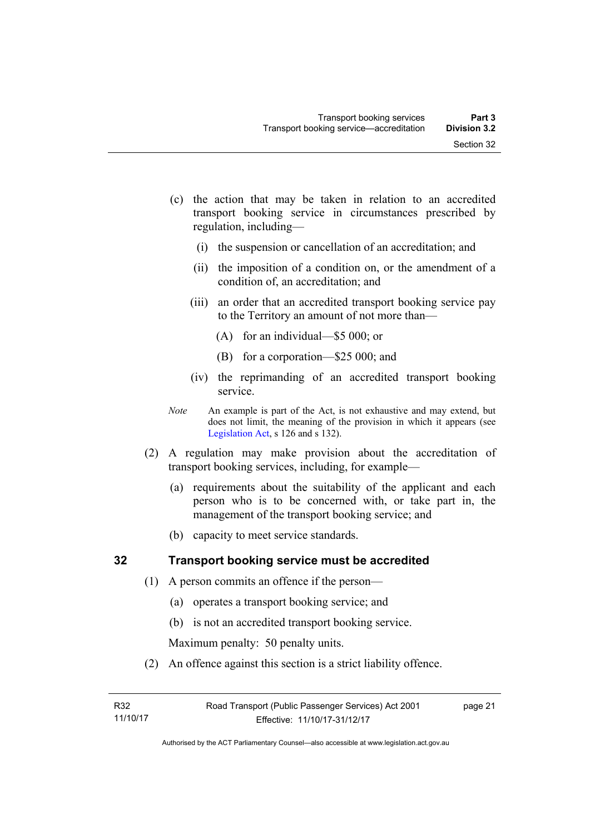- (c) the action that may be taken in relation to an accredited transport booking service in circumstances prescribed by regulation, including—
	- (i) the suspension or cancellation of an accreditation; and
	- (ii) the imposition of a condition on, or the amendment of a condition of, an accreditation; and
	- (iii) an order that an accredited transport booking service pay to the Territory an amount of not more than—
		- (A) for an individual—\$5 000; or
		- (B) for a corporation—\$25 000; and
	- (iv) the reprimanding of an accredited transport booking service.
- *Note* An example is part of the Act, is not exhaustive and may extend, but does not limit, the meaning of the provision in which it appears (see [Legislation Act,](http://www.legislation.act.gov.au/a/2001-14) s 126 and s 132).
- (2) A regulation may make provision about the accreditation of transport booking services, including, for example—
	- (a) requirements about the suitability of the applicant and each person who is to be concerned with, or take part in, the management of the transport booking service; and
	- (b) capacity to meet service standards.

#### <span id="page-30-0"></span>**32 Transport booking service must be accredited**

- (1) A person commits an offence if the person—
	- (a) operates a transport booking service; and
	- (b) is not an accredited transport booking service.

Maximum penalty: 50 penalty units.

(2) An offence against this section is a strict liability offence.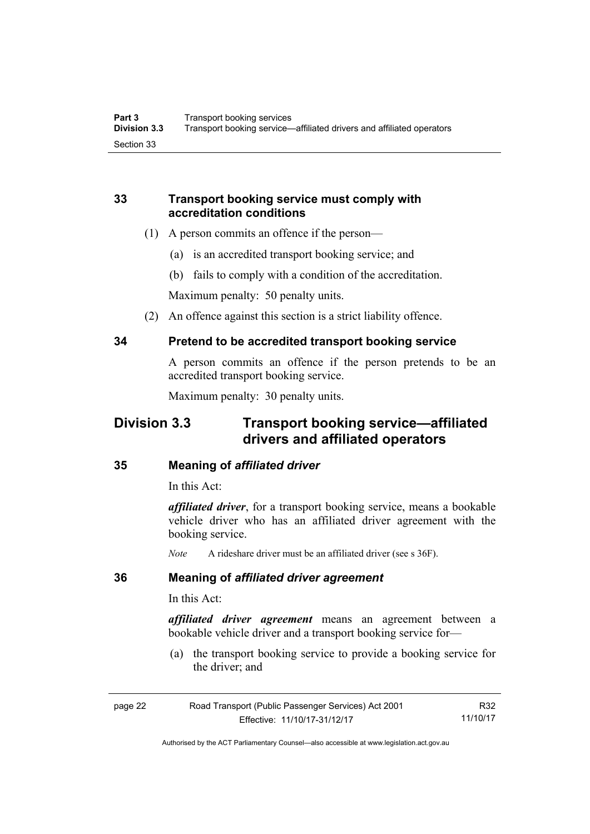#### <span id="page-31-0"></span>**33 Transport booking service must comply with accreditation conditions**

- (1) A person commits an offence if the person—
	- (a) is an accredited transport booking service; and
	- (b) fails to comply with a condition of the accreditation.

Maximum penalty: 50 penalty units.

(2) An offence against this section is a strict liability offence.

#### <span id="page-31-1"></span>**34 Pretend to be accredited transport booking service**

A person commits an offence if the person pretends to be an accredited transport booking service.

Maximum penalty: 30 penalty units.

## <span id="page-31-2"></span>**Division 3.3 Transport booking service—affiliated drivers and affiliated operators**

#### <span id="page-31-3"></span>**35 Meaning of** *affiliated driver*

In this Act:

*affiliated driver*, for a transport booking service, means a bookable vehicle driver who has an affiliated driver agreement with the booking service.

*Note* A rideshare driver must be an affiliated driver (see s 36F).

#### <span id="page-31-4"></span>**36 Meaning of** *affiliated driver agreement*

In this Act:

*affiliated driver agreement* means an agreement between a bookable vehicle driver and a transport booking service for—

 (a) the transport booking service to provide a booking service for the driver; and

| page 22 | Road Transport (Public Passenger Services) Act 2001 | R32      |
|---------|-----------------------------------------------------|----------|
|         | Effective: 11/10/17-31/12/17                        | 11/10/17 |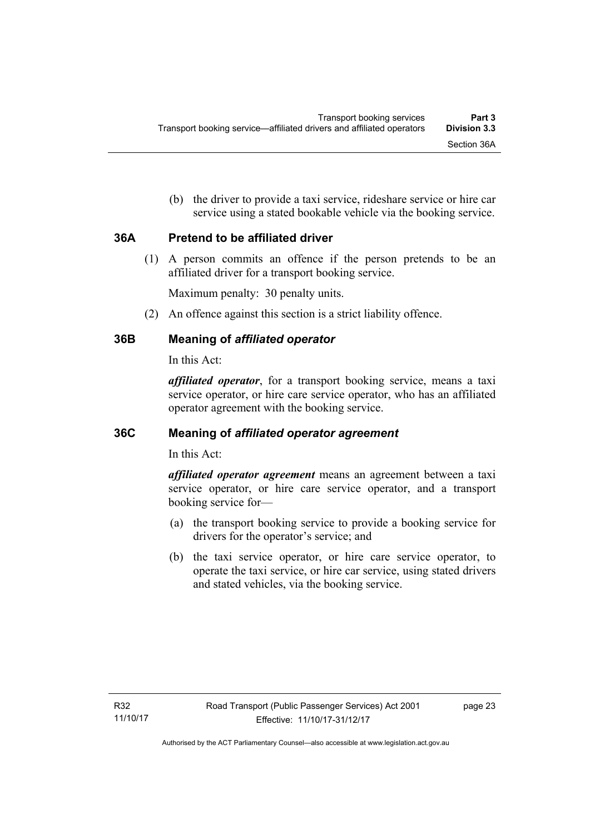(b) the driver to provide a taxi service, rideshare service or hire car service using a stated bookable vehicle via the booking service.

#### <span id="page-32-0"></span>**36A Pretend to be affiliated driver**

(1) A person commits an offence if the person pretends to be an affiliated driver for a transport booking service.

Maximum penalty: 30 penalty units.

(2) An offence against this section is a strict liability offence.

### <span id="page-32-1"></span>**36B Meaning of** *affiliated operator*

In this Act:

*affiliated operator*, for a transport booking service, means a taxi service operator, or hire care service operator, who has an affiliated operator agreement with the booking service.

#### <span id="page-32-2"></span>**36C Meaning of** *affiliated operator agreement*

In this Act:

*affiliated operator agreement* means an agreement between a taxi service operator, or hire care service operator, and a transport booking service for—

- (a) the transport booking service to provide a booking service for drivers for the operator's service; and
- (b) the taxi service operator, or hire care service operator, to operate the taxi service, or hire car service, using stated drivers and stated vehicles, via the booking service.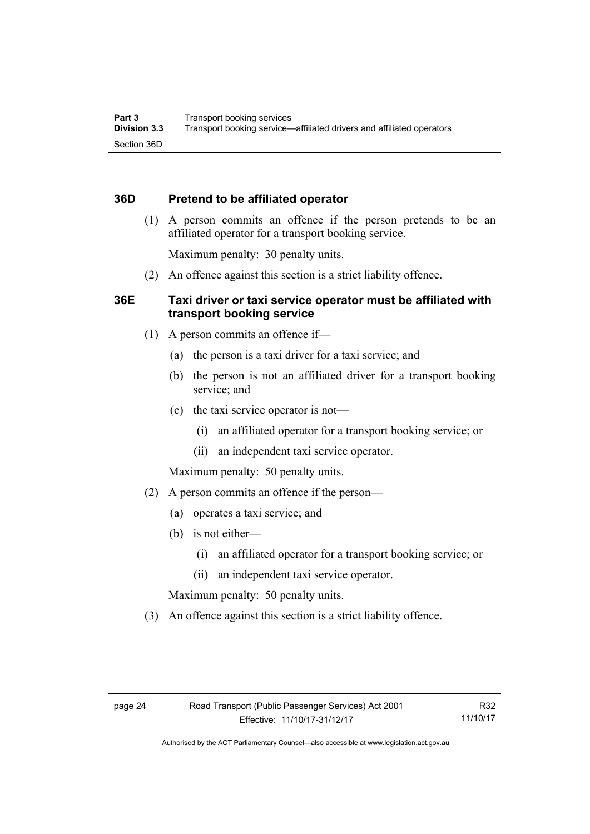#### <span id="page-33-0"></span>**36D Pretend to be affiliated operator**

 (1) A person commits an offence if the person pretends to be an affiliated operator for a transport booking service.

Maximum penalty: 30 penalty units.

(2) An offence against this section is a strict liability offence.

#### <span id="page-33-1"></span>**36E Taxi driver or taxi service operator must be affiliated with transport booking service**

- (1) A person commits an offence if—
	- (a) the person is a taxi driver for a taxi service; and
	- (b) the person is not an affiliated driver for a transport booking service; and
	- (c) the taxi service operator is not—
		- (i) an affiliated operator for a transport booking service; or
		- (ii) an independent taxi service operator.

Maximum penalty: 50 penalty units.

- (2) A person commits an offence if the person—
	- (a) operates a taxi service; and
	- (b) is not either—
		- (i) an affiliated operator for a transport booking service; or
		- (ii) an independent taxi service operator.

Maximum penalty: 50 penalty units.

(3) An offence against this section is a strict liability offence.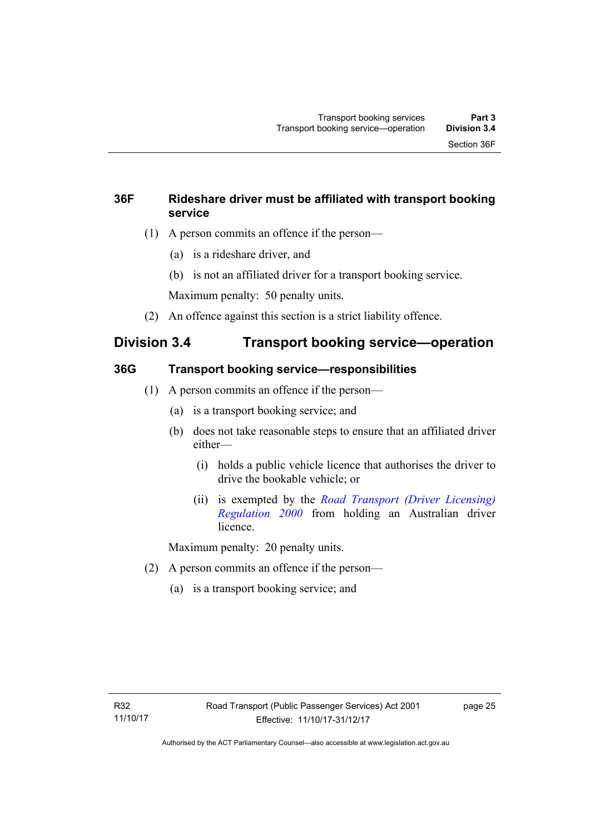## <span id="page-34-0"></span>**36F Rideshare driver must be affiliated with transport booking service**

- (1) A person commits an offence if the person—
	- (a) is a rideshare driver, and
	- (b) is not an affiliated driver for a transport booking service.

Maximum penalty: 50 penalty units.

(2) An offence against this section is a strict liability offence.

## <span id="page-34-1"></span>**Division 3.4 Transport booking service—operation**

### <span id="page-34-2"></span>**36G Transport booking service—responsibilities**

- (1) A person commits an offence if the person—
	- (a) is a transport booking service; and
	- (b) does not take reasonable steps to ensure that an affiliated driver either—
		- (i) holds a public vehicle licence that authorises the driver to drive the bookable vehicle; or
		- (ii) is exempted by the *[Road Transport \(Driver Licensing\)](http://www.legislation.act.gov.au/sl/2000-14)  [Regulation 2000](http://www.legislation.act.gov.au/sl/2000-14)* from holding an Australian driver licence.

Maximum penalty: 20 penalty units.

- (2) A person commits an offence if the person—
	- (a) is a transport booking service; and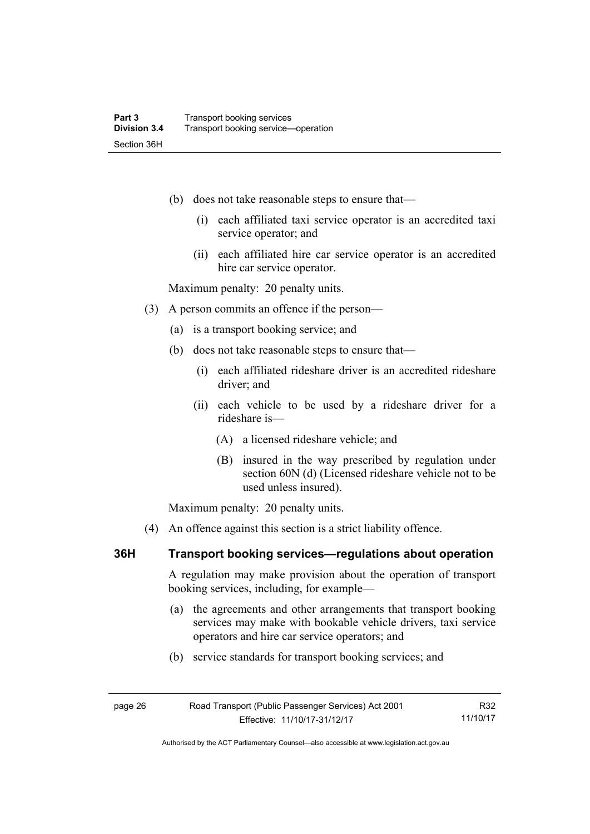- (b) does not take reasonable steps to ensure that—
	- (i) each affiliated taxi service operator is an accredited taxi service operator; and
	- (ii) each affiliated hire car service operator is an accredited hire car service operator.

Maximum penalty: 20 penalty units.

- (3) A person commits an offence if the person—
	- (a) is a transport booking service; and
	- (b) does not take reasonable steps to ensure that—
		- (i) each affiliated rideshare driver is an accredited rideshare driver; and
		- (ii) each vehicle to be used by a rideshare driver for a rideshare is—
			- (A) a licensed rideshare vehicle; and
			- (B) insured in the way prescribed by regulation under section 60N (d) (Licensed rideshare vehicle not to be used unless insured).

Maximum penalty: 20 penalty units.

(4) An offence against this section is a strict liability offence.

#### <span id="page-35-0"></span>**36H Transport booking services—regulations about operation**

A regulation may make provision about the operation of transport booking services, including, for example—

- (a) the agreements and other arrangements that transport booking services may make with bookable vehicle drivers, taxi service operators and hire car service operators; and
- (b) service standards for transport booking services; and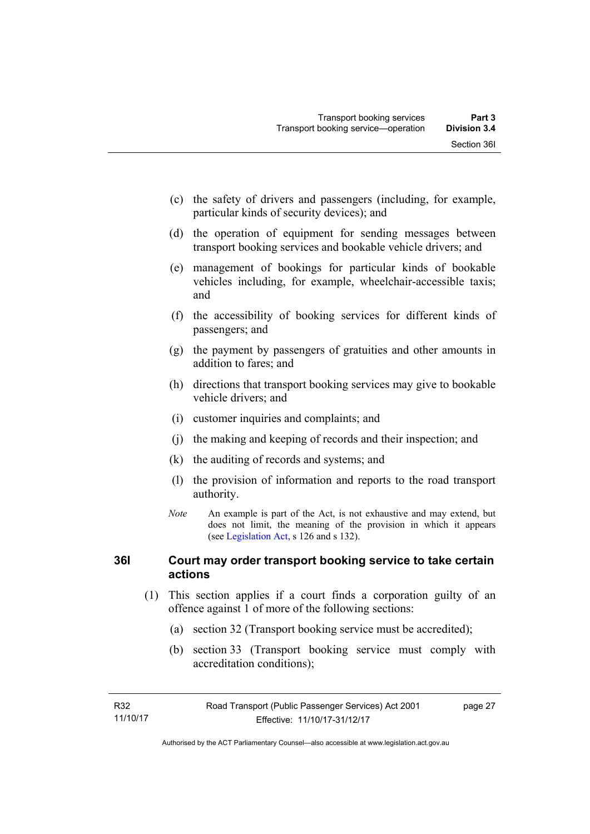- (c) the safety of drivers and passengers (including, for example, particular kinds of security devices); and
- (d) the operation of equipment for sending messages between transport booking services and bookable vehicle drivers; and
- (e) management of bookings for particular kinds of bookable vehicles including, for example, wheelchair-accessible taxis; and
- (f) the accessibility of booking services for different kinds of passengers; and
- (g) the payment by passengers of gratuities and other amounts in addition to fares; and
- (h) directions that transport booking services may give to bookable vehicle drivers; and
- (i) customer inquiries and complaints; and
- (j) the making and keeping of records and their inspection; and
- (k) the auditing of records and systems; and
- (l) the provision of information and reports to the road transport authority.
- *Note* An example is part of the Act, is not exhaustive and may extend, but does not limit, the meaning of the provision in which it appears (see [Legislation Act,](http://www.legislation.act.gov.au/a/2001-14) s 126 and s 132).

# **36I Court may order transport booking service to take certain actions**

- (1) This section applies if a court finds a corporation guilty of an offence against 1 of more of the following sections:
	- (a) section 32 (Transport booking service must be accredited);
	- (b) section 33 (Transport booking service must comply with accreditation conditions);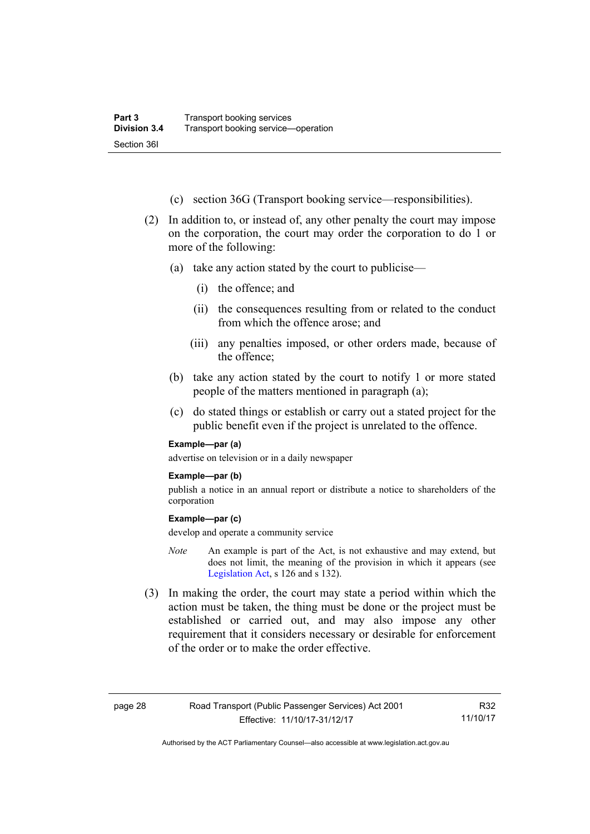- (c) section 36G (Transport booking service—responsibilities).
- (2) In addition to, or instead of, any other penalty the court may impose on the corporation, the court may order the corporation to do 1 or more of the following:
	- (a) take any action stated by the court to publicise—
		- (i) the offence; and
		- (ii) the consequences resulting from or related to the conduct from which the offence arose; and
		- (iii) any penalties imposed, or other orders made, because of the offence;
	- (b) take any action stated by the court to notify 1 or more stated people of the matters mentioned in paragraph (a);
	- (c) do stated things or establish or carry out a stated project for the public benefit even if the project is unrelated to the offence.

#### **Example—par (a)**

advertise on television or in a daily newspaper

#### **Example—par (b)**

publish a notice in an annual report or distribute a notice to shareholders of the corporation

#### **Example—par (c)**

develop and operate a community service

- *Note* An example is part of the Act, is not exhaustive and may extend, but does not limit, the meaning of the provision in which it appears (see [Legislation Act,](http://www.legislation.act.gov.au/a/2001-14) s 126 and s 132).
- (3) In making the order, the court may state a period within which the action must be taken, the thing must be done or the project must be established or carried out, and may also impose any other requirement that it considers necessary or desirable for enforcement of the order or to make the order effective.

R32 11/10/17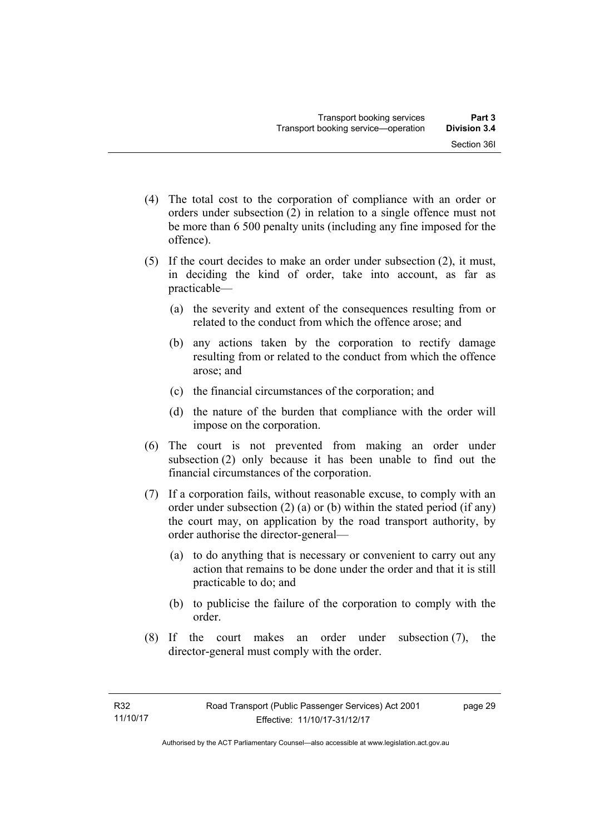- (4) The total cost to the corporation of compliance with an order or orders under subsection (2) in relation to a single offence must not be more than 6 500 penalty units (including any fine imposed for the offence).
- (5) If the court decides to make an order under subsection (2), it must, in deciding the kind of order, take into account, as far as practicable—
	- (a) the severity and extent of the consequences resulting from or related to the conduct from which the offence arose; and
	- (b) any actions taken by the corporation to rectify damage resulting from or related to the conduct from which the offence arose; and
	- (c) the financial circumstances of the corporation; and
	- (d) the nature of the burden that compliance with the order will impose on the corporation.
- (6) The court is not prevented from making an order under subsection (2) only because it has been unable to find out the financial circumstances of the corporation.
- (7) If a corporation fails, without reasonable excuse, to comply with an order under subsection (2) (a) or (b) within the stated period (if any) the court may, on application by the road transport authority, by order authorise the director-general—
	- (a) to do anything that is necessary or convenient to carry out any action that remains to be done under the order and that it is still practicable to do; and
	- (b) to publicise the failure of the corporation to comply with the order.
- (8) If the court makes an order under subsection (7), the director-general must comply with the order.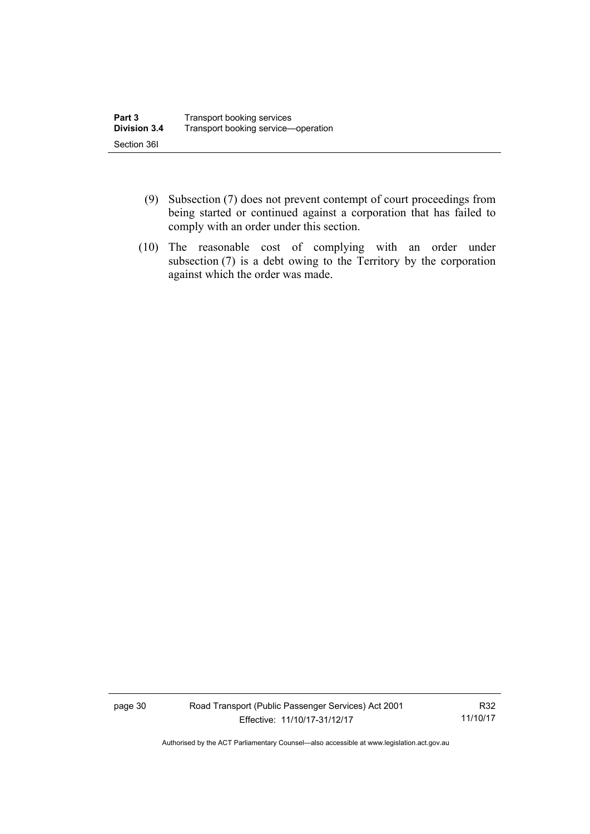- (9) Subsection (7) does not prevent contempt of court proceedings from being started or continued against a corporation that has failed to comply with an order under this section.
- (10) The reasonable cost of complying with an order under subsection (7) is a debt owing to the Territory by the corporation against which the order was made.

page 30 Road Transport (Public Passenger Services) Act 2001 Effective: 11/10/17-31/12/17

R32 11/10/17

Authorised by the ACT Parliamentary Counsel—also accessible at www.legislation.act.gov.au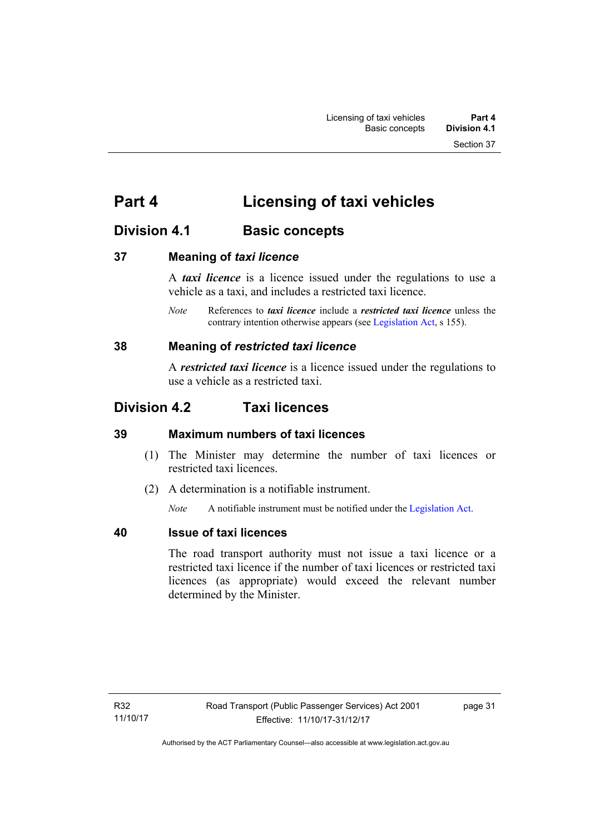# **Part 4 Licensing of taxi vehicles**

# **Division 4.1 Basic concepts**

# **37 Meaning of** *taxi licence*

A *taxi licence* is a licence issued under the regulations to use a vehicle as a taxi, and includes a restricted taxi licence.

*Note* References to *taxi licence* include a *restricted taxi licence* unless the contrary intention otherwise appears (see [Legislation Act,](http://www.legislation.act.gov.au/a/2001-14) s 155).

# **38 Meaning of** *restricted taxi licence*

A *restricted taxi licence* is a licence issued under the regulations to use a vehicle as a restricted taxi.

# **Division 4.2 Taxi licences**

# **39 Maximum numbers of taxi licences**

- (1) The Minister may determine the number of taxi licences or restricted taxi licences.
- (2) A determination is a notifiable instrument.

*Note* A notifiable instrument must be notified under the [Legislation Act](http://www.legislation.act.gov.au/a/2001-14).

# **40 Issue of taxi licences**

The road transport authority must not issue a taxi licence or a restricted taxi licence if the number of taxi licences or restricted taxi licences (as appropriate) would exceed the relevant number determined by the Minister.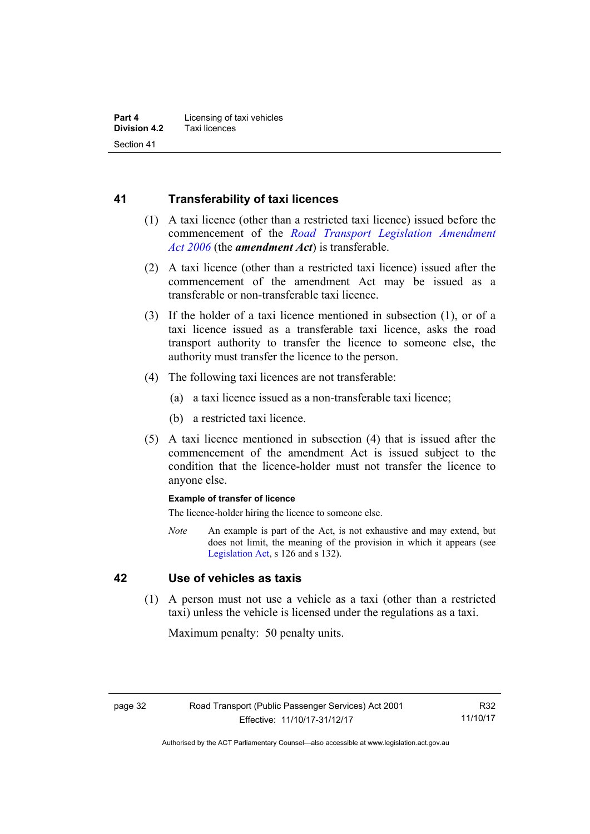# **41 Transferability of taxi licences**

- (1) A taxi licence (other than a restricted taxi licence) issued before the commencement of the *[Road Transport Legislation Amendment](http://www.legislation.act.gov.au/a/2006-26)  [Act 2006](http://www.legislation.act.gov.au/a/2006-26)* (the *amendment Act*) is transferable.
- (2) A taxi licence (other than a restricted taxi licence) issued after the commencement of the amendment Act may be issued as a transferable or non-transferable taxi licence.
- (3) If the holder of a taxi licence mentioned in subsection (1), or of a taxi licence issued as a transferable taxi licence, asks the road transport authority to transfer the licence to someone else, the authority must transfer the licence to the person.
- (4) The following taxi licences are not transferable:
	- (a) a taxi licence issued as a non-transferable taxi licence;
	- (b) a restricted taxi licence.
- (5) A taxi licence mentioned in subsection (4) that is issued after the commencement of the amendment Act is issued subject to the condition that the licence-holder must not transfer the licence to anyone else.

#### **Example of transfer of licence**

The licence-holder hiring the licence to someone else.

*Note* An example is part of the Act, is not exhaustive and may extend, but does not limit, the meaning of the provision in which it appears (see [Legislation Act,](http://www.legislation.act.gov.au/a/2001-14) s 126 and s 132).

# **42 Use of vehicles as taxis**

 (1) A person must not use a vehicle as a taxi (other than a restricted taxi) unless the vehicle is licensed under the regulations as a taxi.

Maximum penalty: 50 penalty units.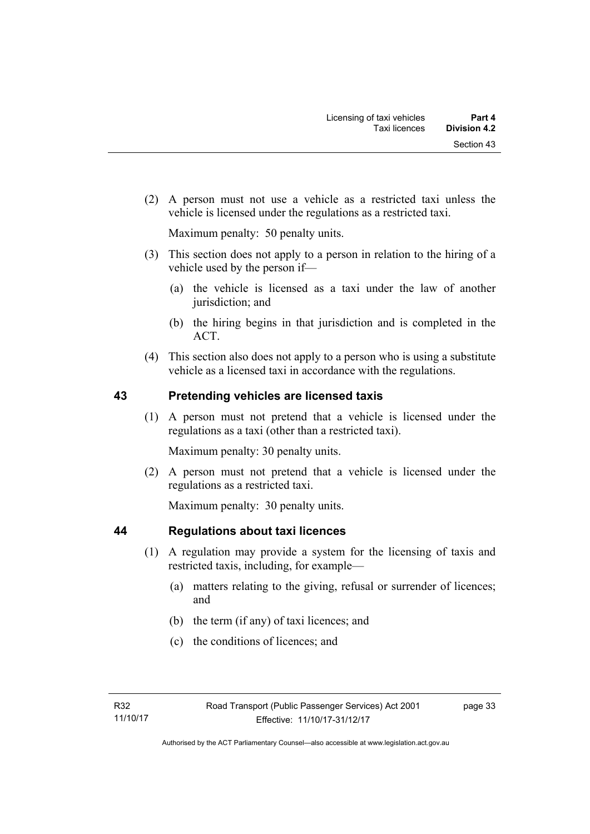(2) A person must not use a vehicle as a restricted taxi unless the vehicle is licensed under the regulations as a restricted taxi.

Maximum penalty: 50 penalty units.

- (3) This section does not apply to a person in relation to the hiring of a vehicle used by the person if—
	- (a) the vehicle is licensed as a taxi under the law of another jurisdiction; and
	- (b) the hiring begins in that jurisdiction and is completed in the ACT.
- (4) This section also does not apply to a person who is using a substitute vehicle as a licensed taxi in accordance with the regulations.

# **43 Pretending vehicles are licensed taxis**

(1) A person must not pretend that a vehicle is licensed under the regulations as a taxi (other than a restricted taxi).

Maximum penalty: 30 penalty units.

 (2) A person must not pretend that a vehicle is licensed under the regulations as a restricted taxi.

Maximum penalty: 30 penalty units.

# **44 Regulations about taxi licences**

- (1) A regulation may provide a system for the licensing of taxis and restricted taxis, including, for example—
	- (a) matters relating to the giving, refusal or surrender of licences; and
	- (b) the term (if any) of taxi licences; and
	- (c) the conditions of licences; and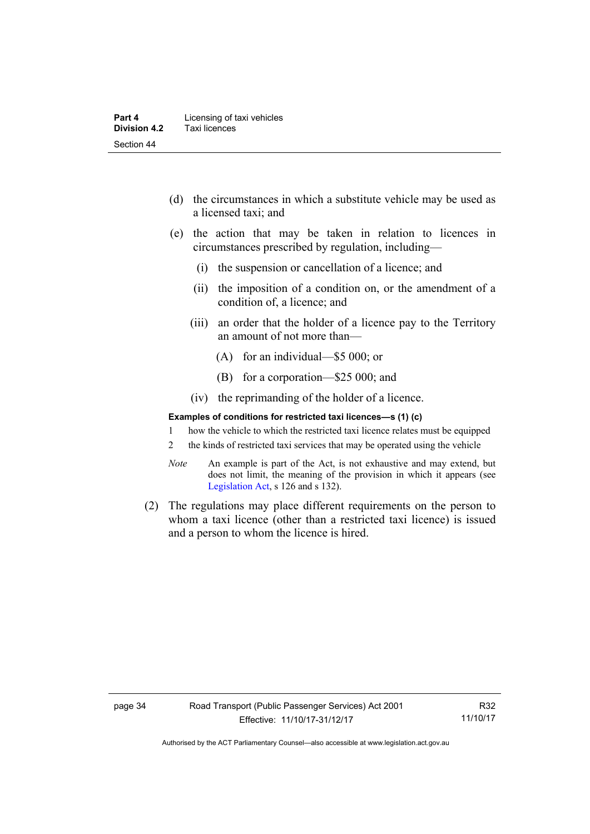- (d) the circumstances in which a substitute vehicle may be used as a licensed taxi; and
- (e) the action that may be taken in relation to licences in circumstances prescribed by regulation, including—
	- (i) the suspension or cancellation of a licence; and
	- (ii) the imposition of a condition on, or the amendment of a condition of, a licence; and
	- (iii) an order that the holder of a licence pay to the Territory an amount of not more than—
		- (A) for an individual—\$5 000; or
		- (B) for a corporation—\$25 000; and
	- (iv) the reprimanding of the holder of a licence.

#### **Examples of conditions for restricted taxi licences—s (1) (c)**

- 1 how the vehicle to which the restricted taxi licence relates must be equipped
- 2 the kinds of restricted taxi services that may be operated using the vehicle
- *Note* An example is part of the Act, is not exhaustive and may extend, but does not limit, the meaning of the provision in which it appears (see [Legislation Act,](http://www.legislation.act.gov.au/a/2001-14) s 126 and s 132).
- (2) The regulations may place different requirements on the person to whom a taxi licence (other than a restricted taxi licence) is issued and a person to whom the licence is hired.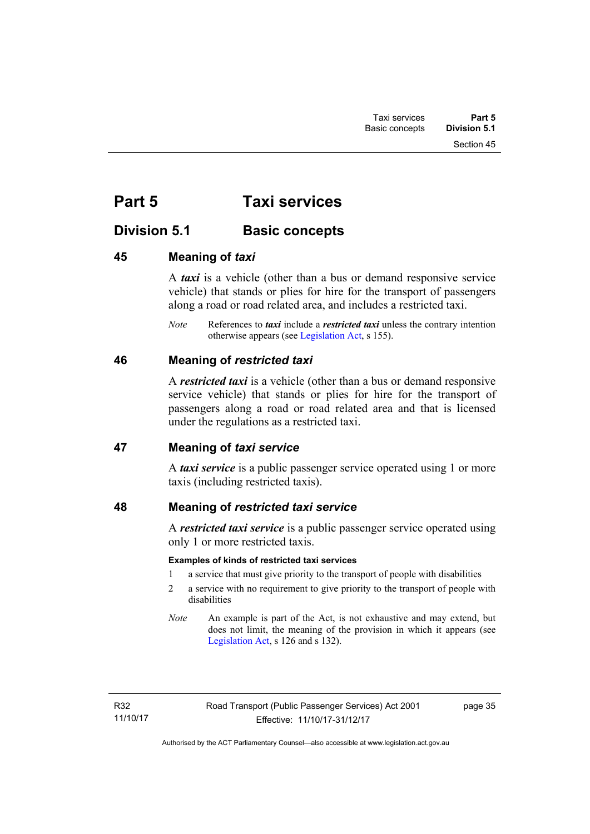# **Part 5 Taxi services**

# **Division 5.1 Basic concepts**

# **45 Meaning of** *taxi*

A *taxi* is a vehicle (other than a bus or demand responsive service vehicle) that stands or plies for hire for the transport of passengers along a road or road related area, and includes a restricted taxi.

*Note* References to *taxi* include a *restricted taxi* unless the contrary intention otherwise appears (see [Legislation Act,](http://www.legislation.act.gov.au/a/2001-14) s 155).

# **46 Meaning of** *restricted taxi*

A *restricted taxi* is a vehicle (other than a bus or demand responsive service vehicle) that stands or plies for hire for the transport of passengers along a road or road related area and that is licensed under the regulations as a restricted taxi.

# **47 Meaning of** *taxi service*

A *taxi service* is a public passenger service operated using 1 or more taxis (including restricted taxis).

# **48 Meaning of** *restricted taxi service*

A *restricted taxi service* is a public passenger service operated using only 1 or more restricted taxis.

### **Examples of kinds of restricted taxi services**

- 1 a service that must give priority to the transport of people with disabilities
- 2 a service with no requirement to give priority to the transport of people with disabilities
- *Note* An example is part of the Act, is not exhaustive and may extend, but does not limit, the meaning of the provision in which it appears (see [Legislation Act,](http://www.legislation.act.gov.au/a/2001-14) s 126 and s 132).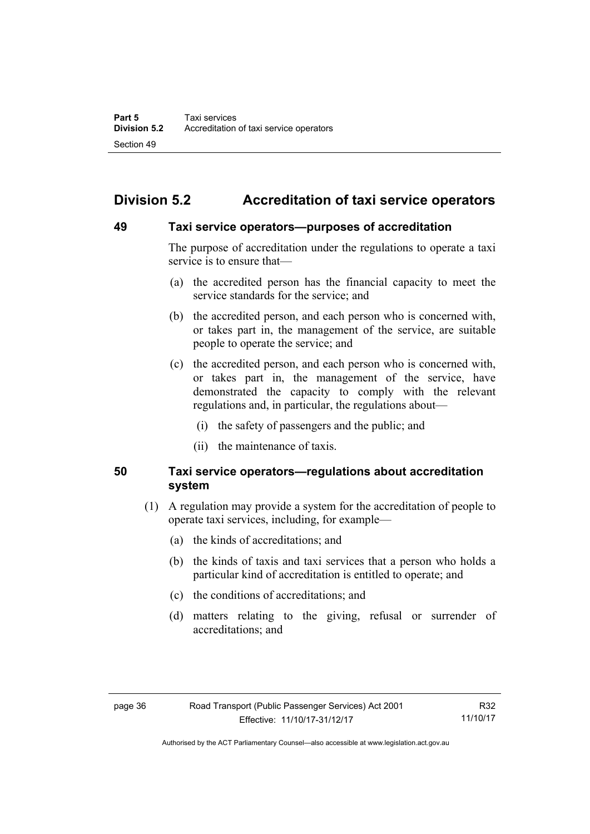# **Division 5.2 Accreditation of taxi service operators**

# **49 Taxi service operators—purposes of accreditation**

The purpose of accreditation under the regulations to operate a taxi service is to ensure that—

- (a) the accredited person has the financial capacity to meet the service standards for the service; and
- (b) the accredited person, and each person who is concerned with, or takes part in, the management of the service, are suitable people to operate the service; and
- (c) the accredited person, and each person who is concerned with, or takes part in, the management of the service, have demonstrated the capacity to comply with the relevant regulations and, in particular, the regulations about—
	- (i) the safety of passengers and the public; and
	- (ii) the maintenance of taxis.

# **50 Taxi service operators—regulations about accreditation system**

- (1) A regulation may provide a system for the accreditation of people to operate taxi services, including, for example—
	- (a) the kinds of accreditations; and
	- (b) the kinds of taxis and taxi services that a person who holds a particular kind of accreditation is entitled to operate; and
	- (c) the conditions of accreditations; and
	- (d) matters relating to the giving, refusal or surrender of accreditations; and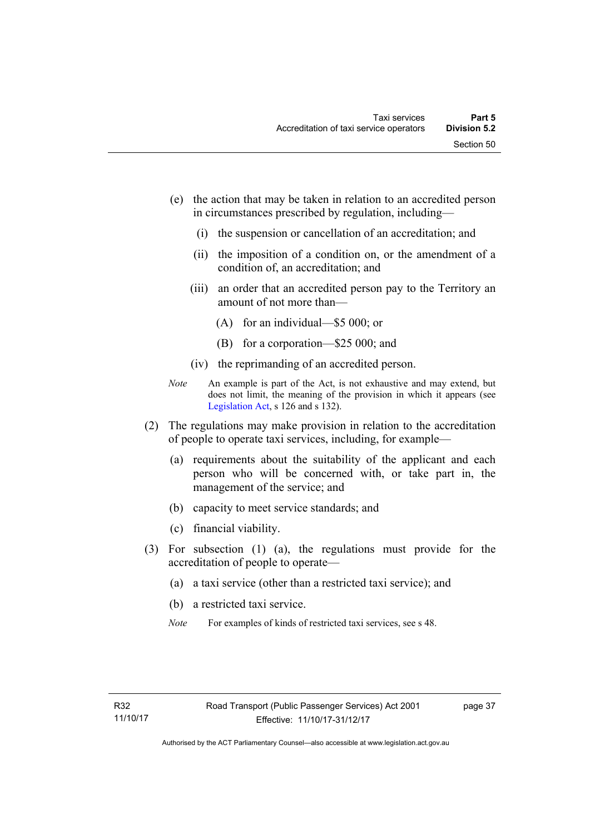- (e) the action that may be taken in relation to an accredited person in circumstances prescribed by regulation, including—
	- (i) the suspension or cancellation of an accreditation; and
	- (ii) the imposition of a condition on, or the amendment of a condition of, an accreditation; and
	- (iii) an order that an accredited person pay to the Territory an amount of not more than—
		- (A) for an individual—\$5 000; or
		- (B) for a corporation—\$25 000; and
	- (iv) the reprimanding of an accredited person.
- *Note* An example is part of the Act, is not exhaustive and may extend, but does not limit, the meaning of the provision in which it appears (see [Legislation Act,](http://www.legislation.act.gov.au/a/2001-14) s 126 and s 132).
- (2) The regulations may make provision in relation to the accreditation of people to operate taxi services, including, for example—
	- (a) requirements about the suitability of the applicant and each person who will be concerned with, or take part in, the management of the service; and
	- (b) capacity to meet service standards; and
	- (c) financial viability.
- (3) For subsection (1) (a), the regulations must provide for the accreditation of people to operate—
	- (a) a taxi service (other than a restricted taxi service); and
	- (b) a restricted taxi service.
	- *Note* For examples of kinds of restricted taxi services, see s 48.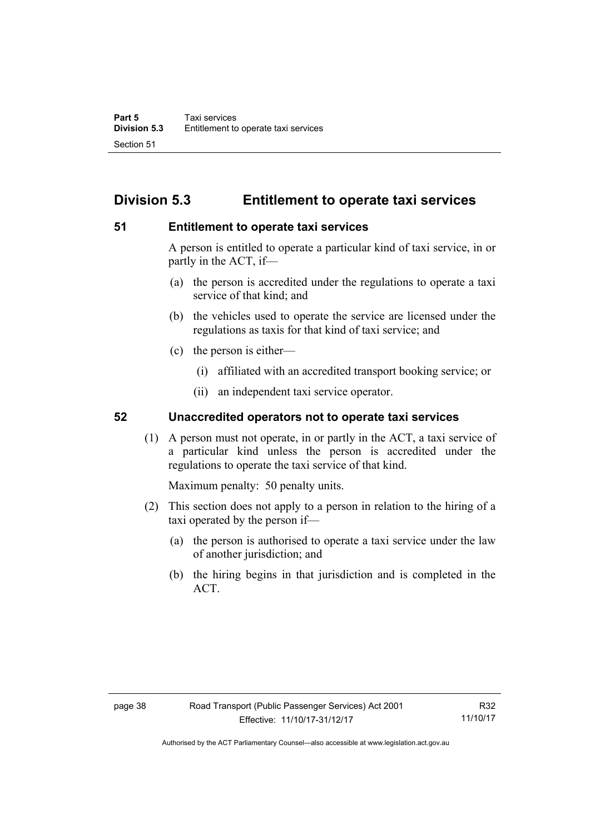# **Division 5.3 Entitlement to operate taxi services**

# **51 Entitlement to operate taxi services**

A person is entitled to operate a particular kind of taxi service, in or partly in the ACT, if—

- (a) the person is accredited under the regulations to operate a taxi service of that kind; and
- (b) the vehicles used to operate the service are licensed under the regulations as taxis for that kind of taxi service; and
- (c) the person is either—
	- (i) affiliated with an accredited transport booking service; or
	- (ii) an independent taxi service operator.

# **52 Unaccredited operators not to operate taxi services**

(1) A person must not operate, in or partly in the ACT, a taxi service of a particular kind unless the person is accredited under the regulations to operate the taxi service of that kind.

Maximum penalty: 50 penalty units.

- (2) This section does not apply to a person in relation to the hiring of a taxi operated by the person if—
	- (a) the person is authorised to operate a taxi service under the law of another jurisdiction; and
	- (b) the hiring begins in that jurisdiction and is completed in the ACT.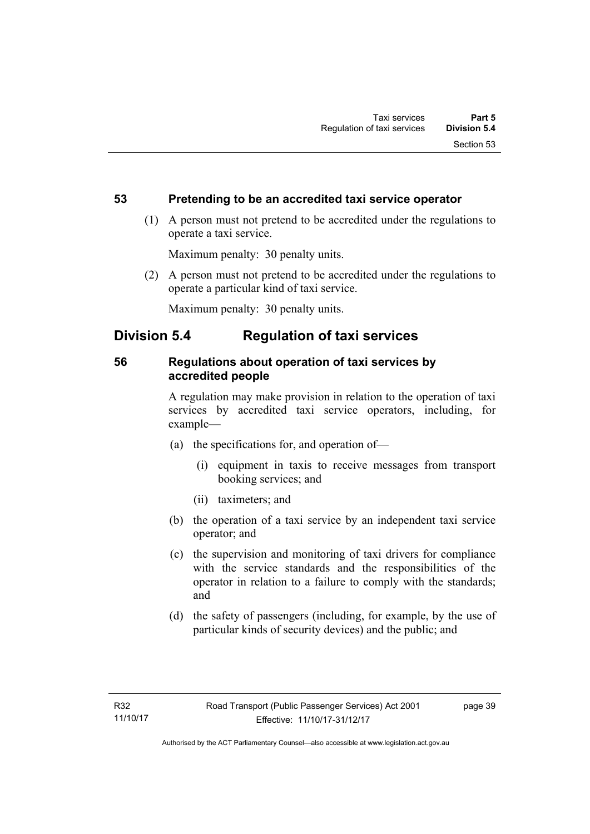# **53 Pretending to be an accredited taxi service operator**

 (1) A person must not pretend to be accredited under the regulations to operate a taxi service.

Maximum penalty: 30 penalty units.

 (2) A person must not pretend to be accredited under the regulations to operate a particular kind of taxi service.

Maximum penalty: 30 penalty units.

# **Division 5.4 Regulation of taxi services**

# **56 Regulations about operation of taxi services by accredited people**

A regulation may make provision in relation to the operation of taxi services by accredited taxi service operators, including, for example—

- (a) the specifications for, and operation of—
	- (i) equipment in taxis to receive messages from transport booking services; and
	- (ii) taximeters; and
- (b) the operation of a taxi service by an independent taxi service operator; and
- (c) the supervision and monitoring of taxi drivers for compliance with the service standards and the responsibilities of the operator in relation to a failure to comply with the standards; and
- (d) the safety of passengers (including, for example, by the use of particular kinds of security devices) and the public; and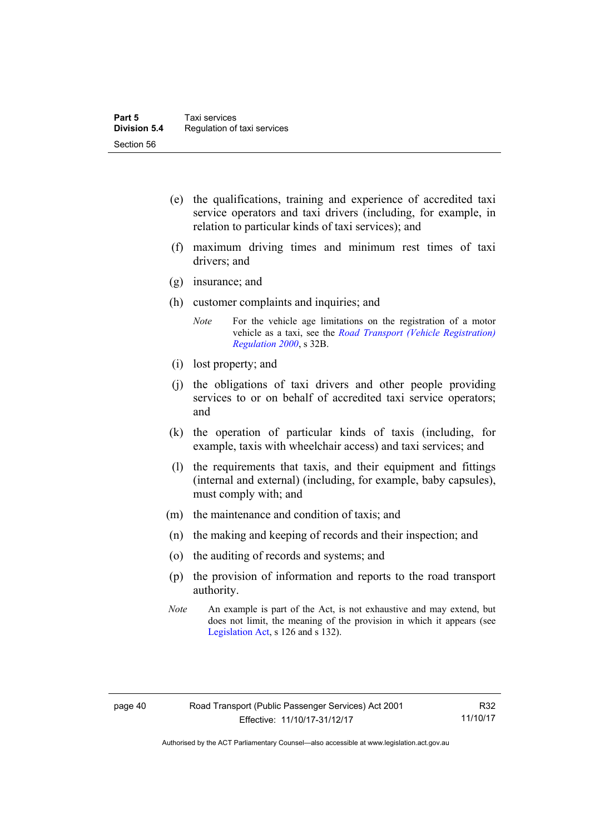- (e) the qualifications, training and experience of accredited taxi service operators and taxi drivers (including, for example, in relation to particular kinds of taxi services); and
- (f) maximum driving times and minimum rest times of taxi drivers; and
- (g) insurance; and
- (h) customer complaints and inquiries; and
	- *Note* For the vehicle age limitations on the registration of a motor vehicle as a taxi, see the *[Road Transport \(Vehicle Registration\)](http://www.legislation.act.gov.au/sl/2000-12)  [Regulation 2000](http://www.legislation.act.gov.au/sl/2000-12)*, s 32B.
- (i) lost property; and
- (j) the obligations of taxi drivers and other people providing services to or on behalf of accredited taxi service operators; and
- (k) the operation of particular kinds of taxis (including, for example, taxis with wheelchair access) and taxi services; and
- (l) the requirements that taxis, and their equipment and fittings (internal and external) (including, for example, baby capsules), must comply with; and
- (m) the maintenance and condition of taxis; and
- (n) the making and keeping of records and their inspection; and
- (o) the auditing of records and systems; and
- (p) the provision of information and reports to the road transport authority.
- *Note* An example is part of the Act, is not exhaustive and may extend, but does not limit, the meaning of the provision in which it appears (see [Legislation Act,](http://www.legislation.act.gov.au/a/2001-14) s 126 and s 132).

Authorised by the ACT Parliamentary Counsel—also accessible at www.legislation.act.gov.au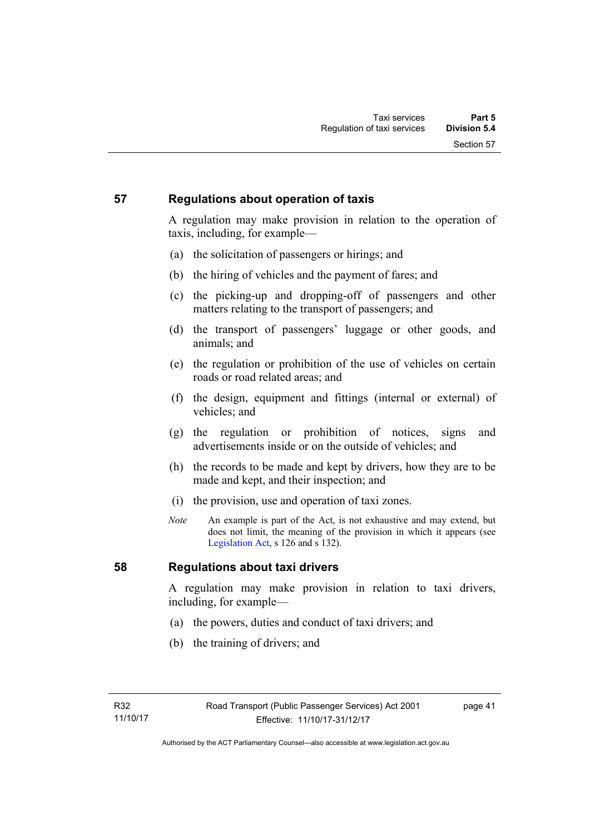# **57 Regulations about operation of taxis**

A regulation may make provision in relation to the operation of taxis, including, for example—

- (a) the solicitation of passengers or hirings; and
- (b) the hiring of vehicles and the payment of fares; and
- (c) the picking-up and dropping-off of passengers and other matters relating to the transport of passengers; and
- (d) the transport of passengers' luggage or other goods, and animals; and
- (e) the regulation or prohibition of the use of vehicles on certain roads or road related areas; and
- (f) the design, equipment and fittings (internal or external) of vehicles; and
- (g) the regulation or prohibition of notices, signs and advertisements inside or on the outside of vehicles; and
- (h) the records to be made and kept by drivers, how they are to be made and kept, and their inspection; and
- (i) the provision, use and operation of taxi zones.
- *Note* An example is part of the Act, is not exhaustive and may extend, but does not limit, the meaning of the provision in which it appears (see [Legislation Act,](http://www.legislation.act.gov.au/a/2001-14) s 126 and s 132).

# **58 Regulations about taxi drivers**

A regulation may make provision in relation to taxi drivers, including, for example—

- (a) the powers, duties and conduct of taxi drivers; and
- (b) the training of drivers; and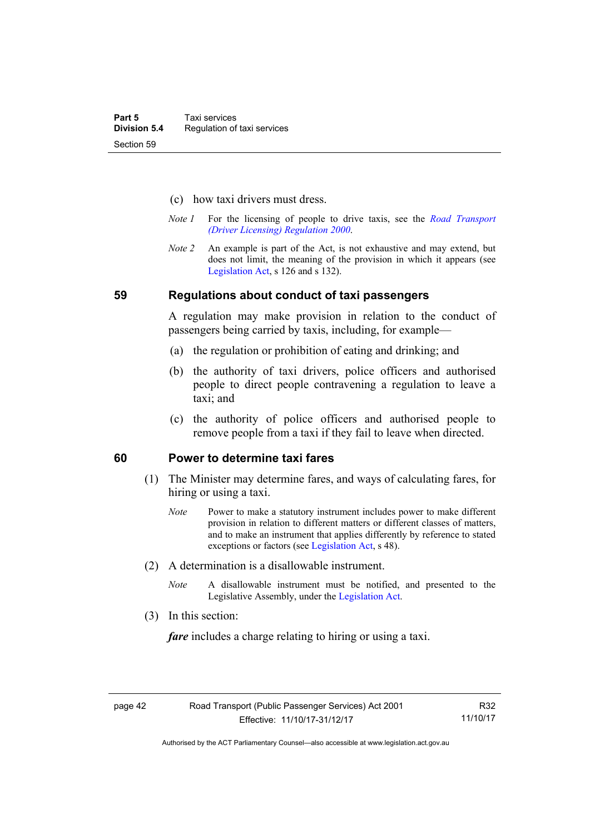- (c) how taxi drivers must dress.
- *Note 1* For the licensing of people to drive taxis, see the *[Road Transport](http://www.legislation.act.gov.au/sl/2000-14)  [\(Driver Licensing\) Regulation 2000](http://www.legislation.act.gov.au/sl/2000-14)*.
- *Note 2* An example is part of the Act, is not exhaustive and may extend, but does not limit, the meaning of the provision in which it appears (see [Legislation Act,](http://www.legislation.act.gov.au/a/2001-14) s 126 and s 132).

### **59 Regulations about conduct of taxi passengers**

A regulation may make provision in relation to the conduct of passengers being carried by taxis, including, for example—

- (a) the regulation or prohibition of eating and drinking; and
- (b) the authority of taxi drivers, police officers and authorised people to direct people contravening a regulation to leave a taxi; and
- (c) the authority of police officers and authorised people to remove people from a taxi if they fail to leave when directed.

### **60 Power to determine taxi fares**

- (1) The Minister may determine fares, and ways of calculating fares, for hiring or using a taxi.
	- *Note* Power to make a statutory instrument includes power to make different provision in relation to different matters or different classes of matters, and to make an instrument that applies differently by reference to stated exceptions or factors (see [Legislation Act](http://www.legislation.act.gov.au/a/2001-14), s 48).
- (2) A determination is a disallowable instrument.
	- *Note* A disallowable instrument must be notified, and presented to the Legislative Assembly, under the [Legislation Act.](http://www.legislation.act.gov.au/a/2001-14)
- (3) In this section:

*fare* includes a charge relating to hiring or using a taxi.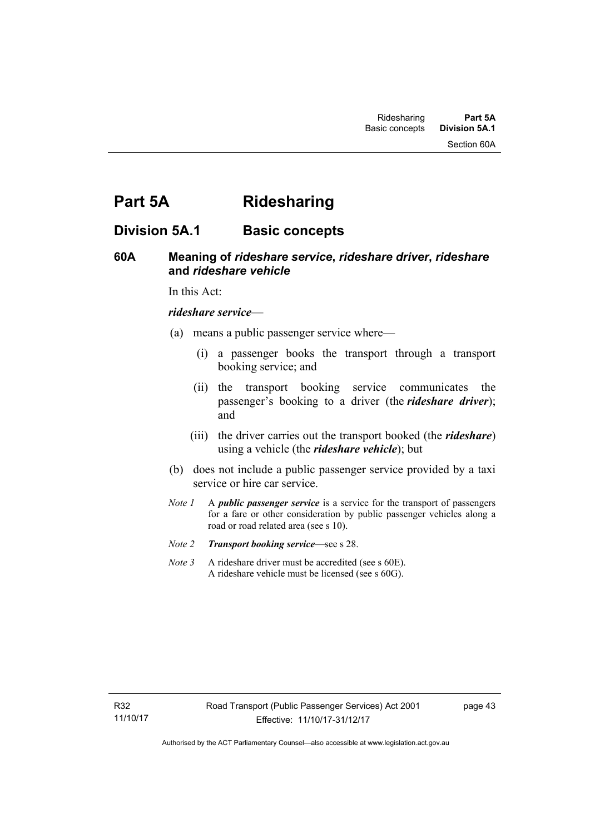# **Part 5A Ridesharing**

# **Division 5A.1 Basic concepts**

# **60A Meaning of** *rideshare service***,** *rideshare driver***,** *rideshare* **and** *rideshare vehicle*

In this Act:

### *rideshare service*—

- (a) means a public passenger service where—
	- (i) a passenger books the transport through a transport booking service; and
	- (ii) the transport booking service communicates the passenger's booking to a driver (the *rideshare driver*); and
	- (iii) the driver carries out the transport booked (the *rideshare*) using a vehicle (the *rideshare vehicle*); but
- (b) does not include a public passenger service provided by a taxi service or hire car service.
- *Note 1* A *public passenger service* is a service for the transport of passengers for a fare or other consideration by public passenger vehicles along a road or road related area (see s 10).
- *Note 2 Transport booking service*—see s 28.
- *Note* 3 A rideshare driver must be accredited (see s 60E). A rideshare vehicle must be licensed (see s 60G).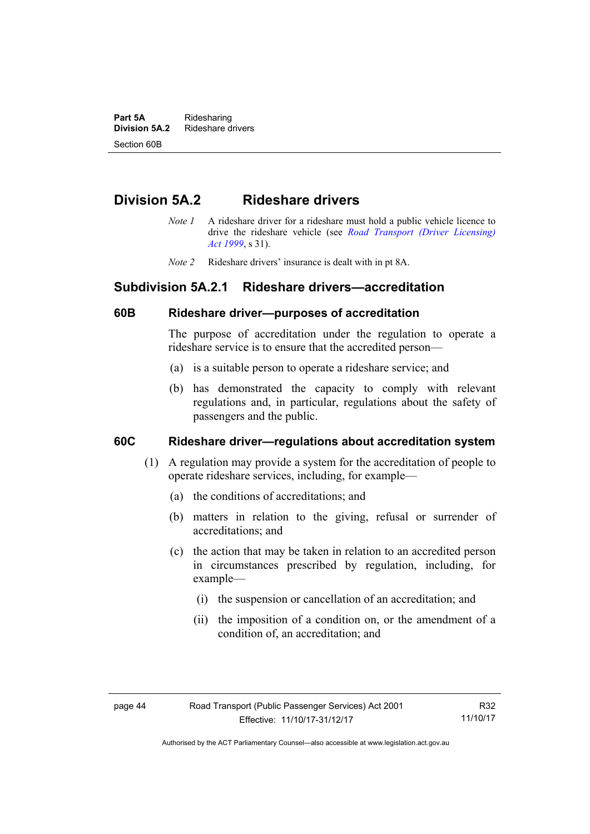**Part 5A** Ridesharing<br>**Division 5A.2** Rideshare d **Division 5A.2** Rideshare drivers Section 60B

# **Division 5A.2 Rideshare drivers**

- *Note 1* A rideshare driver for a rideshare must hold a public vehicle licence to drive the rideshare vehicle (see *[Road Transport \(Driver Licensing\)](http://www.legislation.act.gov.au/a/1999-78)  [Act 1999](http://www.legislation.act.gov.au/a/1999-78)*, s 31).
- *Note 2* Rideshare drivers' insurance is dealt with in pt 8A.

# **Subdivision 5A.2.1 Rideshare drivers—accreditation**

## **60B Rideshare driver—purposes of accreditation**

The purpose of accreditation under the regulation to operate a rideshare service is to ensure that the accredited person—

- (a) is a suitable person to operate a rideshare service; and
- (b) has demonstrated the capacity to comply with relevant regulations and, in particular, regulations about the safety of passengers and the public.

# **60C Rideshare driver—regulations about accreditation system**

- (1) A regulation may provide a system for the accreditation of people to operate rideshare services, including, for example—
	- (a) the conditions of accreditations; and
	- (b) matters in relation to the giving, refusal or surrender of accreditations; and
	- (c) the action that may be taken in relation to an accredited person in circumstances prescribed by regulation, including, for example—
		- (i) the suspension or cancellation of an accreditation; and
		- (ii) the imposition of a condition on, or the amendment of a condition of, an accreditation; and

R32 11/10/17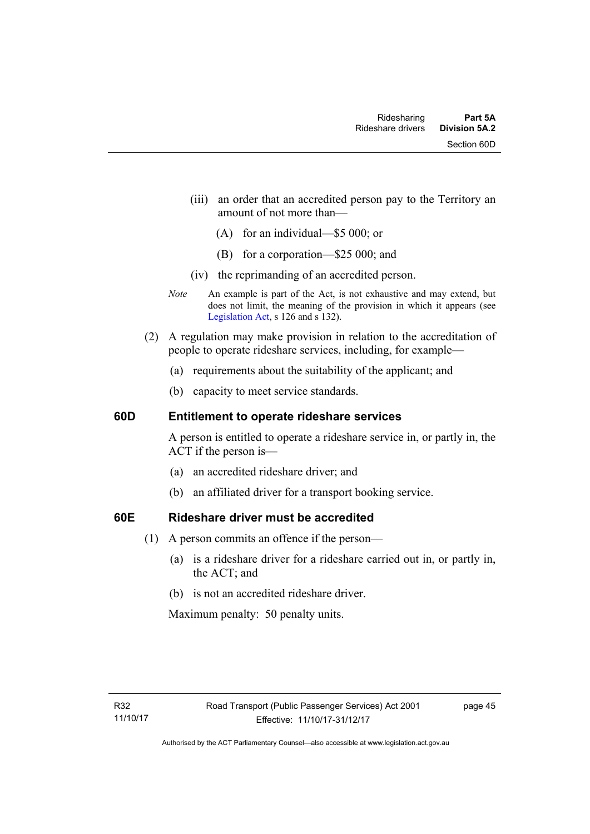- (iii) an order that an accredited person pay to the Territory an amount of not more than—
	- (A) for an individual—\$5 000; or
	- (B) for a corporation—\$25 000; and
- (iv) the reprimanding of an accredited person.
- *Note* An example is part of the Act, is not exhaustive and may extend, but does not limit, the meaning of the provision in which it appears (see [Legislation Act,](http://www.legislation.act.gov.au/a/2001-14) s 126 and s 132).
- (2) A regulation may make provision in relation to the accreditation of people to operate rideshare services, including, for example—
	- (a) requirements about the suitability of the applicant; and
	- (b) capacity to meet service standards.

### **60D Entitlement to operate rideshare services**

A person is entitled to operate a rideshare service in, or partly in, the ACT if the person is—

- (a) an accredited rideshare driver; and
- (b) an affiliated driver for a transport booking service.

# **60E Rideshare driver must be accredited**

- (1) A person commits an offence if the person—
	- (a) is a rideshare driver for a rideshare carried out in, or partly in, the ACT; and
	- (b) is not an accredited rideshare driver.

Maximum penalty: 50 penalty units.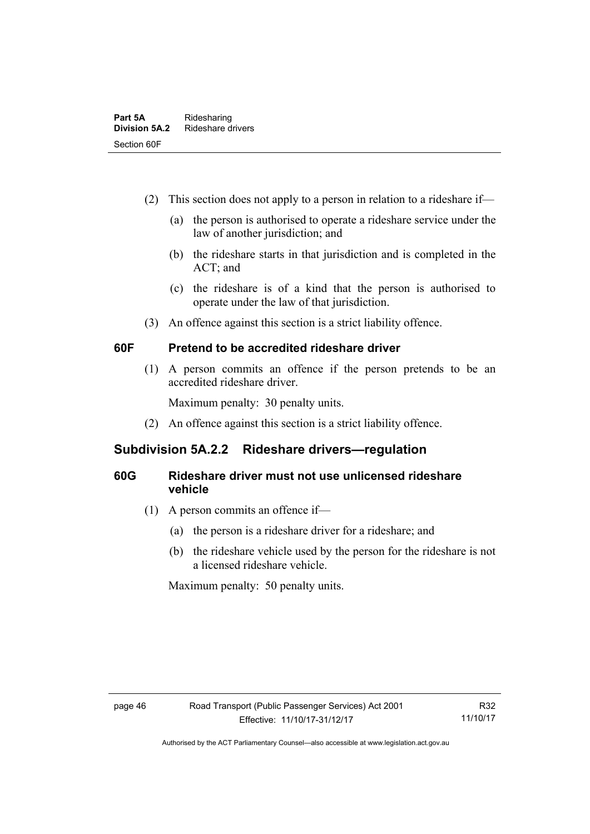- (2) This section does not apply to a person in relation to a rideshare if—
	- (a) the person is authorised to operate a rideshare service under the law of another jurisdiction; and
	- (b) the rideshare starts in that jurisdiction and is completed in the ACT; and
	- (c) the rideshare is of a kind that the person is authorised to operate under the law of that jurisdiction.
- (3) An offence against this section is a strict liability offence.

# **60F Pretend to be accredited rideshare driver**

(1) A person commits an offence if the person pretends to be an accredited rideshare driver.

Maximum penalty: 30 penalty units.

(2) An offence against this section is a strict liability offence.

# **Subdivision 5A.2.2 Rideshare drivers—regulation**

# **60G Rideshare driver must not use unlicensed rideshare vehicle**

- (1) A person commits an offence if—
	- (a) the person is a rideshare driver for a rideshare; and
	- (b) the rideshare vehicle used by the person for the rideshare is not a licensed rideshare vehicle.

Maximum penalty: 50 penalty units.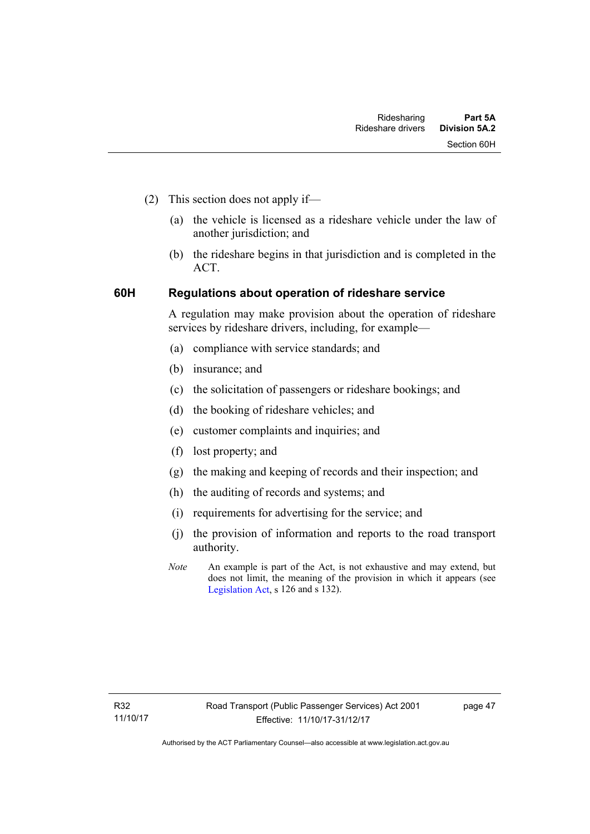- (2) This section does not apply if—
	- (a) the vehicle is licensed as a rideshare vehicle under the law of another jurisdiction; and
	- (b) the rideshare begins in that jurisdiction and is completed in the ACT.

# **60H Regulations about operation of rideshare service**

A regulation may make provision about the operation of rideshare services by rideshare drivers, including, for example—

- (a) compliance with service standards; and
- (b) insurance; and
- (c) the solicitation of passengers or rideshare bookings; and
- (d) the booking of rideshare vehicles; and
- (e) customer complaints and inquiries; and
- (f) lost property; and
- (g) the making and keeping of records and their inspection; and
- (h) the auditing of records and systems; and
- (i) requirements for advertising for the service; and
- (j) the provision of information and reports to the road transport authority.
- *Note* An example is part of the Act, is not exhaustive and may extend, but does not limit, the meaning of the provision in which it appears (see [Legislation Act,](http://www.legislation.act.gov.au/a/2001-14) s 126 and s 132).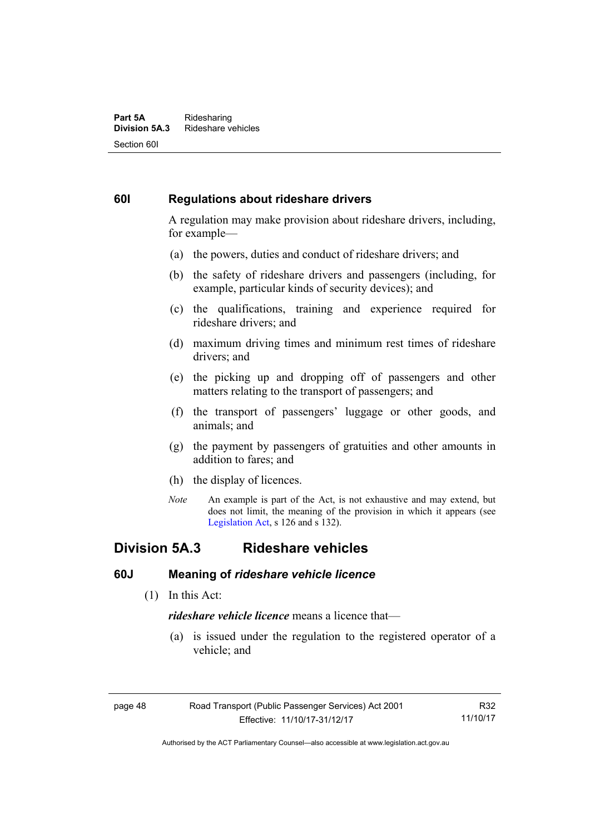#### **Part 5A** Ridesharing<br>**Division 5A.3** Rideshare ve **Division 5A.3** Rideshare vehicles Section 60I

# **60I Regulations about rideshare drivers**

A regulation may make provision about rideshare drivers, including, for example—

- (a) the powers, duties and conduct of rideshare drivers; and
- (b) the safety of rideshare drivers and passengers (including, for example, particular kinds of security devices); and
- (c) the qualifications, training and experience required for rideshare drivers; and
- (d) maximum driving times and minimum rest times of rideshare drivers; and
- (e) the picking up and dropping off of passengers and other matters relating to the transport of passengers; and
- (f) the transport of passengers' luggage or other goods, and animals; and
- (g) the payment by passengers of gratuities and other amounts in addition to fares; and
- (h) the display of licences.
- *Note* An example is part of the Act, is not exhaustive and may extend, but does not limit, the meaning of the provision in which it appears (see [Legislation Act,](http://www.legislation.act.gov.au/a/2001-14) s 126 and s 132).

# **Division 5A.3 Rideshare vehicles**

# **60J Meaning of** *rideshare vehicle licence*

(1) In this Act:

*rideshare vehicle licence* means a licence that—

 (a) is issued under the regulation to the registered operator of a vehicle; and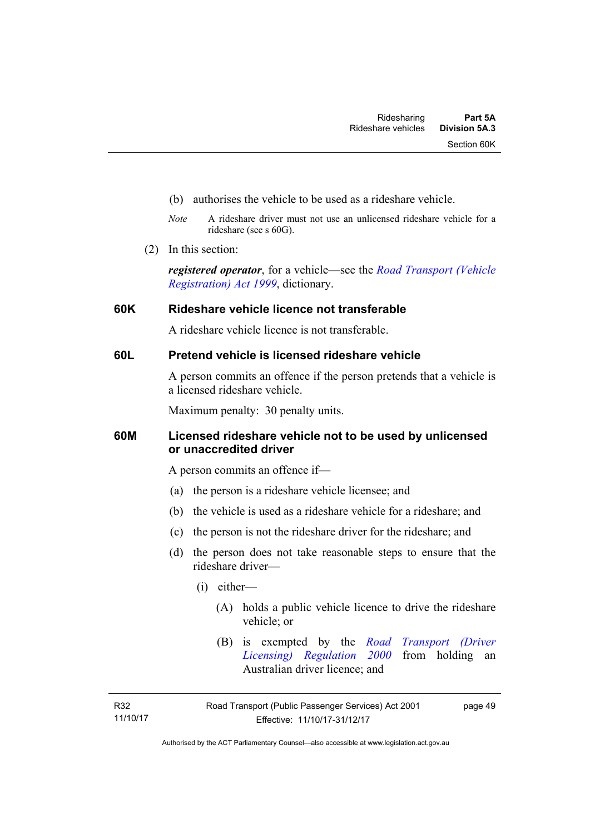- (b) authorises the vehicle to be used as a rideshare vehicle.
- *Note* A rideshare driver must not use an unlicensed rideshare vehicle for a rideshare (see s 60G).
- (2) In this section:

*registered operator*, for a vehicle—see the *[Road Transport \(Vehicle](http://www.legislation.act.gov.au/a/1999-81)  [Registration\) Act 1999](http://www.legislation.act.gov.au/a/1999-81)*, dictionary.

# **60K Rideshare vehicle licence not transferable**

A rideshare vehicle licence is not transferable.

# **60L Pretend vehicle is licensed rideshare vehicle**

A person commits an offence if the person pretends that a vehicle is a licensed rideshare vehicle.

Maximum penalty: 30 penalty units.

# **60M Licensed rideshare vehicle not to be used by unlicensed or unaccredited driver**

A person commits an offence if—

- (a) the person is a rideshare vehicle licensee; and
- (b) the vehicle is used as a rideshare vehicle for a rideshare; and
- (c) the person is not the rideshare driver for the rideshare; and
- (d) the person does not take reasonable steps to ensure that the rideshare driver—
	- (i) either—
		- (A) holds a public vehicle licence to drive the rideshare vehicle; or
		- (B) is exempted by the *[Road Transport \(Driver](http://www.legislation.act.gov.au/sl/2000-14/default.asp)  [Licensing\) Regulation 2000](http://www.legislation.act.gov.au/sl/2000-14/default.asp)* from holding an Australian driver licence; and

R32 11/10/17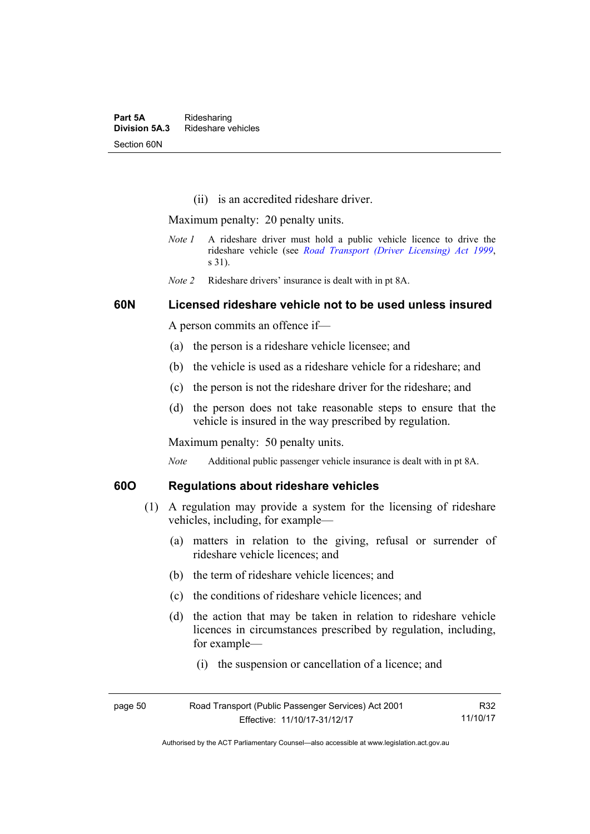(ii) is an accredited rideshare driver.

Maximum penalty: 20 penalty units.

- *Note 1* A rideshare driver must hold a public vehicle licence to drive the rideshare vehicle (see *[Road Transport \(Driver Licensing\) Act 1999](http://www.legislation.act.gov.au/a/1999-78)*, s 31).
- *Note 2* Rideshare drivers' insurance is dealt with in pt 8A.

### **60N Licensed rideshare vehicle not to be used unless insured**

A person commits an offence if—

- (a) the person is a rideshare vehicle licensee; and
- (b) the vehicle is used as a rideshare vehicle for a rideshare; and
- (c) the person is not the rideshare driver for the rideshare; and
- (d) the person does not take reasonable steps to ensure that the vehicle is insured in the way prescribed by regulation.

Maximum penalty: 50 penalty units.

*Note* Additional public passenger vehicle insurance is dealt with in pt 8A.

## **60O Regulations about rideshare vehicles**

- (1) A regulation may provide a system for the licensing of rideshare vehicles, including, for example—
	- (a) matters in relation to the giving, refusal or surrender of rideshare vehicle licences; and
	- (b) the term of rideshare vehicle licences; and
	- (c) the conditions of rideshare vehicle licences; and
	- (d) the action that may be taken in relation to rideshare vehicle licences in circumstances prescribed by regulation, including, for example—
		- (i) the suspension or cancellation of a licence; and

page 50 Road Transport (Public Passenger Services) Act 2001 Effective: 11/10/17-31/12/17 R32 11/10/17

Authorised by the ACT Parliamentary Counsel—also accessible at www.legislation.act.gov.au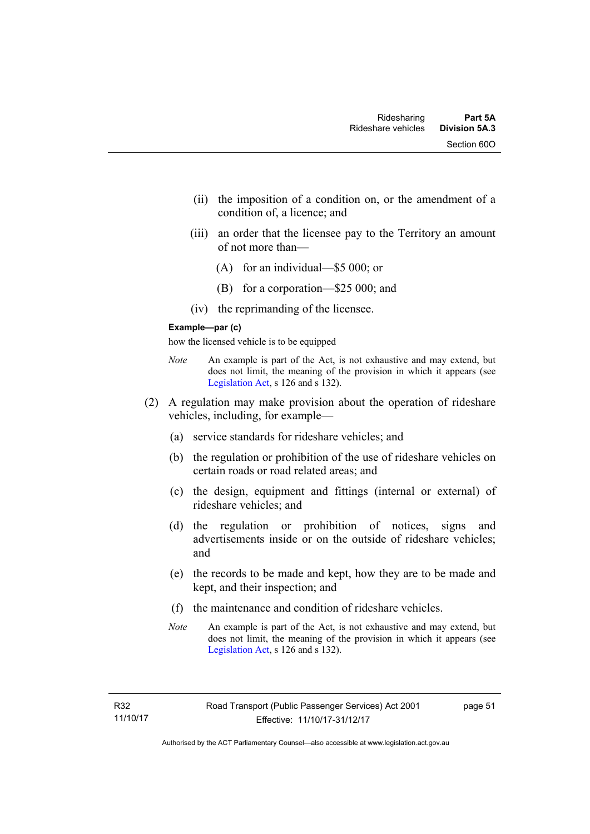- (ii) the imposition of a condition on, or the amendment of a condition of, a licence; and
- (iii) an order that the licensee pay to the Territory an amount of not more than—
	- (A) for an individual—\$5 000; or
	- (B) for a corporation—\$25 000; and
- (iv) the reprimanding of the licensee.

#### **Example—par (c)**

how the licensed vehicle is to be equipped

- *Note* An example is part of the Act, is not exhaustive and may extend, but does not limit, the meaning of the provision in which it appears (see [Legislation Act,](http://www.legislation.act.gov.au/a/2001-14) s 126 and s 132).
- (2) A regulation may make provision about the operation of rideshare vehicles, including, for example—
	- (a) service standards for rideshare vehicles; and
	- (b) the regulation or prohibition of the use of rideshare vehicles on certain roads or road related areas; and
	- (c) the design, equipment and fittings (internal or external) of rideshare vehicles; and
	- (d) the regulation or prohibition of notices, signs and advertisements inside or on the outside of rideshare vehicles; and
	- (e) the records to be made and kept, how they are to be made and kept, and their inspection; and
	- (f) the maintenance and condition of rideshare vehicles.
	- *Note* An example is part of the Act, is not exhaustive and may extend, but does not limit, the meaning of the provision in which it appears (see [Legislation Act,](http://www.legislation.act.gov.au/a/2001-14) s 126 and s 132).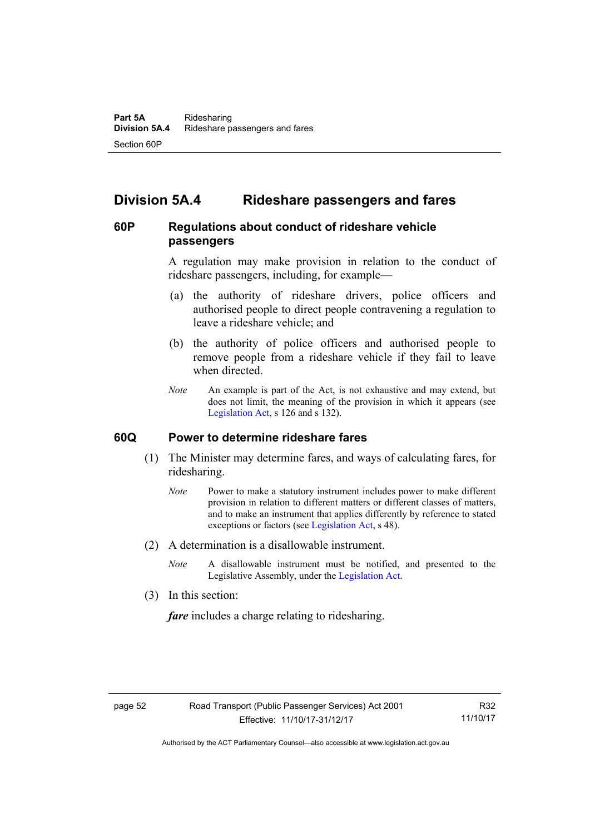# **Division 5A.4 Rideshare passengers and fares**

# **60P Regulations about conduct of rideshare vehicle passengers**

A regulation may make provision in relation to the conduct of rideshare passengers, including, for example—

- (a) the authority of rideshare drivers, police officers and authorised people to direct people contravening a regulation to leave a rideshare vehicle; and
- (b) the authority of police officers and authorised people to remove people from a rideshare vehicle if they fail to leave when directed.
- *Note* An example is part of the Act, is not exhaustive and may extend, but does not limit, the meaning of the provision in which it appears (see [Legislation Act,](http://www.legislation.act.gov.au/a/2001-14) s 126 and s 132).

# **60Q Power to determine rideshare fares**

- (1) The Minister may determine fares, and ways of calculating fares, for ridesharing.
	- *Note* Power to make a statutory instrument includes power to make different provision in relation to different matters or different classes of matters, and to make an instrument that applies differently by reference to stated exceptions or factors (see [Legislation Act](http://www.legislation.act.gov.au/a/2001-14), s 48).
- (2) A determination is a disallowable instrument.
	- *Note* A disallowable instrument must be notified, and presented to the Legislative Assembly, under the [Legislation Act.](http://www.legislation.act.gov.au/a/2001-14)
- (3) In this section:

*fare* includes a charge relating to ridesharing.

R32 11/10/17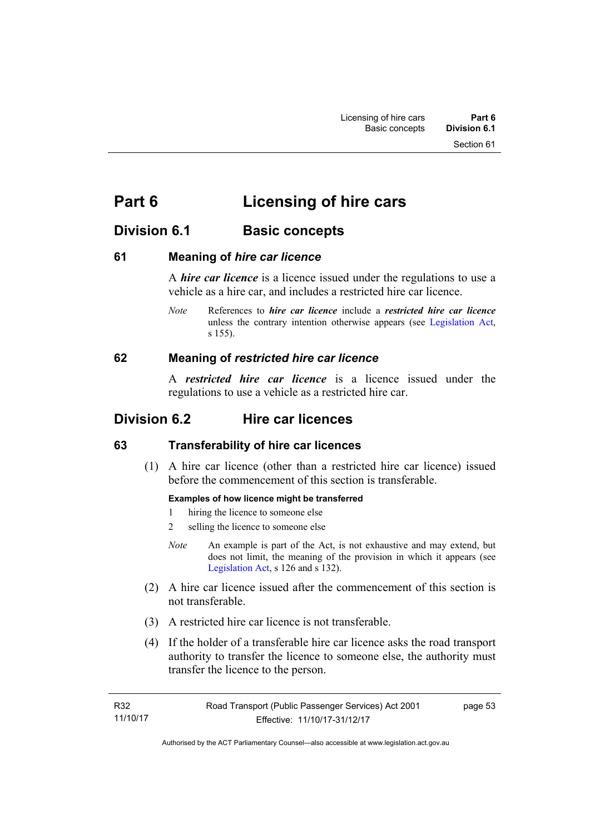# **Part 6 Licensing of hire cars**

# **Division 6.1 Basic concepts**

# **61 Meaning of** *hire car licence*

A *hire car licence* is a licence issued under the regulations to use a vehicle as a hire car, and includes a restricted hire car licence.

*Note* References to *hire car licence* include a *restricted hire car licence* unless the contrary intention otherwise appears (see [Legislation Act,](http://www.legislation.act.gov.au/a/2001-14) s 155).

# **62 Meaning of** *restricted hire car licence*

A *restricted hire car licence* is a licence issued under the regulations to use a vehicle as a restricted hire car.

# **Division 6.2 Hire car licences**

# **63 Transferability of hire car licences**

 (1) A hire car licence (other than a restricted hire car licence) issued before the commencement of this section is transferable.

# **Examples of how licence might be transferred**

- 1 hiring the licence to someone else
- 2 selling the licence to someone else
- *Note* An example is part of the Act, is not exhaustive and may extend, but does not limit, the meaning of the provision in which it appears (see [Legislation Act,](http://www.legislation.act.gov.au/a/2001-14) s 126 and s 132).
- (2) A hire car licence issued after the commencement of this section is not transferable.
- (3) A restricted hire car licence is not transferable.
- (4) If the holder of a transferable hire car licence asks the road transport authority to transfer the licence to someone else, the authority must transfer the licence to the person.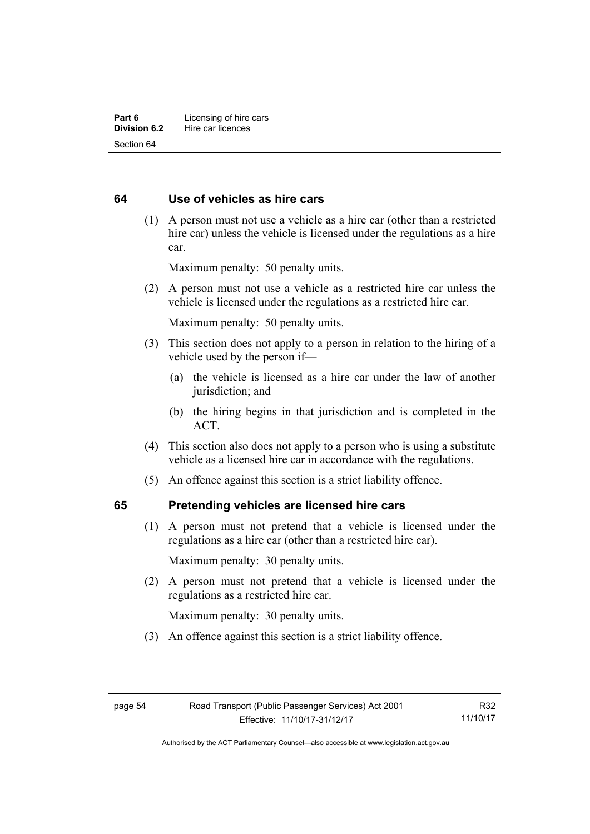# **64 Use of vehicles as hire cars**

 (1) A person must not use a vehicle as a hire car (other than a restricted hire car) unless the vehicle is licensed under the regulations as a hire car.

Maximum penalty: 50 penalty units.

 (2) A person must not use a vehicle as a restricted hire car unless the vehicle is licensed under the regulations as a restricted hire car.

Maximum penalty: 50 penalty units.

- (3) This section does not apply to a person in relation to the hiring of a vehicle used by the person if—
	- (a) the vehicle is licensed as a hire car under the law of another jurisdiction; and
	- (b) the hiring begins in that jurisdiction and is completed in the ACT.
- (4) This section also does not apply to a person who is using a substitute vehicle as a licensed hire car in accordance with the regulations.
- (5) An offence against this section is a strict liability offence.

# **65 Pretending vehicles are licensed hire cars**

(1) A person must not pretend that a vehicle is licensed under the regulations as a hire car (other than a restricted hire car).

Maximum penalty: 30 penalty units.

 (2) A person must not pretend that a vehicle is licensed under the regulations as a restricted hire car.

Maximum penalty: 30 penalty units.

(3) An offence against this section is a strict liability offence.

R32 11/10/17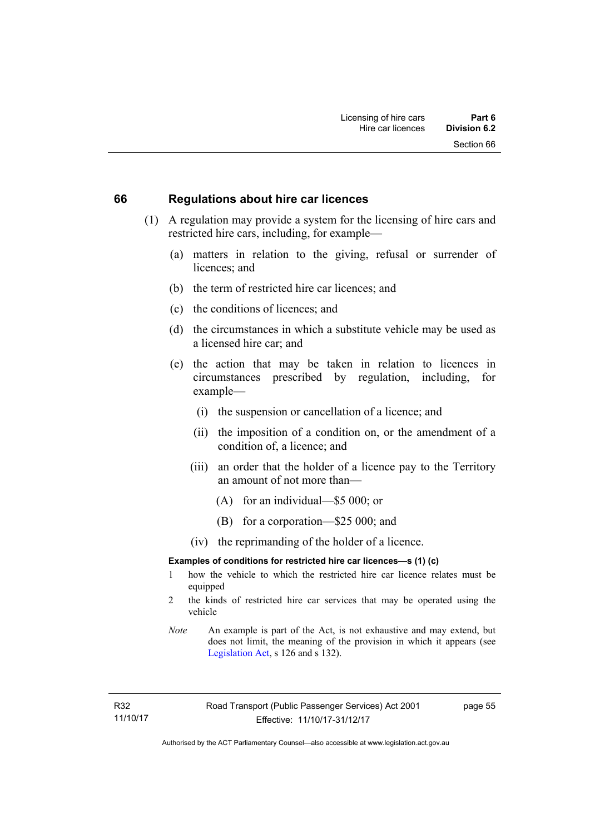### **66 Regulations about hire car licences**

- (1) A regulation may provide a system for the licensing of hire cars and restricted hire cars, including, for example—
	- (a) matters in relation to the giving, refusal or surrender of licences; and
	- (b) the term of restricted hire car licences; and
	- (c) the conditions of licences; and
	- (d) the circumstances in which a substitute vehicle may be used as a licensed hire car; and
	- (e) the action that may be taken in relation to licences in circumstances prescribed by regulation, including, for example—
		- (i) the suspension or cancellation of a licence; and
		- (ii) the imposition of a condition on, or the amendment of a condition of, a licence; and
		- (iii) an order that the holder of a licence pay to the Territory an amount of not more than—
			- (A) for an individual—\$5 000; or
			- (B) for a corporation—\$25 000; and
		- (iv) the reprimanding of the holder of a licence.

#### **Examples of conditions for restricted hire car licences—s (1) (c)**

- 1 how the vehicle to which the restricted hire car licence relates must be equipped
- 2 the kinds of restricted hire car services that may be operated using the vehicle
- *Note* An example is part of the Act, is not exhaustive and may extend, but does not limit, the meaning of the provision in which it appears (see [Legislation Act,](http://www.legislation.act.gov.au/a/2001-14) s 126 and s 132).

R32 11/10/17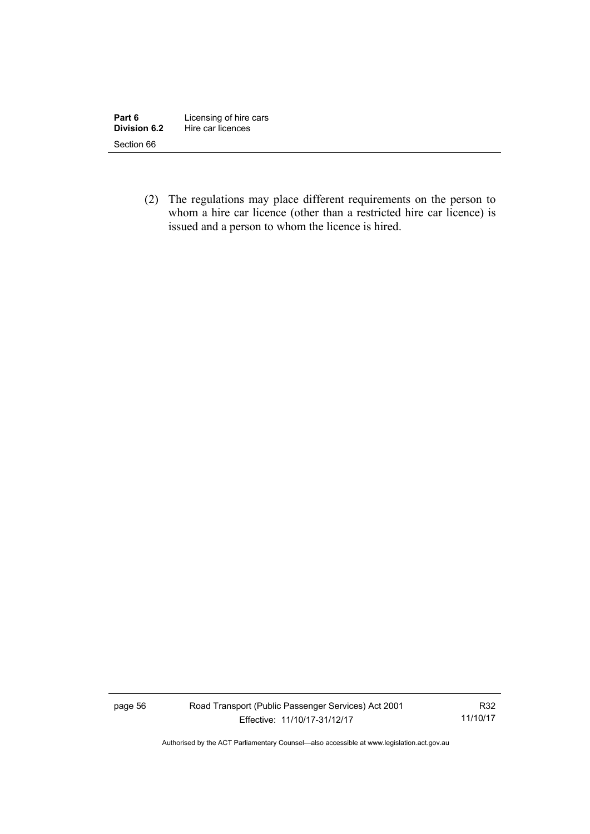| Part 6       | Licensing of hire cars |
|--------------|------------------------|
| Division 6.2 | Hire car licences      |
| Section 66   |                        |

 (2) The regulations may place different requirements on the person to whom a hire car licence (other than a restricted hire car licence) is issued and a person to whom the licence is hired.

page 56 Road Transport (Public Passenger Services) Act 2001 Effective: 11/10/17-31/12/17

R32 11/10/17

Authorised by the ACT Parliamentary Counsel—also accessible at www.legislation.act.gov.au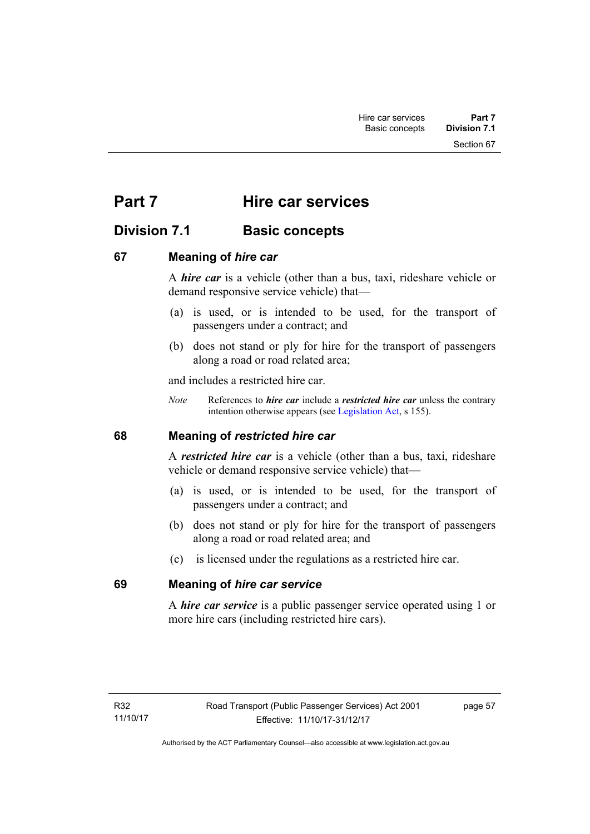Section 67

# **Part 7 Hire car services**

# **Division 7.1 Basic concepts**

# **67 Meaning of** *hire car*

A *hire car* is a vehicle (other than a bus, taxi, rideshare vehicle or demand responsive service vehicle) that—

- (a) is used, or is intended to be used, for the transport of passengers under a contract; and
- (b) does not stand or ply for hire for the transport of passengers along a road or road related area;

and includes a restricted hire car.

*Note* References to *hire car* include a *restricted hire car* unless the contrary intention otherwise appears (see [Legislation Act](http://www.legislation.act.gov.au/a/2001-14), s 155).

# **68 Meaning of** *restricted hire car*

A *restricted hire car* is a vehicle (other than a bus, taxi, rideshare vehicle or demand responsive service vehicle) that—

- (a) is used, or is intended to be used, for the transport of passengers under a contract; and
- (b) does not stand or ply for hire for the transport of passengers along a road or road related area; and
- (c) is licensed under the regulations as a restricted hire car.

# **69 Meaning of** *hire car service*

A *hire car service* is a public passenger service operated using 1 or more hire cars (including restricted hire cars).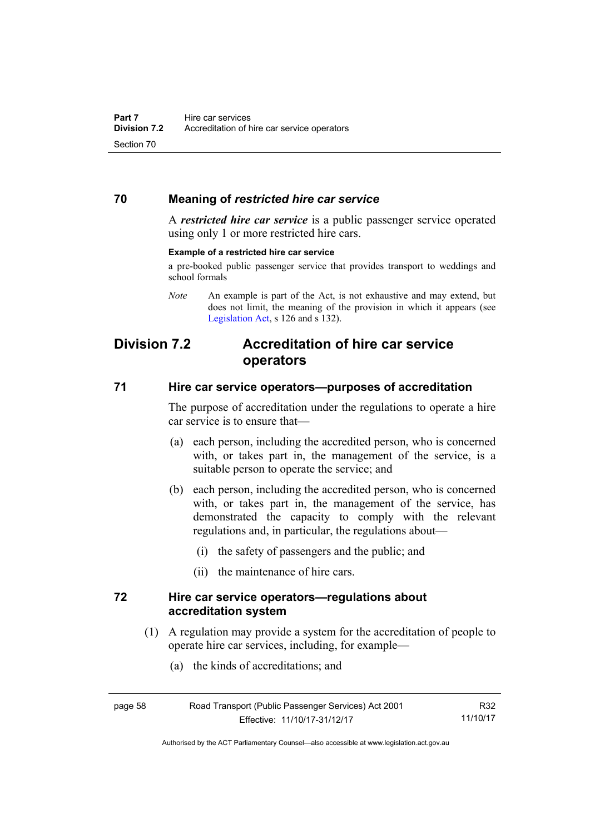# **70 Meaning of** *restricted hire car service*

A *restricted hire car service* is a public passenger service operated using only 1 or more restricted hire cars.

#### **Example of a restricted hire car service**

a pre-booked public passenger service that provides transport to weddings and school formals

*Note* An example is part of the Act, is not exhaustive and may extend, but does not limit, the meaning of the provision in which it appears (see [Legislation Act,](http://www.legislation.act.gov.au/a/2001-14) s 126 and s 132).

# **Division 7.2 Accreditation of hire car service operators**

### **71 Hire car service operators—purposes of accreditation**

The purpose of accreditation under the regulations to operate a hire car service is to ensure that—

- (a) each person, including the accredited person, who is concerned with, or takes part in, the management of the service, is a suitable person to operate the service; and
- (b) each person, including the accredited person, who is concerned with, or takes part in, the management of the service, has demonstrated the capacity to comply with the relevant regulations and, in particular, the regulations about—
	- (i) the safety of passengers and the public; and
	- (ii) the maintenance of hire cars.

# **72 Hire car service operators—regulations about accreditation system**

- (1) A regulation may provide a system for the accreditation of people to operate hire car services, including, for example—
	- (a) the kinds of accreditations; and

R32 11/10/17

Authorised by the ACT Parliamentary Counsel—also accessible at www.legislation.act.gov.au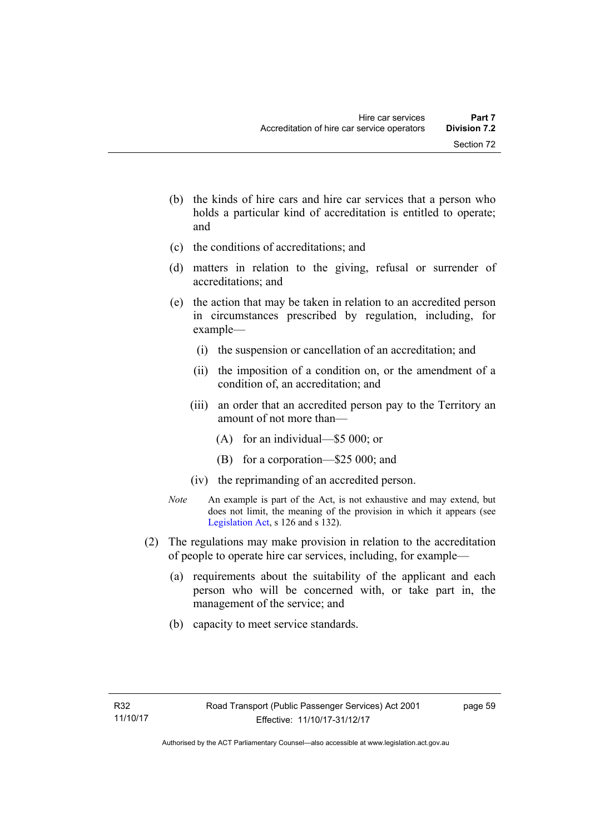- (b) the kinds of hire cars and hire car services that a person who holds a particular kind of accreditation is entitled to operate; and
- (c) the conditions of accreditations; and
- (d) matters in relation to the giving, refusal or surrender of accreditations; and
- (e) the action that may be taken in relation to an accredited person in circumstances prescribed by regulation, including, for example—
	- (i) the suspension or cancellation of an accreditation; and
	- (ii) the imposition of a condition on, or the amendment of a condition of, an accreditation; and
	- (iii) an order that an accredited person pay to the Territory an amount of not more than—
		- (A) for an individual—\$5 000; or
		- (B) for a corporation—\$25 000; and
	- (iv) the reprimanding of an accredited person.
- *Note* An example is part of the Act, is not exhaustive and may extend, but does not limit, the meaning of the provision in which it appears (see [Legislation Act,](http://www.legislation.act.gov.au/a/2001-14) s 126 and s 132).
- (2) The regulations may make provision in relation to the accreditation of people to operate hire car services, including, for example—
	- (a) requirements about the suitability of the applicant and each person who will be concerned with, or take part in, the management of the service; and
	- (b) capacity to meet service standards.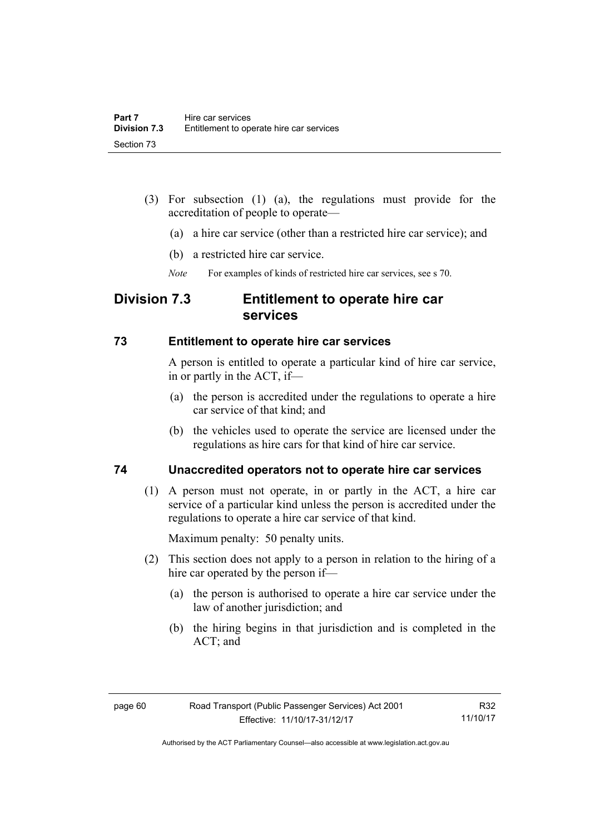- (3) For subsection (1) (a), the regulations must provide for the accreditation of people to operate—
	- (a) a hire car service (other than a restricted hire car service); and
	- (b) a restricted hire car service.
	- *Note* For examples of kinds of restricted hire car services, see s 70.

# **Division 7.3 Entitlement to operate hire car services**

# **73 Entitlement to operate hire car services**

A person is entitled to operate a particular kind of hire car service, in or partly in the ACT, if—

- (a) the person is accredited under the regulations to operate a hire car service of that kind; and
- (b) the vehicles used to operate the service are licensed under the regulations as hire cars for that kind of hire car service.

# **74 Unaccredited operators not to operate hire car services**

(1) A person must not operate, in or partly in the ACT, a hire car service of a particular kind unless the person is accredited under the regulations to operate a hire car service of that kind.

Maximum penalty: 50 penalty units.

- (2) This section does not apply to a person in relation to the hiring of a hire car operated by the person if—
	- (a) the person is authorised to operate a hire car service under the law of another jurisdiction; and
	- (b) the hiring begins in that jurisdiction and is completed in the ACT; and

R32 11/10/17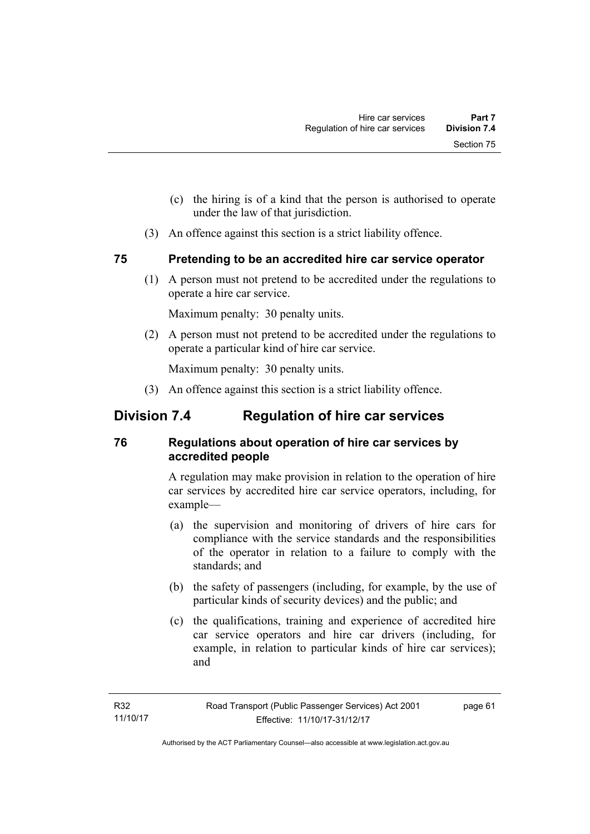- (c) the hiring is of a kind that the person is authorised to operate under the law of that jurisdiction.
- (3) An offence against this section is a strict liability offence.

# **75 Pretending to be an accredited hire car service operator**

(1) A person must not pretend to be accredited under the regulations to operate a hire car service.

Maximum penalty: 30 penalty units.

 (2) A person must not pretend to be accredited under the regulations to operate a particular kind of hire car service.

Maximum penalty: 30 penalty units.

(3) An offence against this section is a strict liability offence.

# **Division 7.4 Regulation of hire car services**

# **76 Regulations about operation of hire car services by accredited people**

A regulation may make provision in relation to the operation of hire car services by accredited hire car service operators, including, for example—

- (a) the supervision and monitoring of drivers of hire cars for compliance with the service standards and the responsibilities of the operator in relation to a failure to comply with the standards; and
- (b) the safety of passengers (including, for example, by the use of particular kinds of security devices) and the public; and
- (c) the qualifications, training and experience of accredited hire car service operators and hire car drivers (including, for example, in relation to particular kinds of hire car services); and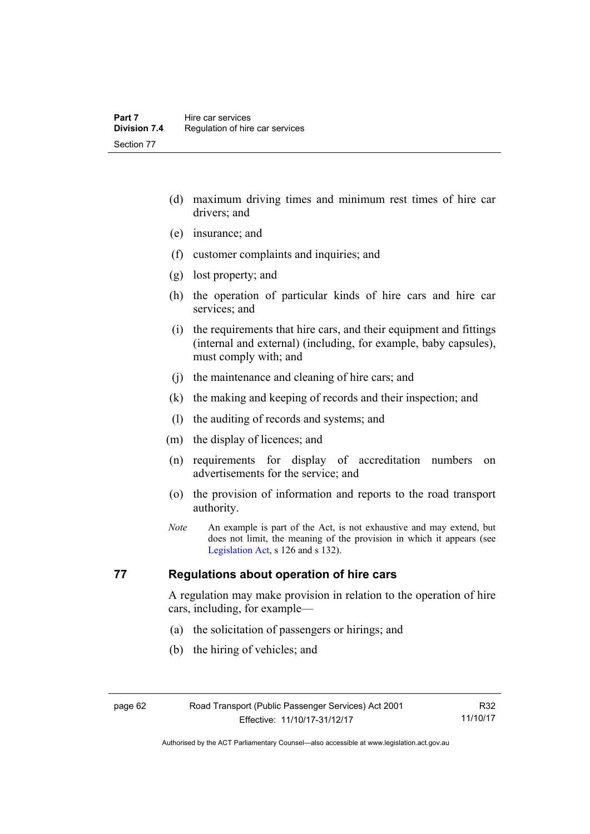- (d) maximum driving times and minimum rest times of hire car drivers; and
- (e) insurance; and
- (f) customer complaints and inquiries; and
- (g) lost property; and
- (h) the operation of particular kinds of hire cars and hire car services; and
- (i) the requirements that hire cars, and their equipment and fittings (internal and external) (including, for example, baby capsules), must comply with; and
- (j) the maintenance and cleaning of hire cars; and
- (k) the making and keeping of records and their inspection; and
- (l) the auditing of records and systems; and
- (m) the display of licences; and
- (n) requirements for display of accreditation numbers on advertisements for the service; and
- (o) the provision of information and reports to the road transport authority.
- *Note* An example is part of the Act, is not exhaustive and may extend, but does not limit, the meaning of the provision in which it appears (see [Legislation Act,](http://www.legislation.act.gov.au/a/2001-14) s 126 and s 132).

# **77 Regulations about operation of hire cars**

A regulation may make provision in relation to the operation of hire cars, including, for example—

- (a) the solicitation of passengers or hirings; and
- (b) the hiring of vehicles; and

Authorised by the ACT Parliamentary Counsel—also accessible at www.legislation.act.gov.au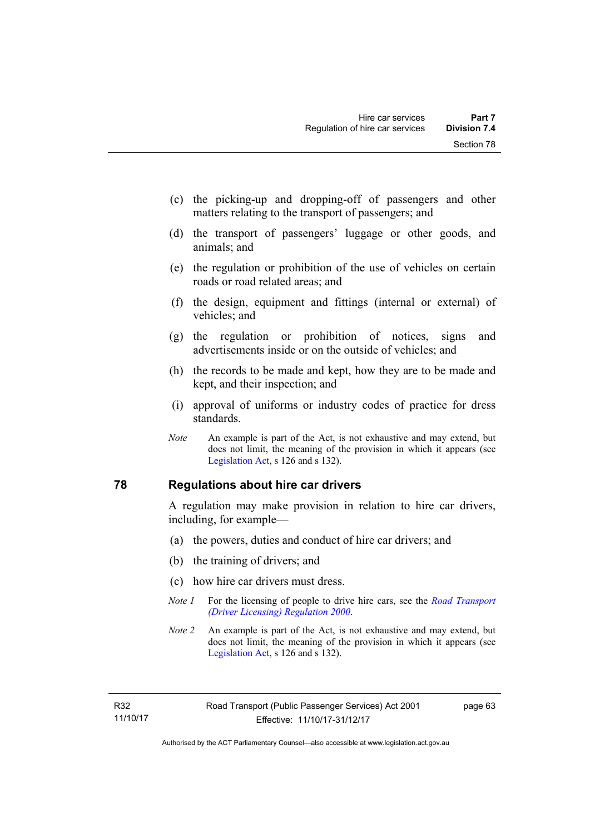- (c) the picking-up and dropping-off of passengers and other matters relating to the transport of passengers; and
- (d) the transport of passengers' luggage or other goods, and animals; and
- (e) the regulation or prohibition of the use of vehicles on certain roads or road related areas; and
- (f) the design, equipment and fittings (internal or external) of vehicles; and
- (g) the regulation or prohibition of notices, signs and advertisements inside or on the outside of vehicles; and
- (h) the records to be made and kept, how they are to be made and kept, and their inspection; and
- (i) approval of uniforms or industry codes of practice for dress standards.
- *Note* An example is part of the Act, is not exhaustive and may extend, but does not limit, the meaning of the provision in which it appears (see [Legislation Act,](http://www.legislation.act.gov.au/a/2001-14) s 126 and s 132).

# **78 Regulations about hire car drivers**

A regulation may make provision in relation to hire car drivers, including, for example—

- (a) the powers, duties and conduct of hire car drivers; and
- (b) the training of drivers; and
- (c) how hire car drivers must dress.
- *Note 1* For the licensing of people to drive hire cars, see the *[Road Transport](http://www.legislation.act.gov.au/sl/2000-14)  [\(Driver Licensing\) Regulation 2000](http://www.legislation.act.gov.au/sl/2000-14)*.
- *Note 2* An example is part of the Act, is not exhaustive and may extend, but does not limit, the meaning of the provision in which it appears (see [Legislation Act,](http://www.legislation.act.gov.au/a/2001-14) s 126 and s 132).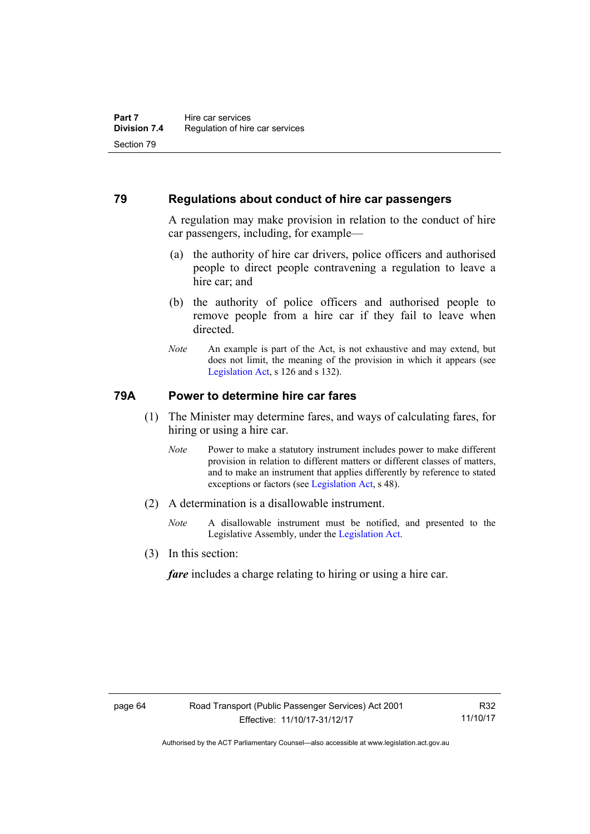# **79 Regulations about conduct of hire car passengers**

A regulation may make provision in relation to the conduct of hire car passengers, including, for example—

- (a) the authority of hire car drivers, police officers and authorised people to direct people contravening a regulation to leave a hire car; and
- (b) the authority of police officers and authorised people to remove people from a hire car if they fail to leave when directed.
- *Note* An example is part of the Act, is not exhaustive and may extend, but does not limit, the meaning of the provision in which it appears (see [Legislation Act,](http://www.legislation.act.gov.au/a/2001-14) s 126 and s 132).

# **79A Power to determine hire car fares**

- (1) The Minister may determine fares, and ways of calculating fares, for hiring or using a hire car.
	- *Note* Power to make a statutory instrument includes power to make different provision in relation to different matters or different classes of matters, and to make an instrument that applies differently by reference to stated exceptions or factors (see [Legislation Act](http://www.legislation.act.gov.au/a/2001-14), s 48).
- (2) A determination is a disallowable instrument.
	- *Note* A disallowable instrument must be notified, and presented to the Legislative Assembly, under the [Legislation Act.](http://www.legislation.act.gov.au/a/2001-14)
- (3) In this section:

*fare* includes a charge relating to hiring or using a hire car.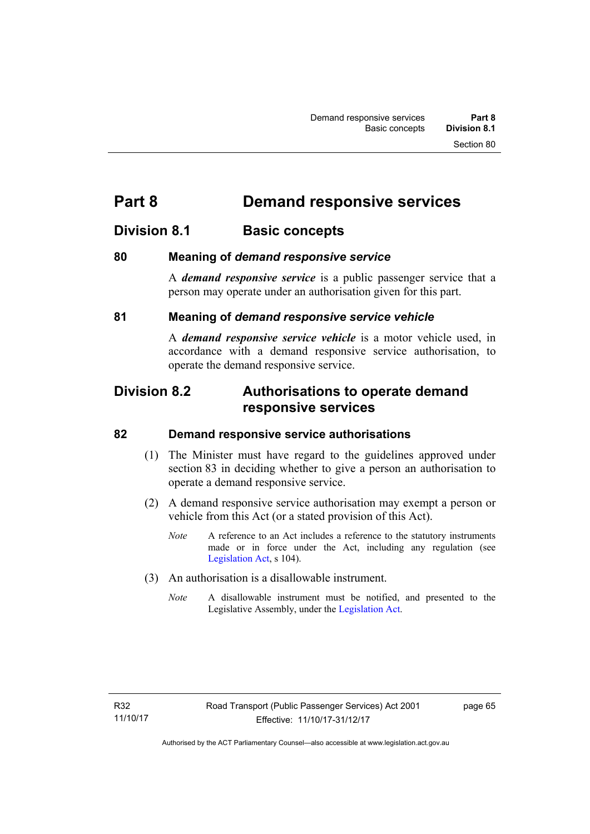# **Part 8 Demand responsive services**

# **Division 8.1 Basic concepts**

# **80 Meaning of** *demand responsive service*

A *demand responsive service* is a public passenger service that a person may operate under an authorisation given for this part.

# **81 Meaning of** *demand responsive service vehicle*

A *demand responsive service vehicle* is a motor vehicle used, in accordance with a demand responsive service authorisation, to operate the demand responsive service.

# **Division 8.2 Authorisations to operate demand responsive services**

# **82 Demand responsive service authorisations**

- (1) The Minister must have regard to the guidelines approved under section 83 in deciding whether to give a person an authorisation to operate a demand responsive service.
- (2) A demand responsive service authorisation may exempt a person or vehicle from this Act (or a stated provision of this Act).
	- *Note* A reference to an Act includes a reference to the statutory instruments made or in force under the Act, including any regulation (see [Legislation Act,](http://www.legislation.act.gov.au/a/2001-14) s 104).
- (3) An authorisation is a disallowable instrument.
	- *Note* A disallowable instrument must be notified, and presented to the Legislative Assembly, under the [Legislation Act.](http://www.legislation.act.gov.au/a/2001-14)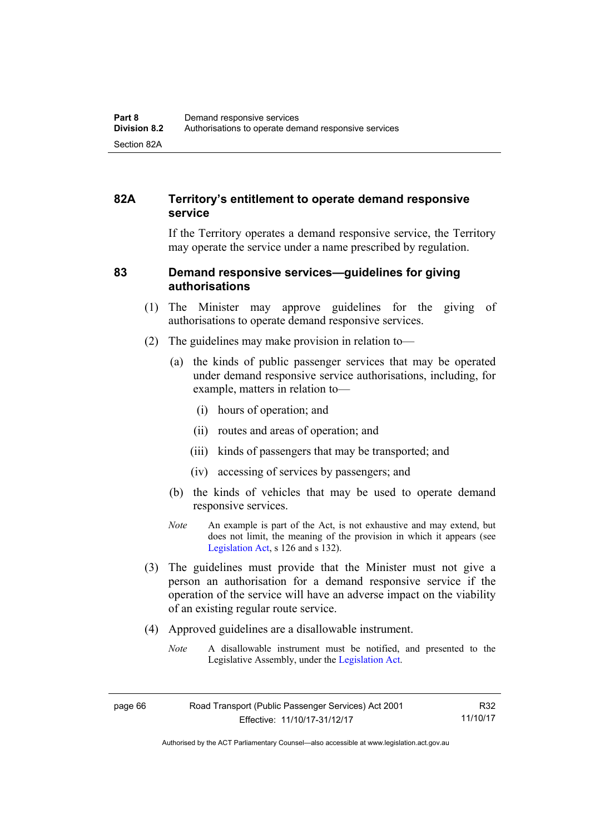# **82A Territory's entitlement to operate demand responsive service**

If the Territory operates a demand responsive service, the Territory may operate the service under a name prescribed by regulation.

# **83 Demand responsive services—guidelines for giving authorisations**

- (1) The Minister may approve guidelines for the giving of authorisations to operate demand responsive services.
- (2) The guidelines may make provision in relation to—
	- (a) the kinds of public passenger services that may be operated under demand responsive service authorisations, including, for example, matters in relation to—
		- (i) hours of operation; and
		- (ii) routes and areas of operation; and
		- (iii) kinds of passengers that may be transported; and
		- (iv) accessing of services by passengers; and
	- (b) the kinds of vehicles that may be used to operate demand responsive services.
	- *Note* An example is part of the Act, is not exhaustive and may extend, but does not limit, the meaning of the provision in which it appears (see [Legislation Act,](http://www.legislation.act.gov.au/a/2001-14) s 126 and s 132).
- (3) The guidelines must provide that the Minister must not give a person an authorisation for a demand responsive service if the operation of the service will have an adverse impact on the viability of an existing regular route service.
- (4) Approved guidelines are a disallowable instrument.
	- *Note* A disallowable instrument must be notified, and presented to the Legislative Assembly, under the [Legislation Act.](http://www.legislation.act.gov.au/a/2001-14)

R32 11/10/17

Authorised by the ACT Parliamentary Counsel—also accessible at www.legislation.act.gov.au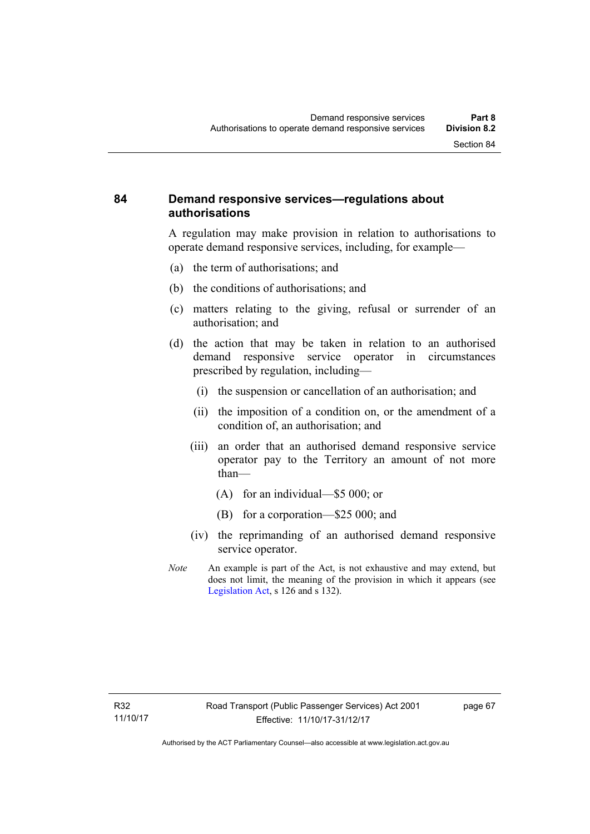# **84 Demand responsive services—regulations about authorisations**

A regulation may make provision in relation to authorisations to operate demand responsive services, including, for example—

- (a) the term of authorisations; and
- (b) the conditions of authorisations; and
- (c) matters relating to the giving, refusal or surrender of an authorisation; and
- (d) the action that may be taken in relation to an authorised demand responsive service operator in circumstances prescribed by regulation, including—
	- (i) the suspension or cancellation of an authorisation; and
	- (ii) the imposition of a condition on, or the amendment of a condition of, an authorisation; and
	- (iii) an order that an authorised demand responsive service operator pay to the Territory an amount of not more than—
		- (A) for an individual—\$5 000; or
		- (B) for a corporation—\$25 000; and
	- (iv) the reprimanding of an authorised demand responsive service operator.
- *Note* An example is part of the Act, is not exhaustive and may extend, but does not limit, the meaning of the provision in which it appears (see [Legislation Act,](http://www.legislation.act.gov.au/a/2001-14) s 126 and s 132).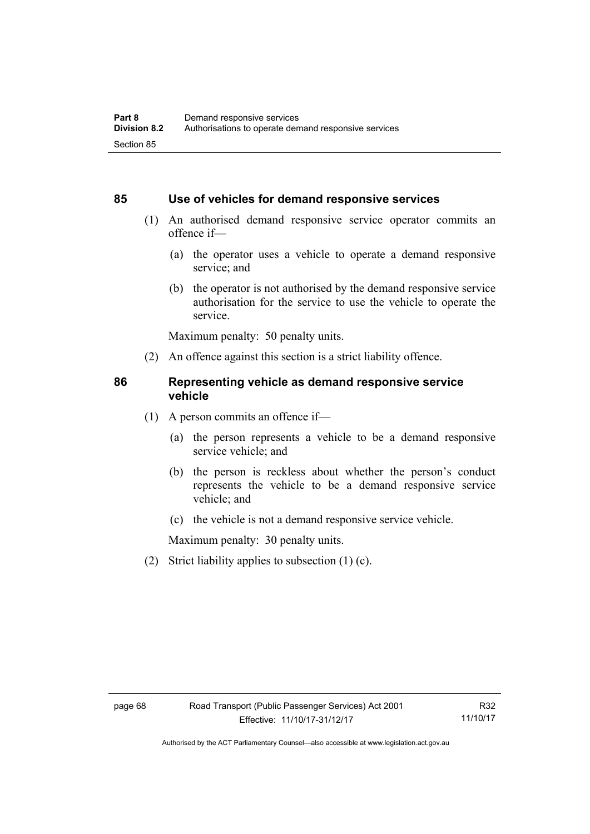### **85 Use of vehicles for demand responsive services**

- (1) An authorised demand responsive service operator commits an offence if—
	- (a) the operator uses a vehicle to operate a demand responsive service; and
	- (b) the operator is not authorised by the demand responsive service authorisation for the service to use the vehicle to operate the service.

Maximum penalty: 50 penalty units.

(2) An offence against this section is a strict liability offence.

#### **86 Representing vehicle as demand responsive service vehicle**

- (1) A person commits an offence if—
	- (a) the person represents a vehicle to be a demand responsive service vehicle; and
	- (b) the person is reckless about whether the person's conduct represents the vehicle to be a demand responsive service vehicle; and
	- (c) the vehicle is not a demand responsive service vehicle.

Maximum penalty: 30 penalty units.

(2) Strict liability applies to subsection (1) (c).

Authorised by the ACT Parliamentary Counsel—also accessible at www.legislation.act.gov.au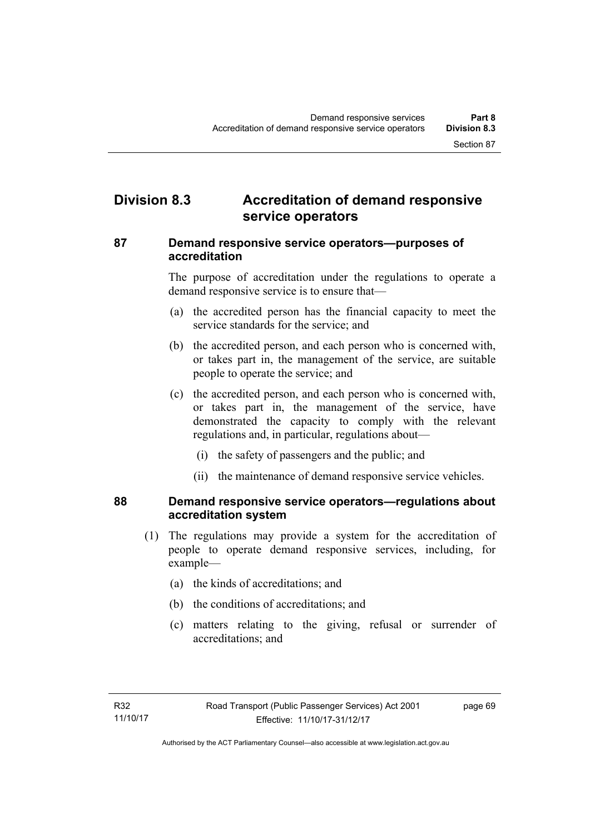# **Division 8.3 Accreditation of demand responsive service operators**

# **87 Demand responsive service operators—purposes of accreditation**

The purpose of accreditation under the regulations to operate a demand responsive service is to ensure that—

- (a) the accredited person has the financial capacity to meet the service standards for the service; and
- (b) the accredited person, and each person who is concerned with, or takes part in, the management of the service, are suitable people to operate the service; and
- (c) the accredited person, and each person who is concerned with, or takes part in, the management of the service, have demonstrated the capacity to comply with the relevant regulations and, in particular, regulations about—
	- (i) the safety of passengers and the public; and
	- (ii) the maintenance of demand responsive service vehicles.

# **88 Demand responsive service operators—regulations about accreditation system**

- (1) The regulations may provide a system for the accreditation of people to operate demand responsive services, including, for example—
	- (a) the kinds of accreditations; and
	- (b) the conditions of accreditations; and
	- (c) matters relating to the giving, refusal or surrender of accreditations; and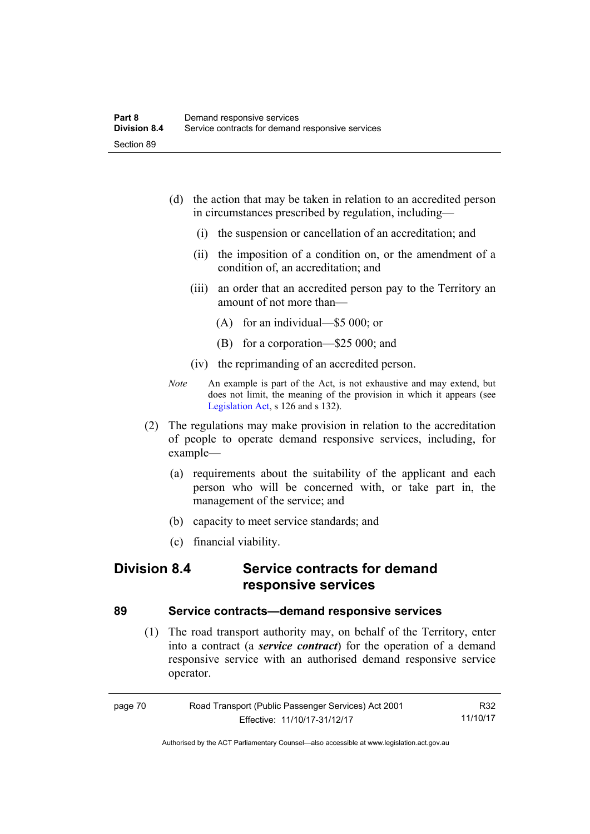- (d) the action that may be taken in relation to an accredited person in circumstances prescribed by regulation, including—
	- (i) the suspension or cancellation of an accreditation; and
	- (ii) the imposition of a condition on, or the amendment of a condition of, an accreditation; and
	- (iii) an order that an accredited person pay to the Territory an amount of not more than—
		- (A) for an individual—\$5 000; or
		- (B) for a corporation—\$25 000; and
	- (iv) the reprimanding of an accredited person.
- *Note* An example is part of the Act, is not exhaustive and may extend, but does not limit, the meaning of the provision in which it appears (see [Legislation Act,](http://www.legislation.act.gov.au/a/2001-14) s 126 and s 132).
- (2) The regulations may make provision in relation to the accreditation of people to operate demand responsive services, including, for example—
	- (a) requirements about the suitability of the applicant and each person who will be concerned with, or take part in, the management of the service; and
	- (b) capacity to meet service standards; and
	- (c) financial viability.

# **Division 8.4 Service contracts for demand responsive services**

# **89 Service contracts—demand responsive services**

 (1) The road transport authority may, on behalf of the Territory, enter into a contract (a *service contract*) for the operation of a demand responsive service with an authorised demand responsive service operator.

| page 70 | Road Transport (Public Passenger Services) Act 2001 | R32      |
|---------|-----------------------------------------------------|----------|
|         | Effective: 11/10/17-31/12/17                        | 11/10/17 |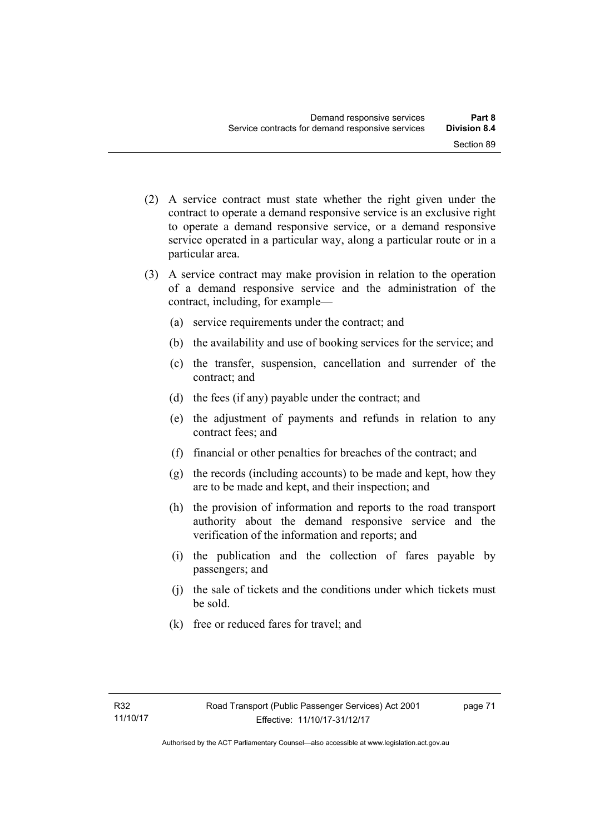- (2) A service contract must state whether the right given under the contract to operate a demand responsive service is an exclusive right to operate a demand responsive service, or a demand responsive service operated in a particular way, along a particular route or in a particular area.
- (3) A service contract may make provision in relation to the operation of a demand responsive service and the administration of the contract, including, for example—
	- (a) service requirements under the contract; and
	- (b) the availability and use of booking services for the service; and
	- (c) the transfer, suspension, cancellation and surrender of the contract; and
	- (d) the fees (if any) payable under the contract; and
	- (e) the adjustment of payments and refunds in relation to any contract fees; and
	- (f) financial or other penalties for breaches of the contract; and
	- (g) the records (including accounts) to be made and kept, how they are to be made and kept, and their inspection; and
	- (h) the provision of information and reports to the road transport authority about the demand responsive service and the verification of the information and reports; and
	- (i) the publication and the collection of fares payable by passengers; and
	- (j) the sale of tickets and the conditions under which tickets must be sold.
	- (k) free or reduced fares for travel; and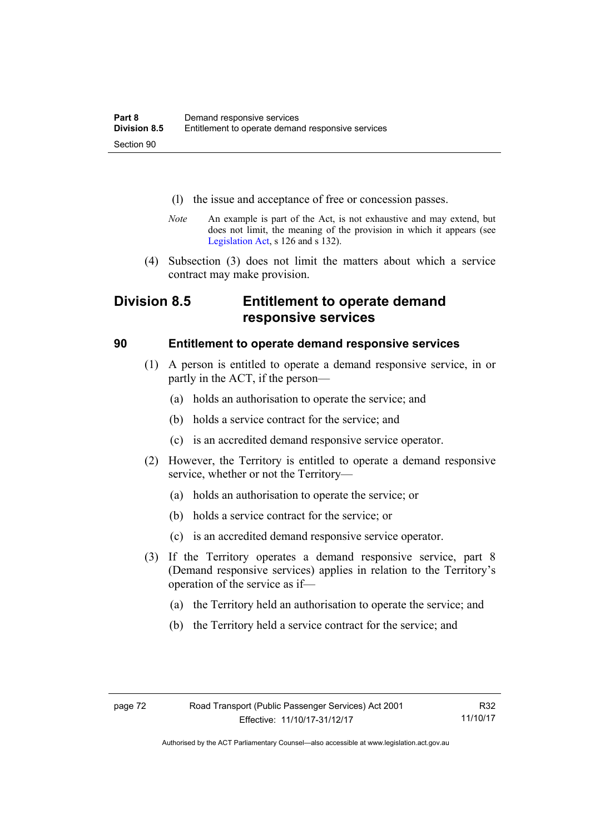- (l) the issue and acceptance of free or concession passes.
- *Note* An example is part of the Act, is not exhaustive and may extend, but does not limit, the meaning of the provision in which it appears (see [Legislation Act,](http://www.legislation.act.gov.au/a/2001-14) s 126 and s 132).
- (4) Subsection (3) does not limit the matters about which a service contract may make provision.

# **Division 8.5 Entitlement to operate demand responsive services**

# **90 Entitlement to operate demand responsive services**

- (1) A person is entitled to operate a demand responsive service, in or partly in the ACT, if the person—
	- (a) holds an authorisation to operate the service; and
	- (b) holds a service contract for the service; and
	- (c) is an accredited demand responsive service operator.
- (2) However, the Territory is entitled to operate a demand responsive service, whether or not the Territory—
	- (a) holds an authorisation to operate the service; or
	- (b) holds a service contract for the service; or
	- (c) is an accredited demand responsive service operator.
- (3) If the Territory operates a demand responsive service, part 8 (Demand responsive services) applies in relation to the Territory's operation of the service as if—
	- (a) the Territory held an authorisation to operate the service; and
	- (b) the Territory held a service contract for the service; and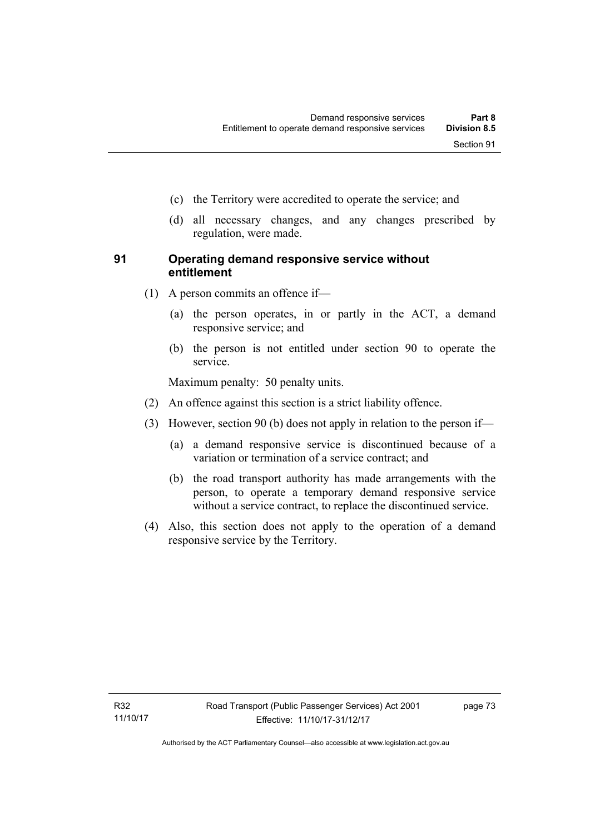- (c) the Territory were accredited to operate the service; and
- (d) all necessary changes, and any changes prescribed by regulation, were made.

# **91 Operating demand responsive service without entitlement**

- (1) A person commits an offence if—
	- (a) the person operates, in or partly in the ACT, a demand responsive service; and
	- (b) the person is not entitled under section 90 to operate the service.

Maximum penalty: 50 penalty units.

- (2) An offence against this section is a strict liability offence.
- (3) However, section 90 (b) does not apply in relation to the person if—
	- (a) a demand responsive service is discontinued because of a variation or termination of a service contract; and
	- (b) the road transport authority has made arrangements with the person, to operate a temporary demand responsive service without a service contract, to replace the discontinued service.
- (4) Also, this section does not apply to the operation of a demand responsive service by the Territory.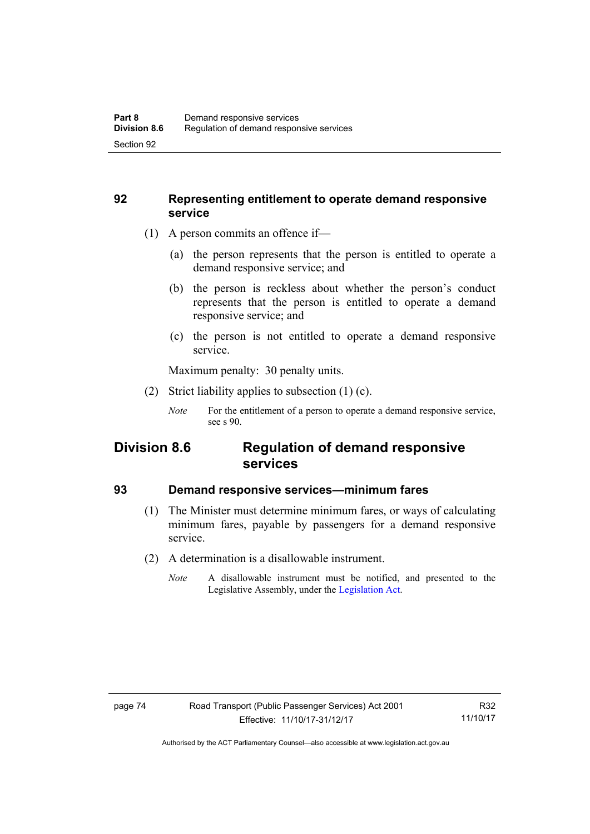# **92 Representing entitlement to operate demand responsive service**

- (1) A person commits an offence if—
	- (a) the person represents that the person is entitled to operate a demand responsive service; and
	- (b) the person is reckless about whether the person's conduct represents that the person is entitled to operate a demand responsive service; and
	- (c) the person is not entitled to operate a demand responsive service.

Maximum penalty: 30 penalty units.

- (2) Strict liability applies to subsection (1) (c).
	- *Note* For the entitlement of a person to operate a demand responsive service, see s 90.

# **Division 8.6 Regulation of demand responsive services**

# **93 Demand responsive services—minimum fares**

- (1) The Minister must determine minimum fares, or ways of calculating minimum fares, payable by passengers for a demand responsive service.
- (2) A determination is a disallowable instrument.
	- *Note* A disallowable instrument must be notified, and presented to the Legislative Assembly, under the [Legislation Act.](http://www.legislation.act.gov.au/a/2001-14)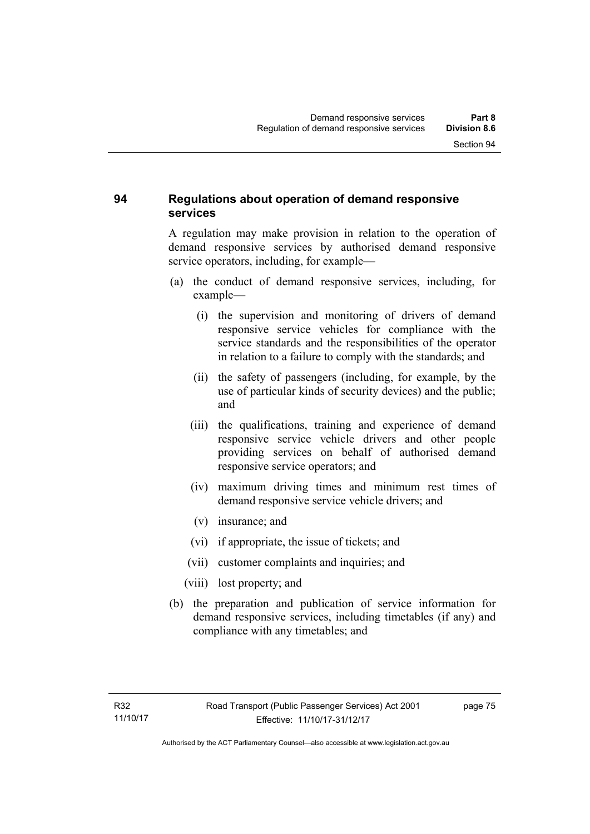# **94 Regulations about operation of demand responsive services**

A regulation may make provision in relation to the operation of demand responsive services by authorised demand responsive service operators, including, for example—

- (a) the conduct of demand responsive services, including, for example—
	- (i) the supervision and monitoring of drivers of demand responsive service vehicles for compliance with the service standards and the responsibilities of the operator in relation to a failure to comply with the standards; and
	- (ii) the safety of passengers (including, for example, by the use of particular kinds of security devices) and the public; and
	- (iii) the qualifications, training and experience of demand responsive service vehicle drivers and other people providing services on behalf of authorised demand responsive service operators; and
	- (iv) maximum driving times and minimum rest times of demand responsive service vehicle drivers; and
	- (v) insurance; and
	- (vi) if appropriate, the issue of tickets; and
	- (vii) customer complaints and inquiries; and
	- (viii) lost property; and
- (b) the preparation and publication of service information for demand responsive services, including timetables (if any) and compliance with any timetables; and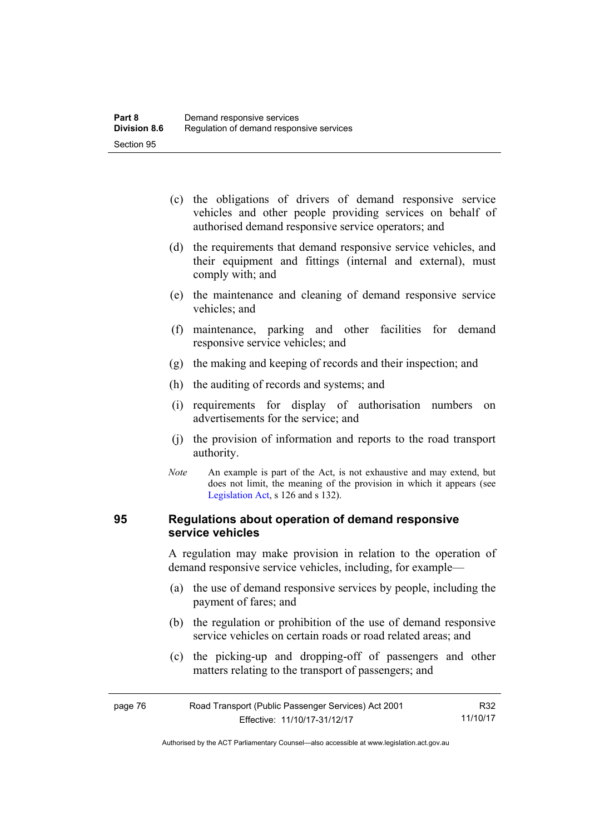- (c) the obligations of drivers of demand responsive service vehicles and other people providing services on behalf of authorised demand responsive service operators; and
- (d) the requirements that demand responsive service vehicles, and their equipment and fittings (internal and external), must comply with; and
- (e) the maintenance and cleaning of demand responsive service vehicles; and
- (f) maintenance, parking and other facilities for demand responsive service vehicles; and
- (g) the making and keeping of records and their inspection; and
- (h) the auditing of records and systems; and
- (i) requirements for display of authorisation numbers on advertisements for the service; and
- (j) the provision of information and reports to the road transport authority.
- *Note* An example is part of the Act, is not exhaustive and may extend, but does not limit, the meaning of the provision in which it appears (see [Legislation Act,](http://www.legislation.act.gov.au/a/2001-14) s 126 and s 132).

# **95 Regulations about operation of demand responsive service vehicles**

A regulation may make provision in relation to the operation of demand responsive service vehicles, including, for example—

- (a) the use of demand responsive services by people, including the payment of fares; and
- (b) the regulation or prohibition of the use of demand responsive service vehicles on certain roads or road related areas; and
- (c) the picking-up and dropping-off of passengers and other matters relating to the transport of passengers; and

| page 76 | Road Transport (Public Passenger Services) Act 2001 | R32      |
|---------|-----------------------------------------------------|----------|
|         | Effective: 11/10/17-31/12/17                        | 11/10/17 |

Authorised by the ACT Parliamentary Counsel—also accessible at www.legislation.act.gov.au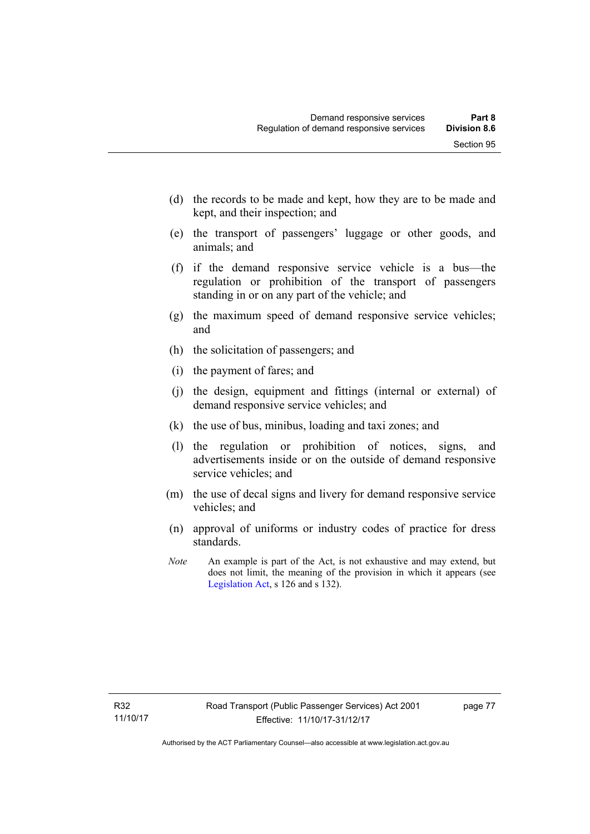- (d) the records to be made and kept, how they are to be made and kept, and their inspection; and
- (e) the transport of passengers' luggage or other goods, and animals; and
- (f) if the demand responsive service vehicle is a bus—the regulation or prohibition of the transport of passengers standing in or on any part of the vehicle; and
- (g) the maximum speed of demand responsive service vehicles; and
- (h) the solicitation of passengers; and
- (i) the payment of fares; and
- (j) the design, equipment and fittings (internal or external) of demand responsive service vehicles; and
- (k) the use of bus, minibus, loading and taxi zones; and
- (l) the regulation or prohibition of notices, signs, and advertisements inside or on the outside of demand responsive service vehicles; and
- (m) the use of decal signs and livery for demand responsive service vehicles; and
- (n) approval of uniforms or industry codes of practice for dress standards.
- *Note* An example is part of the Act, is not exhaustive and may extend, but does not limit, the meaning of the provision in which it appears (see [Legislation Act,](http://www.legislation.act.gov.au/a/2001-14) s 126 and s 132).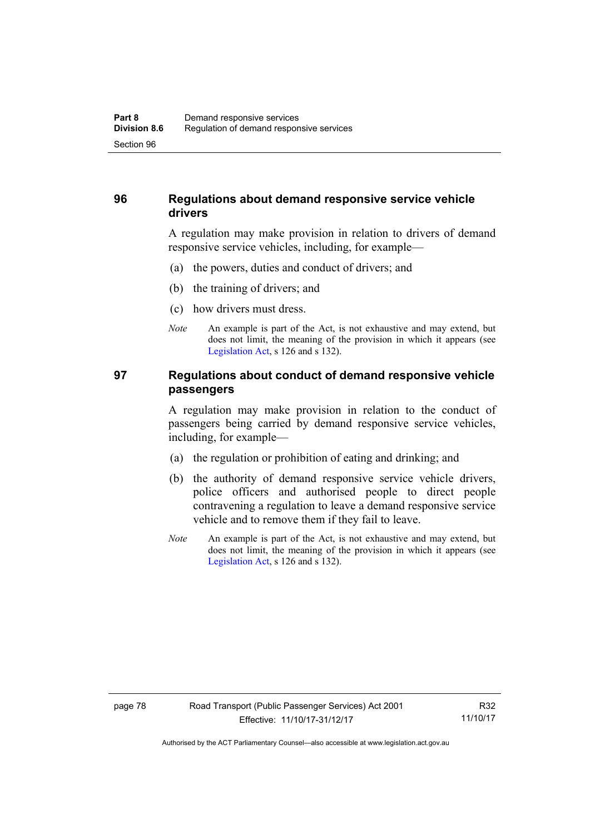# **96 Regulations about demand responsive service vehicle drivers**

A regulation may make provision in relation to drivers of demand responsive service vehicles, including, for example—

- (a) the powers, duties and conduct of drivers; and
- (b) the training of drivers; and
- (c) how drivers must dress.
- *Note* An example is part of the Act, is not exhaustive and may extend, but does not limit, the meaning of the provision in which it appears (see [Legislation Act,](http://www.legislation.act.gov.au/a/2001-14) s 126 and s 132).

# **97 Regulations about conduct of demand responsive vehicle passengers**

A regulation may make provision in relation to the conduct of passengers being carried by demand responsive service vehicles, including, for example—

- (a) the regulation or prohibition of eating and drinking; and
- (b) the authority of demand responsive service vehicle drivers, police officers and authorised people to direct people contravening a regulation to leave a demand responsive service vehicle and to remove them if they fail to leave.
- *Note* An example is part of the Act, is not exhaustive and may extend, but does not limit, the meaning of the provision in which it appears (see [Legislation Act,](http://www.legislation.act.gov.au/a/2001-14) s 126 and s 132).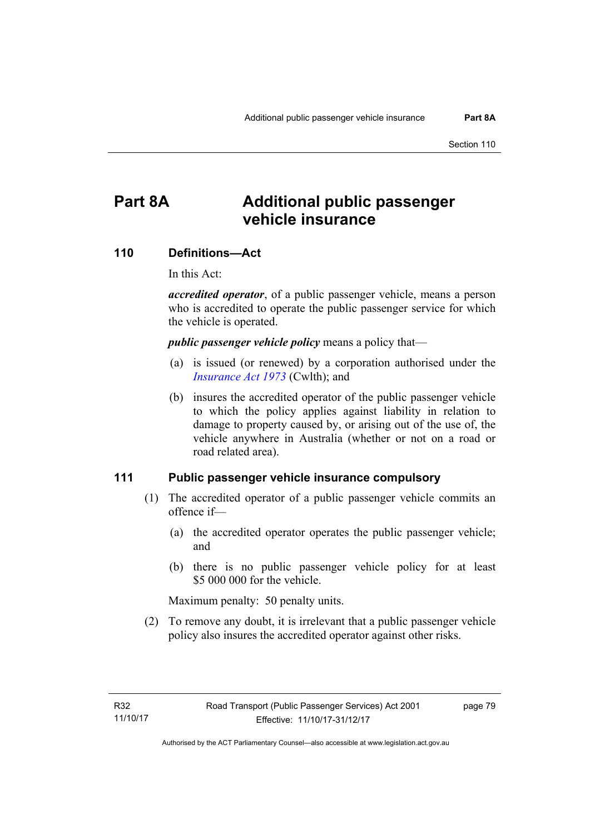# **Part 8A Additional public passenger vehicle insurance**

#### **110 Definitions—Act**

In this Act:

*accredited operator*, of a public passenger vehicle, means a person who is accredited to operate the public passenger service for which the vehicle is operated.

*public passenger vehicle policy* means a policy that—

- (a) is issued (or renewed) by a corporation authorised under the *[Insurance Act 1973](http://www.comlaw.gov.au/Details/C2013C00019)* (Cwlth); and
- (b) insures the accredited operator of the public passenger vehicle to which the policy applies against liability in relation to damage to property caused by, or arising out of the use of, the vehicle anywhere in Australia (whether or not on a road or road related area).

#### **111 Public passenger vehicle insurance compulsory**

- (1) The accredited operator of a public passenger vehicle commits an offence if—
	- (a) the accredited operator operates the public passenger vehicle; and
	- (b) there is no public passenger vehicle policy for at least \$5 000 000 for the vehicle.

Maximum penalty: 50 penalty units.

 (2) To remove any doubt, it is irrelevant that a public passenger vehicle policy also insures the accredited operator against other risks.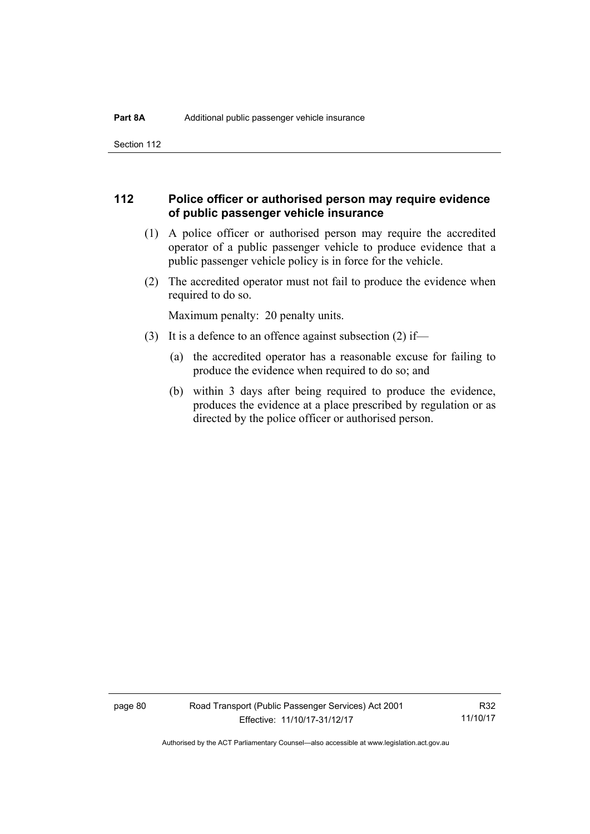Section 112

# **112 Police officer or authorised person may require evidence of public passenger vehicle insurance**

- (1) A police officer or authorised person may require the accredited operator of a public passenger vehicle to produce evidence that a public passenger vehicle policy is in force for the vehicle.
- (2) The accredited operator must not fail to produce the evidence when required to do so.

Maximum penalty: 20 penalty units.

- (3) It is a defence to an offence against subsection (2) if—
	- (a) the accredited operator has a reasonable excuse for failing to produce the evidence when required to do so; and
	- (b) within 3 days after being required to produce the evidence, produces the evidence at a place prescribed by regulation or as directed by the police officer or authorised person.

R32 11/10/17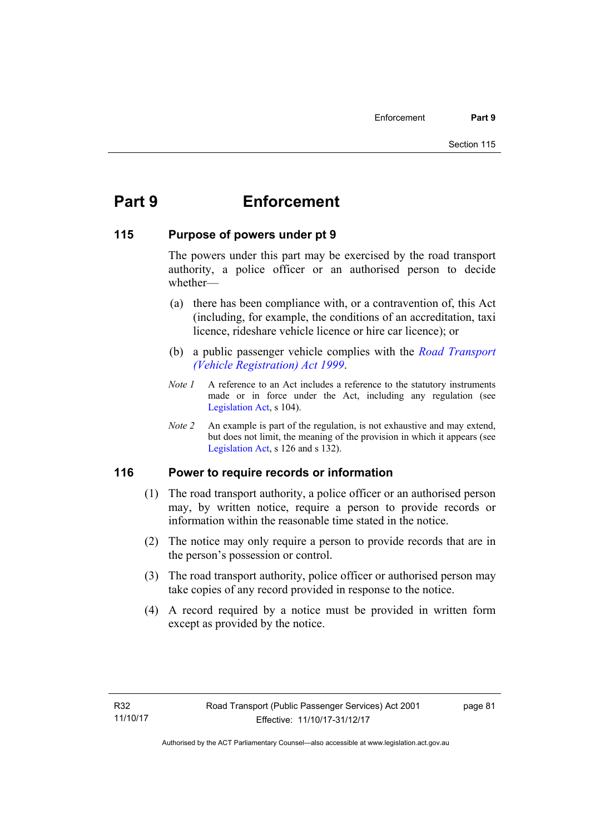# **Part 9 Enforcement**

# **115 Purpose of powers under pt 9**

The powers under this part may be exercised by the road transport authority, a police officer or an authorised person to decide whether—

- (a) there has been compliance with, or a contravention of, this Act (including, for example, the conditions of an accreditation, taxi licence, rideshare vehicle licence or hire car licence); or
- (b) a public passenger vehicle complies with the *[Road Transport](http://www.legislation.act.gov.au/a/1999-81)  [\(Vehicle Registration\) Act 1999](http://www.legislation.act.gov.au/a/1999-81)*.
- *Note 1* A reference to an Act includes a reference to the statutory instruments made or in force under the Act, including any regulation (see [Legislation Act,](http://www.legislation.act.gov.au/a/2001-14) s 104).
- *Note 2* An example is part of the regulation, is not exhaustive and may extend, but does not limit, the meaning of the provision in which it appears (see [Legislation Act,](http://www.legislation.act.gov.au/a/2001-14) s 126 and s 132).

# **116 Power to require records or information**

- (1) The road transport authority, a police officer or an authorised person may, by written notice, require a person to provide records or information within the reasonable time stated in the notice.
- (2) The notice may only require a person to provide records that are in the person's possession or control.
- (3) The road transport authority, police officer or authorised person may take copies of any record provided in response to the notice.
- (4) A record required by a notice must be provided in written form except as provided by the notice.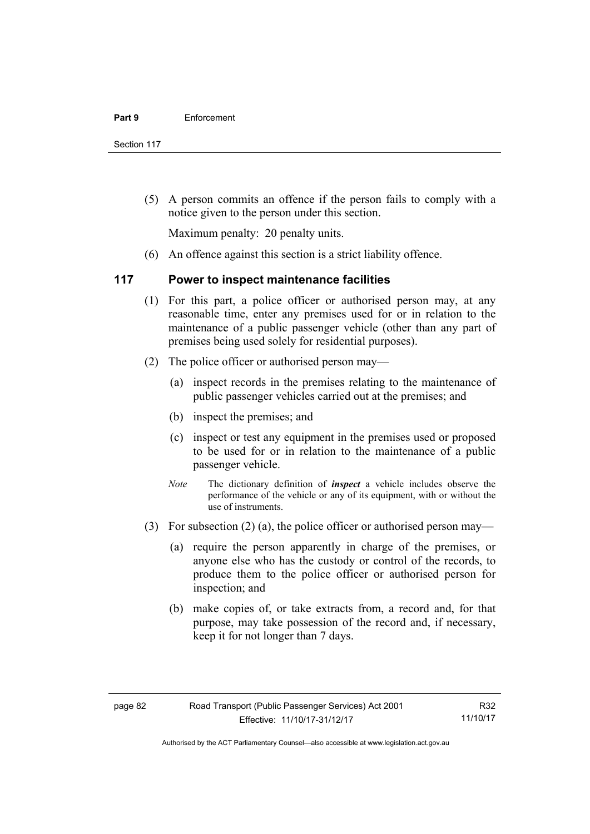Section 117

 (5) A person commits an offence if the person fails to comply with a notice given to the person under this section.

Maximum penalty: 20 penalty units.

(6) An offence against this section is a strict liability offence.

# **117 Power to inspect maintenance facilities**

- (1) For this part, a police officer or authorised person may, at any reasonable time, enter any premises used for or in relation to the maintenance of a public passenger vehicle (other than any part of premises being used solely for residential purposes).
- (2) The police officer or authorised person may—
	- (a) inspect records in the premises relating to the maintenance of public passenger vehicles carried out at the premises; and
	- (b) inspect the premises; and
	- (c) inspect or test any equipment in the premises used or proposed to be used for or in relation to the maintenance of a public passenger vehicle.
	- *Note* The dictionary definition of *inspect* a vehicle includes observe the performance of the vehicle or any of its equipment, with or without the use of instruments.
- (3) For subsection (2) (a), the police officer or authorised person may—
	- (a) require the person apparently in charge of the premises, or anyone else who has the custody or control of the records, to produce them to the police officer or authorised person for inspection; and
	- (b) make copies of, or take extracts from, a record and, for that purpose, may take possession of the record and, if necessary, keep it for not longer than 7 days.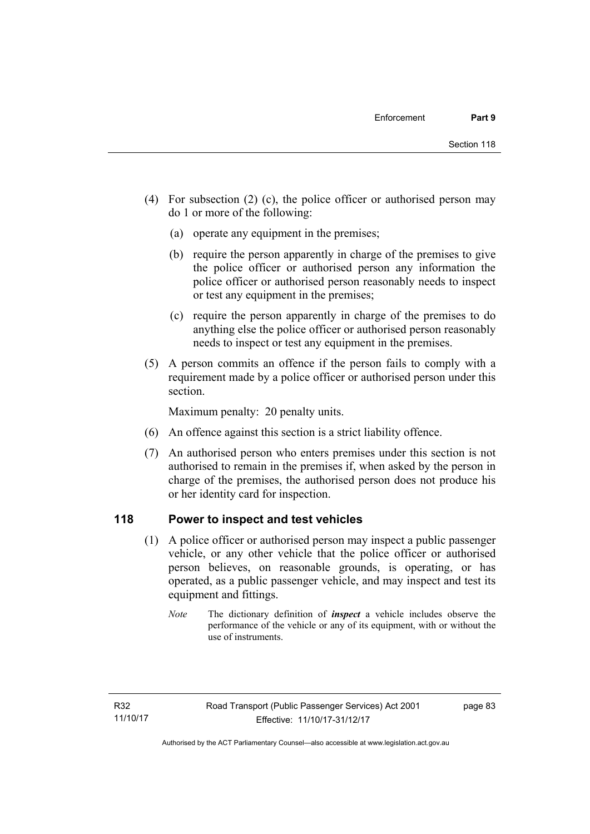- (4) For subsection (2) (c), the police officer or authorised person may do 1 or more of the following:
	- (a) operate any equipment in the premises;
	- (b) require the person apparently in charge of the premises to give the police officer or authorised person any information the police officer or authorised person reasonably needs to inspect or test any equipment in the premises;
	- (c) require the person apparently in charge of the premises to do anything else the police officer or authorised person reasonably needs to inspect or test any equipment in the premises.
- (5) A person commits an offence if the person fails to comply with a requirement made by a police officer or authorised person under this section.

Maximum penalty: 20 penalty units.

- (6) An offence against this section is a strict liability offence.
- (7) An authorised person who enters premises under this section is not authorised to remain in the premises if, when asked by the person in charge of the premises, the authorised person does not produce his or her identity card for inspection.

# **118 Power to inspect and test vehicles**

- (1) A police officer or authorised person may inspect a public passenger vehicle, or any other vehicle that the police officer or authorised person believes, on reasonable grounds, is operating, or has operated, as a public passenger vehicle, and may inspect and test its equipment and fittings.
	- *Note* The dictionary definition of *inspect* a vehicle includes observe the performance of the vehicle or any of its equipment, with or without the use of instruments.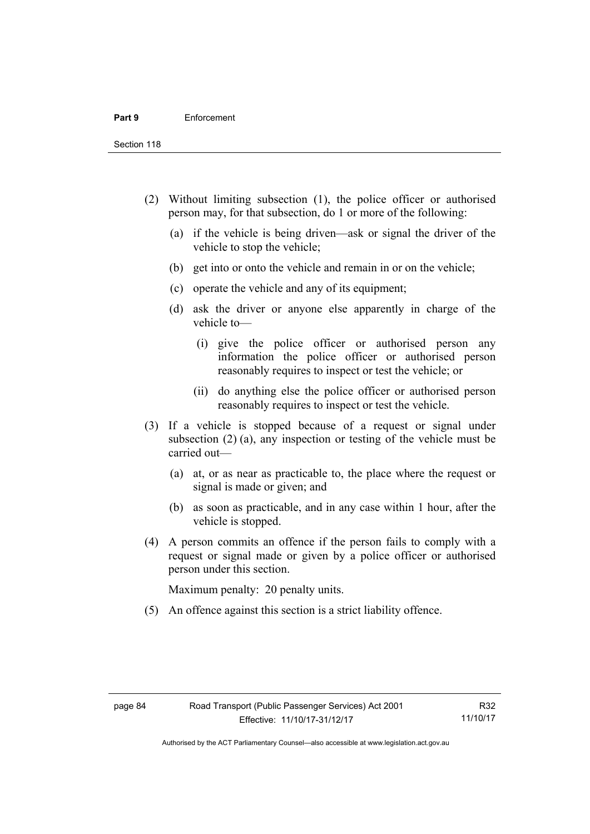Section 118

- (2) Without limiting subsection (1), the police officer or authorised person may, for that subsection, do 1 or more of the following:
	- (a) if the vehicle is being driven—ask or signal the driver of the vehicle to stop the vehicle;
	- (b) get into or onto the vehicle and remain in or on the vehicle;
	- (c) operate the vehicle and any of its equipment;
	- (d) ask the driver or anyone else apparently in charge of the vehicle to—
		- (i) give the police officer or authorised person any information the police officer or authorised person reasonably requires to inspect or test the vehicle; or
		- (ii) do anything else the police officer or authorised person reasonably requires to inspect or test the vehicle.
- (3) If a vehicle is stopped because of a request or signal under subsection (2) (a), any inspection or testing of the vehicle must be carried out—
	- (a) at, or as near as practicable to, the place where the request or signal is made or given; and
	- (b) as soon as practicable, and in any case within 1 hour, after the vehicle is stopped.
- (4) A person commits an offence if the person fails to comply with a request or signal made or given by a police officer or authorised person under this section.

Maximum penalty: 20 penalty units.

(5) An offence against this section is a strict liability offence.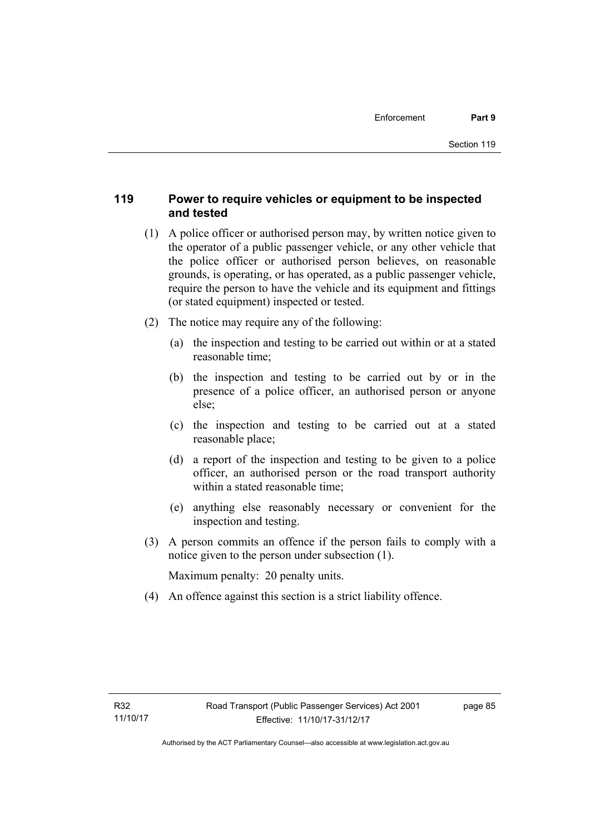# **119 Power to require vehicles or equipment to be inspected and tested**

- (1) A police officer or authorised person may, by written notice given to the operator of a public passenger vehicle, or any other vehicle that the police officer or authorised person believes, on reasonable grounds, is operating, or has operated, as a public passenger vehicle, require the person to have the vehicle and its equipment and fittings (or stated equipment) inspected or tested.
- (2) The notice may require any of the following:
	- (a) the inspection and testing to be carried out within or at a stated reasonable time;
	- (b) the inspection and testing to be carried out by or in the presence of a police officer, an authorised person or anyone else;
	- (c) the inspection and testing to be carried out at a stated reasonable place;
	- (d) a report of the inspection and testing to be given to a police officer, an authorised person or the road transport authority within a stated reasonable time;
	- (e) anything else reasonably necessary or convenient for the inspection and testing.
- (3) A person commits an offence if the person fails to comply with a notice given to the person under subsection (1).

Maximum penalty: 20 penalty units.

(4) An offence against this section is a strict liability offence.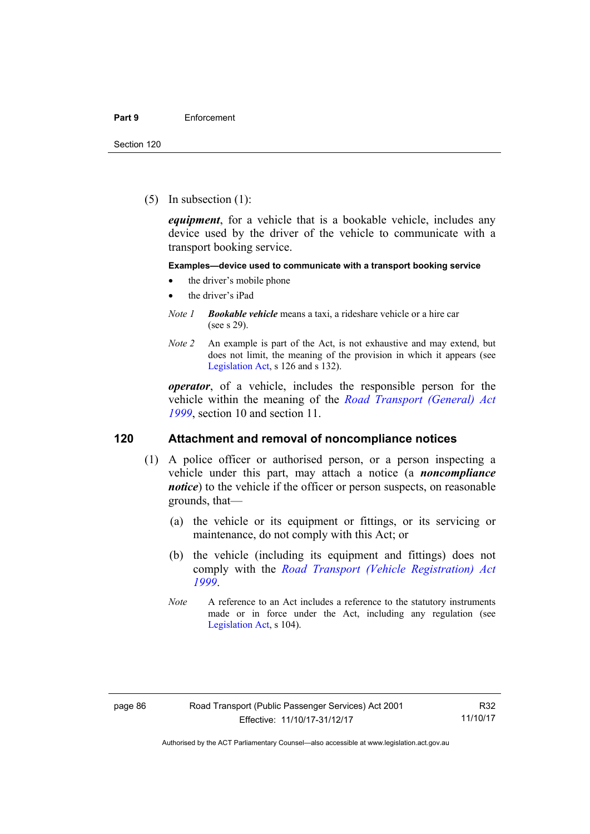(5) In subsection (1):

*equipment*, for a vehicle that is a bookable vehicle, includes any device used by the driver of the vehicle to communicate with a transport booking service.

#### **Examples—device used to communicate with a transport booking service**

- the driver's mobile phone
- the driver's iPad
- *Note 1 Bookable vehicle* means a taxi, a rideshare vehicle or a hire car (see s 29).
- *Note 2* An example is part of the Act, is not exhaustive and may extend, but does not limit, the meaning of the provision in which it appears (see [Legislation Act,](http://www.legislation.act.gov.au/a/2001-14) s 126 and s 132).

*operator*, of a vehicle, includes the responsible person for the vehicle within the meaning of the *[Road Transport \(General\) Act](http://www.legislation.act.gov.au/a/1999-77)  [1999](http://www.legislation.act.gov.au/a/1999-77)*, section 10 and section 11.

#### **120 Attachment and removal of noncompliance notices**

- (1) A police officer or authorised person, or a person inspecting a vehicle under this part, may attach a notice (a *noncompliance notice*) to the vehicle if the officer or person suspects, on reasonable grounds, that—
	- (a) the vehicle or its equipment or fittings, or its servicing or maintenance, do not comply with this Act; or
	- (b) the vehicle (including its equipment and fittings) does not comply with the *[Road Transport \(Vehicle Registration\) Act](http://www.legislation.act.gov.au/a/1999-81)  [1999](http://www.legislation.act.gov.au/a/1999-81)*.
	- *Note* A reference to an Act includes a reference to the statutory instruments made or in force under the Act, including any regulation (see [Legislation Act,](http://www.legislation.act.gov.au/a/2001-14) s 104).

R32 11/10/17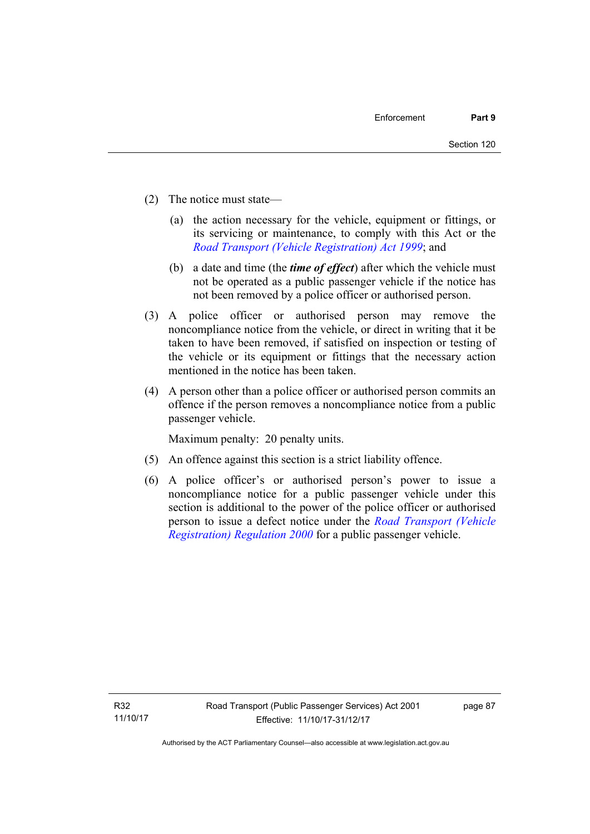- (2) The notice must state—
	- (a) the action necessary for the vehicle, equipment or fittings, or its servicing or maintenance, to comply with this Act or the *[Road Transport \(Vehicle Registration\) Act 1999](http://www.legislation.act.gov.au/a/1999-81)*; and
	- (b) a date and time (the *time of effect*) after which the vehicle must not be operated as a public passenger vehicle if the notice has not been removed by a police officer or authorised person.
- (3) A police officer or authorised person may remove the noncompliance notice from the vehicle, or direct in writing that it be taken to have been removed, if satisfied on inspection or testing of the vehicle or its equipment or fittings that the necessary action mentioned in the notice has been taken.
- (4) A person other than a police officer or authorised person commits an offence if the person removes a noncompliance notice from a public passenger vehicle.

Maximum penalty: 20 penalty units.

- (5) An offence against this section is a strict liability offence.
- (6) A police officer's or authorised person's power to issue a noncompliance notice for a public passenger vehicle under this section is additional to the power of the police officer or authorised person to issue a defect notice under the *[Road Transport \(Vehicle](http://www.legislation.act.gov.au/sl/2000-12)  [Registration\) Regulation 2000](http://www.legislation.act.gov.au/sl/2000-12)* for a public passenger vehicle.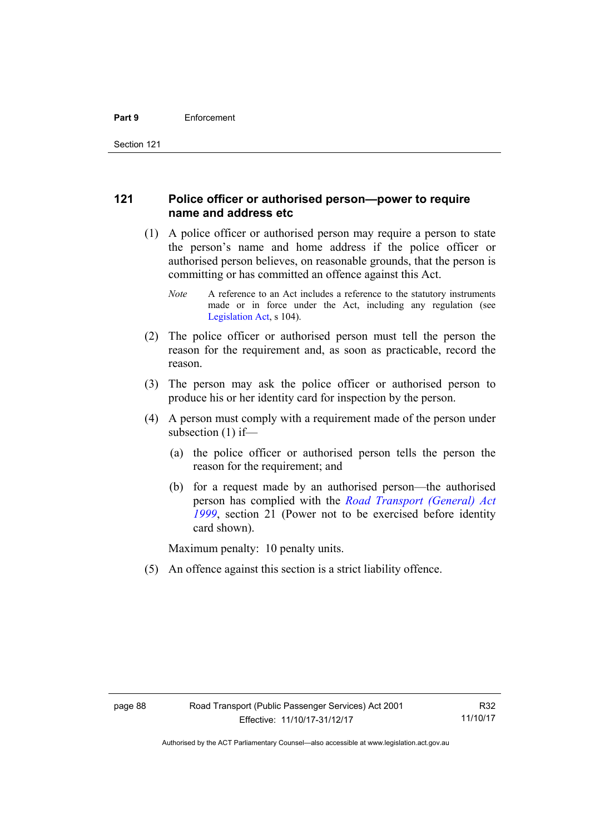# **121 Police officer or authorised person—power to require name and address etc**

- (1) A police officer or authorised person may require a person to state the person's name and home address if the police officer or authorised person believes, on reasonable grounds, that the person is committing or has committed an offence against this Act.
	- *Note* A reference to an Act includes a reference to the statutory instruments made or in force under the Act, including any regulation (see [Legislation Act,](http://www.legislation.act.gov.au/a/2001-14) s 104).
- (2) The police officer or authorised person must tell the person the reason for the requirement and, as soon as practicable, record the reason.
- (3) The person may ask the police officer or authorised person to produce his or her identity card for inspection by the person.
- (4) A person must comply with a requirement made of the person under subsection (1) if—
	- (a) the police officer or authorised person tells the person the reason for the requirement; and
	- (b) for a request made by an authorised person—the authorised person has complied with the *[Road Transport \(General\) Act](http://www.legislation.act.gov.au/a/1999-77)  [1999](http://www.legislation.act.gov.au/a/1999-77)*, section 21 (Power not to be exercised before identity card shown).

Maximum penalty: 10 penalty units.

(5) An offence against this section is a strict liability offence.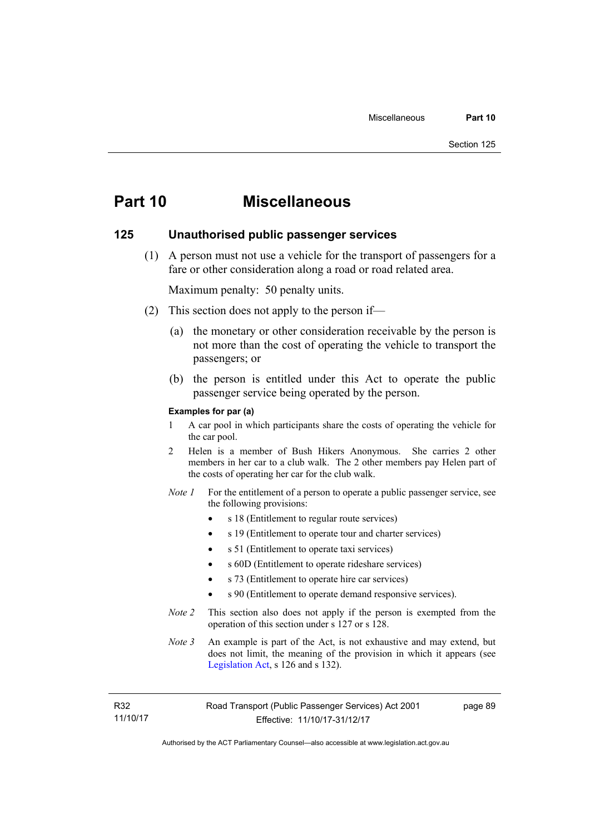# **Part 10 Miscellaneous**

#### **125 Unauthorised public passenger services**

 (1) A person must not use a vehicle for the transport of passengers for a fare or other consideration along a road or road related area.

Maximum penalty: 50 penalty units.

- (2) This section does not apply to the person if—
	- (a) the monetary or other consideration receivable by the person is not more than the cost of operating the vehicle to transport the passengers; or
	- (b) the person is entitled under this Act to operate the public passenger service being operated by the person.

#### **Examples for par (a)**

- 1 A car pool in which participants share the costs of operating the vehicle for the car pool.
- 2 Helen is a member of Bush Hikers Anonymous. She carries 2 other members in her car to a club walk. The 2 other members pay Helen part of the costs of operating her car for the club walk.
- *Note 1* For the entitlement of a person to operate a public passenger service, see the following provisions:
	- s 18 (Entitlement to regular route services)
	- s 19 (Entitlement to operate tour and charter services)
	- s 51 (Entitlement to operate taxi services)
	- s 60D (Entitlement to operate rideshare services)
	- s 73 (Entitlement to operate hire car services)
	- s 90 (Entitlement to operate demand responsive services).
- *Note 2* This section also does not apply if the person is exempted from the operation of this section under s 127 or s 128.
- *Note 3* An example is part of the Act, is not exhaustive and may extend, but does not limit, the meaning of the provision in which it appears (see [Legislation Act,](http://www.legislation.act.gov.au/a/2001-14) s 126 and s 132).

R32 11/10/17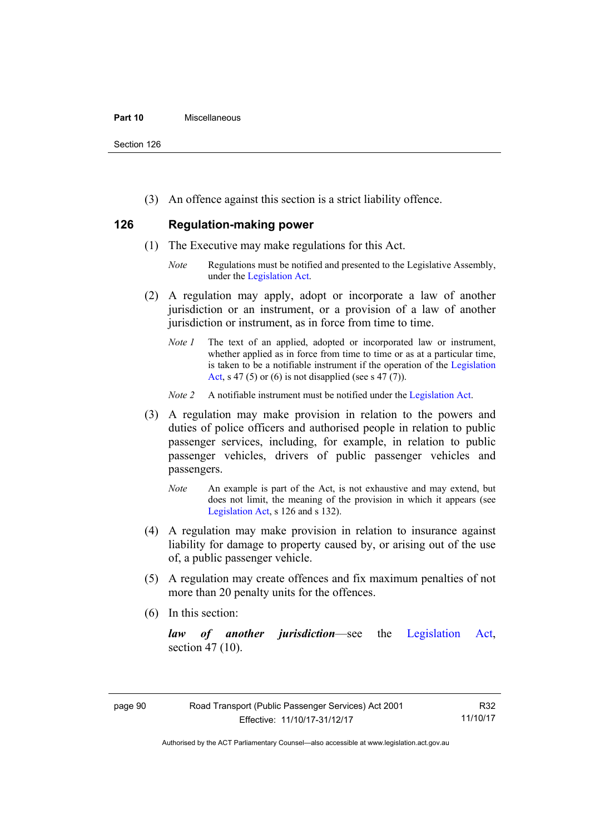#### **Part 10** Miscellaneous

Section 126

(3) An offence against this section is a strict liability offence.

# **126 Regulation-making power**

- (1) The Executive may make regulations for this Act.
	- *Note* Regulations must be notified and presented to the Legislative Assembly, under the [Legislation Act.](http://www.legislation.act.gov.au/a/2001-14)
- (2) A regulation may apply, adopt or incorporate a law of another jurisdiction or an instrument, or a provision of a law of another jurisdiction or instrument, as in force from time to time.
	- *Note 1* The text of an applied, adopted or incorporated law or instrument, whether applied as in force from time to time or as at a particular time, is taken to be a notifiable instrument if the operation of the [Legislation](http://www.legislation.act.gov.au/a/2001-14)  [Act](http://www.legislation.act.gov.au/a/2001-14), s 47 (5) or (6) is not disapplied (see s 47 (7)).
	- *Note 2* A notifiable instrument must be notified under the [Legislation Act](http://www.legislation.act.gov.au/a/2001-14).
- (3) A regulation may make provision in relation to the powers and duties of police officers and authorised people in relation to public passenger services, including, for example, in relation to public passenger vehicles, drivers of public passenger vehicles and passengers.
	- *Note* An example is part of the Act, is not exhaustive and may extend, but does not limit, the meaning of the provision in which it appears (see [Legislation Act,](http://www.legislation.act.gov.au/a/2001-14) s 126 and s 132).
- (4) A regulation may make provision in relation to insurance against liability for damage to property caused by, or arising out of the use of, a public passenger vehicle.
- (5) A regulation may create offences and fix maximum penalties of not more than 20 penalty units for the offences.
- (6) In this section:

*law of another jurisdiction*—see the [Legislation Act](http://www.legislation.act.gov.au/a/2001-14), section 47 (10).

Authorised by the ACT Parliamentary Counsel—also accessible at www.legislation.act.gov.au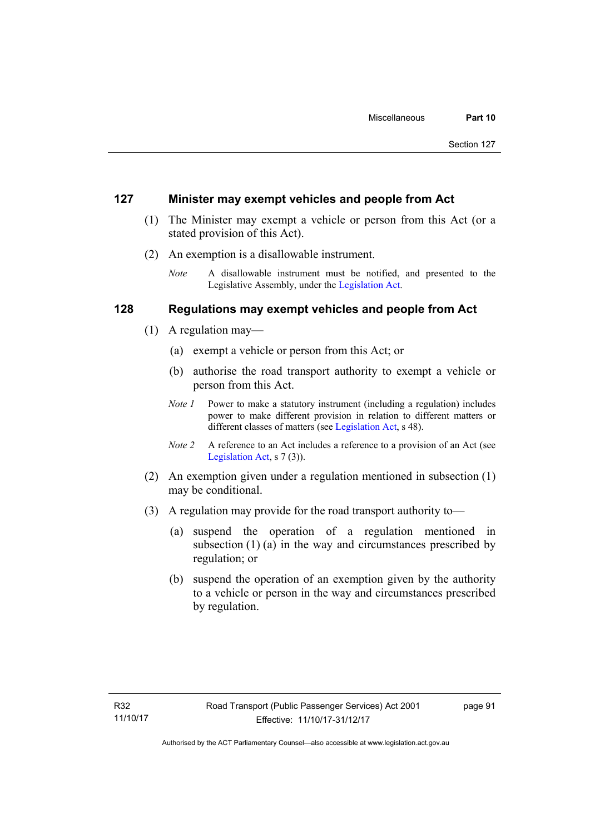#### **127 Minister may exempt vehicles and people from Act**

- (1) The Minister may exempt a vehicle or person from this Act (or a stated provision of this Act).
- (2) An exemption is a disallowable instrument.
	- *Note* A disallowable instrument must be notified, and presented to the Legislative Assembly, under the [Legislation Act.](http://www.legislation.act.gov.au/a/2001-14)

### **128 Regulations may exempt vehicles and people from Act**

- (1) A regulation may—
	- (a) exempt a vehicle or person from this Act; or
	- (b) authorise the road transport authority to exempt a vehicle or person from this Act.
	- *Note 1* Power to make a statutory instrument (including a regulation) includes power to make different provision in relation to different matters or different classes of matters (see [Legislation Act,](http://www.legislation.act.gov.au/a/2001-14) s 48).
	- *Note 2* A reference to an Act includes a reference to a provision of an Act (see [Legislation Act,](http://www.legislation.act.gov.au/a/2001-14) s 7 (3)).
- (2) An exemption given under a regulation mentioned in subsection (1) may be conditional.
- (3) A regulation may provide for the road transport authority to—
	- (a) suspend the operation of a regulation mentioned in subsection (1) (a) in the way and circumstances prescribed by regulation; or
	- (b) suspend the operation of an exemption given by the authority to a vehicle or person in the way and circumstances prescribed by regulation.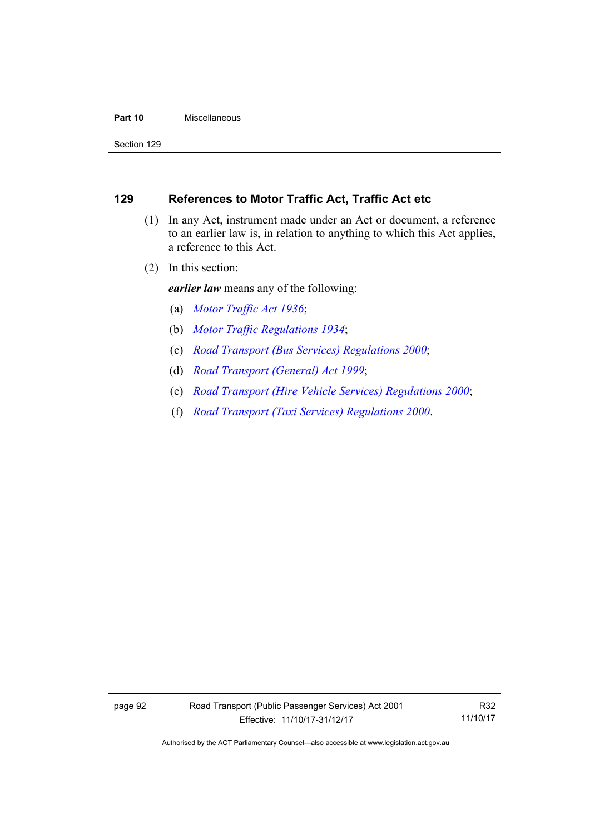#### **Part 10** Miscellaneous

Section 129

# **129 References to Motor Traffic Act, Traffic Act etc**

- (1) In any Act, instrument made under an Act or document, a reference to an earlier law is, in relation to anything to which this Act applies, a reference to this Act.
- (2) In this section:

*earlier law* means any of the following:

- (a) *[Motor Traffic Act 1936](http://www.legislation.act.gov.au/a/1936-45)*;
- (b) *[Motor Traffic Regulations 1934](http://www.legislation.act.gov.au/sl/1934-6)*;
- (c) *[Road Transport \(Bus Services\) Regulations 2000](http://www.legislation.act.gov.au/sl/2000-9)*;
- (d) *[Road Transport \(General\) Act 1999](http://www.legislation.act.gov.au/a/1999-77)*;
- (e) *[Road Transport \(Hire Vehicle Services\) Regulations 2000](http://www.legislation.act.gov.au/sl/2000-4)*;
- (f) *[Road Transport \(Taxi Services\) Regulations 2000](http://www.legislation.act.gov.au/sl/2000-5)*.

R32 11/10/17

Authorised by the ACT Parliamentary Counsel—also accessible at www.legislation.act.gov.au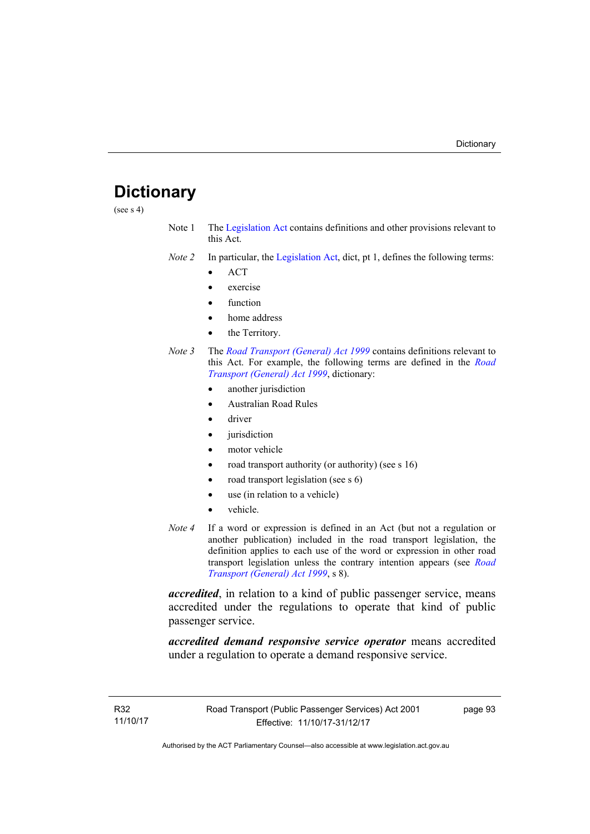# **Dictionary**

(see s 4)

- Note 1 The [Legislation Act](http://www.legislation.act.gov.au/a/2001-14) contains definitions and other provisions relevant to this Act.
- *Note 2* In particular, the [Legislation Act,](http://www.legislation.act.gov.au/a/2001-14) dict, pt 1, defines the following terms:
	- ACT
	- exercise
	- function
	- home address
	- the Territory.
- *Note 3* The *[Road Transport \(General\) Act 1999](http://www.legislation.act.gov.au/a/1999-77)* contains definitions relevant to this Act. For example, the following terms are defined in the *[Road](http://www.legislation.act.gov.au/a/1999-77)  [Transport \(General\) Act 1999](http://www.legislation.act.gov.au/a/1999-77)*, dictionary:
	- another jurisdiction
	- Australian Road Rules
	- driver
	- jurisdiction
	- motor vehicle
	- road transport authority (or authority) (see s 16)
	- road transport legislation (see s 6)
	- use (in relation to a vehicle)
	- vehicle.
- *Note 4* If a word or expression is defined in an Act (but not a regulation or another publication) included in the road transport legislation, the definition applies to each use of the word or expression in other road transport legislation unless the contrary intention appears (see *[Road](http://www.legislation.act.gov.au/a/1999-77)  [Transport \(General\) Act 1999](http://www.legislation.act.gov.au/a/1999-77)*, s 8).

*accredited*, in relation to a kind of public passenger service, means accredited under the regulations to operate that kind of public passenger service.

*accredited demand responsive service operator* means accredited under a regulation to operate a demand responsive service.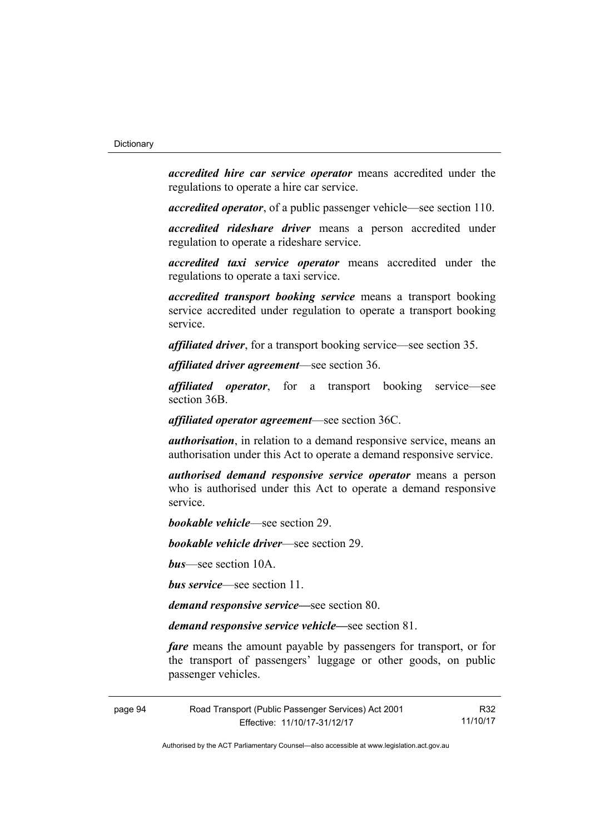*accredited hire car service operator* means accredited under the regulations to operate a hire car service.

*accredited operator*, of a public passenger vehicle—see section 110.

*accredited rideshare driver* means a person accredited under regulation to operate a rideshare service.

*accredited taxi service operator* means accredited under the regulations to operate a taxi service.

*accredited transport booking service* means a transport booking service accredited under regulation to operate a transport booking service.

*affiliated driver*, for a transport booking service—see section 35.

*affiliated driver agreement*—see section 36.

*affiliated operator*, for a transport booking service—see section 36B.

*affiliated operator agreement*—see section 36C.

*authorisation*, in relation to a demand responsive service, means an authorisation under this Act to operate a demand responsive service.

*authorised demand responsive service operator* means a person who is authorised under this Act to operate a demand responsive service.

*bookable vehicle*—see section 29.

*bookable vehicle driver*—see section 29.

*bus*—see section 10A.

*bus service*—see section 11.

*demand responsive service—*see section 80.

*demand responsive service vehicle—*see section 81.

*fare* means the amount payable by passengers for transport, or for the transport of passengers' luggage or other goods, on public passenger vehicles.

Authorised by the ACT Parliamentary Counsel—also accessible at www.legislation.act.gov.au

R32 11/10/17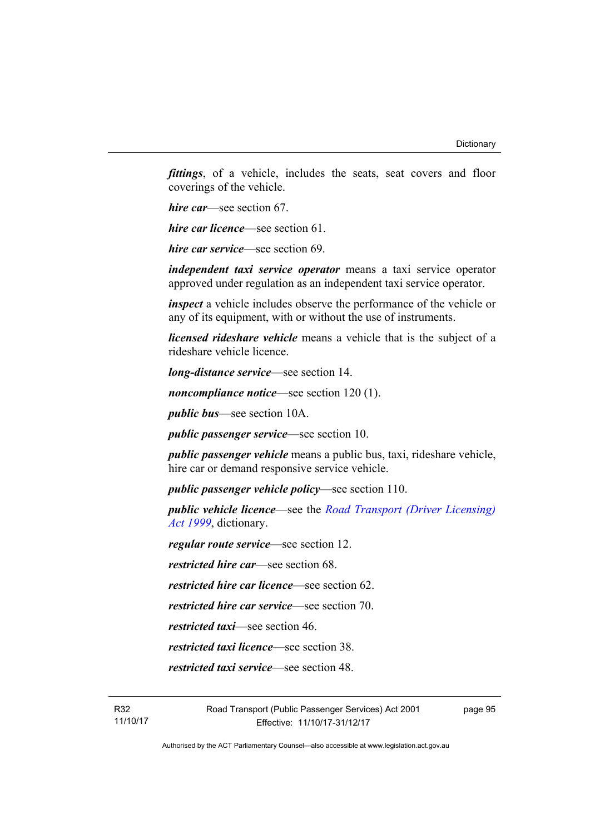*fittings*, of a vehicle, includes the seats, seat covers and floor coverings of the vehicle.

*hire car*—see section 67.

*hire car licence*—see section 61.

*hire car service*—see section 69.

*independent taxi service operator* means a taxi service operator approved under regulation as an independent taxi service operator.

*inspect* a vehicle includes observe the performance of the vehicle or any of its equipment, with or without the use of instruments.

*licensed rideshare vehicle* means a vehicle that is the subject of a rideshare vehicle licence.

*long-distance service*—see section 14.

*noncompliance notice*—see section 120 (1).

*public bus*—see section 10A.

*public passenger service*—see section 10.

*public passenger vehicle* means a public bus, taxi, rideshare vehicle, hire car or demand responsive service vehicle.

*public passenger vehicle policy*—see section 110.

*public vehicle licence*—see the *[Road Transport \(Driver Licensing\)](http://www.legislation.act.gov.au/a/1999-78)  [Act 1999](http://www.legislation.act.gov.au/a/1999-78)*, dictionary.

*regular route service*—see section 12.

*restricted hire car*—see section 68.

*restricted hire car licence*—see section 62.

*restricted hire car service*—see section 70.

*restricted taxi*—see section 46.

*restricted taxi licence*—see section 38.

*restricted taxi service*—see section 48.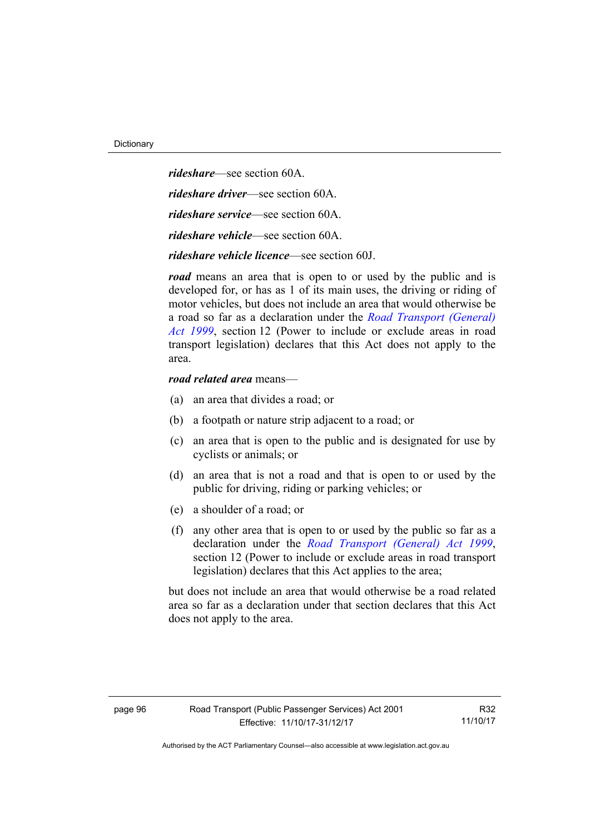*rideshare*—see section 60A. *rideshare driver*—see section 60A. *rideshare service*—see section 60A. *rideshare vehicle*—see section 60A. *rideshare vehicle licence*—see section 60J.

*road* means an area that is open to or used by the public and is developed for, or has as 1 of its main uses, the driving or riding of motor vehicles, but does not include an area that would otherwise be a road so far as a declaration under the *[Road Transport \(General\)](http://www.legislation.act.gov.au/a/1999-77)  [Act 1999](http://www.legislation.act.gov.au/a/1999-77)*, section 12 (Power to include or exclude areas in road transport legislation) declares that this Act does not apply to the area.

#### *road related area* means—

- (a) an area that divides a road; or
- (b) a footpath or nature strip adjacent to a road; or
- (c) an area that is open to the public and is designated for use by cyclists or animals; or
- (d) an area that is not a road and that is open to or used by the public for driving, riding or parking vehicles; or
- (e) a shoulder of a road; or
- (f) any other area that is open to or used by the public so far as a declaration under the *[Road Transport \(General\) Act 1999](http://www.legislation.act.gov.au/a/1999-77)*, section 12 (Power to include or exclude areas in road transport legislation) declares that this Act applies to the area;

but does not include an area that would otherwise be a road related area so far as a declaration under that section declares that this Act does not apply to the area.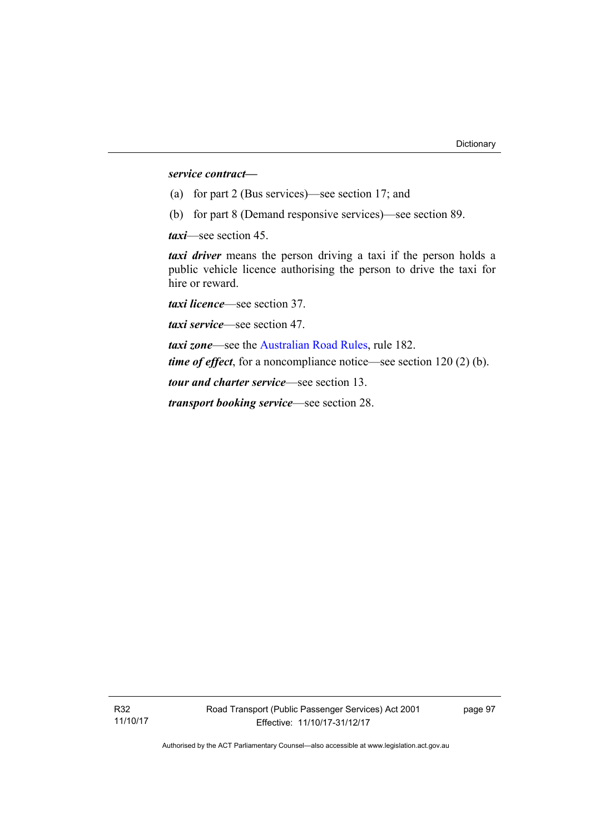#### *service contract—*

- (a) for part 2 (Bus services)—see section 17; and
- (b) for part 8 (Demand responsive services)—see section 89.

*taxi*—see section 45.

*taxi driver* means the person driving a taxi if the person holds a public vehicle licence authorising the person to drive the taxi for hire or reward.

*taxi licence*—see section 37.

*taxi service*—see section 47.

*taxi zone*—see the [Australian Road Rules](http://www.legislation.act.gov.au//ni/db_37271/default.asp), rule 182. *time of effect*, for a noncompliance notice—see section 120 (2) (b).

*tour and charter service*—see section 13.

*transport booking service*—see section 28.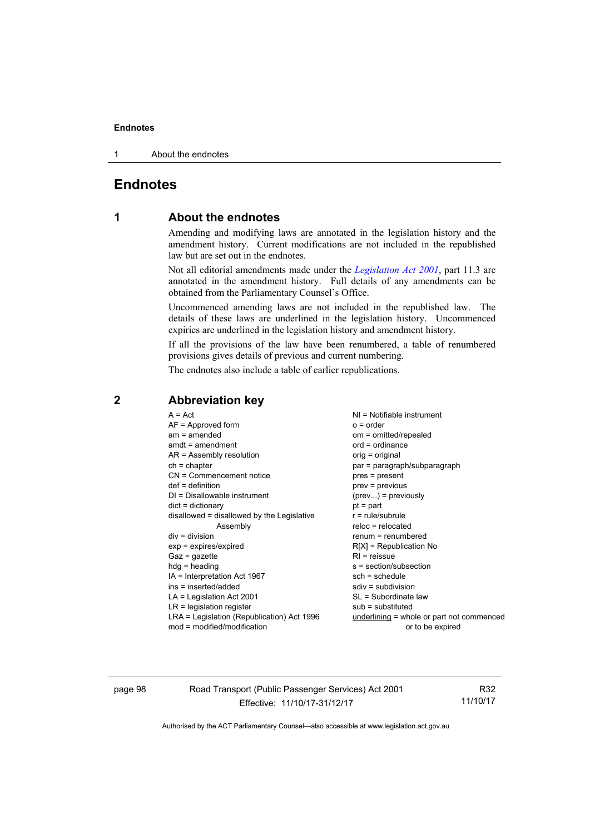#### **Endnotes**

1 About the endnotes

# **Endnotes**

# **1 About the endnotes**

Amending and modifying laws are annotated in the legislation history and the amendment history. Current modifications are not included in the republished law but are set out in the endnotes.

Not all editorial amendments made under the *[Legislation Act 2001](http://www.legislation.act.gov.au/a/2001-14/default.asp)*, part 11.3 are annotated in the amendment history. Full details of any amendments can be obtained from the Parliamentary Counsel's Office.

Uncommenced amending laws are not included in the republished law. The details of these laws are underlined in the legislation history. Uncommenced expiries are underlined in the legislation history and amendment history.

If all the provisions of the law have been renumbered, a table of renumbered provisions gives details of previous and current numbering.

The endnotes also include a table of earlier republications.

| $A = Act$<br>$AF =$ Approved form<br>$am = amended$<br>$amdt = amendment$<br>$AR = Assembly resolution$<br>$ch = chapter$<br>CN = Commencement notice<br>$def = definition$<br>$DI = Disallowable instrument$<br>$dict = dictionary$<br>disallowed = disallowed by the Legislative<br>Assembly<br>$div = division$<br>$exp = expires/expired$<br>$Gaz = qazette$<br>$hdg = heading$<br>IA = Interpretation Act 1967<br>ins = inserted/added<br>$LA =$ Legislation Act 2001<br>$LR =$ legislation register | $NI = Notifiable$ instrument<br>$o = order$<br>om = omitted/repealed<br>$ord = ordinance$<br>orig = original<br>par = paragraph/subparagraph<br>pres = present<br>$prev = previous$<br>$(\text{prev})$ = previously<br>$pt = part$<br>$r = rule/subrule$<br>$reloc = relocated$<br>$renum = renumbered$<br>$R[X]$ = Republication No<br>$RI =$ reissue<br>$s = section/subsection$<br>$sch = schedule$<br>$sdiv = subdivision$<br>SL = Subordinate law |
|-----------------------------------------------------------------------------------------------------------------------------------------------------------------------------------------------------------------------------------------------------------------------------------------------------------------------------------------------------------------------------------------------------------------------------------------------------------------------------------------------------------|--------------------------------------------------------------------------------------------------------------------------------------------------------------------------------------------------------------------------------------------------------------------------------------------------------------------------------------------------------------------------------------------------------------------------------------------------------|
|                                                                                                                                                                                                                                                                                                                                                                                                                                                                                                           |                                                                                                                                                                                                                                                                                                                                                                                                                                                        |
|                                                                                                                                                                                                                                                                                                                                                                                                                                                                                                           | $sub =$ substituted                                                                                                                                                                                                                                                                                                                                                                                                                                    |
| LRA = Legislation (Republication) Act 1996<br>$mod = modified/modification$                                                                                                                                                                                                                                                                                                                                                                                                                               | underlining = whole or part not commenced<br>or to be expired                                                                                                                                                                                                                                                                                                                                                                                          |

# **2 Abbreviation key**

page 98 Road Transport (Public Passenger Services) Act 2001 Effective: 11/10/17-31/12/17

R32 11/10/17

Authorised by the ACT Parliamentary Counsel—also accessible at www.legislation.act.gov.au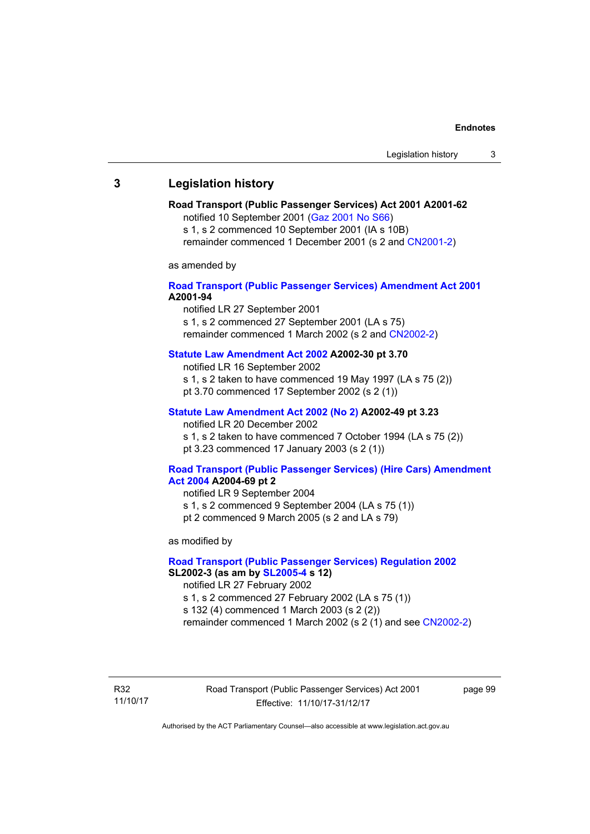# **3 Legislation history**

# **Road Transport (Public Passenger Services) Act 2001 A2001-62**

notified 10 September 2001 [\(Gaz 2001 No S66\)](http://www.legislation.act.gov.au/gaz/2001-S66/default.asp)

s 1, s 2 commenced 10 September 2001 (IA s 10B) remainder commenced 1 December 2001 (s 2 and [CN2001-2\)](http://www.legislation.act.gov.au/cn/2001-2/default.asp)

as amended by

# **[Road Transport \(Public Passenger Services\) Amendment Act 2001](http://www.legislation.act.gov.au/a/2001-94) A2001-94**

notified LR 27 September 2001

s 1, s 2 commenced 27 September 2001 (LA s 75) remainder commenced 1 March 2002 (s 2 and [CN2002-2\)](http://www.legislation.act.gov.au/cn/2002-2/default.asp)

# **[Statute Law Amendment Act 2002](http://www.legislation.act.gov.au/a/2002-30) A2002-30 pt 3.70**

notified LR 16 September 2002

- s 1, s 2 taken to have commenced 19 May 1997 (LA s 75 (2))
- pt 3.70 commenced 17 September 2002 (s 2 (1))

# **[Statute Law Amendment Act 2002 \(No 2\)](http://www.legislation.act.gov.au/a/2002-49) A2002-49 pt 3.23**

notified LR 20 December 2002 s 1, s 2 taken to have commenced 7 October 1994 (LA s 75 (2)) pt 3.23 commenced 17 January 2003 (s 2 (1))

### **[Road Transport \(Public Passenger Services\) \(Hire Cars\) Amendment](http://www.legislation.act.gov.au/a/2004-69)  [Act 2004](http://www.legislation.act.gov.au/a/2004-69) A2004-69 pt 2**

notified LR 9 September 2004 s 1, s 2 commenced 9 September 2004 (LA s 75 (1)) pt 2 commenced 9 March 2005 (s 2 and LA s 79)

as modified by

# **[Road Transport \(Public Passenger Services\) Regulation 2002](http://www.legislation.act.gov.au/sl/2002-3) SL2002-3 (as am by [SL2005-4](http://www.legislation.act.gov.au/sl/2005-4) s 12)**

notified LR 27 February 2002

s 1, s 2 commenced 27 February 2002 (LA s 75 (1))

s 132 (4) commenced 1 March 2003 (s 2 (2))

remainder commenced 1 March 2002 (s 2 (1) and see [CN2002-2](http://www.legislation.act.gov.au/cn/2002-2/default.asp))

R32 11/10/17 Road Transport (Public Passenger Services) Act 2001 Effective: 11/10/17-31/12/17

page 99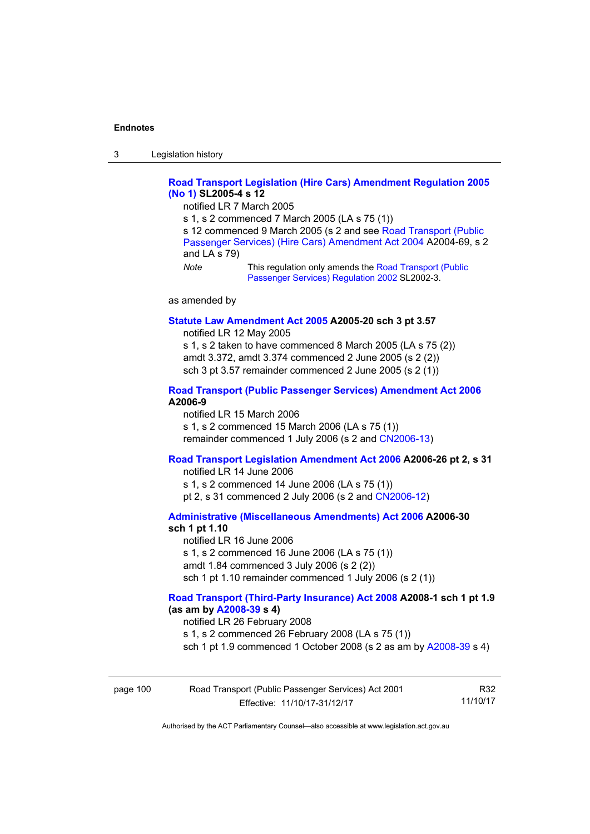3 Legislation history

# **[Road Transport Legislation \(Hire Cars\) Amendment Regulation 2005](http://www.legislation.act.gov.au/sl/2005-4)  [\(No 1\)](http://www.legislation.act.gov.au/sl/2005-4) SL2005-4 s 12**

notified LR 7 March 2005

s 1, s 2 commenced 7 March 2005 (LA s 75 (1))

s 12 commenced 9 March 2005 (s 2 and see [Road Transport \(Public](http://www.legislation.act.gov.au/a/2004-69)  [Passenger Services\) \(Hire Cars\) Amendment Act 2004](http://www.legislation.act.gov.au/a/2004-69) A2004-69, s 2 and LA s 79)

*Note* This regulation only amends the Road Transport (Public [Passenger Services\) Regulation 2002](http://www.legislation.act.gov.au/sl/2002-3) SL2002-3.

as amended by

#### **[Statute Law Amendment Act 2005](http://www.legislation.act.gov.au/a/2005-20) A2005-20 sch 3 pt 3.57**

notified LR 12 May 2005

s 1, s 2 taken to have commenced 8 March 2005 (LA s 75 (2)) amdt 3.372, amdt 3.374 commenced 2 June 2005 (s 2 (2)) sch 3 pt 3.57 remainder commenced 2 June 2005 (s 2 (1))

## **[Road Transport \(Public Passenger Services\) Amendment Act 2006](http://www.legislation.act.gov.au/a/2006-9) A2006-9**

notified LR 15 March 2006 s 1, s 2 commenced 15 March 2006 (LA s 75 (1)) remainder commenced 1 July 2006 (s 2 and [CN2006-13](http://www.legislation.act.gov.au/cn/2006-13/default.asp))

# **[Road Transport Legislation Amendment Act 2006](http://www.legislation.act.gov.au/a/2006-26) A2006-26 pt 2, s 31**

notified LR 14 June 2006 s 1, s 2 commenced 14 June 2006 (LA s 75 (1)) pt 2, s 31 commenced 2 July 2006 (s 2 and [CN2006-12](http://www.legislation.act.gov.au/cn/2006-12/default.asp))

**[Administrative \(Miscellaneous Amendments\) Act 2006](http://www.legislation.act.gov.au/a/2006-30) A2006-30** 

# **sch 1 pt 1.10**

notified LR 16 June 2006 s 1, s 2 commenced 16 June 2006 (LA s 75 (1)) amdt 1.84 commenced 3 July 2006 (s 2 (2)) sch 1 pt 1.10 remainder commenced 1 July 2006 (s 2 (1))

# **[Road Transport \(Third-Party Insurance\) Act 2008](http://www.legislation.act.gov.au/a/2008-1) A2008-1 sch 1 pt 1.9 (as am by [A2008-39](http://www.legislation.act.gov.au/a/2008-39) s 4)**

notified LR 26 February 2008

s 1, s 2 commenced 26 February 2008 (LA s 75 (1))

sch 1 pt 1.9 commenced 1 October 2008 (s 2 as am by [A2008-39](http://www.legislation.act.gov.au/a/2008-39) s 4)

| page 100 | Road Transport (Public Passenger Services) Act 2001 | R32      |
|----------|-----------------------------------------------------|----------|
|          | Effective: 11/10/17-31/12/17                        | 11/10/17 |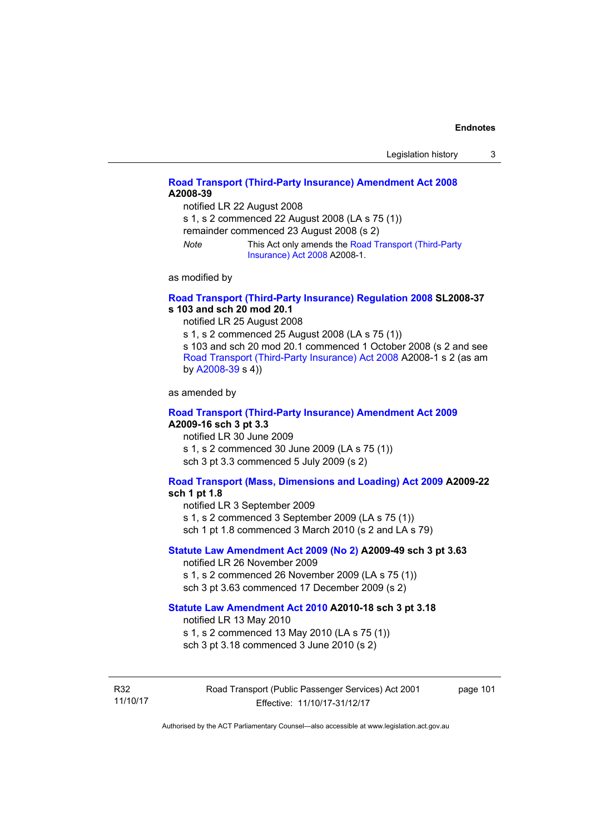# **[Road Transport \(Third-Party Insurance\) Amendment Act 2008](http://www.legislation.act.gov.au/a/2008-39) A2008-39**

notified LR 22 August 2008

s 1, s 2 commenced 22 August 2008 (LA s 75 (1))

remainder commenced 23 August 2008 (s 2)

*Note* This Act only amends the [Road Transport \(Third-Party](http://www.legislation.act.gov.au/a/2008-1)  [Insurance\) Act 2008](http://www.legislation.act.gov.au/a/2008-1) A2008-1.

as modified by

# **[Road Transport \(Third-Party Insurance\) Regulation 2008](http://www.legislation.act.gov.au/sl/2008-37) SL2008-37 s 103 and sch 20 mod 20.1**

notified LR 25 August 2008

s 1, s 2 commenced 25 August 2008 (LA s 75 (1)) s 103 and sch 20 mod 20.1 commenced 1 October 2008 (s 2 and see

[Road Transport \(Third-Party Insurance\) Act 2008](http://www.legislation.act.gov.au/a/2008-1) A2008-1 s 2 (as am by [A2008-39](http://www.legislation.act.gov.au/a/2008-39) s 4))

as amended by

### **[Road Transport \(Third-Party Insurance\) Amendment Act 2009](http://www.legislation.act.gov.au/a/2009-16) A2009-16 sch 3 pt 3.3**

notified LR 30 June 2009 s 1, s 2 commenced 30 June 2009 (LA s 75 (1)) sch 3 pt 3.3 commenced 5 July 2009 (s 2)

# **[Road Transport \(Mass, Dimensions and Loading\) Act 2009](http://www.legislation.act.gov.au/a/2009-22/default.asp) A2009-22**

# **sch 1 pt 1.8**

notified LR 3 September 2009

s 1, s 2 commenced 3 September 2009 (LA s 75 (1))

sch 1 pt 1.8 commenced 3 March 2010 (s 2 and LA s 79)

# **[Statute Law Amendment Act 2009 \(No 2\)](http://www.legislation.act.gov.au/a/2009-49) A2009-49 sch 3 pt 3.63**

notified LR 26 November 2009 s 1, s 2 commenced 26 November 2009 (LA s 75 (1)) sch 3 pt 3.63 commenced 17 December 2009 (s 2)

#### **[Statute Law Amendment Act 2010](http://www.legislation.act.gov.au/a/2010-18) A2010-18 sch 3 pt 3.18**

notified LR 13 May 2010

s 1, s 2 commenced 13 May 2010 (LA s 75 (1))

sch 3 pt 3.18 commenced 3 June 2010 (s 2)

R32 11/10/17 Road Transport (Public Passenger Services) Act 2001 Effective: 11/10/17-31/12/17

page 101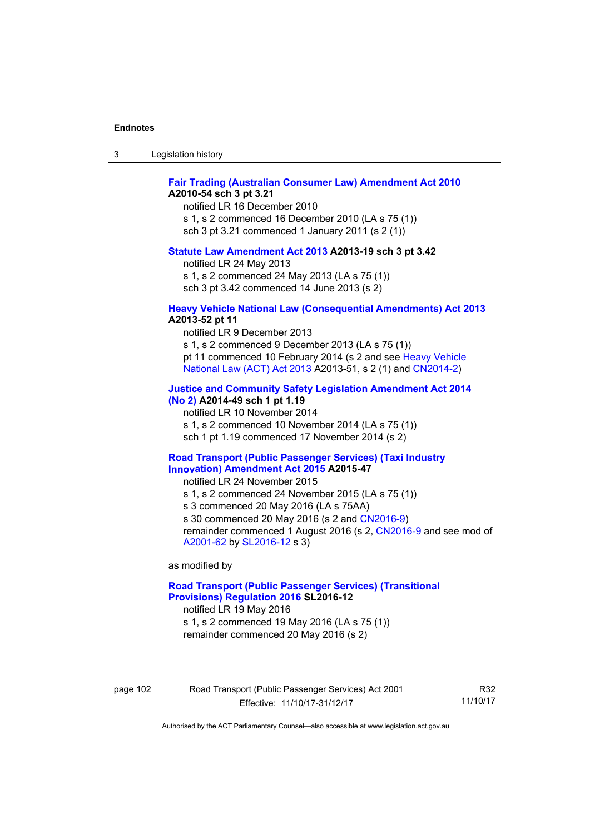| ు | Legislation history |  |
|---|---------------------|--|
|---|---------------------|--|

# **[Fair Trading \(Australian Consumer Law\) Amendment Act 2010](http://www.legislation.act.gov.au/a/2010-54) A2010-54 sch 3 pt 3.21**

notified LR 16 December 2010 s 1, s 2 commenced 16 December 2010 (LA s 75 (1)) sch 3 pt 3.21 commenced 1 January 2011 (s 2 (1))

#### **[Statute Law Amendment Act 2013](http://www.legislation.act.gov.au/a/2013-19) A2013-19 sch 3 pt 3.42**

notified LR 24 May 2013

s 1, s 2 commenced 24 May 2013 (LA s 75 (1)) sch 3 pt 3.42 commenced 14 June 2013 (s 2)

#### **[Heavy Vehicle National Law \(Consequential Amendments\) Act 2013](http://www.legislation.act.gov.au/a/2013-52) A2013-52 pt 11**

notified LR 9 December 2013

s 1, s 2 commenced 9 December 2013 (LA s 75 (1)) pt 11 commenced 10 February 2014 (s 2 and see [Heavy Vehicle](http://www.legislation.act.gov.au/a/2013-51/default.asp)  [National Law \(ACT\) Act 2013](http://www.legislation.act.gov.au/a/2013-51/default.asp) A2013-51, s 2 (1) and [CN2014-2](http://www.legislation.act.gov.au/cn/2014-2/default.asp))

# **[Justice and Community Safety Legislation Amendment Act 2014](http://www.legislation.act.gov.au/a/2014-49)**

**[\(No 2\)](http://www.legislation.act.gov.au/a/2014-49) A2014-49 sch 1 pt 1.19** 

notified LR 10 November 2014

s 1, s 2 commenced 10 November 2014 (LA s 75 (1))

sch 1 pt 1.19 commenced 17 November 2014 (s 2)

## **[Road Transport \(Public Passenger Services\) \(Taxi Industry](http://www.legislation.act.gov.au/a/2015-47/default.asp)  [Innovation\) Amendment Act 2015](http://www.legislation.act.gov.au/a/2015-47/default.asp) A2015-47**

notified LR 24 November 2015

s 1, s 2 commenced 24 November 2015 (LA s 75 (1))

s 3 commenced 20 May 2016 (LA s 75AA)

s 30 commenced 20 May 2016 (s 2 and [CN2016-9](http://www.legislation.act.gov.au/cn/2016-9/default.asp))

remainder commenced 1 August 2016 (s 2, [CN2016-9](http://www.legislation.act.gov.au/cn/2016-9/default.asp) and see mod of [A2001-62](http://www.legislation.act.gov.au/a/2001-62/default.asp) by [SL2016-12](http://www.legislation.act.gov.au/sl/2016-12/default.asp) s 3)

as modified by

# **[Road Transport \(Public Passenger Services\) \(Transitional](http://www.legislation.act.gov.au/sl/2016-12/default.asp)  [Provisions\) Regulation 2016](http://www.legislation.act.gov.au/sl/2016-12/default.asp) SL2016-12**

notified LR 19 May 2016 s 1, s 2 commenced 19 May 2016 (LA s 75 (1))

remainder commenced 20 May 2016 (s 2)

page 102 Road Transport (Public Passenger Services) Act 2001 Effective: 11/10/17-31/12/17

R32 11/10/17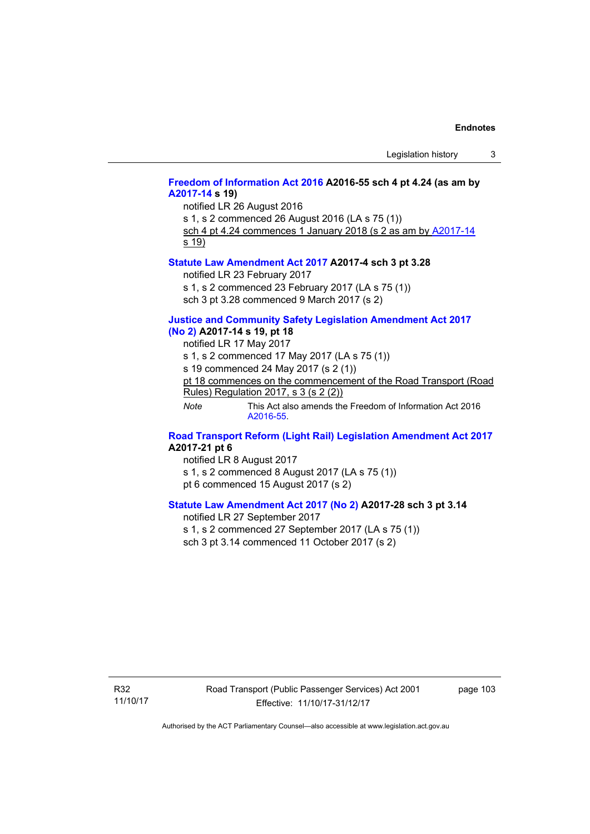# **[Freedom of Information Act 2016](http://www.legislation.act.gov.au/a/2016-55/default.asp) A2016-55 sch 4 pt 4.24 (as am by [A2017-14](http://www.legislation.act.gov.au/a/2017-14) s 19)**

notified LR 26 August 2016 s 1, s 2 commenced 26 August 2016 (LA s 75 (1)) sch 4 pt 4.24 commences 1 January 2018 (s 2 as am by [A2017-14](http://www.legislation.act.gov.au/a/2017-14)

s 19)

#### **[Statute Law Amendment Act 2017](http://www.legislation.act.gov.au/a/2017-4/default.asp) A2017-4 sch 3 pt 3.28**

notified LR 23 February 2017

s 1, s 2 commenced 23 February 2017 (LA s 75 (1))

sch 3 pt 3.28 commenced 9 March 2017 (s 2)

# **[Justice and Community Safety Legislation Amendment Act 2017](http://www.legislation.act.gov.au/a/2017-14/default.asp)**

**[\(No 2\)](http://www.legislation.act.gov.au/a/2017-14/default.asp) A2017-14 s 19, pt 18** 

notified LR 17 May 2017

s 1, s 2 commenced 17 May 2017 (LA s 75 (1))

s 19 commenced 24 May 2017 (s 2 (1))

pt 18 commences on the commencement of the Road Transport (Road Rules) Regulation 2017, s 3 (s 2 (2))

*Note* This Act also amends the Freedom of Information Act 2016 [A2016-55](http://www.legislation.act.gov.au/a/2016-55/default.asp).

### **[Road Transport Reform \(Light Rail\) Legislation Amendment Act 2017](http://www.legislation.act.gov.au/a/2017-21/default.asp) A2017-21 pt 6**

notified LR 8 August 2017 s 1, s 2 commenced 8 August 2017 (LA s 75 (1)) pt 6 commenced 15 August 2017 (s 2)

# **[Statute Law Amendment Act 2017 \(No 2\)](http://www.legislation.act.gov.au/a/2017-28/default.asp) A2017-28 sch 3 pt 3.14**

notified LR 27 September 2017 s 1, s 2 commenced 27 September 2017 (LA s 75 (1)) sch 3 pt 3.14 commenced 11 October 2017 (s 2)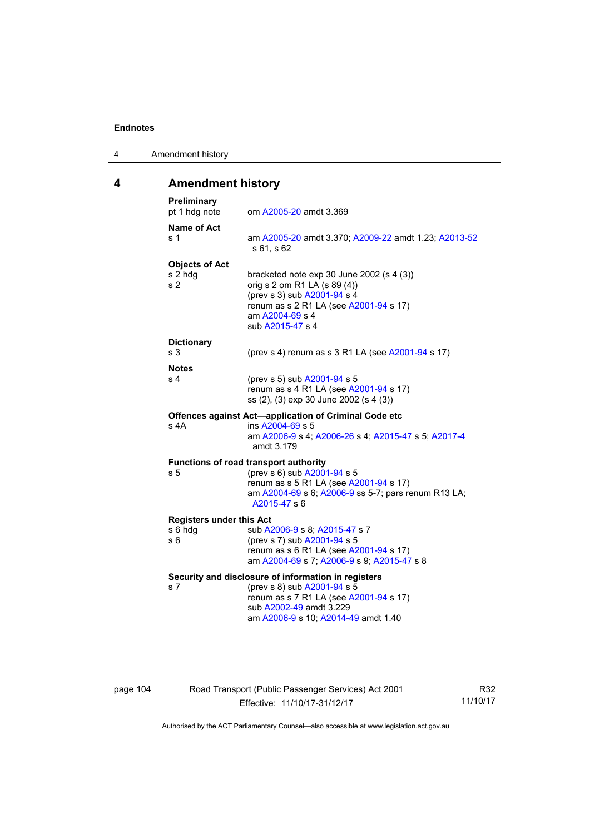| 4 | Amendment history |
|---|-------------------|
|---|-------------------|

# **4 Amendment history**

| Preliminary<br>pt 1 hdg note                       | om A2005-20 amdt 3.369                                                                                                                                                                         |
|----------------------------------------------------|------------------------------------------------------------------------------------------------------------------------------------------------------------------------------------------------|
| <b>Name of Act</b><br>s 1                          | am A2005-20 amdt 3.370; A2009-22 amdt 1.23; A2013-52<br>\$61, \$62                                                                                                                             |
| <b>Objects of Act</b><br>s 2 hdg<br>s <sub>2</sub> | bracketed note exp 30 June 2002 (s 4 (3))<br>orig s 2 om R1 LA (s 89 (4))<br>(prev s 3) sub A2001-94 s 4<br>renum as s 2 R1 LA (see A2001-94 s 17)<br>am A2004-69 s 4<br>sub A2015-47 s 4      |
| <b>Dictionary</b><br>s <sub>3</sub>                | (prev s 4) renum as s 3 R1 LA (see A2001-94 s 17)                                                                                                                                              |
|                                                    |                                                                                                                                                                                                |
| <b>Notes</b><br>s 4                                | (prev s 5) sub A2001-94 s 5<br>renum as s 4 R1 LA (see A2001-94 s 17)<br>ss (2), (3) exp 30 June 2002 (s 4 (3))                                                                                |
| s 4A                                               | Offences against Act-application of Criminal Code etc<br>ins A2004-69 s 5<br>am A2006-9 s 4; A2006-26 s 4; A2015-47 s 5; A2017-4<br>amdt 3.179                                                 |
|                                                    | <b>Functions of road transport authority</b>                                                                                                                                                   |
| s 5                                                | (prev s 6) sub A2001-94 s 5<br>renum as s 5 R1 LA (see A2001-94 s 17)<br>am A2004-69 s 6; A2006-9 ss 5-7; pars renum R13 LA;<br>A2015-47 s 6                                                   |
| <b>Registers under this Act</b>                    |                                                                                                                                                                                                |
| s 6 hdg<br>s 6                                     | sub A2006-9 s 8; A2015-47 s 7<br>(prev s 7) sub A2001-94 s 5<br>renum as s 6 R1 LA (see A2001-94 s 17)<br>am A2004-69 s 7; A2006-9 s 9; A2015-47 s 8                                           |
| s <sub>7</sub>                                     | Security and disclosure of information in registers<br>(prev s 8) sub A2001-94 s 5<br>renum as s 7 R1 LA (see A2001-94 s 17)<br>sub A2002-49 amdt 3.229<br>am A2006-9 s 10; A2014-49 amdt 1.40 |

page 104 Road Transport (Public Passenger Services) Act 2001 Effective: 11/10/17-31/12/17

R32 11/10/17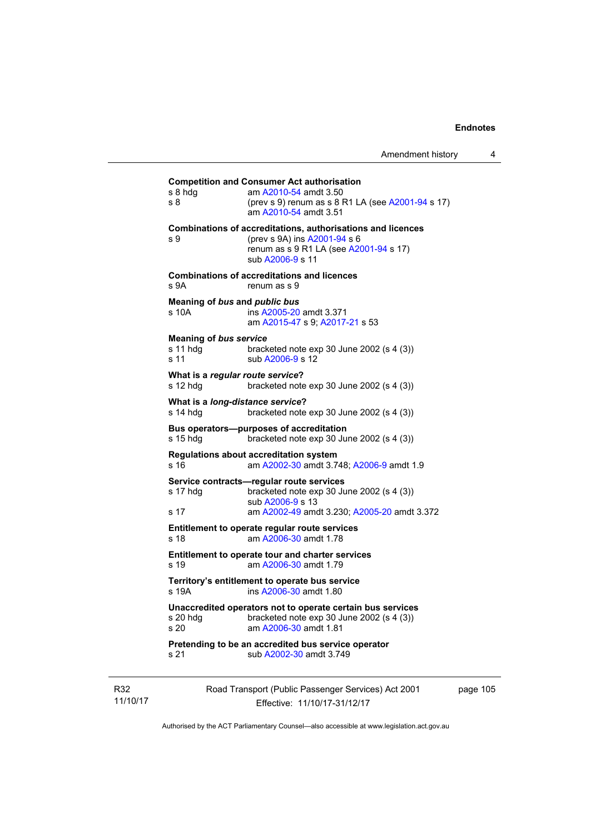# **Competition and Consumer Act authorisation**  s 8 hdg am [A2010-54](http://www.legislation.act.gov.au/a/2010-54) amdt 3.50 s 8 (prev s 9) renum as s 8 R1 LA (see [A2001-94](http://www.legislation.act.gov.au/a/2001-94) s 17) am [A2010-54](http://www.legislation.act.gov.au/a/2010-54) amdt 3.51 **Combinations of accreditations, authorisations and licences**  s 9 (prev s 9A) ins [A2001-94](http://www.legislation.act.gov.au/a/2001-94) s 6 renum as s 9 R1 LA (see [A2001-94](http://www.legislation.act.gov.au/a/2001-94) s 17) sub [A2006-9](http://www.legislation.act.gov.au/a/2006-9) s 11 **Combinations of accreditations and licences**  s 9A renum as s 9 **Meaning of** *bus* **and** *public bus* s 10A ins [A2005-20](http://www.legislation.act.gov.au/a/2005-20) amdt 3.371 am [A2015-47](http://www.legislation.act.gov.au/a/2015-47) s 9; [A2017-21](http://www.legislation.act.gov.au/a/2017-21/default.asp) s 53 **Meaning of** *bus service* s 11 hdg bracketed note exp 30 June 2002 (s 4 (3)) s 11 sub [A2006-9](http://www.legislation.act.gov.au/a/2006-9) s 12 **What is a** *regular route service***?**  s 12 hdg bracketed note exp 30 June 2002 (s 4 (3)) **What is a** *long-distance service***?**  s 14 hdg bracketed note exp 30 June 2002 (s 4 (3)) **Bus operators—purposes of accreditation**  s 15 hdg bracketed note exp 30 June 2002 (s 4 (3)) **Regulations about accreditation system**  s 16 am [A2002-30](http://www.legislation.act.gov.au/a/2002-30) amdt 3.748; [A2006-9](http://www.legislation.act.gov.au/a/2006-9) amdt 1.9 **Service contracts—regular route services**  s 17 hdg bracketed note exp 30 June 2002 (s 4 (3)) sub [A2006-9](http://www.legislation.act.gov.au/a/2006-9) s 13 s 17 am [A2002-49](http://www.legislation.act.gov.au/a/2002-49) amdt 3.230; [A2005-20](http://www.legislation.act.gov.au/a/2005-20) amdt 3.372 **Entitlement to operate regular route services**  s 18 am [A2006-30](http://www.legislation.act.gov.au/a/2006-30) amdt 1.78 **Entitlement to operate tour and charter services**  s 19 am [A2006-30](http://www.legislation.act.gov.au/a/2006-30) amdt 1.79 **Territory's entitlement to operate bus service**  s 19A ins [A2006-30](http://www.legislation.act.gov.au/a/2006-30) amdt 1.80 **Unaccredited operators not to operate certain bus services**  s 20 hdg bracketed note exp 30 June 2002 (s 4 (3)) s 20 am [A2006-30](http://www.legislation.act.gov.au/a/2006-30) amdt 1.81 **Pretending to be an accredited bus service operator**  s 21 sub [A2002-30](http://www.legislation.act.gov.au/a/2002-30) amdt 3.749

R32 11/10/17 Road Transport (Public Passenger Services) Act 2001 Effective: 11/10/17-31/12/17

page 105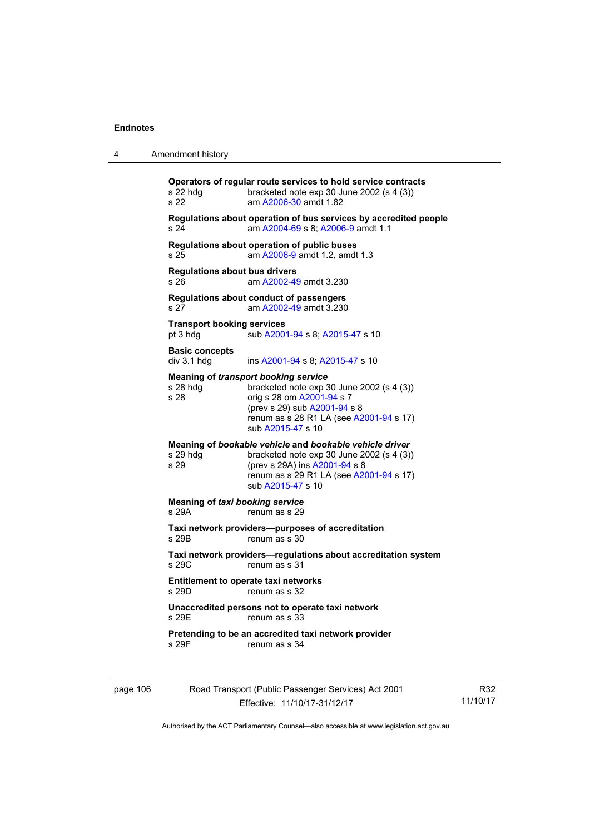| 4        | Amendment history                                                                                                                                                                                                                             |
|----------|-----------------------------------------------------------------------------------------------------------------------------------------------------------------------------------------------------------------------------------------------|
|          | Operators of regular route services to hold service contracts<br>s 22 hdg<br>bracketed note $exp 30$ June 2002 (s 4 (3))<br>s 22<br>am A2006-30 amdt 1.82                                                                                     |
|          | Regulations about operation of bus services by accredited people<br>am A2004-69 s 8; A2006-9 amdt 1.1<br>s 24                                                                                                                                 |
|          | Regulations about operation of public buses<br>am A2006-9 amdt 1.2, amdt 1.3<br>s 25                                                                                                                                                          |
|          | <b>Regulations about bus drivers</b><br>am A2002-49 amdt 3.230<br>s 26                                                                                                                                                                        |
|          | Regulations about conduct of passengers<br>s 27<br>am A2002-49 amdt 3.230                                                                                                                                                                     |
|          | <b>Transport booking services</b><br>sub A2001-94 s 8; A2015-47 s 10<br>pt 3 hdg                                                                                                                                                              |
|          | <b>Basic concepts</b><br>div 3.1 hdg<br>ins A2001-94 s 8; A2015-47 s 10                                                                                                                                                                       |
|          | <b>Meaning of transport booking service</b><br>$s$ 28 hdg<br>bracketed note $exp 30$ June 2002 (s 4 (3))<br>s 28<br>orig s 28 om A2001-94 s 7<br>(prev s 29) sub A2001-94 s 8<br>renum as s 28 R1 LA (see A2001-94 s 17)<br>sub A2015-47 s 10 |
|          | Meaning of bookable vehicle and bookable vehicle driver<br>s 29 hdg<br>bracketed note $exp 30$ June 2002 (s 4 (3))<br>s 29<br>(prev s 29A) ins A2001-94 s 8<br>renum as s 29 R1 LA (see A2001-94 s 17)<br>sub A2015-47 s 10                   |
|          | <b>Meaning of taxi booking service</b><br>s 29A<br>renum as s 29                                                                                                                                                                              |
|          | Taxi network providers--purposes of accreditation<br>s 29B<br>renum as s 30                                                                                                                                                                   |
|          | Taxi network providers-regulations about accreditation system<br>s29C<br>renum as s 31                                                                                                                                                        |
|          | <b>Entitlement to operate taxi networks</b><br>s 29D.<br>renum as s 32                                                                                                                                                                        |
|          | Unaccredited persons not to operate taxi network<br>s 29E<br>renum as s 33                                                                                                                                                                    |
|          | Pretending to be an accredited taxi network provider<br>s 29F<br>renum as s 34                                                                                                                                                                |
| page 106 | Road Transport (Public Passenger Services) Act 2001                                                                                                                                                                                           |

Effective: 11/10/17-31/12/17

R32 11/10/17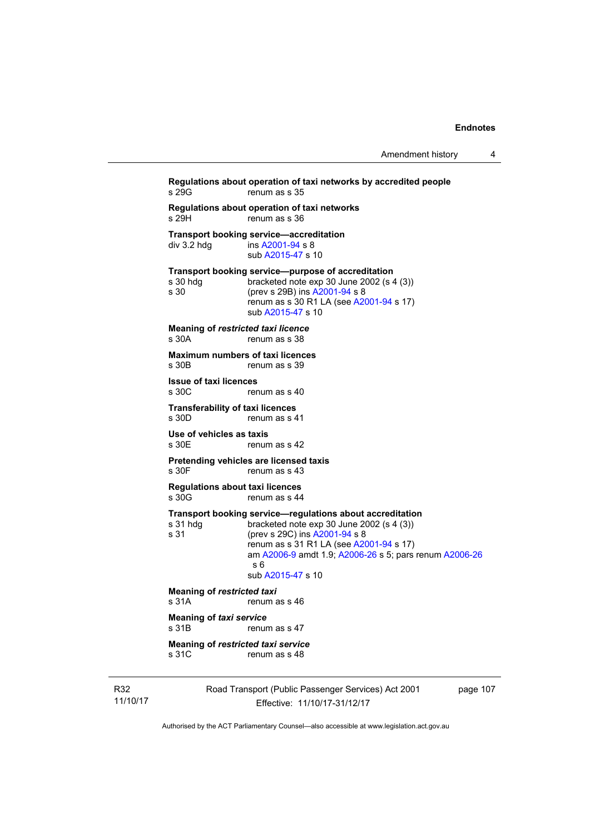```
Regulations about operation of taxi networks by accredited people 
                   renum as s 35
Regulations about operation of taxi networks 
s 29H renum as s 36
Transport booking service—accreditation<br>div 3.2 hdg ins A2001-94 s 8
                   A2001-94 s 8
                    sub A2015-47 s 10 
Transport booking service—purpose of accreditation 
s 30 hdg bracketed note exp 30 June 2002 (s 4 (3)) 
s 30 (prev s 29B) ins A2001-94 s 8 
                   renum as s 30 R1 LA (see A2001-94 s 17)
                    sub A2015-47 s 10 
Meaning of restricted taxi licence 
s 30A renum as s 38
Maximum numbers of taxi licences<br>s 30B renum as s 39
                  renum as s 39
Issue of taxi licences 
s 30C renum as s 40
Transferability of taxi licences<br>s 30D renum as s 4
                  renum as s 41
Use of vehicles as taxis 
s 30E renum as s 42
Pretending vehicles are licensed taxis 
s 30F renum as s 43
Regulations about taxi licences 
s 30G renum as s 44
Transport booking service—regulations about accreditation<br>s 31 hdg bracketed note exp 30 June 2002 (s 4 (3))
                   bracketed note exp 30 June 2002 (s 4 (3))
s 31 (prev s 29C) ins A2001-94 s 8 
                   renum as s 31 R1 LA (see A2001-94 s 17)
                    am A2006-9 amdt 1.9; A2006-26 s 5; pars renum A2006-26
                    s 6 
                    sub A2015-47 s 10 
Meaning of restricted taxi<br>s 31A renum a
                   renum as s 46
Meaning of taxi service 
s 31B renum as s 47
Meaning of restricted taxi service 
s 31C renum as s 48
```
R32 11/10/17 Road Transport (Public Passenger Services) Act 2001 Effective: 11/10/17-31/12/17

page 107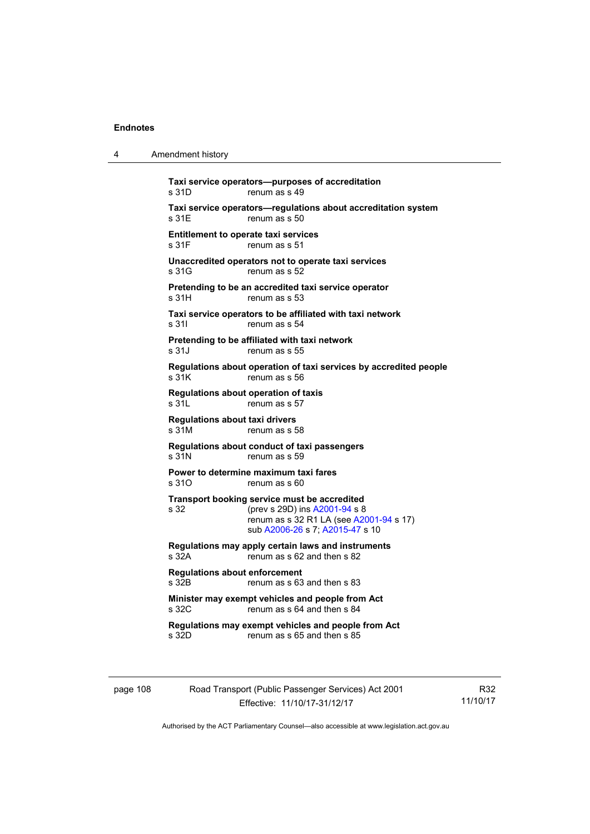4 Amendment history

|                                                | Taxi service operators—purposes of accreditation                                                                                                            |
|------------------------------------------------|-------------------------------------------------------------------------------------------------------------------------------------------------------------|
| s 31D                                          | renum as s 49                                                                                                                                               |
| s 31E                                          | Taxi service operators-regulations about accreditation system<br>renum as s 50                                                                              |
| s 31F                                          | <b>Entitlement to operate taxi services</b><br>renum as s 51                                                                                                |
| s 31G                                          | Unaccredited operators not to operate taxi services<br>renum as s 52                                                                                        |
| s 31H                                          | Pretending to be an accredited taxi service operator<br>renum as s 53                                                                                       |
| s 31l                                          | Taxi service operators to be affiliated with taxi network<br>renum as s 54                                                                                  |
| s 31J                                          | Pretending to be affiliated with taxi network<br>renum as s 55                                                                                              |
| s 31K                                          | Regulations about operation of taxi services by accredited people<br>renum as s 56                                                                          |
| s 31L                                          | Regulations about operation of taxis<br>renum as s 57                                                                                                       |
| <b>Regulations about taxi drivers</b><br>s 31M | renum as s 58                                                                                                                                               |
| s 31N                                          | Regulations about conduct of taxi passengers<br>renum as s 59                                                                                               |
| s 31O                                          | Power to determine maximum taxi fares<br>renum as s 60                                                                                                      |
| s 32                                           | Transport booking service must be accredited<br>(prev s 29D) ins A2001-94 s 8<br>renum as s 32 R1 LA (see A2001-94 s 17)<br>sub A2006-26 s 7; A2015-47 s 10 |
| s 32A                                          | Regulations may apply certain laws and instruments<br>renum as s 62 and then s 82                                                                           |
| <b>Regulations about enforcement</b><br>s 32B  | renum as s 63 and then s 83                                                                                                                                 |
| s 32C                                          | Minister may exempt vehicles and people from Act<br>renum as s 64 and then s 84                                                                             |
| s 32D                                          | Regulations may exempt vehicles and people from Act<br>renum as s 65 and then s 85                                                                          |

page 108 Road Transport (Public Passenger Services) Act 2001 Effective: 11/10/17-31/12/17

R32 11/10/17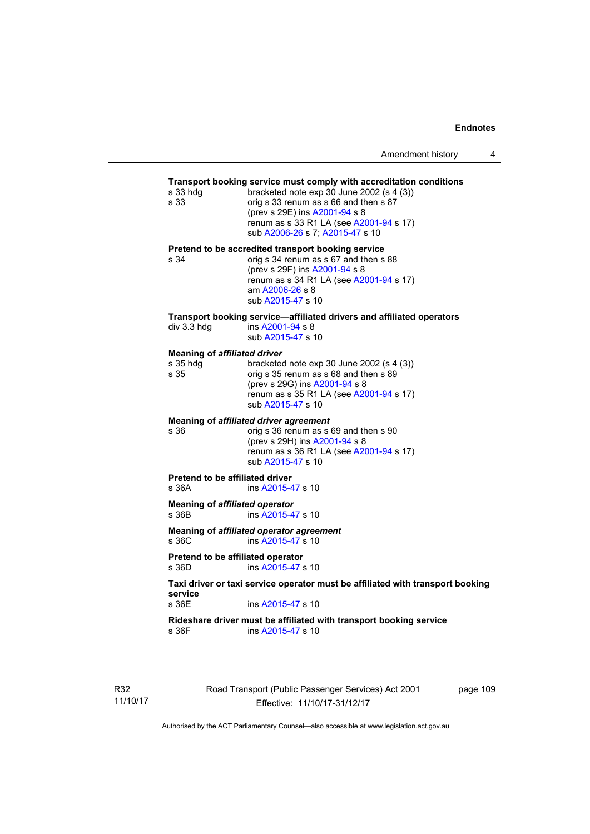# **Transport booking service must comply with accreditation conditions**

| s 33 hdg<br>s 33                                        | <b>Transport booking service must comply with accreditation conditions</b><br>bracketed note exp 30 June 2002 (s 4 (3))<br>orig s 33 renum as s 66 and then s 87<br>(prev s 29E) ins A2001-94 s 8<br>renum as s 33 R1 LA (see A2001-94 s 17)<br>sub A2006-26 s 7; A2015-47 s 10 |
|---------------------------------------------------------|---------------------------------------------------------------------------------------------------------------------------------------------------------------------------------------------------------------------------------------------------------------------------------|
| s 34                                                    | Pretend to be accredited transport booking service<br>orig s 34 renum as s 67 and then s 88<br>(prev s 29F) ins A2001-94 s 8<br>renum as s 34 R1 LA (see A2001-94 s 17)<br>am A2006-26 s 8<br>sub A2015-47 s 10                                                                 |
| div 3.3 hdg                                             | Transport booking service-affiliated drivers and affiliated operators<br>ins A2001-94 s 8<br>sub A2015-47 s 10                                                                                                                                                                  |
| <b>Meaning of affiliated driver</b><br>s 35 hdg<br>s 35 | bracketed note $exp 30$ June 2002 (s 4 (3))<br>orig s 35 renum as s 68 and then s 89<br>(prev s 29G) ins A2001-94 s 8<br>renum as s 35 R1 LA (see A2001-94 s 17)<br>sub A2015-47 s 10                                                                                           |
| s 36                                                    | Meaning of affiliated driver agreement<br>orig s 36 renum as s 69 and then s 90<br>(prev s 29H) ins A2001-94 s 8<br>renum as s 36 R1 LA (see A2001-94 s 17)<br>sub A2015-47 s 10                                                                                                |
| <b>Pretend to be affiliated driver</b><br>s 36A         | ins A2015-47 s 10                                                                                                                                                                                                                                                               |
| <b>Meaning of affiliated operator</b><br>s 36B          | ins A2015-47 s 10                                                                                                                                                                                                                                                               |
| s 36C                                                   | Meaning of affiliated operator agreement<br>ins A2015-47 s 10                                                                                                                                                                                                                   |
| Pretend to be affiliated operator<br>s 36D              | ins A2015-47 s 10                                                                                                                                                                                                                                                               |
| service                                                 | Taxi driver or taxi service operator must be affiliated with transport booking                                                                                                                                                                                                  |
| s 36E                                                   | ins A2015-47 s 10                                                                                                                                                                                                                                                               |

**Rideshare driver must be affiliated with transport booking service**  s 36F ins [A2015-47](http://www.legislation.act.gov.au/a/2015-47) s 10

R32 11/10/17 Road Transport (Public Passenger Services) Act 2001 Effective: 11/10/17-31/12/17

page 109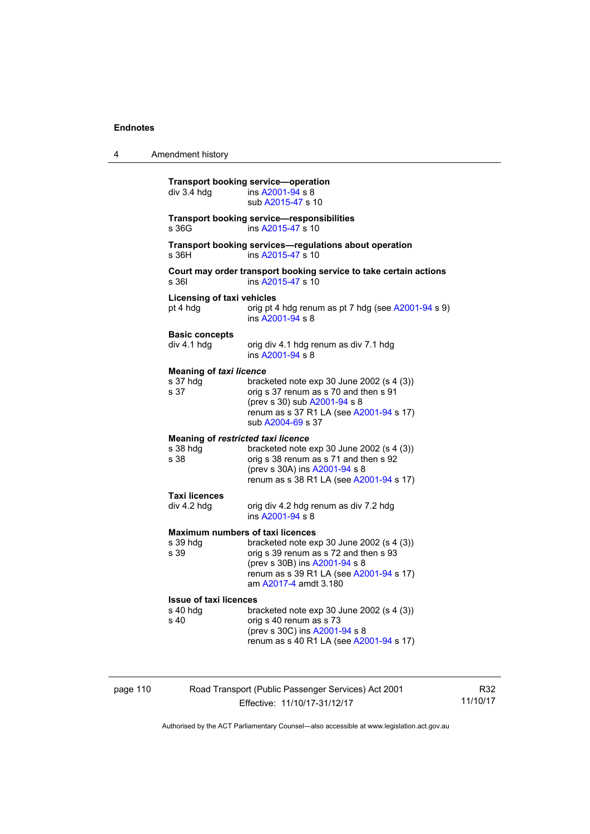4 Amendment history

|          | div 3.4 hdg                                                   | <b>Transport booking service-operation</b><br>ins A2001-94 s 8<br>sub A2015-47 s 10                                                                                                       |
|----------|---------------------------------------------------------------|-------------------------------------------------------------------------------------------------------------------------------------------------------------------------------------------|
|          | s 36G                                                         | <b>Transport booking service-responsibilities</b><br>ins A2015-47 s 10                                                                                                                    |
|          | s 36H                                                         | Transport booking services-regulations about operation<br>ins A2015-47 s 10                                                                                                               |
|          | s 361                                                         | Court may order transport booking service to take certain actions<br>ins A2015-47 s 10                                                                                                    |
|          | <b>Licensing of taxi vehicles</b><br>pt 4 hdg                 | orig pt 4 hdg renum as pt 7 hdg (see A2001-94 s 9)<br>ins A2001-94 s 8                                                                                                                    |
|          | <b>Basic concepts</b><br>div 4.1 hdg                          | orig div 4.1 hdg renum as div 7.1 hdg<br>ins A2001-94 s 8                                                                                                                                 |
|          | <b>Meaning of taxi licence</b><br>s 37 hdg<br>s 37            | bracketed note $exp 30$ June 2002 (s 4 (3))<br>orig s 37 renum as s 70 and then s 91<br>(prev s 30) sub A2001-94 s 8<br>renum as s 37 R1 LA (see A2001-94 s 17)<br>sub A2004-69 s 37      |
|          | <b>Meaning of restricted taxi licence</b><br>s 38 hdg<br>s 38 | bracketed note exp 30 June 2002 (s 4 (3))<br>orig s 38 renum as s 71 and then s 92<br>(prev s 30A) ins A2001-94 s 8<br>renum as s 38 R1 LA (see A2001-94 s 17)                            |
|          | <b>Taxi licences</b><br>div 4.2 hdg                           | orig div 4.2 hdg renum as div 7.2 hdg<br>ins A2001-94 s 8                                                                                                                                 |
|          | <b>Maximum numbers of taxi licences</b><br>s 39 hdg<br>s 39   | bracketed note $exp 30$ June 2002 (s 4 (3))<br>orig s 39 renum as s 72 and then s 93<br>(prev s 30B) ins A2001-94 s 8<br>renum as s 39 R1 LA (see A2001-94 s 17)<br>am A2017-4 amdt 3.180 |
|          | <b>Issue of taxi licences</b><br>s 40 hdg<br>s 40             | bracketed note exp 30 June 2002 (s 4 (3))<br>orig s 40 renum as s 73<br>(prev s 30C) ins A2001-94 s 8<br>renum as s 40 R1 LA (see A2001-94 s 17)                                          |
| page 110 |                                                               | Road Transport (Public Passenger Services) Act 2001                                                                                                                                       |

R32 11/10/17

Authorised by the ACT Parliamentary Counsel—also accessible at www.legislation.act.gov.au

Effective: 11/10/17-31/12/17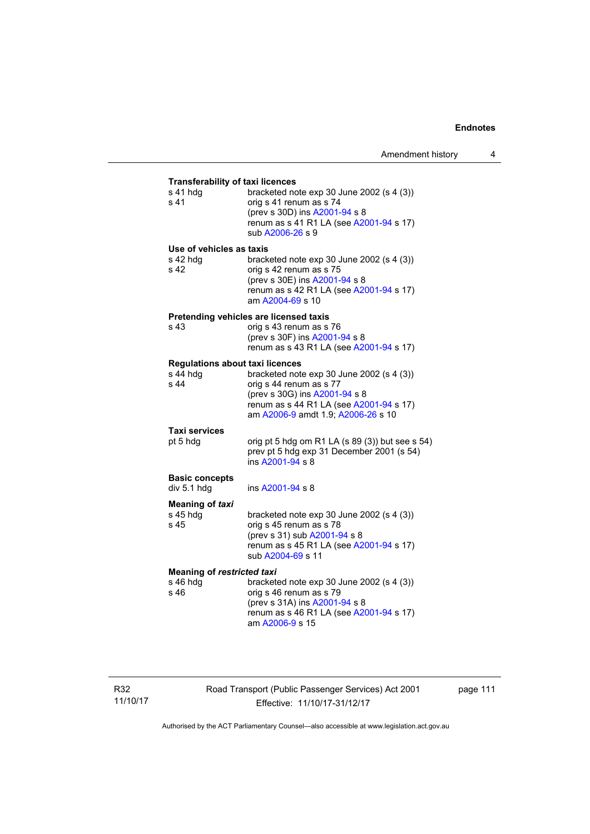| <b>Transferability of taxi licences</b>      |                                                                                                                                                                        |
|----------------------------------------------|------------------------------------------------------------------------------------------------------------------------------------------------------------------------|
| s 41 hdg<br>s 41                             | bracketed note exp 30 June 2002 (s 4 (3))<br>orig s 41 renum as s 74<br>(prev s 30D) ins A2001-94 s 8<br>renum as s 41 R1 LA (see A2001-94 s 17)<br>sub A2006-26 s 9   |
| Use of vehicles as taxis<br>s 42 hdg<br>s 42 | bracketed note $exp 30$ June 2002 (s 4 (3))<br>orig s 42 renum as s 75<br>(prev s 30E) ins A2001-94 s 8<br>renum as s 42 R1 LA (see A2001-94 s 17)<br>am A2004-69 s 10 |
|                                              | Pretending vehicles are licensed taxis                                                                                                                                 |
| s 43                                         | orig s 43 renum as s 76<br>(prev s 30F) ins A2001-94 s 8<br>renum as s 43 R1 LA (see A2001-94 s 17)                                                                    |
| <b>Regulations about taxi licences</b>       |                                                                                                                                                                        |
| s 44 hdg                                     | bracketed note exp 30 June 2002 (s 4 (3))                                                                                                                              |
| s 44                                         | orig s 44 renum as s 77<br>(prev s 30G) ins A2001-94 s 8<br>renum as s 44 R1 LA (see A2001-94 s 17)<br>am A2006-9 amdt 1.9; A2006-26 s 10                              |
| <b>Taxi services</b>                         |                                                                                                                                                                        |
| pt 5 hdg                                     | orig pt 5 hdg om R1 LA (s 89 (3)) but see s 54)<br>prev pt 5 hdg exp 31 December 2001 (s 54)<br>ins A2001-94 s 8                                                       |
| <b>Basic concepts</b>                        |                                                                                                                                                                        |
| div 5.1 hdg                                  | ins A2001-94 s 8                                                                                                                                                       |
| <b>Meaning of taxi</b>                       |                                                                                                                                                                        |
| s 45 hdg<br>s 45                             | bracketed note $exp 30$ June 2002 (s 4 (3))<br>orig s 45 renum as s 78                                                                                                 |
|                                              | (prev s 31) sub A2001-94 s 8                                                                                                                                           |
|                                              | renum as s 45 R1 LA (see A2001-94 s 17)<br>sub A2004-69 s 11                                                                                                           |
| <b>Meaning of restricted taxi</b>            |                                                                                                                                                                        |
| s 46 hdg                                     | bracketed note exp 30 June 2002 (s 4 (3))                                                                                                                              |
| s 46                                         | orig s 46 renum as s 79<br>(prev s 31A) ins A2001-94 s 8                                                                                                               |
|                                              | renum as s 46 R1 LA (see A2001-94 s 17)                                                                                                                                |
|                                              | am A2006-9 s 15                                                                                                                                                        |

Road Transport (Public Passenger Services) Act 2001 Effective: 11/10/17-31/12/17

page 111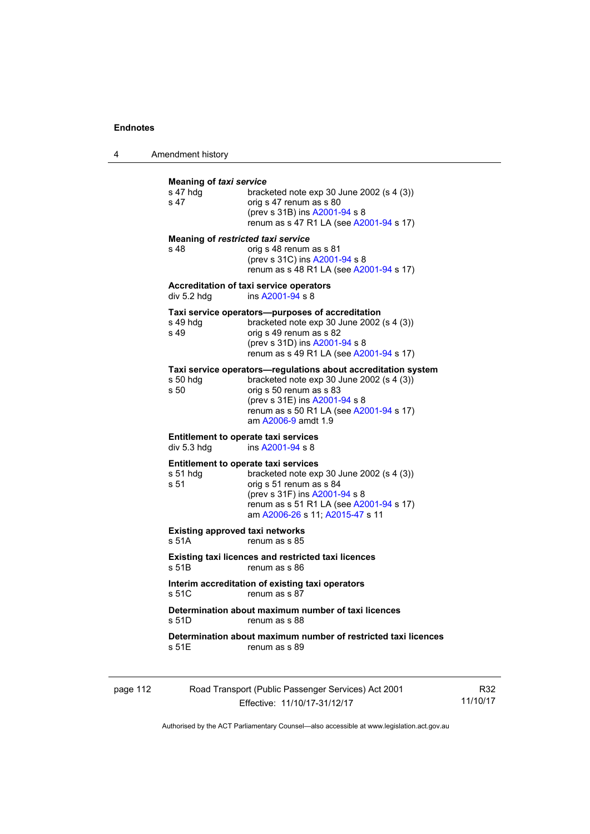4 Amendment history

| s 47 hdg<br>s <sub>47</sub> | bracketed note exp 30 June 2002 (s 4 (3))<br>orig s 47 renum as s 80<br>(prev s 31B) ins A2001-94 s 8<br>renum as s 47 R1 LA (see A2001-94 s 17)                                                                                         |
|-----------------------------|------------------------------------------------------------------------------------------------------------------------------------------------------------------------------------------------------------------------------------------|
| s 48                        | <b>Meaning of restricted taxi service</b><br>orig s 48 renum as s 81<br>(prev s 31C) ins A2001-94 s 8<br>renum as s 48 R1 LA (see A2001-94 s 17)                                                                                         |
| div 5.2 hdg                 | Accreditation of taxi service operators<br>ins A2001-94 s 8                                                                                                                                                                              |
| s 49 hdg<br>s 49            | Taxi service operators—purposes of accreditation<br>bracketed note $exp 30$ June 2002 (s 4 (3))<br>orig s 49 renum as s 82<br>(prev s 31D) ins A2001-94 s 8<br>renum as s 49 R1 LA (see A2001-94 s 17)                                   |
| s 50 hdq<br>s 50            | Taxi service operators—regulations about accreditation system<br>bracketed note exp 30 June 2002 (s 4 (3))<br>orig s 50 renum as s 83<br>(prev s 31E) ins A2001-94 s 8<br>renum as s 50 R1 LA (see A2001-94 s 17)<br>am A2006-9 amdt 1.9 |
| div 5.3 hdg                 | <b>Entitlement to operate taxi services</b><br>ins A2001-94 s 8                                                                                                                                                                          |
| s 51 hdq<br>s 51            | <b>Entitlement to operate taxi services</b><br>bracketed note $exp 30$ June 2002 (s 4 (3))<br>orig s 51 renum as s 84<br>(prev s 31F) ins A2001-94 s 8<br>renum as s 51 R1 LA (see A2001-94 s 17)<br>am A2006-26 s 11; A2015-47 s 11     |
| s 51A                       | <b>Existing approved taxi networks</b><br>renum as s 85                                                                                                                                                                                  |
| s 51B                       | <b>Existing taxi licences and restricted taxi licences</b><br>renum as s 86                                                                                                                                                              |
| s 51C                       | Interim accreditation of existing taxi operators<br>renum as s 87                                                                                                                                                                        |
| s 51D                       | Determination about maximum number of taxi licences<br>renum as s 88                                                                                                                                                                     |
| s 51E                       | Determination about maximum number of restricted taxi licences<br>renum as s 89                                                                                                                                                          |

| page 112 | Road Transport (Public Passenger Services) Act 2001 | R32      |
|----------|-----------------------------------------------------|----------|
|          | Effective: 11/10/17-31/12/17                        | 11/10/17 |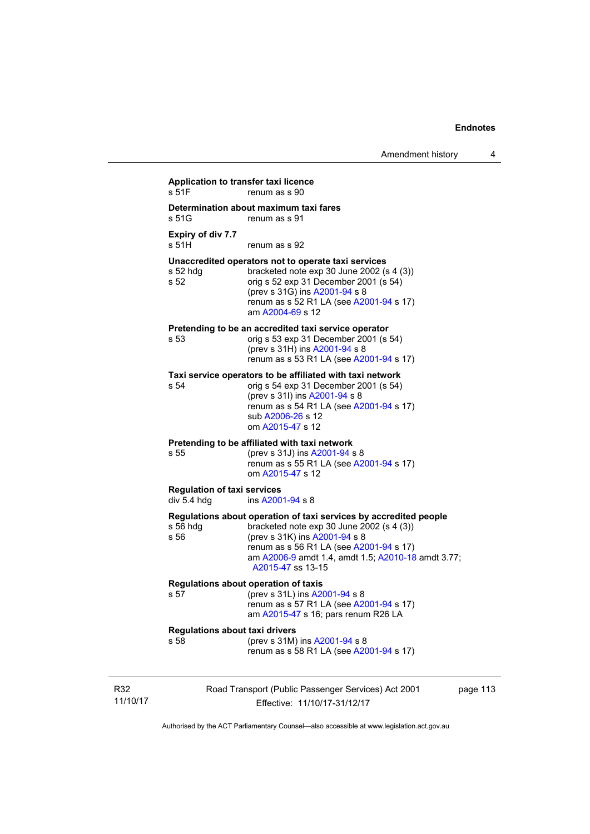| s 51F                                             | renum as s 90                                                                                                                                                                                                                                                         |
|---------------------------------------------------|-----------------------------------------------------------------------------------------------------------------------------------------------------------------------------------------------------------------------------------------------------------------------|
| s 51G                                             | Determination about maximum taxi fares<br>renum as s 91                                                                                                                                                                                                               |
| Expiry of div 7.7<br>s 51H                        | renum as s 92                                                                                                                                                                                                                                                         |
| s 52 hdg<br>s 52                                  | Unaccredited operators not to operate taxi services<br>bracketed note exp 30 June 2002 (s 4 (3))<br>orig s 52 exp 31 December 2001 (s 54)<br>(prev s 31G) ins A2001-94 s 8<br>renum as s 52 R1 LA (see A2001-94 s 17)<br>am A2004-69 s 12                             |
| s 53                                              | Pretending to be an accredited taxi service operator<br>orig s 53 exp 31 December 2001 (s 54)<br>(prev s 31H) ins A2001-94 s 8<br>renum as s 53 R1 LA (see A2001-94 s 17)                                                                                             |
| s 54                                              | Taxi service operators to be affiliated with taxi network<br>orig s 54 exp 31 December 2001 (s 54)<br>(prev s 31l) ins A2001-94 s 8<br>renum as s 54 R1 LA (see A2001-94 s 17)<br>sub A2006-26 s 12<br>om A2015-47 s 12                                               |
| s 55                                              | Pretending to be affiliated with taxi network<br>(prev s 31J) ins A2001-94 s 8<br>renum as s 55 R1 LA (see A2001-94 s 17)<br>om A2015-47 s 12                                                                                                                         |
| <b>Regulation of taxi services</b><br>div 5.4 hdg | ins A2001-94 s 8                                                                                                                                                                                                                                                      |
| $s$ 56 hdg<br>s 56                                | Regulations about operation of taxi services by accredited people<br>bracketed note exp 30 June 2002 (s 4 (3))<br>(prev s 31K) ins A2001-94 s 8<br>renum as s 56 R1 LA (see A2001-94 s 17)<br>am A2006-9 amdt 1.4, amdt 1.5; A2010-18 amdt 3.77;<br>A2015-47 ss 13-15 |
| s 57                                              | Regulations about operation of taxis<br>(prev s 31L) ins A2001-94 s 8<br>renum as s 57 R1 LA (see A2001-94 s 17)<br>am A2015-47 s 16; pars renum R26 LA                                                                                                               |
| <b>Regulations about taxi drivers</b><br>s 58     | (prev s 31M) ins A2001-94 s 8<br>renum as s 58 R1 LA (see A2001-94 s 17)                                                                                                                                                                                              |

R32 11/10/17

Effective: 11/10/17-31/12/17

page 113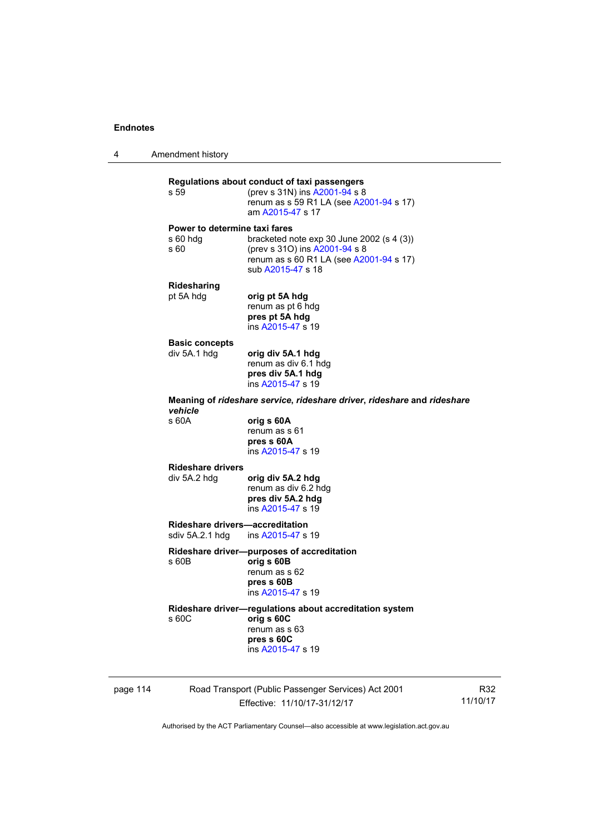4 Amendment history

**Regulations about conduct of taxi passengers**  (prev s 31N) ins [A2001-94](http://www.legislation.act.gov.au/a/2001-94) s 8 renum as s 59 R1 LA (see [A2001-94](http://www.legislation.act.gov.au/a/2001-94) s 17) am [A2015-47](http://www.legislation.act.gov.au/a/2015-47) s 17 **Power to determine taxi fares**  s 60 hdg bracketed note exp 30 June 2002 (s 4 (3)) s 60 (prev s 31O) ins [A2001-94](http://www.legislation.act.gov.au/a/2001-94) s 8 renum as s 60 R1 LA (see [A2001-94](http://www.legislation.act.gov.au/a/2001-94) s 17) sub [A2015-47](http://www.legislation.act.gov.au/a/2015-47) s 18 **Ridesharing**  pt 5A hdg **orig pt 5A hdg** renum as pt 6 hdg **pres pt 5A hdg**  ins [A2015-47](http://www.legislation.act.gov.au/a/2015-47) s 19 **Basic concepts**<br>div 5A.1 hdg div 5A.1 hdg **orig div 5A.1 hdg**  renum as div 6.1 hdg **pres div 5A.1 hdg**  ins [A2015-47](http://www.legislation.act.gov.au/a/2015-47) s 19 **Meaning of** *rideshare service***,** *rideshare driver***,** *rideshare* **and** *rideshare vehicle*  s 60A **orig s 60A**  renum as s 61 **pres s 60A**  ins [A2015-47](http://www.legislation.act.gov.au/a/2015-47) s 19 **Rideshare drivers**  div 5A.2 hdg **orig div 5A.2 hdg**  renum as div 6.2 hdg **pres div 5A.2 hdg**  ins [A2015-47](http://www.legislation.act.gov.au/a/2015-47) s 19 **Rideshare drivers—accreditation**<br>sdiv 5A.2.1 hdg ins A2015-47 s ins [A2015-47](http://www.legislation.act.gov.au/a/2015-47) s 19 **Rideshare driver—purposes of accreditation** s 60B **orig s 60B**  renum as s 62 **pres s 60B**  ins [A2015-47](http://www.legislation.act.gov.au/a/2015-47) s 19 **Rideshare driver—regulations about accreditation system**  s 60C **orig s 60C**  renum as s 63 **pres s 60C**  ins [A2015-47](http://www.legislation.act.gov.au/a/2015-47) s 19

page 114 Road Transport (Public Passenger Services) Act 2001 Effective: 11/10/17-31/12/17

R32 11/10/17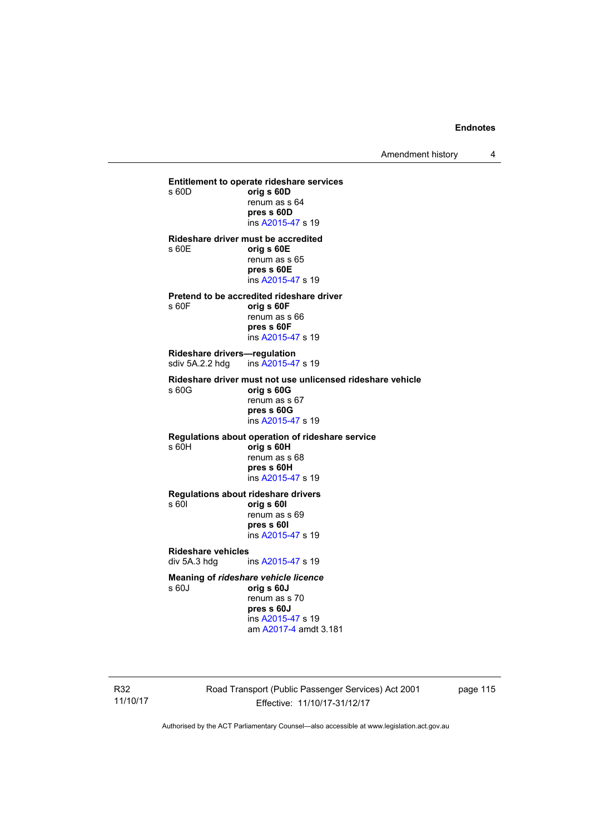Amendment history 4

**Entitlement to operate rideshare services**  s 60D **orig s 60D**  renum as s 64 **pres s 60D**  ins [A2015-47](http://www.legislation.act.gov.au/a/2015-47) s 19 **Rideshare driver must be accredited**  s 60E **orig s 60E**  renum as s 65 **pres s 60E**  ins [A2015-47](http://www.legislation.act.gov.au/a/2015-47) s 19 **Pretend to be accredited rideshare driver**  s 60F **orig s 60F**  renum as s 66 **pres s 60F**  ins [A2015-47](http://www.legislation.act.gov.au/a/2015-47) s 19 **Rideshare drivers—regulation**  sdiv 5A.2.2 hdg ins [A2015-47](http://www.legislation.act.gov.au/a/2015-47) s 19 **Rideshare driver must not use unlicensed rideshare vehicle** s 60G **orig s 60G**  renum as s 67 **pres s 60G**  ins [A2015-47](http://www.legislation.act.gov.au/a/2015-47) s 19 **Regulations about operation of rideshare service** s 60H **orig s 60H**  renum as s 68 **pres s 60H**  ins [A2015-47](http://www.legislation.act.gov.au/a/2015-47) s 19 **Regulations about rideshare drivers** s 60I **orig s 60I**  renum as s 69 **pres s 60I**  ins [A2015-47](http://www.legislation.act.gov.au/a/2015-47) s 19 **Rideshare vehicles**  div 5A.3 hdg ins [A2015-47](http://www.legislation.act.gov.au/a/2015-47) s 19 **Meaning of** *rideshare vehicle licence*  s 60J **orig s 60J**  renum as s 70 **pres s 60J** 

 ins [A2015-47](http://www.legislation.act.gov.au/a/2015-47) s 19 am [A2017-4](http://www.legislation.act.gov.au/a/2017-4/default.asp) amdt 3.181

R32 11/10/17 Road Transport (Public Passenger Services) Act 2001 Effective: 11/10/17-31/12/17

page 115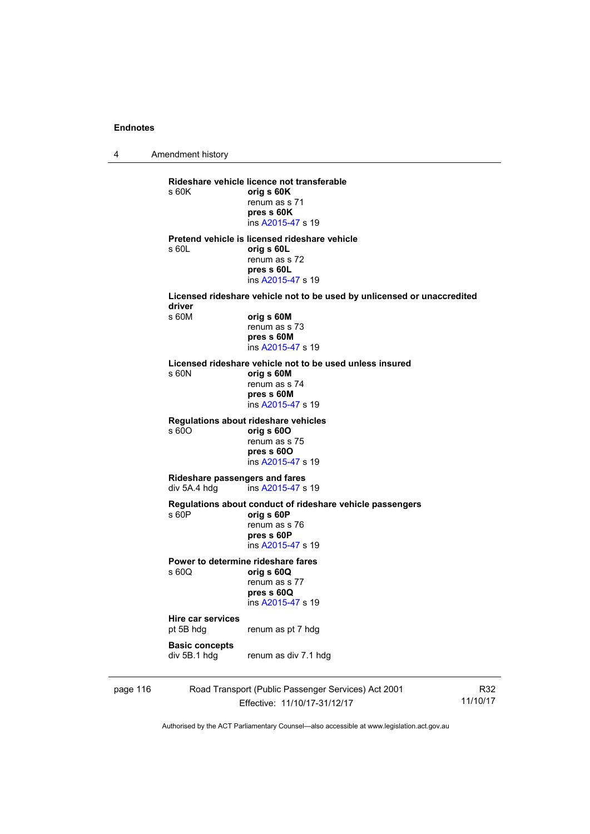4 Amendment history page 116 Road Transport (Public Passenger Services) Act 2001 R32 **Rideshare vehicle licence not transferable**  s 60K **orig s 60K**  renum as s 71 **pres s 60K**  ins [A2015-47](http://www.legislation.act.gov.au/a/2015-47) s 19 **Pretend vehicle is licensed rideshare vehicle**  s 60L **orig s 60L**  renum as s 72 **pres s 60L**  ins [A2015-47](http://www.legislation.act.gov.au/a/2015-47) s 19 **Licensed rideshare vehicle not to be used by unlicensed or unaccredited driver**  s 60M **orig s 60M**  renum as s 73 **pres s 60M**  ins [A2015-47](http://www.legislation.act.gov.au/a/2015-47) s 19 **Licensed rideshare vehicle not to be used unless insured**  s 60N **orig s 60M**  renum as s 74 **pres s 60M**  ins [A2015-47](http://www.legislation.act.gov.au/a/2015-47) s 19 **Regulations about rideshare vehicles**  s 60O **orig s 60O**  renum as s 75 **pres s 60O**  ins [A2015-47](http://www.legislation.act.gov.au/a/2015-47) s 19 **Rideshare passengers and fares**  div 5A.4 hdg ins [A2015-47](http://www.legislation.act.gov.au/a/2015-47) s 19 **Regulations about conduct of rideshare vehicle passengers**  s 60P **orig s 60P**  renum as s 76 **pres s 60P**  ins [A2015-47](http://www.legislation.act.gov.au/a/2015-47) s 19 **Power to determine rideshare fares**  s 60Q **orig s 60Q**  renum as s 77 **pres s 60Q**  ins [A2015-47](http://www.legislation.act.gov.au/a/2015-47) s 19 **Hire car services**  renum as pt 7 hdg **Basic concepts**  div 5B.1 hdg renum as div 7.1 hdg

Effective: 11/10/17-31/12/17 11/10/17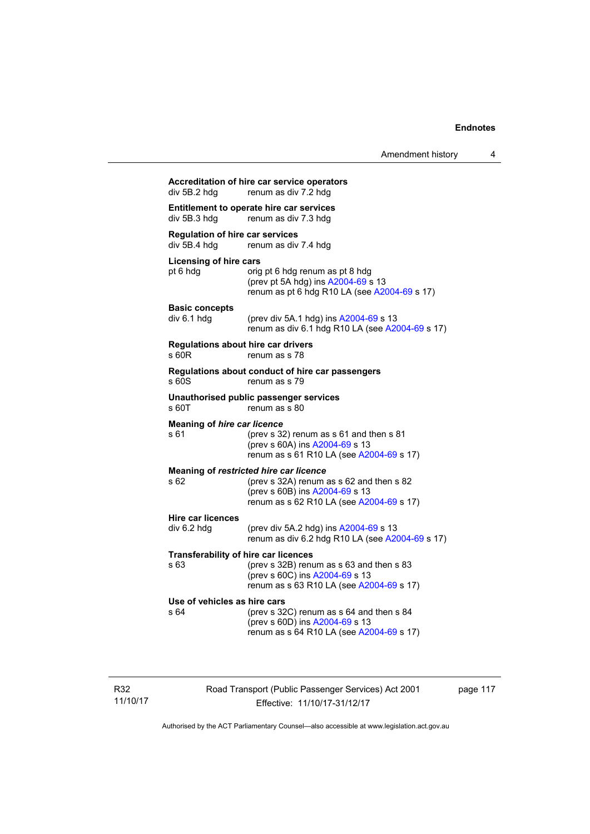| div 5B.2 hdg                                           | renum as div 7.2 hdg                                                                                                                                                    |
|--------------------------------------------------------|-------------------------------------------------------------------------------------------------------------------------------------------------------------------------|
| div 5B.3 hdg                                           | Entitlement to operate hire car services<br>renum as div 7.3 hdg                                                                                                        |
| <b>Regulation of hire car services</b><br>div 5B.4 hdg | renum as div 7.4 hdg                                                                                                                                                    |
| <b>Licensing of hire cars</b><br>pt 6 hdg              | orig pt 6 hdg renum as pt 8 hdg<br>(prev pt 5A hdg) ins A2004-69 s 13<br>renum as pt 6 hdg R10 LA (see A2004-69 s 17)                                                   |
| <b>Basic concepts</b><br>div 6.1 hdg                   | (prev div 5A.1 hdg) ins A2004-69 s 13<br>renum as div 6.1 hdg R10 LA (see A2004-69 s 17)                                                                                |
| s 60R                                                  | <b>Regulations about hire car drivers</b><br>renum as s 78                                                                                                              |
| s 60S                                                  | Regulations about conduct of hire car passengers<br>renum as s 79                                                                                                       |
| s 60T                                                  | Unauthorised public passenger services<br>renum as s 80                                                                                                                 |
| <b>Meaning of hire car licence</b><br>s 61             | (prev s 32) renum as s 61 and then s 81<br>(prev s 60A) ins A2004-69 s 13<br>renum as s 61 R10 LA (see A2004-69 s 17)                                                   |
| s 62                                                   | Meaning of restricted hire car licence<br>(prev s $32A$ ) renum as s $62$ and then s $82$<br>(prev s 60B) ins A2004-69 s 13<br>renum as s 62 R10 LA (see A2004-69 s 17) |
| <b>Hire car licences</b><br>div 6.2 hdg                | (prev div 5A.2 hdg) ins A2004-69 s 13<br>renum as div 6.2 hdg R10 LA (see A2004-69 s 17)                                                                                |
| s 63                                                   | <b>Transferability of hire car licences</b><br>(prev s 32B) renum as s 63 and then s 83<br>(prev s 60C) ins A2004-69 s 13<br>renum as s 63 R10 LA (see A2004-69 s 17)   |
| Use of vehicles as hire cars<br>s 64                   | (prev s 32C) renum as s 64 and then s 84<br>(prev s 60D) ins A2004-69 s 13<br>renum as s 64 R10 LA (see A2004-69 s 17)                                                  |

Road Transport (Public Passenger Services) Act 2001 Effective: 11/10/17-31/12/17

page 117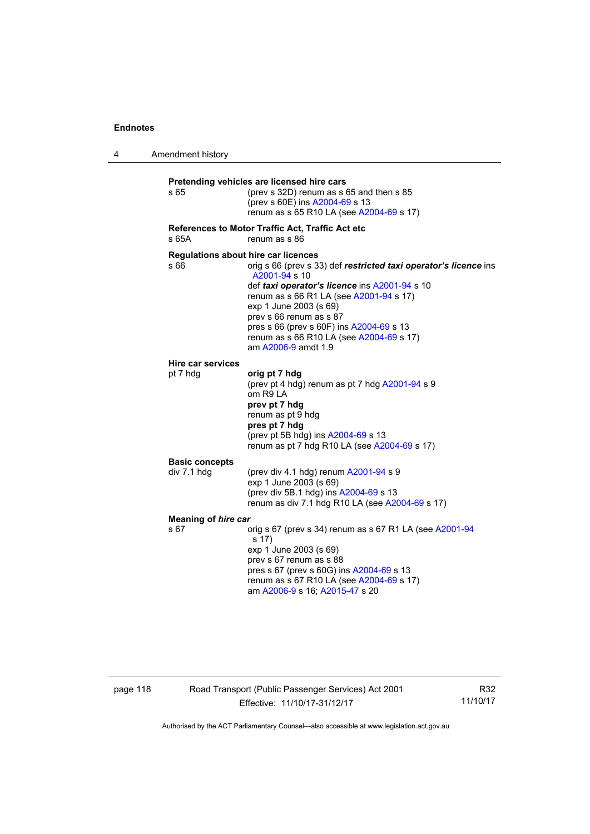4 Amendment history **Pretending vehicles are licensed hire cars**  s 65 (prev s 32D) renum as s 65 and then s 85 (prev s 60E) ins [A2004-69](http://www.legislation.act.gov.au/a/2004-69) s 13 renum as s 65 R10 LA (see [A2004-69](http://www.legislation.act.gov.au/a/2004-69) s 17) **References to Motor Traffic Act, Traffic Act etc**  s 65A renum as s 86 **Regulations about hire car licences**  s 66 orig s 66 (prev s 33) def **restricted taxi operator's licence** ins [A2001-94](http://www.legislation.act.gov.au/a/2001-94) s 10 def *taxi operator's licence* ins [A2001-94](http://www.legislation.act.gov.au/a/2001-94) s 10 renum as s 66 R1 LA (see [A2001-94](http://www.legislation.act.gov.au/a/2001-94) s 17) exp 1 June 2003 (s 69) prev s 66 renum as s 87 pres s 66 (prev s 60F) ins [A2004-69](http://www.legislation.act.gov.au/a/2004-69) s 13 renum as s 66 R10 LA (see [A2004-69](http://www.legislation.act.gov.au/a/2004-69) s 17) am [A2006-9](http://www.legislation.act.gov.au/a/2006-9) amdt 1.9 **Hire car services**  pt 7 hdg **orig pt 7 hdg** (prev pt 4 hdg) renum as pt 7 hdg [A2001-94](http://www.legislation.act.gov.au/a/2001-94) s 9 om R9 LA **prev pt 7 hdg**  renum as pt 9 hdg **pres pt 7 hdg**  (prev pt 5B hdg) ins [A2004-69](http://www.legislation.act.gov.au/a/2004-69) s 13 renum as pt 7 hdg R10 LA (see [A2004-69](http://www.legislation.act.gov.au/a/2004-69) s 17) **Basic concepts**   $div 7.1$  hdg  $(prev div 4.1 hdq)$  renum  $A2001-94 s 9$  $A2001-94 s 9$ exp 1 June 2003 (s 69) (prev div 5B.1 hdg) ins [A2004-69](http://www.legislation.act.gov.au/a/2004-69) s 13 renum as div 7.1 hdg R10 LA (see [A2004-69](http://www.legislation.act.gov.au/a/2004-69) s 17) **Meaning of** *hire car*  s 67 orig s 67 (prev s 34) renum as s 67 R1 LA (see [A2001-94](http://www.legislation.act.gov.au/a/2001-94) s 17) exp  $1$  June 2003 (s 69) prev s 67 renum as s 88 pres s 67 (prev s 60G) ins [A2004-69](http://www.legislation.act.gov.au/a/2004-69) s 13 renum as s 67 R10 LA (see [A2004-69](http://www.legislation.act.gov.au/a/2004-69) s 17) am [A2006-9](http://www.legislation.act.gov.au/a/2006-9) s 16; [A2015-47](http://www.legislation.act.gov.au/a/2015-47) s 20

page 118 Road Transport (Public Passenger Services) Act 2001 Effective: 11/10/17-31/12/17

R32 11/10/17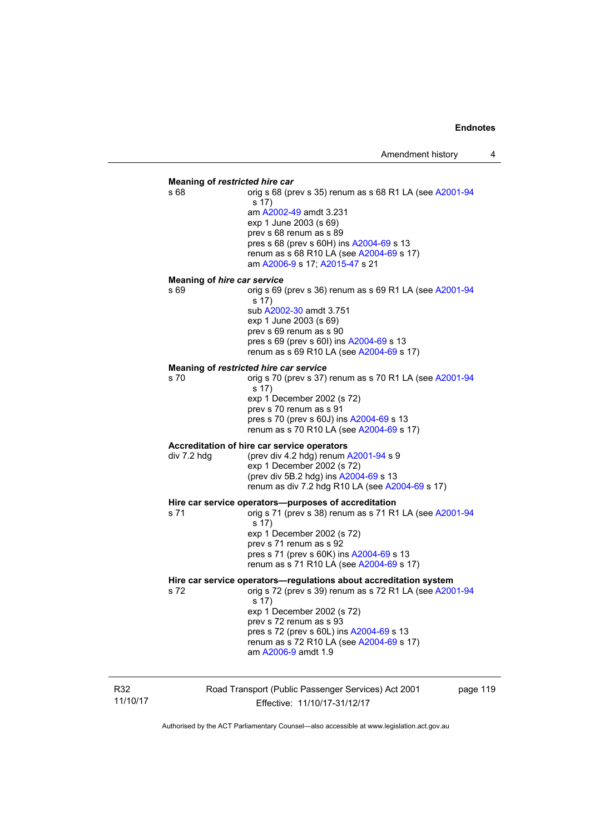# **Meaning of** *restricted hire car*  s 68 **orig s 68 (prev s 35) renum as s 68 R1 LA (see [A2001-94](http://www.legislation.act.gov.au/a/2001-94)** s 17) am [A2002-49](http://www.legislation.act.gov.au/a/2002-49) amdt 3.231 exp 1 June 2003 (s 69) prev s 68 renum as s 89 pres s 68 (prev s 60H) ins [A2004-69](http://www.legislation.act.gov.au/a/2004-69) s 13 renum as s 68 R10 LA (see [A2004-69](http://www.legislation.act.gov.au/a/2004-69) s 17) am [A2006-9](http://www.legislation.act.gov.au/a/2006-9) s 17; [A2015-47](http://www.legislation.act.gov.au/a/2015-47) s 21 **Meaning of** *hire car service*  s 69 orig s 69 (prev s 36) renum as s 69 R1 LA (see [A2001-94](http://www.legislation.act.gov.au/a/2001-94) s 17) sub [A2002-30](http://www.legislation.act.gov.au/a/2002-30) amdt 3.751 exp 1 June 2003 (s 69) prev s 69 renum as s 90 pres s 69 (prev s 60I) ins [A2004-69](http://www.legislation.act.gov.au/a/2004-69) s 13 renum as s 69 R10 LA (see [A2004-69](http://www.legislation.act.gov.au/a/2004-69) s 17) **Meaning of** *restricted hire car service*  s 70 orig s 70 (prev s 37) renum as s 70 R1 LA (see [A2001-94](http://www.legislation.act.gov.au/a/2001-94) s 17) exp 1 December 2002 (s 72) prev s 70 renum as s 91 pres s 70 (prev s 60J) ins [A2004-69](http://www.legislation.act.gov.au/a/2004-69) s 13 renum as s 70 R10 LA (see [A2004-69](http://www.legislation.act.gov.au/a/2004-69) s 17) **Accreditation of hire car service operators**  div 7.2 hdg (prev div 4.2 hdg) renum [A2001-94](http://www.legislation.act.gov.au/a/2001-94) s 9 exp 1 December 2002 (s 72) (prev div 5B.2 hdg) ins [A2004-69](http://www.legislation.act.gov.au/a/2004-69) s 13 renum as div 7.2 hdg R10 LA (see [A2004-69](http://www.legislation.act.gov.au/a/2004-69) s 17) **Hire car service operators—purposes of accreditation**  s 71 orig s 71 (prev s 38) renum as s 71 R1 LA (see [A2001-94](http://www.legislation.act.gov.au/a/2001-94) s 17) exp 1 December 2002 (s 72) prev s 71 renum as s 92 pres s 71 (prev s 60K) ins [A2004-69](http://www.legislation.act.gov.au/a/2004-69) s 13 renum as s 71 R10 LA (see [A2004-69](http://www.legislation.act.gov.au/a/2004-69) s 17) **Hire car service operators—regulations about accreditation system**  s 72 orig s 72 (prev s 39) renum as s 72 R1 LA (see [A2001-94](http://www.legislation.act.gov.au/a/2001-94) s 17) exp 1 December 2002 (s 72) prev s 72 renum as s 93 pres s 72 (prev s 60L) ins [A2004-69](http://www.legislation.act.gov.au/a/2004-69) s 13 renum as s 72 R10 LA (see [A2004-69](http://www.legislation.act.gov.au/a/2004-69) s 17) am [A2006-9](http://www.legislation.act.gov.au/a/2006-9) amdt 1.9

R32 11/10/17 Road Transport (Public Passenger Services) Act 2001 Effective: 11/10/17-31/12/17

page 119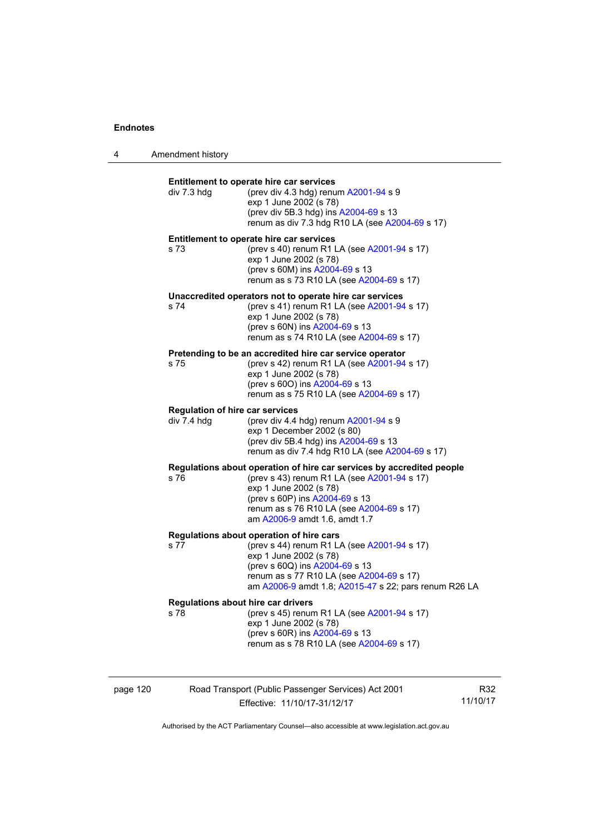4 Amendment history

| div 7.3 hdg | Entitlement to operate hire car services<br>(prev div 4.3 hdg) renum A2001-94 s 9<br>exp 1 June 2002 (s 78)<br>(prev div 5B.3 hdg) ins A2004-69 s 13<br>renum as div 7.3 hdg R10 LA (see A2004-69 s 17)                                                       |
|-------------|---------------------------------------------------------------------------------------------------------------------------------------------------------------------------------------------------------------------------------------------------------------|
| s 73        | Entitlement to operate hire car services<br>(prev s 40) renum R1 LA (see A2001-94 s 17)<br>exp 1 June 2002 (s 78)<br>(prev s 60M) ins A2004-69 s 13<br>renum as s 73 R10 LA (see A2004-69 s 17)                                                               |
| s 74        | Unaccredited operators not to operate hire car services<br>(prev s 41) renum R1 LA (see A2001-94 s 17)<br>exp 1 June 2002 (s 78)<br>(prev s 60N) ins A2004-69 s 13<br>renum as s 74 R10 LA (see A2004-69 s 17)                                                |
| s 75        | Pretending to be an accredited hire car service operator<br>(prev s 42) renum R1 LA (see A2001-94 s 17)<br>exp 1 June 2002 (s 78)<br>(prev s 600) ins A2004-69 s 13<br>renum as s 75 R10 LA (see A2004-69 s 17)                                               |
| div 7.4 hdg | <b>Regulation of hire car services</b><br>(prev div 4.4 hdg) renum A2001-94 s 9<br>exp 1 December 2002 (s 80)<br>(prev div 5B.4 hdg) ins A2004-69 s 13<br>renum as div 7.4 hdg R10 LA (see A2004-69 s 17)                                                     |
| s 76        | Regulations about operation of hire car services by accredited people<br>(prev s 43) renum R1 LA (see A2001-94 s 17)<br>exp 1 June 2002 (s 78)<br>(prev s 60P) ins A2004-69 s 13<br>renum as s 76 R10 LA (see A2004-69 s 17)<br>am A2006-9 amdt 1.6, amdt 1.7 |
| s 77        | Regulations about operation of hire cars<br>(prev s 44) renum R1 LA (see A2001-94 s 17)<br>exp 1 June 2002 (s 78)<br>(prev s 60Q) ins A2004-69 s 13<br>renum as s 77 R10 LA (see A2004-69 s 17)<br>am A2006-9 amdt 1.8; A2015-47 s 22; pars renum R26 LA      |
| s 78        | <b>Regulations about hire car drivers</b><br>(prev s 45) renum R1 LA (see A2001-94 s 17)<br>exp 1 June 2002 (s 78)<br>(prev s 60R) ins A2004-69 s 13<br>renum as s 78 R10 LA (see A2004-69 s 17)                                                              |

page 120 Road Transport (Public Passenger Services) Act 2001 Effective: 11/10/17-31/12/17

R32 11/10/17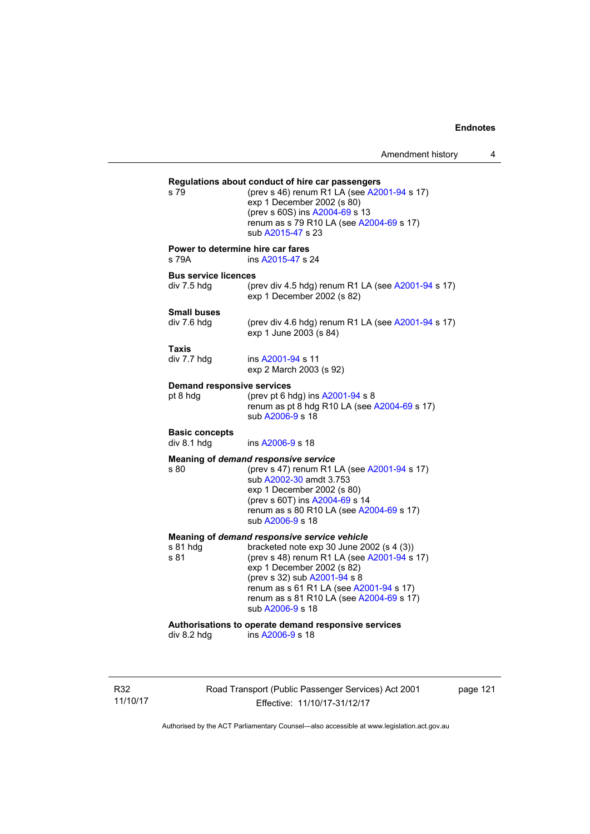**Regulations about conduct of hire car passengers**  (prev s 46) renum R1 LA (see  $A2001-94$  s 17) exp 1 December 2002 (s 80) (prev s 60S) ins [A2004-69](http://www.legislation.act.gov.au/a/2004-69) s 13 renum as s 79 R10 LA (see [A2004-69](http://www.legislation.act.gov.au/a/2004-69) s 17) sub [A2015-47](http://www.legislation.act.gov.au/a/2015-47) s 23 **Power to determine hire car fares**  s 79A ins [A2015-47](http://www.legislation.act.gov.au/a/2015-47) s 24 **Bus service licences**  div 7.5 hdg (prev div 4.5 hdg) renum R1 LA (see [A2001-94](http://www.legislation.act.gov.au/a/2001-94) s 17) exp 1 December 2002 (s 82) **Small buses**  (prev div 4.6 hdg) renum R1 LA (see  $A2001-94$  s 17) exp 1 June 2003 (s 84) **Taxis**  div 7.7 hdg ins [A2001-94](http://www.legislation.act.gov.au/a/2001-94) s 11 exp 2 March 2003 (s 92) **Demand responsive services**  pt 8 hdg  $($ prev pt 6 hdg) ins [A2001-94](http://www.legislation.act.gov.au/a/2001-94) s 8 renum as pt  $\frac{8}{10}$  hdg R10 LA (see [A2004-69](http://www.legislation.act.gov.au/a/2004-69) s 17) sub [A2006-9](http://www.legislation.act.gov.au/a/2006-9) s 18 **Basic concepts**  div 8.1 hdg ins [A2006-9](http://www.legislation.act.gov.au/a/2006-9) s 18 **Meaning of** *demand responsive service* s 80 (prev s 47) renum R1 LA (see [A2001-94](http://www.legislation.act.gov.au/a/2001-94) s 17) sub [A2002-30](http://www.legislation.act.gov.au/a/2002-30) amdt 3.753 exp 1 December 2002 (s 80) (prev s 60T) ins [A2004-69](http://www.legislation.act.gov.au/a/2004-69) s 14 renum as s 80 R10 LA (see [A2004-69](http://www.legislation.act.gov.au/a/2004-69) s 17) sub [A2006-9](http://www.legislation.act.gov.au/a/2006-9) s 18 **Meaning of** *demand responsive service vehicle*<br>s 81 hdg bracketed note exp 30 June 20 s 81 hdg bracketed note exp 30 June 2002 (s 4 (3))<br>s 81 (prev s 48) renum R1 LA (see A2001-94 s (prev s 48) renum R1 LA (see  $A2001-94$  s 17) exp 1 December 2002 (s 82) (prev s 32) sub [A2001-94](http://www.legislation.act.gov.au/a/2001-94) s 8 renum as s 61 R1 LA (see [A2001-94](http://www.legislation.act.gov.au/a/2001-94) s 17) renum as s 81 R10 LA (see [A2004-69](http://www.legislation.act.gov.au/a/2004-69) s 17) sub [A2006-9](http://www.legislation.act.gov.au/a/2006-9) s 18 **Authorisations to operate demand responsive services**   $ins A2006-9 s 18$  $ins A2006-9 s 18$  $ins A2006-9 s 18$ 

R32 11/10/17 Road Transport (Public Passenger Services) Act 2001 Effective: 11/10/17-31/12/17

page 121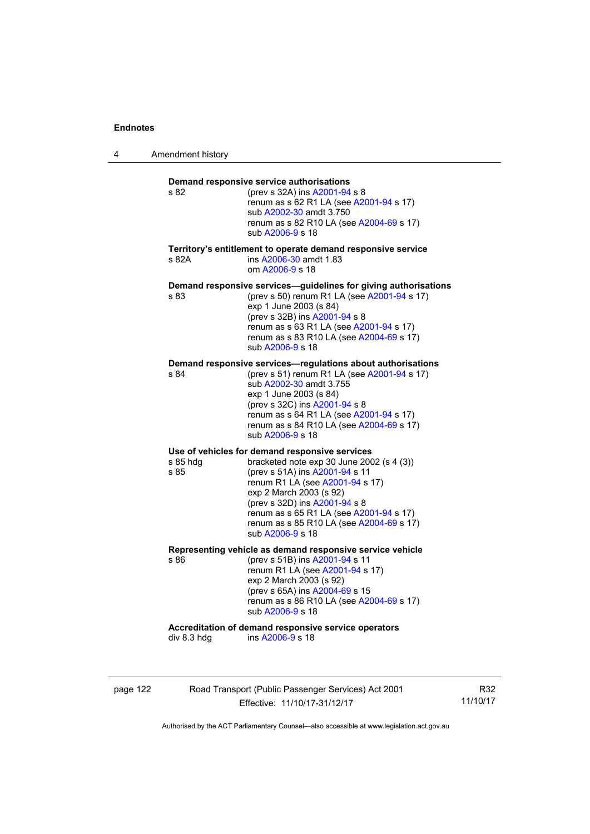4 Amendment history

| s 82             | (prev s 32A) ins A2001-94 s 8<br>renum as s 62 R1 LA (see A2001-94 s 17)<br>sub A2002-30 amdt 3.750<br>renum as s 82 R10 LA (see A2004-69 s 17)<br>sub A2006-9 s 18                                                                                                                                                                     |
|------------------|-----------------------------------------------------------------------------------------------------------------------------------------------------------------------------------------------------------------------------------------------------------------------------------------------------------------------------------------|
| s 82A            | Territory's entitlement to operate demand responsive service<br>ins A2006-30 amdt 1.83<br>om A2006-9 s 18                                                                                                                                                                                                                               |
| s 83             | Demand responsive services-guidelines for giving authorisations<br>(prev s 50) renum R1 LA (see A2001-94 s 17)<br>exp 1 June 2003 (s 84)<br>(prev s 32B) ins A2001-94 s 8<br>renum as s 63 R1 LA (see A2001-94 s 17)<br>renum as s 83 R10 LA (see A2004-69 s 17)<br>sub A2006-9 s 18                                                    |
| s 84             | Demand responsive services—requiations about authorisations<br>(prev s 51) renum R1 LA (see A2001-94 s 17)<br>sub A2002-30 amdt 3.755<br>exp 1 June 2003 (s 84)<br>(prev s 32C) ins A2001-94 s 8<br>renum as s 64 R1 LA (see A2001-94 s 17)<br>renum as s 84 R10 LA (see A2004-69 s 17)<br>sub A2006-9 s 18                             |
| s 85 hdg<br>s 85 | Use of vehicles for demand responsive services<br>bracketed note exp 30 June 2002 (s 4 (3))<br>(prev s 51A) ins A2001-94 s 11<br>renum R1 LA (see A2001-94 s 17)<br>exp 2 March 2003 (s 92)<br>(prev s 32D) ins A2001-94 s 8<br>renum as s 65 R1 LA (see A2001-94 s 17)<br>renum as s 85 R10 LA (see A2004-69 s 17)<br>sub A2006-9 s 18 |
| s 86             | Representing vehicle as demand responsive service vehicle<br>(prev s 51B) ins A2001-94 s 11<br>renum R1 LA (see A2001-94 s 17)<br>exp 2 March 2003 (s 92)<br>(prev s 65A) ins A2004-69 s 15<br>renum as s 86 R10 LA (see A2004-69 s 17)<br>sub A2006-9 s 18                                                                             |
| div 8.3 hdg      | Accreditation of demand responsive service operators<br>ins A2006-9 s 18                                                                                                                                                                                                                                                                |

page 122 Road Transport (Public Passenger Services) Act 2001 Effective: 11/10/17-31/12/17

R32 11/10/17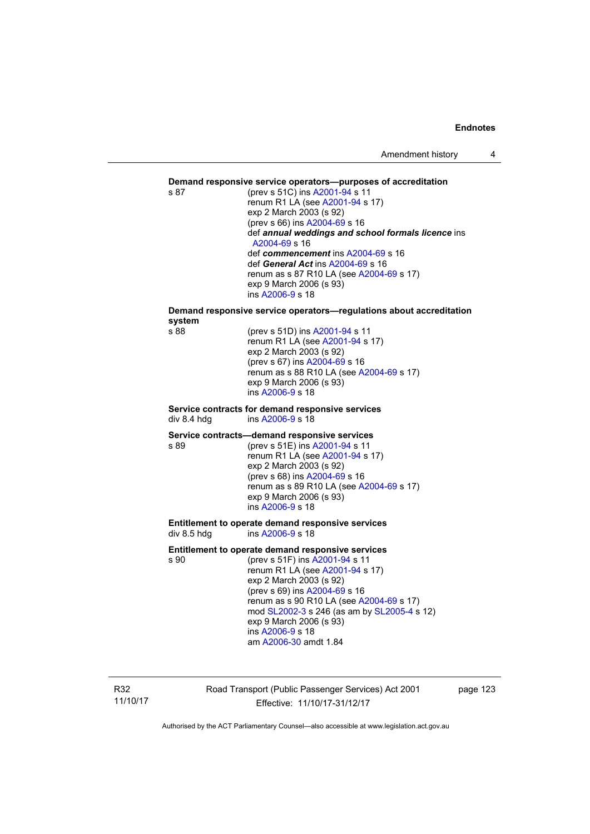#### **Demand responsive service operators—purposes of accreditation**

s 87 (prev s 51C) ins [A2001-94](http://www.legislation.act.gov.au/a/2001-94) s 11 renum R1 LA (see [A2001-94](http://www.legislation.act.gov.au/a/2001-94) s 17) exp 2 March 2003 (s 92) (prev s 66) ins [A2004-69](http://www.legislation.act.gov.au/a/2004-69) s 16 def *annual weddings and school formals licence* ins [A2004-69](http://www.legislation.act.gov.au/a/2004-69) s 16 def *commencement* ins [A2004-69](http://www.legislation.act.gov.au/a/2004-69) s 16 def *General Act* ins [A2004-69](http://www.legislation.act.gov.au/a/2004-69) s 16 renum as s 87 R10 LA (see [A2004-69](http://www.legislation.act.gov.au/a/2004-69) s 17) exp 9 March 2006 (s 93) ins [A2006-9](http://www.legislation.act.gov.au/a/2006-9) s 18

# **Demand responsive service operators—regulations about accreditation system**

(prev s 51D) ins [A2001-94](http://www.legislation.act.gov.au/a/2001-94) s 11 renum R1 LA (see [A2001-94](http://www.legislation.act.gov.au/a/2001-94) s 17) exp 2 March 2003 (s 92) (prev s 67) ins [A2004-69](http://www.legislation.act.gov.au/a/2004-69) s 16 renum as s 88 R10 LA (see [A2004-69](http://www.legislation.act.gov.au/a/2004-69) s 17) exp 9 March 2006 (s 93) ins [A2006-9](http://www.legislation.act.gov.au/a/2006-9) s 18

#### **Service contracts for demand responsive services**  div 8.4 hdg ins [A2006-9](http://www.legislation.act.gov.au/a/2006-9) s 18

#### **Service contracts—demand responsive services**

s 89 (prev s 51E) ins [A2001-94](http://www.legislation.act.gov.au/a/2001-94) s 11 renum R1 LA (see [A2001-94](http://www.legislation.act.gov.au/a/2001-94) s 17) exp 2 March 2003 (s 92) (prev s 68) ins [A2004-69](http://www.legislation.act.gov.au/a/2004-69) s 16 renum as s 89 R10 LA (see [A2004-69](http://www.legislation.act.gov.au/a/2004-69) s 17) exp 9 March 2006 (s 93) ins [A2006-9](http://www.legislation.act.gov.au/a/2006-9) s 18

#### **Entitlement to operate demand responsive services**  div 8.5 hdg ins [A2006-9](http://www.legislation.act.gov.au/a/2006-9) s 18

#### **Entitlement to operate demand responsive services**

s 90 (prev s 51F) ins [A2001-94](http://www.legislation.act.gov.au/a/2001-94) s 11 renum R1 LA (see [A2001-94](http://www.legislation.act.gov.au/a/2001-94) s 17) exp 2 March 2003 (s 92) (prev s 69) ins [A2004-69](http://www.legislation.act.gov.au/a/2004-69) s 16 renum as s 90 R10 LA (see [A2004-69](http://www.legislation.act.gov.au/a/2004-69) s 17) mod [SL2002-3](http://www.legislation.act.gov.au/sl/2002-3) s 246 (as am by [SL2005-4](http://www.legislation.act.gov.au/sl/2005-4) s 12) exp 9 March 2006 (s 93) ins [A2006-9](http://www.legislation.act.gov.au/a/2006-9) s 18 am [A2006-30](http://www.legislation.act.gov.au/a/2006-30) amdt 1.84

R32 11/10/17 Road Transport (Public Passenger Services) Act 2001 Effective: 11/10/17-31/12/17

page 123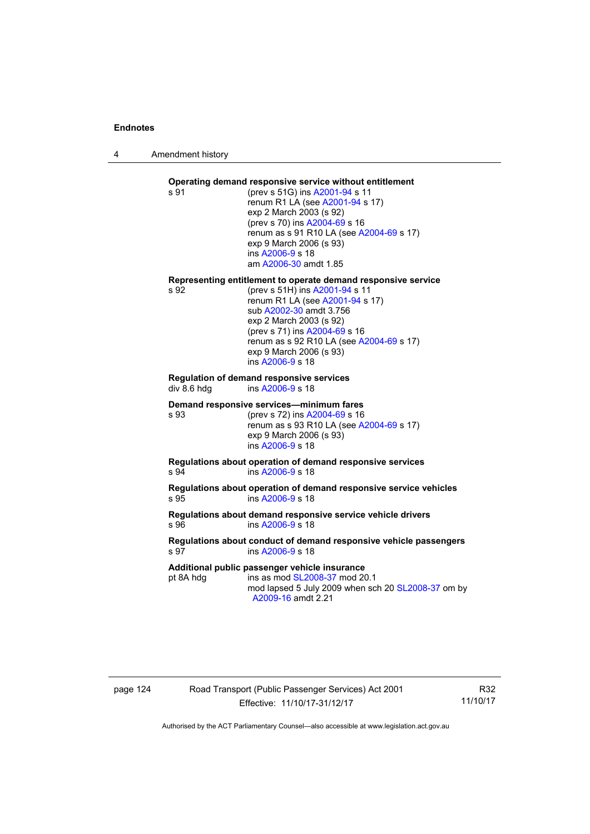4 Amendment history

## **Operating demand responsive service without entitlement**

s 91 (prev s 51G) ins [A2001-94](http://www.legislation.act.gov.au/a/2001-94) s 11 renum R1 LA (see [A2001-94](http://www.legislation.act.gov.au/a/2001-94) s 17) exp 2 March 2003 (s 92) (prev s 70) ins [A2004-69](http://www.legislation.act.gov.au/a/2004-69) s 16 renum as s 91 R10 LA (see [A2004-69](http://www.legislation.act.gov.au/a/2004-69) s 17) exp 9 March 2006 (s 93) ins [A2006-9](http://www.legislation.act.gov.au/a/2006-9) s 18 am [A2006-30](http://www.legislation.act.gov.au/a/2006-30) amdt 1.85

# **Representing entitlement to operate demand responsive service**

(prev s 51H) ins [A2001-94](http://www.legislation.act.gov.au/a/2001-94) s 11 renum R1 LA (see [A2001-94](http://www.legislation.act.gov.au/a/2001-94) s 17) sub [A2002-30](http://www.legislation.act.gov.au/a/2002-30) amdt 3.756 exp 2 March 2003 (s 92) (prev s 71) ins [A2004-69](http://www.legislation.act.gov.au/a/2004-69) s 16 renum as s 92 R10 LA (see [A2004-69](http://www.legislation.act.gov.au/a/2004-69) s 17) exp 9 March 2006 (s 93) ins [A2006-9](http://www.legislation.act.gov.au/a/2006-9) s 18

#### **Regulation of demand responsive services**  div 8.6 hdg ins [A2006-9](http://www.legislation.act.gov.au/a/2006-9) s 18

#### **Demand responsive services—minimum fares**

s 93 (prev s 72) ins [A2004-69](http://www.legislation.act.gov.au/a/2004-69) s 16 renum as s 93 R10 LA (see [A2004-69](http://www.legislation.act.gov.au/a/2004-69) s 17) exp 9 March 2006 (s 93) ins [A2006-9](http://www.legislation.act.gov.au/a/2006-9) s 18

#### **Regulations about operation of demand responsive services**  s 94 ins [A2006-9](http://www.legislation.act.gov.au/a/2006-9) s 18

**Regulations about operation of demand responsive service vehicles**  s 95 ins [A2006-9](http://www.legislation.act.gov.au/a/2006-9) s 18

## **Regulations about demand responsive service vehicle drivers**  s 96 ins [A2006-9](http://www.legislation.act.gov.au/a/2006-9) s 18

#### **Regulations about conduct of demand responsive vehicle passengers**  s 97 ins [A2006-9](http://www.legislation.act.gov.au/a/2006-9) s 18

#### **Additional public passenger vehicle insurance**

pt 8A hdg ins as mod [SL2008-37](http://www.legislation.act.gov.au/sl/2008-37) mod 20.1

mod lapsed 5 July 2009 when sch 20 [SL2008-37](http://www.legislation.act.gov.au/sl/2008-37) om by [A2009-16](http://www.legislation.act.gov.au/a/2009-16) amdt 2.21

# page 124 Road Transport (Public Passenger Services) Act 2001 Effective: 11/10/17-31/12/17

R32 11/10/17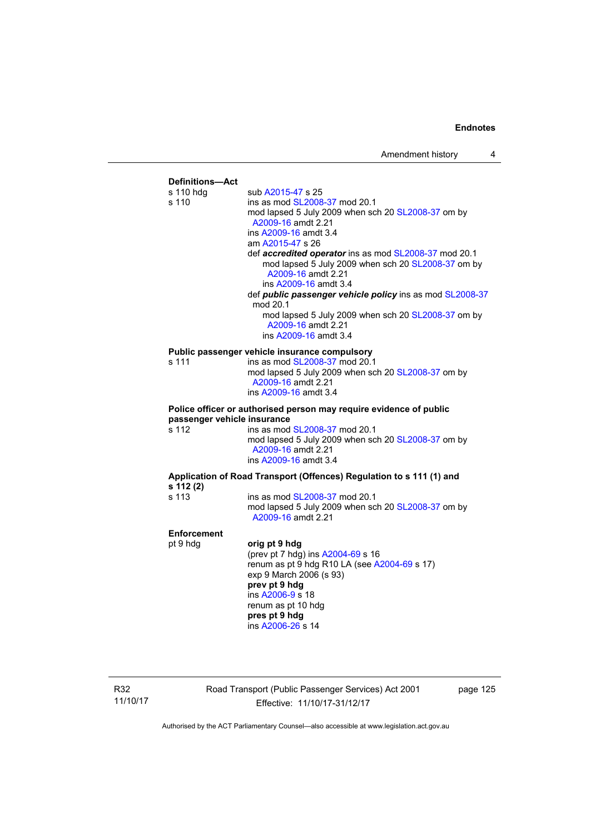

R32 11/10/17 Road Transport (Public Passenger Services) Act 2001 Effective: 11/10/17-31/12/17

page 125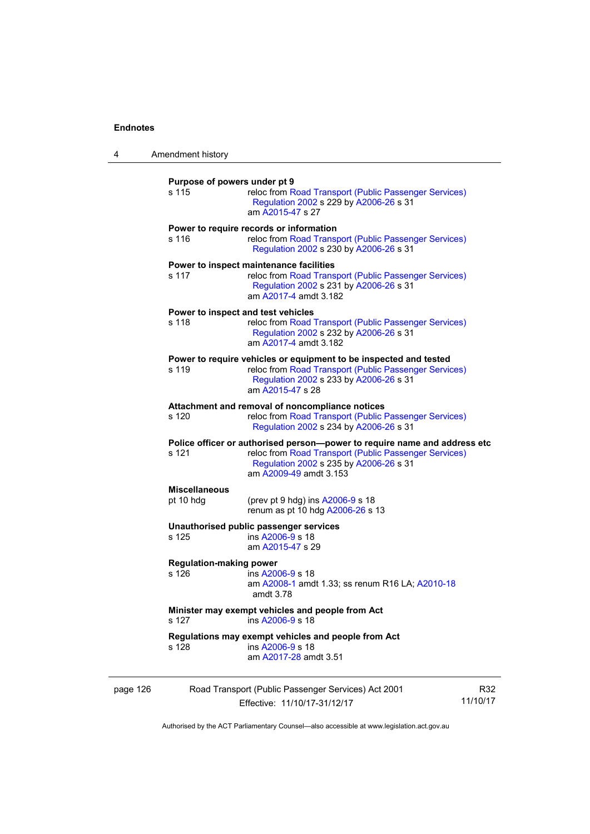| 4        | Amendment history                                                                                                                                                                                                |                                                                                                                                                                                          |                 |  |
|----------|------------------------------------------------------------------------------------------------------------------------------------------------------------------------------------------------------------------|------------------------------------------------------------------------------------------------------------------------------------------------------------------------------------------|-----------------|--|
|          | Purpose of powers under pt 9<br>s 115<br>reloc from Road Transport (Public Passenger Services)<br>Regulation 2002 s 229 by A2006-26 s 31<br>am A2015-47 s 27                                                     |                                                                                                                                                                                          |                 |  |
|          | s 116                                                                                                                                                                                                            | Power to require records or information<br>reloc from Road Transport (Public Passenger Services)<br>Regulation 2002 s 230 by A2006-26 s 31                                               |                 |  |
|          | s 117                                                                                                                                                                                                            | Power to inspect maintenance facilities<br>reloc from Road Transport (Public Passenger Services)<br>Regulation 2002 s 231 by A2006-26 s 31<br>am A2017-4 amdt 3.182                      |                 |  |
|          | s 118                                                                                                                                                                                                            | Power to inspect and test vehicles<br>reloc from Road Transport (Public Passenger Services)<br>Regulation 2002 s 232 by A2006-26 s 31<br>am A2017-4 amdt 3.182                           |                 |  |
|          | s 119                                                                                                                                                                                                            | Power to require vehicles or equipment to be inspected and tested<br>reloc from Road Transport (Public Passenger Services)<br>Regulation 2002 s 233 by A2006-26 s 31<br>am A2015-47 s 28 |                 |  |
|          | s 120                                                                                                                                                                                                            | Attachment and removal of noncompliance notices<br>reloc from Road Transport (Public Passenger Services)<br>Regulation 2002 s 234 by A2006-26 s 31                                       |                 |  |
|          | Police officer or authorised person--power to require name and address etc<br>s 121<br>reloc from Road Transport (Public Passenger Services)<br>Regulation 2002 s 235 by A2006-26 s 31<br>am A2009-49 amdt 3.153 |                                                                                                                                                                                          |                 |  |
|          | <b>Miscellaneous</b><br>pt 10 hdg                                                                                                                                                                                | (prev pt 9 hdg) ins A2006-9 s 18<br>renum as pt 10 hdg A2006-26 s 13                                                                                                                     |                 |  |
|          | s 125                                                                                                                                                                                                            | Unauthorised public passenger services<br>ins A2006-9 s 18<br>am A2015-47 s 29                                                                                                           |                 |  |
|          | <b>Regulation-making power</b><br>s 126                                                                                                                                                                          | ins A2006-9 s 18<br>am A2008-1 amdt 1.33; ss renum R16 LA; A2010-18<br>amdt 3.78                                                                                                         |                 |  |
|          | s 127                                                                                                                                                                                                            | Minister may exempt vehicles and people from Act<br>ins A2006-9 s 18                                                                                                                     |                 |  |
|          | s 128                                                                                                                                                                                                            | Regulations may exempt vehicles and people from Act<br>ins A2006-9 s 18<br>am A2017-28 amdt 3.51                                                                                         |                 |  |
| page 126 |                                                                                                                                                                                                                  | Road Transport (Public Passenger Services) Act 2001<br>Effective: 11/10/17-31/12/17                                                                                                      | R32<br>11/10/17 |  |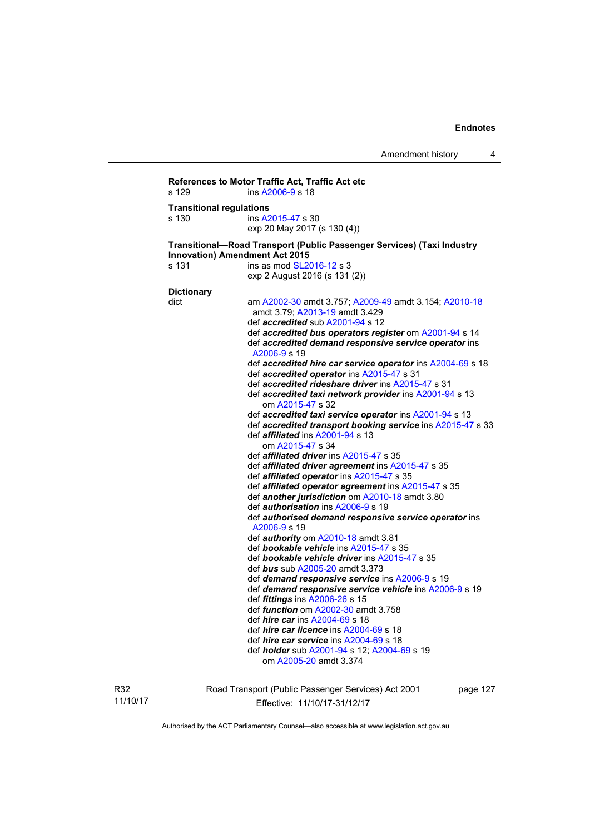```
References to Motor Traffic Act, Traffic Act etc 
s 129 ins A2006-9 s 18 
Transitional regulations 
s 130 ins A2015-47 s 30 
                   exp 20 May 2017 (s 130 (4)) 
Transitional—Road Transport (Public Passenger Services) (Taxi Industry 
Innovation) Amendment Act 2015 
SL2016-12 s 3
                   exp 2 August 2016 (s 131 (2)) 
Dictionary 
dict am A2002-30 amdt 3.757; A2009-49 amdt 3.154; A2010-18
                    amdt 3.79; A2013-19 amdt 3.429 
                    def accredited sub A2001-94 s 12 
                    def accredited bus operators register om A2001-94 s 14 
                    def accredited demand responsive service operator ins 
                    A2006-9 s 19 
                    def accredited hire car service operator ins A2004-69 s 18 
                    def accredited operator ins A2015-47 s 31 
                    def accredited rideshare driver ins A2015-47 s 31 
                    def accredited taxi network provider ins A2001-94 s 13 
                       om A2015-47 s 32 
                    def accredited taxi service operator ins A2001-94 s 13 
                    def accredited transport booking service ins A2015-47 s 33 
                    def affiliated ins A2001-94 s 13 
                       om A2015-47 s 34 
                    def affiliated driver ins A2015-47 s 35 
                    def affiliated driver agreement ins A2015-47 s 35 
                    def affiliated operator ins A2015-47 s 35 
                    def affiliated operator agreement ins A2015-47 s 35 
                    def another jurisdiction om A2010-18 amdt 3.80 
                    def authorisation ins A2006-9 s 19 
                    def authorised demand responsive service operator ins 
                    A2006-9 s 19 
                    def authority om A2010-18 amdt 3.81 
                    def bookable vehicle ins A2015-47 s 35 
                    def bookable vehicle driver ins A2015-47 s 35 
                    def bus sub A2005-20 amdt 3.373 
                    def demand responsive service ins A2006-9 s 19 
                    def demand responsive service vehicle ins A2006-9 s 19 
                    def fittings ins A2006-26 s 15 
                    def function om A2002-30 amdt 3.758 
                    def hire car ins A2004-69 s 18 
                    def hire car licence ins A2004-69 s 18 
                    def hire car service ins A2004-69 s 18 
                    def holder sub A2001-94 s 12; A2004-69 s 19 
                       om A2005-20 amdt 3.374
```
R32 11/10/17 Road Transport (Public Passenger Services) Act 2001 Effective: 11/10/17-31/12/17

page 127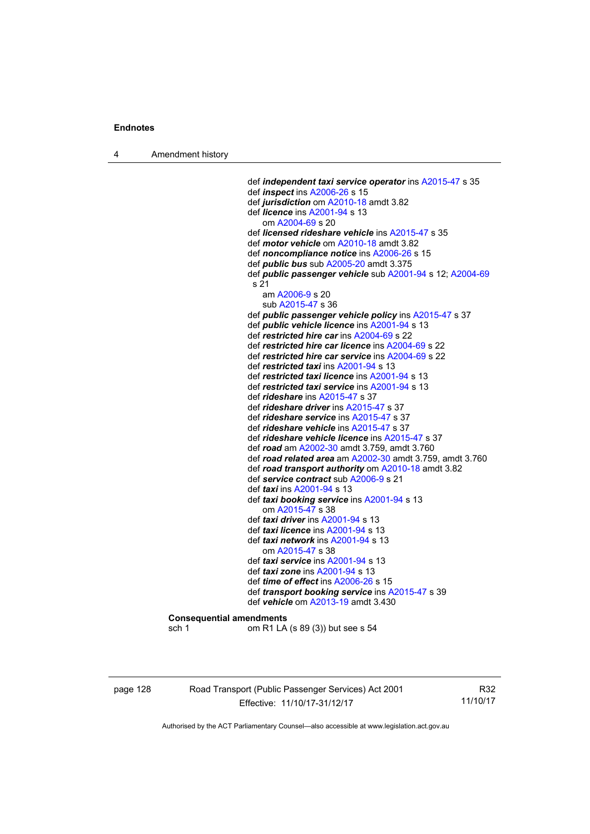4 Amendment history

 def *independent taxi service operator* ins [A2015-47](http://www.legislation.act.gov.au/a/2015-47) s 35 def *inspect* ins [A2006-26](http://www.legislation.act.gov.au/a/2006-26) s 15 def *jurisdiction* om [A2010-18](http://www.legislation.act.gov.au/a/2010-18) amdt 3.82 def *licence* ins [A2001-94](http://www.legislation.act.gov.au/a/2001-94) s 13 om [A2004-69](http://www.legislation.act.gov.au/a/2004-69) s 20 def *licensed rideshare vehicle* ins [A2015-47](http://www.legislation.act.gov.au/a/2015-47) s 35 def *motor vehicle* om [A2010-18](http://www.legislation.act.gov.au/a/2010-18) amdt 3.82 def *noncompliance notice* ins [A2006-26](http://www.legislation.act.gov.au/a/2006-26) s 15 def *public bus* sub [A2005-20](http://www.legislation.act.gov.au/a/2005-20) amdt 3.375 def *public passenger vehicle* sub [A2001-94](http://www.legislation.act.gov.au/a/2001-94) s 12; [A2004-69](http://www.legislation.act.gov.au/a/2004-69) s 21 am [A2006-9](http://www.legislation.act.gov.au/a/2006-9) s 20 sub [A2015-47](http://www.legislation.act.gov.au/a/2015-47) s 36 def *public passenger vehicle policy* ins [A2015-47](http://www.legislation.act.gov.au/a/2015-47) s 37 def *public vehicle licence* ins [A2001-94](http://www.legislation.act.gov.au/a/2001-94) s 13 def *restricted hire car* ins [A2004-69](http://www.legislation.act.gov.au/a/2004-69) s 22 def *restricted hire car licence* ins [A2004-69](http://www.legislation.act.gov.au/a/2004-69) s 22 def *restricted hire car service* ins [A2004-69](http://www.legislation.act.gov.au/a/2004-69) s 22 def *restricted taxi* ins [A2001-94](http://www.legislation.act.gov.au/a/2001-94) s 13 def *restricted taxi licence* ins [A2001-94](http://www.legislation.act.gov.au/a/2001-94) s 13 def *restricted taxi service* ins [A2001-94](http://www.legislation.act.gov.au/a/2001-94) s 13 def *rideshare* ins [A2015-47](http://www.legislation.act.gov.au/a/2015-47) s 37 def *rideshare driver* ins [A2015-47](http://www.legislation.act.gov.au/a/2015-47) s 37 def *rideshare service* ins [A2015-47](http://www.legislation.act.gov.au/a/2015-47) s 37 def *rideshare vehicle* ins [A2015-47](http://www.legislation.act.gov.au/a/2015-47) s 37 def *rideshare vehicle licence* ins [A2015-47](http://www.legislation.act.gov.au/a/2015-47) s 37 def *road* am [A2002-30](http://www.legislation.act.gov.au/a/2002-30) amdt 3.759, amdt 3.760 def *road related area* am [A2002-30](http://www.legislation.act.gov.au/a/2002-30) amdt 3.759, amdt 3.760 def *road transport authority* om [A2010-18](http://www.legislation.act.gov.au/a/2010-18) amdt 3.82 def *service contract* sub [A2006-9](http://www.legislation.act.gov.au/a/2006-9) s 21 def *taxi* ins [A2001-94](http://www.legislation.act.gov.au/a/2001-94) s 13 def *taxi booking service* ins [A2001-94](http://www.legislation.act.gov.au/a/2001-94) s 13 om [A2015-47](http://www.legislation.act.gov.au/a/2015-47) s 38 def *taxi driver* ins [A2001-94](http://www.legislation.act.gov.au/a/2001-94) s 13 def *taxi licence* ins [A2001-94](http://www.legislation.act.gov.au/a/2001-94) s 13 def *taxi network* ins [A2001-94](http://www.legislation.act.gov.au/a/2001-94) s 13 om [A2015-47](http://www.legislation.act.gov.au/a/2015-47) s 38 def *taxi service* ins [A2001-94](http://www.legislation.act.gov.au/a/2001-94) s 13 def *taxi zone* ins [A2001-94](http://www.legislation.act.gov.au/a/2001-94) s 13 def *time of effect* ins [A2006-26](http://www.legislation.act.gov.au/a/2006-26) s 15 def *transport booking service* ins [A2015-47](http://www.legislation.act.gov.au/a/2015-47) s 39 def *vehicle* om [A2013-19](http://www.legislation.act.gov.au/a/2013-19) amdt 3.430 **Consequential amendments**  sch 1 om R1 LA (s 89 (3)) but see s 54

page 128 Road Transport (Public Passenger Services) Act 2001 Effective: 11/10/17-31/12/17

R32 11/10/17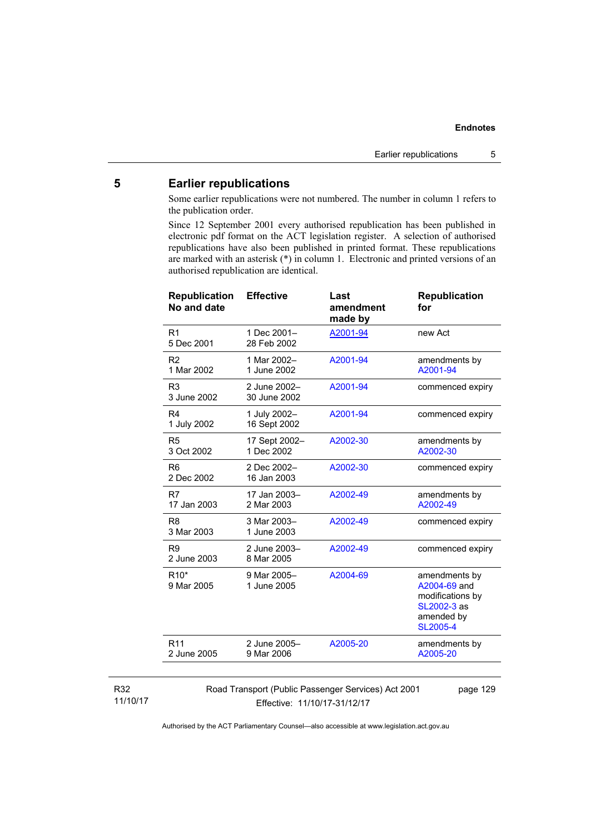# **5 Earlier republications**

Some earlier republications were not numbered. The number in column 1 refers to the publication order.

Since 12 September 2001 every authorised republication has been published in electronic pdf format on the ACT legislation register. A selection of authorised republications have also been published in printed format. These republications are marked with an asterisk (\*) in column 1. Electronic and printed versions of an authorised republication are identical.

| <b>Republication</b><br>No and date | <b>Effective</b>             | Last<br>amendment<br>made by | <b>Republication</b><br>for                                                                       |
|-------------------------------------|------------------------------|------------------------------|---------------------------------------------------------------------------------------------------|
| R <sub>1</sub><br>5 Dec 2001        | 1 Dec 2001-<br>28 Feb 2002   | A2001-94                     | new Act                                                                                           |
| R <sub>2</sub><br>1 Mar 2002        | 1 Mar 2002-<br>1 June 2002   | A2001-94                     | amendments by<br>A2001-94                                                                         |
| R <sub>3</sub><br>3 June 2002       | 2 June 2002-<br>30 June 2002 | A2001-94                     | commenced expiry                                                                                  |
| R <sub>4</sub><br>1 July 2002       | 1 July 2002-<br>16 Sept 2002 | A2001-94                     | commenced expiry                                                                                  |
| R <sub>5</sub><br>3 Oct 2002        | 17 Sept 2002-<br>1 Dec 2002  | A2002-30                     | amendments by<br>A2002-30                                                                         |
| R <sub>6</sub><br>2 Dec 2002        | 2 Dec 2002-<br>16 Jan 2003   | A2002-30                     | commenced expiry                                                                                  |
| R7<br>17 Jan 2003                   | 17 Jan 2003-<br>2 Mar 2003   | A2002-49                     | amendments by<br>A2002-49                                                                         |
| R <sub>8</sub><br>3 Mar 2003        | 3 Mar 2003-<br>1 June 2003   | A2002-49                     | commenced expiry                                                                                  |
| R <sub>9</sub><br>2 June 2003       | 2 June 2003-<br>8 Mar 2005   | A2002-49                     | commenced expiry                                                                                  |
| R <sub>10</sub> *<br>9 Mar 2005     | 9 Mar 2005-<br>1 June 2005   | A2004-69                     | amendments by<br>A2004-69 and<br>modifications by<br>SL2002-3 as<br>amended by<br><b>SL2005-4</b> |
| R <sub>11</sub><br>2 June 2005      | 2 June 2005-<br>9 Mar 2006   | A2005-20                     | amendments by<br>A2005-20                                                                         |
|                                     |                              |                              |                                                                                                   |

#### R32 11/10/17

Road Transport (Public Passenger Services) Act 2001 Effective: 11/10/17-31/12/17

page 129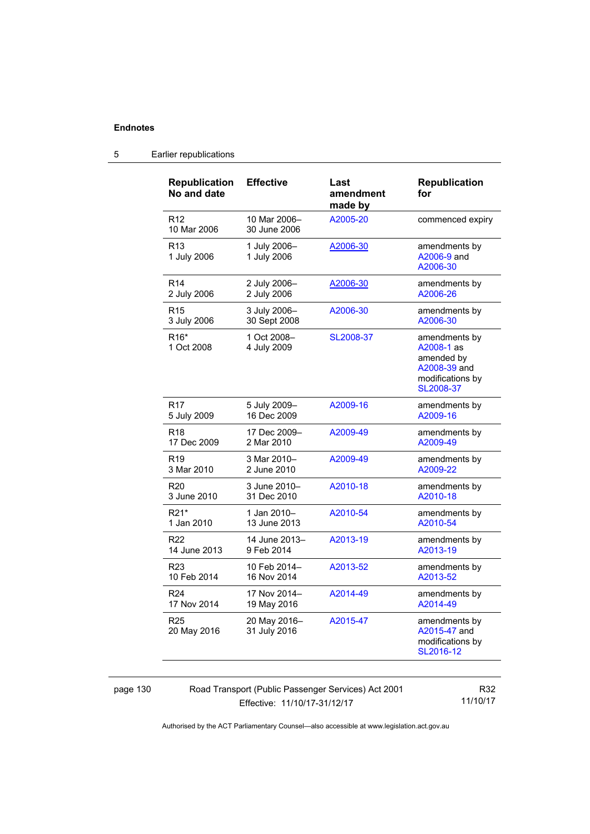| <b>Republication</b><br>No and date | <b>Effective</b>             | Last<br>amendment<br>made by | <b>Republication</b><br>for                                                                |
|-------------------------------------|------------------------------|------------------------------|--------------------------------------------------------------------------------------------|
| R <sub>12</sub><br>10 Mar 2006      | 10 Mar 2006-<br>30 June 2006 | A2005-20                     | commenced expiry                                                                           |
| R <sub>13</sub><br>1 July 2006      | 1 July 2006-<br>1 July 2006  | A2006-30                     | amendments by<br>A2006-9 and<br>A2006-30                                                   |
| R <sub>14</sub>                     | 2 July 2006-                 | A2006-30                     | amendments by                                                                              |
| 2 July 2006                         | 2 July 2006                  |                              | A2006-26                                                                                   |
| R <sub>15</sub>                     | 3 July 2006-                 | A2006-30                     | amendments by                                                                              |
| 3 July 2006                         | 30 Sept 2008                 |                              | A2006-30                                                                                   |
| R <sub>16</sub> *<br>1 Oct 2008     | 1 Oct 2008-<br>4 July 2009   | SL2008-37                    | amendments by<br>A2008-1 as<br>amended by<br>A2008-39 and<br>modifications by<br>SL2008-37 |
| R <sub>17</sub>                     | 5 July 2009-                 | A2009-16                     | amendments by                                                                              |
| 5 July 2009                         | 16 Dec 2009                  |                              | A2009-16                                                                                   |
| R <sub>18</sub>                     | 17 Dec 2009-                 | A2009-49                     | amendments by                                                                              |
| 17 Dec 2009                         | 2 Mar 2010                   |                              | A2009-49                                                                                   |
| R <sub>19</sub>                     | 3 Mar 2010-                  | A2009-49                     | amendments by                                                                              |
| 3 Mar 2010                          | 2 June 2010                  |                              | A2009-22                                                                                   |
| R <sub>20</sub>                     | 3 June 2010-                 | A2010-18                     | amendments by                                                                              |
| 3 June 2010                         | 31 Dec 2010                  |                              | A2010-18                                                                                   |
| R21*                                | 1 Jan 2010–                  | A2010-54                     | amendments by                                                                              |
| 1 Jan 2010                          | 13 June 2013                 |                              | A2010-54                                                                                   |
| R <sub>22</sub>                     | 14 June 2013-                | A2013-19                     | amendments by                                                                              |
| 14 June 2013                        | 9 Feb 2014                   |                              | A2013-19                                                                                   |
| R <sub>23</sub>                     | 10 Feb 2014-                 | A2013-52                     | amendments by                                                                              |
| 10 Feb 2014                         | 16 Nov 2014                  |                              | A2013-52                                                                                   |
| R <sub>24</sub>                     | 17 Nov 2014-                 | A2014-49                     | amendments by                                                                              |
| 17 Nov 2014                         | 19 May 2016                  |                              | A2014-49                                                                                   |
| R <sub>25</sub><br>20 May 2016      | 20 May 2016-<br>31 July 2016 | A2015-47                     | amendments by<br>A2015-47 and<br>modifications by<br>SL2016-12                             |

# 5 Earlier republications

page 130 Road Transport (Public Passenger Services) Act 2001 Effective: 11/10/17-31/12/17

R32 11/10/17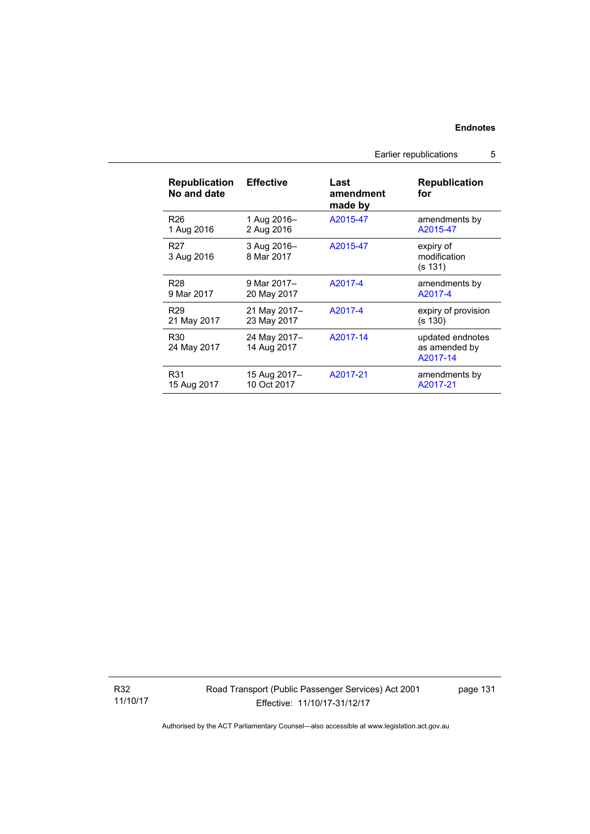Earlier republications 5

| <b>Republication</b><br>No and date | <b>Effective</b>            | Last<br>amendment<br>made by | <b>Republication</b><br>for                   |
|-------------------------------------|-----------------------------|------------------------------|-----------------------------------------------|
| R <sub>26</sub>                     | 1 Aug 2016-                 | A2015-47                     | amendments by                                 |
| 1 Aug 2016                          | 2 Aug 2016                  |                              | A2015-47                                      |
| R <sub>27</sub><br>3 Aug 2016       | 3 Aug 2016-<br>8 Mar 2017   | A2015-47                     | expiry of<br>modification<br>(s 131)          |
| R <sub>28</sub>                     | 9 Mar 2017-                 | A2017-4                      | amendments by                                 |
| 9 Mar 2017                          | 20 May 2017                 |                              | A2017-4                                       |
| R <sub>29</sub>                     | 21 May 2017-                | A2017-4                      | expiry of provision                           |
| 21 May 2017                         | 23 May 2017                 |                              | (s 130)                                       |
| R <sub>30</sub><br>24 May 2017      | 24 May 2017-<br>14 Aug 2017 | A2017-14                     | updated endnotes<br>as amended by<br>A2017-14 |
| R31                                 | 15 Aug 2017-                | A2017-21                     | amendments by                                 |
| 15 Aug 2017                         | 10 Oct 2017                 |                              | A2017-21                                      |

R32 11/10/17 Road Transport (Public Passenger Services) Act 2001 Effective: 11/10/17-31/12/17

page 131